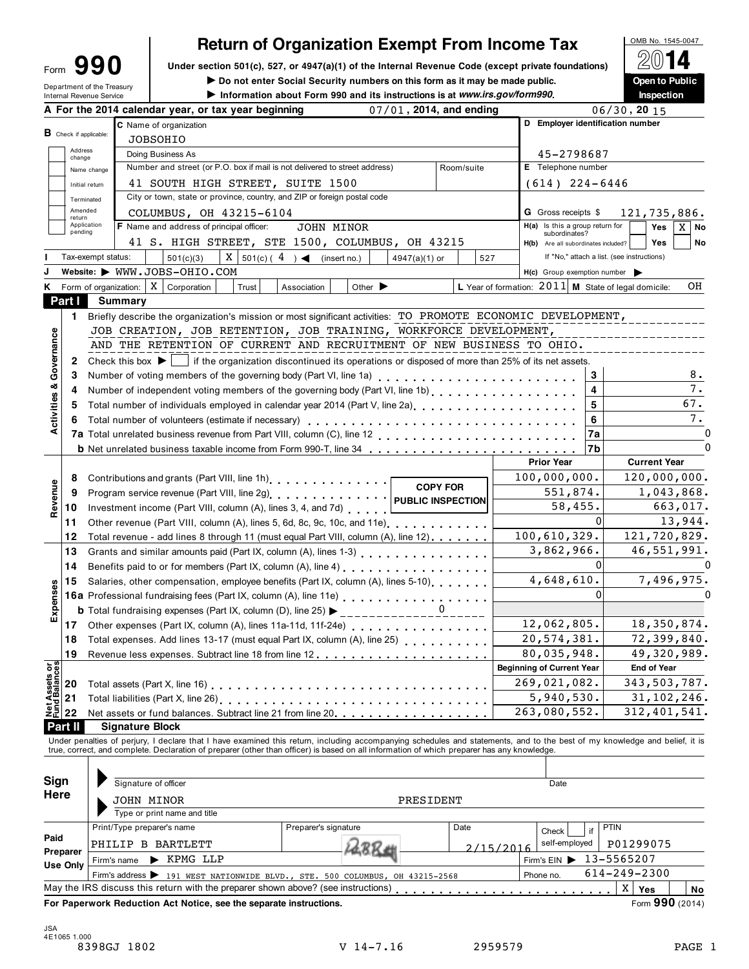## **Return of Organization Exempt From Income Tax**

Form 990 Under section 501(c), 527, or 4947(a)(1) of the Internal Revenue Code (except private foundations)  $2014$ Form  $\bigcup_{\text{Form of the Treasury}}$  Under section 501(c), 527, or 4947(a)(1) of the Internal Revenue Code (except private foundations) Under section 501(c), 527, or 4947(a)(1) of the Internal Revenue Code (except private foundations) Ope

**Internal Revenue Service** III internal Revenue Service III is **internal Revenue Service** III is **internal Revenue Service** III is **internal Revenue Service** III is **inspection** internal Revenue Service III is **inspection** 

|                                        |                               |                    | A For the 2014 calendar year, or tax year beginning                                                                                                                                                                                                                                                                      | 07/01, 2014, and ending                                                |                  |           |                                                     |                   | $\overline{06}/30$ , 20 15                                   |
|----------------------------------------|-------------------------------|--------------------|--------------------------------------------------------------------------------------------------------------------------------------------------------------------------------------------------------------------------------------------------------------------------------------------------------------------------|------------------------------------------------------------------------|------------------|-----------|-----------------------------------------------------|-------------------|--------------------------------------------------------------|
|                                        |                               |                    | C Name of organization                                                                                                                                                                                                                                                                                                   |                                                                        |                  |           | D Employer identification number                    |                   |                                                              |
|                                        | <b>B</b> Check if applicable: |                    | <b>JOBSOHIO</b>                                                                                                                                                                                                                                                                                                          |                                                                        |                  |           |                                                     |                   |                                                              |
|                                        | Address<br>change             |                    | Doing Business As                                                                                                                                                                                                                                                                                                        |                                                                        |                  |           | 45-2798687                                          |                   |                                                              |
|                                        |                               | Name change        | Number and street (or P.O. box if mail is not delivered to street address)                                                                                                                                                                                                                                               |                                                                        | Room/suite       |           | E Telephone number                                  |                   |                                                              |
|                                        | Initial return                |                    | 41 SOUTH HIGH STREET, SUITE 1500                                                                                                                                                                                                                                                                                         |                                                                        | $(614)$ 224-6446 |           |                                                     |                   |                                                              |
|                                        | Terminated                    |                    | City or town, state or province, country, and ZIP or foreign postal code                                                                                                                                                                                                                                                 |                                                                        |                  |           |                                                     |                   |                                                              |
|                                        | Amended<br>return             |                    | COLUMBUS, OH 43215-6104                                                                                                                                                                                                                                                                                                  |                                                                        |                  |           | <b>G</b> Gross receipts \$                          |                   | 121,735,886.                                                 |
|                                        | Application<br>pending        |                    | F Name and address of principal officer:                                                                                                                                                                                                                                                                                 | JOHN MINOR                                                             |                  |           | H(a) Is this a group return for<br>subordinates?    |                   | Yes<br>X<br>No                                               |
|                                        |                               |                    |                                                                                                                                                                                                                                                                                                                          | 41 S. HIGH STREET, STE 1500, COLUMBUS, OH 43215                        |                  |           | H(b) Are all subordinates included?                 |                   | <b>Yes</b><br>No                                             |
|                                        |                               | Tax-exempt status: | 501(c)(3)                                                                                                                                                                                                                                                                                                                | $X \mid 501(c) (4) \blacktriangleleft$ (insert no.)<br>$4947(a)(1)$ or | 527              |           |                                                     |                   | If "No," attach a list. (see instructions)                   |
|                                        |                               |                    | Website: WWW.JOBS-OHIO.COM                                                                                                                                                                                                                                                                                               |                                                                        |                  |           | $H(c)$ Group exemption number $\blacktriangleright$ |                   |                                                              |
| Κ                                      |                               |                    | Form of organization: $\mid X \mid$ Corporation<br>Trust                                                                                                                                                                                                                                                                 | Other $\blacktriangleright$<br>Association                             |                  |           |                                                     |                   | L Year of formation: $2011$ M State of legal domicile:<br>OH |
|                                        | Part I                        |                    | Summary                                                                                                                                                                                                                                                                                                                  |                                                                        |                  |           |                                                     |                   |                                                              |
|                                        | 1.                            |                    | Briefly describe the organization's mission or most significant activities: TO PROMOTE ECONOMIC DEVELOPMENT,                                                                                                                                                                                                             |                                                                        |                  |           |                                                     |                   |                                                              |
|                                        |                               |                    | JOB CREATION, JOB RETENTION, JOB TRAINING, WORKFORCE DEVELOPMENT,                                                                                                                                                                                                                                                        |                                                                        |                  |           |                                                     |                   |                                                              |
| Governance                             |                               |                    | AND THE RETENTION OF CURRENT AND RECRUITMENT OF NEW BUSINESS TO OHIO.                                                                                                                                                                                                                                                    |                                                                        |                  |           |                                                     |                   |                                                              |
|                                        | 2                             |                    | Check this box $\blacktriangleright$   if the organization discontinued its operations or disposed of more than 25% of its net assets.                                                                                                                                                                                   |                                                                        |                  |           |                                                     |                   |                                                              |
|                                        | 3                             |                    | Number of voting members of the governing body (Part VI, line 1a)                                                                                                                                                                                                                                                        |                                                                        |                  |           |                                                     | 3                 | 8.                                                           |
| య                                      | 4                             |                    |                                                                                                                                                                                                                                                                                                                          |                                                                        |                  |           |                                                     | 4                 | 7.                                                           |
|                                        | 5                             |                    | Total number of individuals employed in calendar year 2014 (Part V, line 2a)<br>The 2a)                                                                                                                                                                                                                                  |                                                                        |                  |           |                                                     | 5                 | 67.                                                          |
| Activities                             | 6                             |                    | Total number of volunteers (estimate if necessary)                                                                                                                                                                                                                                                                       |                                                                        |                  |           |                                                     | 6                 | 7.                                                           |
|                                        |                               |                    |                                                                                                                                                                                                                                                                                                                          |                                                                        |                  |           |                                                     | 7a                |                                                              |
|                                        |                               |                    |                                                                                                                                                                                                                                                                                                                          |                                                                        |                  |           |                                                     | 7b                | $\Omega$                                                     |
|                                        |                               |                    |                                                                                                                                                                                                                                                                                                                          |                                                                        |                  |           | <b>Prior Year</b>                                   |                   | <b>Current Year</b>                                          |
|                                        | 8                             |                    |                                                                                                                                                                                                                                                                                                                          |                                                                        | <b>COPY FOR</b>  |           | 100,000,000.                                        |                   | 120,000,000.                                                 |
| Revenue                                | 9                             |                    |                                                                                                                                                                                                                                                                                                                          |                                                                        | 551,874.         |           | 1,043,868.                                          |                   |                                                              |
|                                        | 10                            |                    | Investment income (Part VIII, column (A), lines 3, 4, and 7d)                                                                                                                                                                                                                                                            |                                                                        |                  |           | 58,455.                                             |                   | 663,017.                                                     |
|                                        | 11                            |                    | Other revenue (Part VIII, column (A), lines 5, 6d, 8c, 9c, 10c, and 11e)                                                                                                                                                                                                                                                 |                                                                        |                  |           |                                                     | $\Omega$          | 13,944.                                                      |
|                                        | 12                            |                    | Total revenue - add lines 8 through 11 (must equal Part VIII, column (A), line 12)                                                                                                                                                                                                                                       |                                                                        |                  |           | 100, 610, 329.                                      |                   | 121,720,829.                                                 |
|                                        | 13                            |                    |                                                                                                                                                                                                                                                                                                                          |                                                                        |                  |           | 3,862,966.                                          |                   | 46,551,991.                                                  |
|                                        | 14                            |                    | Benefits paid to or for members (Part IX, column (A), line 4)<br>[2010]                                                                                                                                                                                                                                                  |                                                                        |                  |           |                                                     | 0                 |                                                              |
|                                        | 15                            |                    | Salaries, other compensation, employee benefits (Part IX, column (A), lines 5-10)                                                                                                                                                                                                                                        |                                                                        |                  |           | 4,648,610.                                          |                   | 7,496,975.                                                   |
|                                        |                               |                    | 16a Professional fundraising fees (Part IX, column (A), line 11e)<br>16a Professional fundraising fees (Part IX, column (A), line 11e)                                                                                                                                                                                   |                                                                        |                  |           |                                                     | 0                 |                                                              |
| Expenses                               |                               |                    | <b>b</b> Total fundraising expenses (Part IX, column (D), line 25) $\blacktriangleright$                                                                                                                                                                                                                                 |                                                                        |                  |           |                                                     |                   |                                                              |
|                                        |                               |                    |                                                                                                                                                                                                                                                                                                                          |                                                                        |                  |           | 12,062,805.                                         |                   | 18,350,874.                                                  |
|                                        |                               |                    |                                                                                                                                                                                                                                                                                                                          |                                                                        |                  |           | 20, 574, 381.                                       |                   | 72,399,840.                                                  |
|                                        | 19                            |                    |                                                                                                                                                                                                                                                                                                                          |                                                                        |                  |           | 80,035,948.                                         |                   | 49,320,989.                                                  |
| <b>Net Assets or<br/>Fund Balances</b> |                               |                    |                                                                                                                                                                                                                                                                                                                          |                                                                        |                  |           | <b>Beginning of Current Year</b>                    |                   | <b>End of Year</b>                                           |
|                                        | 20                            |                    | Total assets (Part X, line 16)                                                                                                                                                                                                                                                                                           |                                                                        |                  |           | 269,021,082.                                        |                   | 343,503,787.                                                 |
|                                        | 21                            |                    |                                                                                                                                                                                                                                                                                                                          |                                                                        |                  |           | 5,940,530.                                          |                   | 31, 102, 246.                                                |
|                                        | 22                            |                    | Net assets or fund balances. Subtract line 21 from line 20                                                                                                                                                                                                                                                               |                                                                        |                  |           | 263,080,552.                                        |                   | 312,401,541.                                                 |
|                                        | <b>Part II</b>                |                    | <b>Signature Block</b>                                                                                                                                                                                                                                                                                                   |                                                                        |                  |           |                                                     |                   |                                                              |
|                                        |                               |                    | Under penalties of perjury, I declare that I have examined this return, including accompanying schedules and statements, and to the best of my knowledge and belief, it is<br>true, correct, and complete. Declaration of preparer (other than officer) is based on all information of which preparer has any knowledge. |                                                                        |                  |           |                                                     |                   |                                                              |
|                                        |                               |                    |                                                                                                                                                                                                                                                                                                                          |                                                                        |                  |           |                                                     |                   |                                                              |
| Sign                                   |                               |                    |                                                                                                                                                                                                                                                                                                                          |                                                                        |                  |           |                                                     |                   |                                                              |
| Here                                   |                               |                    | Signature of officer                                                                                                                                                                                                                                                                                                     |                                                                        |                  |           | Date                                                |                   |                                                              |
|                                        |                               |                    | JOHN MINOR                                                                                                                                                                                                                                                                                                               |                                                                        | PRESIDENT        |           |                                                     |                   |                                                              |
|                                        |                               |                    | Type or print name and title                                                                                                                                                                                                                                                                                             |                                                                        |                  |           |                                                     |                   |                                                              |
| Paid                                   |                               |                    | Print/Type preparer's name                                                                                                                                                                                                                                                                                               | Preparer's signature                                                   | Date             |           | Check                                               | <b>PTIN</b><br>if |                                                              |
|                                        | Preparer                      |                    | PHILIP B BARTLETT                                                                                                                                                                                                                                                                                                        |                                                                        |                  | 2/15/2016 | self-employed                                       |                   | P01299075                                                    |
|                                        | Use Only                      |                    | $\blacktriangleright$ KPMG LLP<br>Firm's name                                                                                                                                                                                                                                                                            |                                                                        |                  |           | Firm's EIN                                          |                   | 13-5565207                                                   |
|                                        |                               |                    | Firm's address > 191 WEST NATIONWIDE BLVD., STE. 500 COLUMBUS, OH 43215-2568                                                                                                                                                                                                                                             |                                                                        |                  |           | Phone no.                                           |                   | 614-249-2300                                                 |
|                                        |                               |                    | May the IRS discuss this return with the preparer shown above? (see instructions)                                                                                                                                                                                                                                        |                                                                        |                  |           | the second contract of the second con-              |                   | X<br>Yes<br>No                                               |
|                                        |                               |                    | For Paperwork Reduction Act Notice, see the separate instructions.                                                                                                                                                                                                                                                       |                                                                        |                  |           |                                                     |                   | Form 990 (2014)                                              |
|                                        |                               |                    |                                                                                                                                                                                                                                                                                                                          |                                                                        |                  |           |                                                     |                   |                                                              |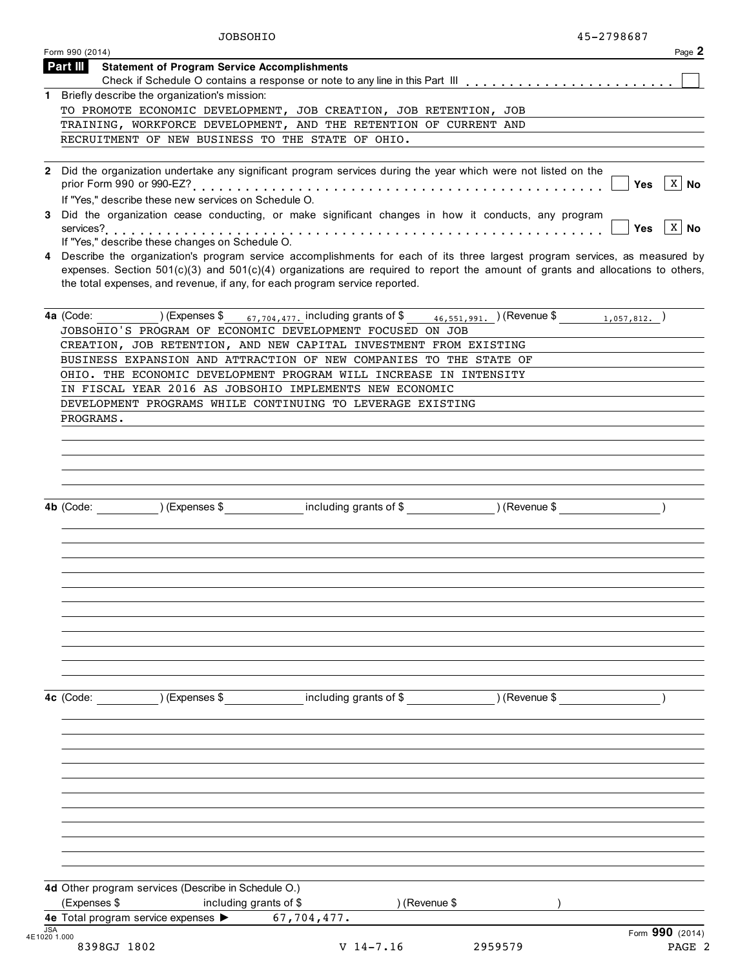|            | JOBSOHIO                                                                                                                                                                                                                                                                                                                                          |                                                                                                        |         | 45-2798687                 |
|------------|---------------------------------------------------------------------------------------------------------------------------------------------------------------------------------------------------------------------------------------------------------------------------------------------------------------------------------------------------|--------------------------------------------------------------------------------------------------------|---------|----------------------------|
|            | Form 990 (2014)                                                                                                                                                                                                                                                                                                                                   |                                                                                                        |         | Page 2                     |
|            | Part III<br><b>Statement of Program Service Accomplishments</b>                                                                                                                                                                                                                                                                                   |                                                                                                        |         |                            |
|            |                                                                                                                                                                                                                                                                                                                                                   |                                                                                                        |         |                            |
|            | 1 Briefly describe the organization's mission:                                                                                                                                                                                                                                                                                                    |                                                                                                        |         |                            |
|            | TO PROMOTE ECONOMIC DEVELOPMENT, JOB CREATION, JOB RETENTION, JOB                                                                                                                                                                                                                                                                                 |                                                                                                        |         |                            |
|            | TRAINING, WORKFORCE DEVELOPMENT, AND THE RETENTION OF CURRENT AND                                                                                                                                                                                                                                                                                 |                                                                                                        |         |                            |
|            | RECRUITMENT OF NEW BUSINESS TO THE STATE OF OHIO.                                                                                                                                                                                                                                                                                                 |                                                                                                        |         |                            |
|            |                                                                                                                                                                                                                                                                                                                                                   |                                                                                                        |         |                            |
|            | 2 Did the organization undertake any significant program services during the year which were not listed on the<br>If "Yes," describe these new services on Schedule O.                                                                                                                                                                            |                                                                                                        |         | $X \mid N$ o<br>Yes        |
| 3          | Did the organization cease conducting, or make significant changes in how it conducts, any program<br>If "Yes," describe these changes on Schedule O.                                                                                                                                                                                             |                                                                                                        |         | $X \mid N$ o<br><b>Yes</b> |
|            | 4 Describe the organization's program service accomplishments for each of its three largest program services, as measured by<br>expenses. Section $501(c)(3)$ and $501(c)(4)$ organizations are required to report the amount of grants and allocations to others,<br>the total expenses, and revenue, if any, for each program service reported. |                                                                                                        |         |                            |
|            | 4a (Code:<br>JOBSOHIO'S PROGRAM OF ECONOMIC DEVELOPMENT FOCUSED ON JOB                                                                                                                                                                                                                                                                            | (Expenses \$ $_{67,704,477}$ , including grants of \$ $_{46,551,991}$ , (Revenue \$ $_{1,057,812}$ , ) |         |                            |
|            | CREATION, JOB RETENTION, AND NEW CAPITAL INVESTMENT FROM EXISTING                                                                                                                                                                                                                                                                                 |                                                                                                        |         |                            |
|            | BUSINESS EXPANSION AND ATTRACTION OF NEW COMPANIES TO THE STATE OF                                                                                                                                                                                                                                                                                |                                                                                                        |         |                            |
|            | OHIO. THE ECONOMIC DEVELOPMENT PROGRAM WILL INCREASE IN INTENSITY                                                                                                                                                                                                                                                                                 |                                                                                                        |         |                            |
|            | IN FISCAL YEAR 2016 AS JOBSOHIO IMPLEMENTS NEW ECONOMIC                                                                                                                                                                                                                                                                                           |                                                                                                        |         |                            |
|            | DEVELOPMENT PROGRAMS WHILE CONTINUING TO LEVERAGE EXISTING                                                                                                                                                                                                                                                                                        |                                                                                                        |         |                            |
|            | PROGRAMS.                                                                                                                                                                                                                                                                                                                                         |                                                                                                        |         |                            |
|            |                                                                                                                                                                                                                                                                                                                                                   |                                                                                                        |         |                            |
|            |                                                                                                                                                                                                                                                                                                                                                   |                                                                                                        |         |                            |
|            |                                                                                                                                                                                                                                                                                                                                                   |                                                                                                        |         |                            |
|            |                                                                                                                                                                                                                                                                                                                                                   |                                                                                                        |         |                            |
|            |                                                                                                                                                                                                                                                                                                                                                   |                                                                                                        |         |                            |
|            |                                                                                                                                                                                                                                                                                                                                                   |                                                                                                        |         |                            |
|            | 4b (Code:                                                                                                                                                                                                                                                                                                                                         | (Expenses \$ including grants of \$ ) (Revenue \$                                                      |         |                            |
|            |                                                                                                                                                                                                                                                                                                                                                   |                                                                                                        |         |                            |
|            |                                                                                                                                                                                                                                                                                                                                                   |                                                                                                        |         |                            |
|            |                                                                                                                                                                                                                                                                                                                                                   |                                                                                                        |         |                            |
|            |                                                                                                                                                                                                                                                                                                                                                   |                                                                                                        |         |                            |
|            |                                                                                                                                                                                                                                                                                                                                                   |                                                                                                        |         |                            |
|            |                                                                                                                                                                                                                                                                                                                                                   |                                                                                                        |         |                            |
|            |                                                                                                                                                                                                                                                                                                                                                   |                                                                                                        |         |                            |
|            |                                                                                                                                                                                                                                                                                                                                                   |                                                                                                        |         |                            |
|            |                                                                                                                                                                                                                                                                                                                                                   |                                                                                                        |         |                            |
|            |                                                                                                                                                                                                                                                                                                                                                   |                                                                                                        |         |                            |
|            |                                                                                                                                                                                                                                                                                                                                                   |                                                                                                        |         |                            |
|            |                                                                                                                                                                                                                                                                                                                                                   |                                                                                                        |         |                            |
|            | ) (Expenses \$<br>4c (Code:                                                                                                                                                                                                                                                                                                                       | including grants of \$ (Revenue \$)                                                                    |         |                            |
|            |                                                                                                                                                                                                                                                                                                                                                   |                                                                                                        |         |                            |
|            |                                                                                                                                                                                                                                                                                                                                                   |                                                                                                        |         |                            |
|            |                                                                                                                                                                                                                                                                                                                                                   |                                                                                                        |         |                            |
|            |                                                                                                                                                                                                                                                                                                                                                   |                                                                                                        |         |                            |
|            |                                                                                                                                                                                                                                                                                                                                                   |                                                                                                        |         |                            |
|            |                                                                                                                                                                                                                                                                                                                                                   |                                                                                                        |         |                            |
|            |                                                                                                                                                                                                                                                                                                                                                   |                                                                                                        |         |                            |
|            |                                                                                                                                                                                                                                                                                                                                                   |                                                                                                        |         |                            |
|            |                                                                                                                                                                                                                                                                                                                                                   |                                                                                                        |         |                            |
|            |                                                                                                                                                                                                                                                                                                                                                   |                                                                                                        |         |                            |
|            |                                                                                                                                                                                                                                                                                                                                                   |                                                                                                        |         |                            |
|            |                                                                                                                                                                                                                                                                                                                                                   |                                                                                                        |         |                            |
|            | 4d Other program services (Describe in Schedule O.)                                                                                                                                                                                                                                                                                               |                                                                                                        |         |                            |
|            | (Expenses \$                                                                                                                                                                                                                                                                                                                                      |                                                                                                        |         |                            |
|            | including grants of \$                                                                                                                                                                                                                                                                                                                            | ) (Revenue \$                                                                                          |         |                            |
| <b>JSA</b> | 4e Total program service expenses >                                                                                                                                                                                                                                                                                                               | 67,704,477.                                                                                            |         |                            |
|            | 4E1020 1.000                                                                                                                                                                                                                                                                                                                                      |                                                                                                        |         | Form 990 (2014)            |
|            | 8398GJ 1802                                                                                                                                                                                                                                                                                                                                       | $V$ 14-7.16                                                                                            | 2959579 | PAGE 2                     |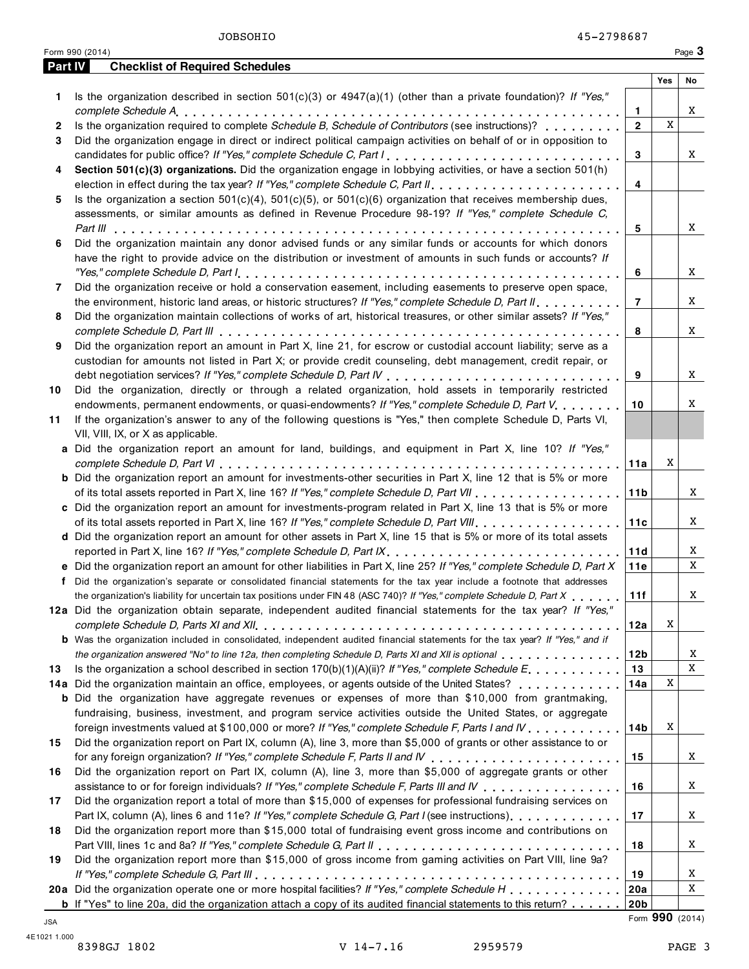| <u>Part IV</u> | <b>Checklist of Required Schedules</b>                                                                                                                                                                                         |                 |     |        |
|----------------|--------------------------------------------------------------------------------------------------------------------------------------------------------------------------------------------------------------------------------|-----------------|-----|--------|
|                |                                                                                                                                                                                                                                |                 | Yes | No     |
| 1              | Is the organization described in section $501(c)(3)$ or $4947(a)(1)$ (other than a private foundation)? If "Yes,"                                                                                                              |                 |     |        |
|                |                                                                                                                                                                                                                                | 1               |     | X      |
| 2              | Is the organization required to complete Schedule B, Schedule of Contributors (see instructions)?                                                                                                                              | $\overline{2}$  | X   |        |
| 3              | Did the organization engage in direct or indirect political campaign activities on behalf of or in opposition to                                                                                                               |                 |     |        |
|                | candidates for public office? If "Yes," complete Schedule C, Part I.                                                                                                                                                           | 3               |     | X      |
| 4              | Section 501(c)(3) organizations. Did the organization engage in lobbying activities, or have a section 501(h)                                                                                                                  |                 |     |        |
|                |                                                                                                                                                                                                                                | 4               |     |        |
| 5              | Is the organization a section $501(c)(4)$ , $501(c)(5)$ , or $501(c)(6)$ organization that receives membership dues,                                                                                                           |                 |     |        |
|                | assessments, or similar amounts as defined in Revenue Procedure 98-19? If "Yes," complete Schedule C,                                                                                                                          |                 |     |        |
|                |                                                                                                                                                                                                                                | 5               |     | X      |
| 6              | Did the organization maintain any donor advised funds or any similar funds or accounts for which donors                                                                                                                        |                 |     |        |
|                | have the right to provide advice on the distribution or investment of amounts in such funds or accounts? If                                                                                                                    |                 |     |        |
|                |                                                                                                                                                                                                                                | 6               |     | X      |
| 7              | Did the organization receive or hold a conservation easement, including easements to preserve open space,                                                                                                                      |                 |     |        |
|                | the environment, historic land areas, or historic structures? If "Yes," complete Schedule D, Part II,<br>Did the organization maintain collections of works of art, historical treasures, or other similar assets? If "Yes,"   | $\overline{7}$  |     | X      |
| 8              |                                                                                                                                                                                                                                |                 |     |        |
| 9              | Did the organization report an amount in Part X, line 21, for escrow or custodial account liability; serve as a                                                                                                                | 8               |     | X      |
|                | custodian for amounts not listed in Part X; or provide credit counseling, debt management, credit repair, or                                                                                                                   |                 |     |        |
|                |                                                                                                                                                                                                                                | 9               |     | X      |
| 10             | Did the organization, directly or through a related organization, hold assets in temporarily restricted                                                                                                                        |                 |     |        |
|                | endowments, permanent endowments, or quasi-endowments? If "Yes," complete Schedule D, Part V.                                                                                                                                  | 10              |     | X      |
| 11             | If the organization's answer to any of the following questions is "Yes," then complete Schedule D, Parts VI,                                                                                                                   |                 |     |        |
|                | VII, VIII, IX, or X as applicable.                                                                                                                                                                                             |                 |     |        |
|                | a Did the organization report an amount for land, buildings, and equipment in Part X, line 10? If "Yes,"                                                                                                                       |                 |     |        |
|                |                                                                                                                                                                                                                                | 11a             | Χ   |        |
|                | <b>b</b> Did the organization report an amount for investments-other securities in Part X, line 12 that is 5% or more                                                                                                          |                 |     |        |
|                |                                                                                                                                                                                                                                | 11 <sub>b</sub> |     | X      |
|                | c Did the organization report an amount for investments-program related in Part X, line 13 that is 5% or more                                                                                                                  |                 |     |        |
|                |                                                                                                                                                                                                                                | 11c             |     | X      |
|                | d Did the organization report an amount for other assets in Part X, line 15 that is 5% or more of its total assets                                                                                                             |                 |     |        |
|                | reported in Part X, line 16? If "Yes," complete Schedule D, Part IX.                                                                                                                                                           | 11d             |     | X      |
|                | e Did the organization report an amount for other liabilities in Part X, line 25? If "Yes," complete Schedule D, Part X                                                                                                        | 11e             |     | X      |
|                | f Did the organization's separate or consolidated financial statements for the tax year include a footnote that addresses                                                                                                      |                 |     |        |
|                | the organization's liability for uncertain tax positions under FIN 48 (ASC 740)? If "Yes," complete Schedule D, Part X                                                                                                         | 11f             |     | X      |
|                | 12a Did the organization obtain separate, independent audited financial statements for the tax year? If "Yes,"                                                                                                                 |                 |     |        |
|                |                                                                                                                                                                                                                                | 12a             | X   |        |
|                | <b>b</b> Was the organization included in consolidated, independent audited financial statements for the tax year? If "Yes," and if                                                                                            |                 |     |        |
|                | the organization answered "No" to line 12a, then completing Schedule D, Parts XI and XII is optional entertainment of the state of the top of the organization answered "No" to line 12a, then completing Schedule D, Parts XI | 12 <sub>b</sub> |     | X<br>X |
| 13             | Is the organization a school described in section $170(b)(1)(A)(ii)?$ If "Yes," complete Schedule E                                                                                                                            | 13              | Χ   |        |
|                | 14a Did the organization maintain an office, employees, or agents outside of the United States?<br><b>b</b> Did the organization have aggregate revenues or expenses of more than \$10,000 from grantmaking,                   | 14a             |     |        |
|                | fundraising, business, investment, and program service activities outside the United States, or aggregate                                                                                                                      |                 |     |        |
|                | foreign investments valued at \$100,000 or more? If "Yes," complete Schedule F, Parts I and IV                                                                                                                                 | 14b             | X   |        |
| 15             | Did the organization report on Part IX, column (A), line 3, more than \$5,000 of grants or other assistance to or                                                                                                              |                 |     |        |
|                |                                                                                                                                                                                                                                | 15              |     | X      |
| 16             | Did the organization report on Part IX, column (A), line 3, more than \$5,000 of aggregate grants or other                                                                                                                     |                 |     |        |
|                | assistance to or for foreign individuals? If "Yes," complete Schedule F, Parts III and IV                                                                                                                                      | 16              |     | X      |
| 17             | Did the organization report a total of more than \$15,000 of expenses for professional fundraising services on                                                                                                                 |                 |     |        |
|                | Part IX, column (A), lines 6 and 11e? If "Yes," complete Schedule G, Part I (see instructions)                                                                                                                                 | 17              |     | X      |
| 18             | Did the organization report more than \$15,000 total of fundraising event gross income and contributions on                                                                                                                    |                 |     |        |
|                |                                                                                                                                                                                                                                | 18              |     | X      |
| 19             | Did the organization report more than \$15,000 of gross income from gaming activities on Part VIII, line 9a?                                                                                                                   |                 |     |        |
|                |                                                                                                                                                                                                                                | 19              |     | X      |
|                | 20a Did the organization operate one or more hospital facilities? If "Yes," complete Schedule H                                                                                                                                | 20a             |     | X      |
|                | <b>b</b> If "Yes" to line 20a, did the organization attach a copy of its audited financial statements to this return?                                                                                                          | 20 <sub>b</sub> |     |        |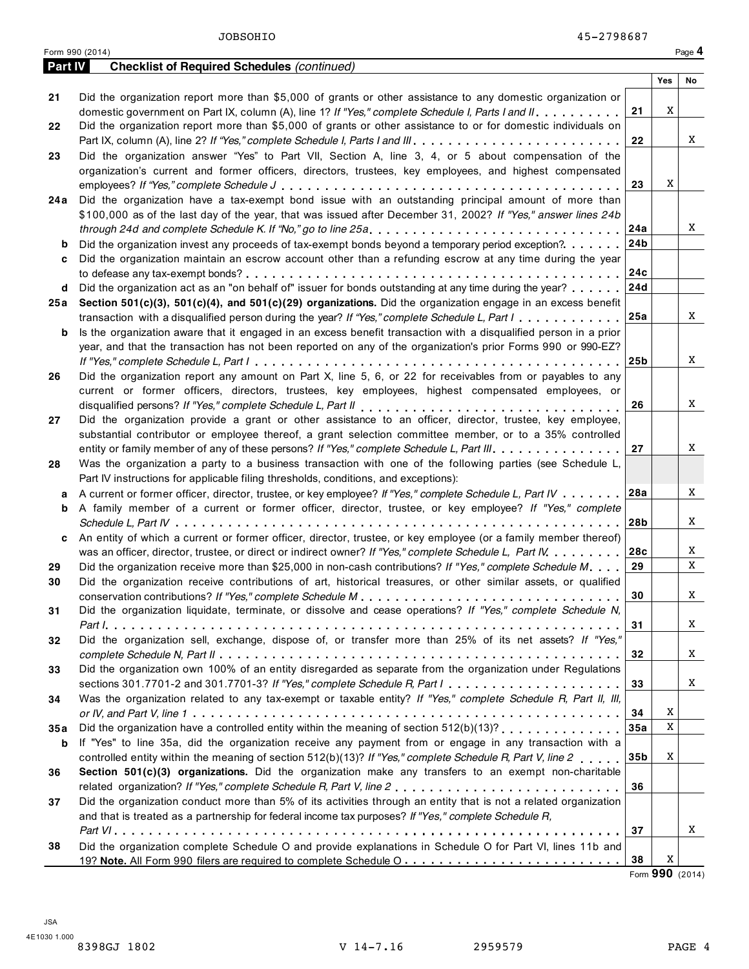**Part IV Checklist of Required Schedules** *(continued)*

|      |                                                                                                                             |                 | Yes | No |
|------|-----------------------------------------------------------------------------------------------------------------------------|-----------------|-----|----|
| 21   | Did the organization report more than \$5,000 of grants or other assistance to any domestic organization or                 |                 |     |    |
|      | domestic government on Part IX, column (A), line 1? If "Yes," complete Schedule I, Parts I and II.                          | 21              | Χ   |    |
| 22   | Did the organization report more than \$5,000 of grants or other assistance to or for domestic individuals on               |                 |     |    |
|      |                                                                                                                             | 22              |     | X  |
| 23   | Did the organization answer "Yes" to Part VII, Section A, line 3, 4, or 5 about compensation of the                         |                 |     |    |
|      | organization's current and former officers, directors, trustees, key employees, and highest compensated                     |                 |     |    |
|      |                                                                                                                             | 23              | Χ   |    |
| 24 a | Did the organization have a tax-exempt bond issue with an outstanding principal amount of more than                         |                 |     |    |
|      | \$100,000 as of the last day of the year, that was issued after December 31, 2002? If "Yes," answer lines 24b               |                 |     |    |
|      | through 24d and complete Schedule K. If "No," go to line 25a                                                                | 24a             |     | X  |
| b    | Did the organization invest any proceeds of tax-exempt bonds beyond a temporary period exception?                           | 24 <sub>b</sub> |     |    |
| c    | Did the organization maintain an escrow account other than a refunding escrow at any time during the year                   |                 |     |    |
|      |                                                                                                                             | 24c             |     |    |
| d    | Did the organization act as an "on behalf of" issuer for bonds outstanding at any time during the year?                     | 24d             |     |    |
| 25 a | Section 501(c)(3), 501(c)(4), and 501(c)(29) organizations. Did the organization engage in an excess benefit                |                 |     |    |
|      | transaction with a disqualified person during the year? If "Yes," complete Schedule L, Part I                               | 25a             |     | X  |
| b    | Is the organization aware that it engaged in an excess benefit transaction with a disqualified person in a prior            |                 |     |    |
|      | year, and that the transaction has not been reported on any of the organization's prior Forms 990 or 990-EZ?                |                 |     |    |
|      |                                                                                                                             | 25 <sub>b</sub> |     | X  |
| 26   | Did the organization report any amount on Part X, line 5, 6, or 22 for receivables from or payables to any                  |                 |     |    |
|      | current or former officers, directors, trustees, key employees, highest compensated employees, or                           |                 |     |    |
|      |                                                                                                                             | 26              |     | X  |
| 27   | Did the organization provide a grant or other assistance to an officer, director, trustee, key employee,                    |                 |     |    |
|      | substantial contributor or employee thereof, a grant selection committee member, or to a 35% controlled                     |                 |     |    |
|      | entity or family member of any of these persons? If "Yes," complete Schedule L, Part III.                                   | 27              |     | X  |
| 28   | Was the organization a party to a business transaction with one of the following parties (see Schedule L,                   |                 |     |    |
|      | Part IV instructions for applicable filing thresholds, conditions, and exceptions):                                         |                 |     |    |
| а    | A current or former officer, director, trustee, or key employee? If "Yes," complete Schedule L, Part IV                     | 28a             |     | X  |
| b    | A family member of a current or former officer, director, trustee, or key employee? If "Yes," complete                      |                 |     |    |
|      |                                                                                                                             | 28 <sub>b</sub> |     | X  |
| c    | An entity of which a current or former officer, director, trustee, or key employee (or a family member thereof)             |                 |     |    |
|      | was an officer, director, trustee, or direct or indirect owner? If "Yes," complete Schedule L, Part IV                      | 28c             |     | X  |
| 29   | Did the organization receive more than \$25,000 in non-cash contributions? If "Yes," complete Schedule M.                   | 29              |     | X  |
| 30   | Did the organization receive contributions of art, historical treasures, or other similar assets, or qualified              |                 |     |    |
|      |                                                                                                                             | 30              |     | X  |
| 31   | Did the organization liquidate, terminate, or dissolve and cease operations? If "Yes," complete Schedule N,                 |                 |     | X  |
|      |                                                                                                                             | 31              |     |    |
| 32   | Did the organization sell, exchange, dispose of, or transfer more than 25% of its net assets? If "Yes,"                     |                 |     |    |
|      | Did the organization own 100% of an entity disregarded as separate from the organization under Regulations                  | 32              |     | X  |
| 33   | sections 301.7701-2 and 301.7701-3? If "Yes," complete Schedule R, Part $1, \ldots, \ldots, \ldots, \ldots, \ldots, \ldots$ | 33              |     | X  |
| 34   | Was the organization related to any tax-exempt or taxable entity? If "Yes," complete Schedule R, Part II, III,              |                 |     |    |
|      |                                                                                                                             | 34              | X   |    |
| 35 a | Did the organization have a controlled entity within the meaning of section 512(b)(13)?                                     | 35a             | X   |    |
| b    | If "Yes" to line 35a, did the organization receive any payment from or engage in any transaction with a                     |                 |     |    |
|      | controlled entity within the meaning of section 512(b)(13)? If "Yes," complete Schedule R, Part V, line 2                   | 35 <sub>b</sub> | Χ   |    |
| 36   | Section 501(c)(3) organizations. Did the organization make any transfers to an exempt non-charitable                        |                 |     |    |
|      | related organization? If "Yes," complete Schedule R, Part V, line 2                                                         | 36              |     |    |
| 37   | Did the organization conduct more than 5% of its activities through an entity that is not a related organization            |                 |     |    |
|      | and that is treated as a partnership for federal income tax purposes? If "Yes," complete Schedule R,                        |                 |     |    |
|      |                                                                                                                             | 37              |     | X  |
| 38   | Did the organization complete Schedule O and provide explanations in Schedule O for Part VI, lines 11b and                  |                 |     |    |
|      |                                                                                                                             | 38              | X   |    |
|      |                                                                                                                             |                 |     |    |

Form **990** (2014)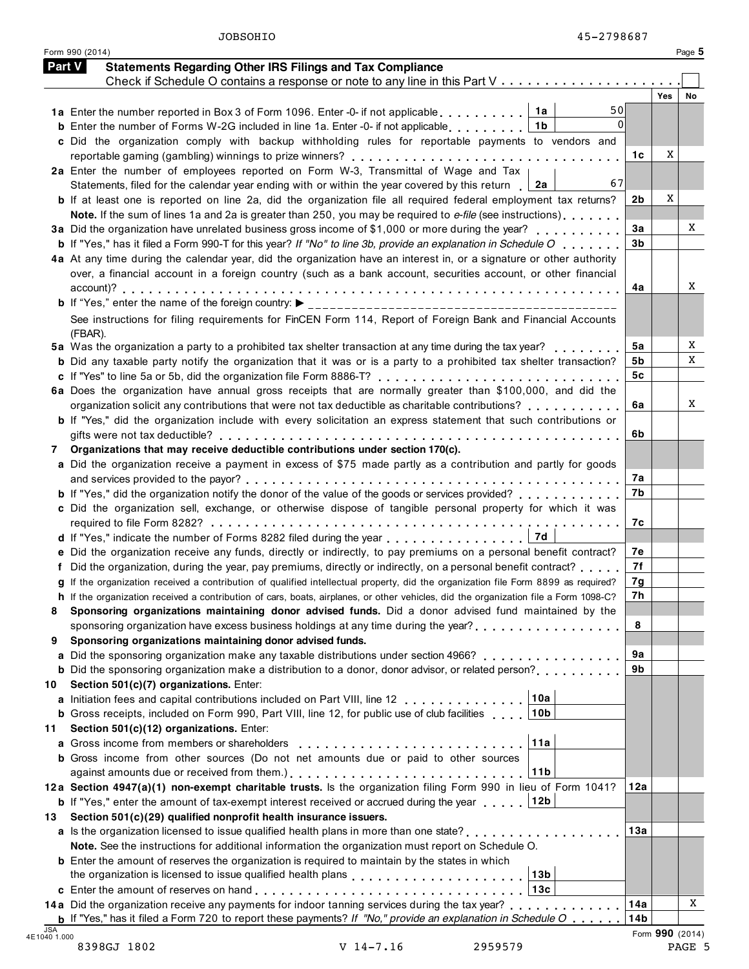| Part V<br><b>Statements Regarding Other IRS Filings and Tax Compliance</b><br>Check if Schedule O contains a response or note to any line in this Part V<br>Yes<br>50<br>1a Enter the number reported in Box 3 of Form 1096. Enter -0- if not applicable $\ldots \ldots$ 1a<br>$\Omega$<br>1 <sub>b</sub><br><b>b</b> Enter the number of Forms W-2G included in line 1a. Enter -0- if not applicable<br>c Did the organization comply with backup withholding rules for reportable payments to vendors and<br>1c<br>2a Enter the number of employees reported on Form W-3, Transmittal of Wage and Tax<br>67<br>Statements, filed for the calendar year ending with or within the year covered by this return $\Box$ 2a<br>2b<br><b>b</b> If at least one is reported on line 2a, did the organization file all required federal employment tax returns?<br>Note. If the sum of lines 1a and 2a is greater than 250, you may be required to e-file (see instructions)<br>3a<br>3a Did the organization have unrelated business gross income of \$1,000 or more during the year?<br>3b<br><b>b</b> If "Yes," has it filed a Form 990-T for this year? If "No" to line 3b, provide an explanation in Schedule $O_1, \ldots,$<br>4a At any time during the calendar year, did the organization have an interest in, or a signature or other authority<br>over, a financial account in a foreign country (such as a bank account, securities account, or other financial<br>4a<br>See instructions for filing requirements for FinCEN Form 114, Report of Foreign Bank and Financial Accounts<br>(FBAR).<br>5a Was the organization a party to a prohibited tax shelter transaction at any time during the tax year?<br>5а<br><b>b</b> Did any taxable party notify the organization that it was or is a party to a prohibited tax shelter transaction?<br>5b<br>5c<br>6a Does the organization have annual gross receipts that are normally greater than \$100,000, and did the<br>organization solicit any contributions that were not tax deductible as charitable contributions? $\ldots$ ,,,,,,,,<br>6a<br>b If "Yes," did the organization include with every solicitation an express statement that such contributions or<br>6b<br>Organizations that may receive deductible contributions under section 170(c).<br>a Did the organization receive a payment in excess of \$75 made partly as a contribution and partly for goods<br>7а<br>7b<br><b>b</b> If "Yes," did the organization notify the donor of the value of the goods or services provided?<br>c Did the organization sell, exchange, or otherwise dispose of tangible personal property for which it was<br>7с<br>e Did the organization receive any funds, directly or indirectly, to pay premiums on a personal benefit contract?<br>7е<br>7f<br>Did the organization, during the year, pay premiums, directly or indirectly, on a personal benefit contract?<br>g If the organization received a contribution of qualified intellectual property, did the organization file Form 8899 as required?<br>7g<br>7h<br>h If the organization received a contribution of cars, boats, airplanes, or other vehicles, did the organization file a Form 1098-C?<br>Sponsoring organizations maintaining donor advised funds. Did a donor advised fund maintained by the<br>8<br>sponsoring organization have excess business holdings at any time during the year?<br>Sponsoring organizations maintaining donor advised funds.<br>9а<br>Did the sponsoring organization make any taxable distributions under section 4966?<br>9b<br><b>b</b> Did the sponsoring organization make a distribution to a donor, donor advisor, or related person?<br>Section 501(c)(7) organizations. Enter:<br>10a<br>Initiation fees and capital contributions included on Part VIII, line 12<br><b>b</b> Gross receipts, included on Form 990, Part VIII, line 12, for public use of club facilities<br>10 <sub>b</sub><br>Section 501(c)(12) organizations. Enter:<br>11a<br>Gross income from members or shareholders<br><b>b</b> Gross income from other sources (Do not net amounts due or paid to other sources<br>11b<br>12a Section 4947(a)(1) non-exempt charitable trusts. Is the organization filing Form 990 in lieu of Form 1041?<br>12a<br><b>b</b> If "Yes," enter the amount of tax-exempt interest received or accrued during the year<br> 12b <br>Section 501(c)(29) qualified nonprofit health insurance issuers.<br>13a<br>a Is the organization licensed to issue qualified health plans in more than one state?,<br>Note. See the instructions for additional information the organization must report on Schedule O.<br><b>b</b> Enter the amount of reserves the organization is required to maintain by the states in which<br>13 <sub>b</sub><br>the organization is licensed to issue qualified health plans <b>the container and the container</b> the critical and t<br>13c<br>14a Did the organization receive any payments for indoor tanning services during the tax year?<br>14a<br><b>b</b> If "Yes," has it filed a Form 720 to report these payments? If "No," provide an explanation in Schedule $O_1, \ldots$<br>14 <sub>b</sub><br>Form 990 (2014) |                     | Form 990 (2014) |   | Page 5 |
|----------------------------------------------------------------------------------------------------------------------------------------------------------------------------------------------------------------------------------------------------------------------------------------------------------------------------------------------------------------------------------------------------------------------------------------------------------------------------------------------------------------------------------------------------------------------------------------------------------------------------------------------------------------------------------------------------------------------------------------------------------------------------------------------------------------------------------------------------------------------------------------------------------------------------------------------------------------------------------------------------------------------------------------------------------------------------------------------------------------------------------------------------------------------------------------------------------------------------------------------------------------------------------------------------------------------------------------------------------------------------------------------------------------------------------------------------------------------------------------------------------------------------------------------------------------------------------------------------------------------------------------------------------------------------------------------------------------------------------------------------------------------------------------------------------------------------------------------------------------------------------------------------------------------------------------------------------------------------------------------------------------------------------------------------------------------------------------------------------------------------------------------------------------------------------------------------------------------------------------------------------------------------------------------------------------------------------------------------------------------------------------------------------------------------------------------------------------------------------------------------------------------------------------------------------------------------------------------------------------------------------------------------------------------------------------------------------------------------------------------------------------------------------------------------------------------------------------------------------------------------------------------------------------------------------------------------------------------------------------------------------------------------------------------------------------------------------------------------------------------------------------------------------------------------------------------------------------------------------------------------------------------------------------------------------------------------------------------------------------------------------------------------------------------------------------------------------------------------------------------------------------------------------------------------------------------------------------------------------------------------------------------------------------------------------------------------------------------------------------------------------------------------------------------------------------------------------------------------------------------------------------------------------------------------------------------------------------------------------------------------------------------------------------------------------------------------------------------------------------------------------------------------------------------------------------------------------------------------------------------------------------------------------------------------------------------------------------------------------------------------------------------------------------------------------------------------------------------------------------------------------------------------------------------------------------------------------------------------------------------------------------------------------------------------------------------------------------------------------------------------------------------------------------------------------------------------------------------------------------------------------------------------------------------------------------------------------------------------------------------------------------------------------------------------------------------------------------------------------------------------------------------------------------------------------------------------------------------------------------|---------------------|-----------------|---|--------|
|                                                                                                                                                                                                                                                                                                                                                                                                                                                                                                                                                                                                                                                                                                                                                                                                                                                                                                                                                                                                                                                                                                                                                                                                                                                                                                                                                                                                                                                                                                                                                                                                                                                                                                                                                                                                                                                                                                                                                                                                                                                                                                                                                                                                                                                                                                                                                                                                                                                                                                                                                                                                                                                                                                                                                                                                                                                                                                                                                                                                                                                                                                                                                                                                                                                                                                                                                                                                                                                                                                                                                                                                                                                                                                                                                                                                                                                                                                                                                                                                                                                                                                                                                                                                                                                                                                                                                                                                                                                                                                                                                                                                                                                                                                                                                                                                                                                                                                                                                                                                                                                                                                                                                                                                                                        |                     |                 |   |        |
|                                                                                                                                                                                                                                                                                                                                                                                                                                                                                                                                                                                                                                                                                                                                                                                                                                                                                                                                                                                                                                                                                                                                                                                                                                                                                                                                                                                                                                                                                                                                                                                                                                                                                                                                                                                                                                                                                                                                                                                                                                                                                                                                                                                                                                                                                                                                                                                                                                                                                                                                                                                                                                                                                                                                                                                                                                                                                                                                                                                                                                                                                                                                                                                                                                                                                                                                                                                                                                                                                                                                                                                                                                                                                                                                                                                                                                                                                                                                                                                                                                                                                                                                                                                                                                                                                                                                                                                                                                                                                                                                                                                                                                                                                                                                                                                                                                                                                                                                                                                                                                                                                                                                                                                                                                        |                     |                 |   |        |
|                                                                                                                                                                                                                                                                                                                                                                                                                                                                                                                                                                                                                                                                                                                                                                                                                                                                                                                                                                                                                                                                                                                                                                                                                                                                                                                                                                                                                                                                                                                                                                                                                                                                                                                                                                                                                                                                                                                                                                                                                                                                                                                                                                                                                                                                                                                                                                                                                                                                                                                                                                                                                                                                                                                                                                                                                                                                                                                                                                                                                                                                                                                                                                                                                                                                                                                                                                                                                                                                                                                                                                                                                                                                                                                                                                                                                                                                                                                                                                                                                                                                                                                                                                                                                                                                                                                                                                                                                                                                                                                                                                                                                                                                                                                                                                                                                                                                                                                                                                                                                                                                                                                                                                                                                                        |                     |                 |   |        |
|                                                                                                                                                                                                                                                                                                                                                                                                                                                                                                                                                                                                                                                                                                                                                                                                                                                                                                                                                                                                                                                                                                                                                                                                                                                                                                                                                                                                                                                                                                                                                                                                                                                                                                                                                                                                                                                                                                                                                                                                                                                                                                                                                                                                                                                                                                                                                                                                                                                                                                                                                                                                                                                                                                                                                                                                                                                                                                                                                                                                                                                                                                                                                                                                                                                                                                                                                                                                                                                                                                                                                                                                                                                                                                                                                                                                                                                                                                                                                                                                                                                                                                                                                                                                                                                                                                                                                                                                                                                                                                                                                                                                                                                                                                                                                                                                                                                                                                                                                                                                                                                                                                                                                                                                                                        |                     |                 |   |        |
|                                                                                                                                                                                                                                                                                                                                                                                                                                                                                                                                                                                                                                                                                                                                                                                                                                                                                                                                                                                                                                                                                                                                                                                                                                                                                                                                                                                                                                                                                                                                                                                                                                                                                                                                                                                                                                                                                                                                                                                                                                                                                                                                                                                                                                                                                                                                                                                                                                                                                                                                                                                                                                                                                                                                                                                                                                                                                                                                                                                                                                                                                                                                                                                                                                                                                                                                                                                                                                                                                                                                                                                                                                                                                                                                                                                                                                                                                                                                                                                                                                                                                                                                                                                                                                                                                                                                                                                                                                                                                                                                                                                                                                                                                                                                                                                                                                                                                                                                                                                                                                                                                                                                                                                                                                        |                     |                 |   |        |
|                                                                                                                                                                                                                                                                                                                                                                                                                                                                                                                                                                                                                                                                                                                                                                                                                                                                                                                                                                                                                                                                                                                                                                                                                                                                                                                                                                                                                                                                                                                                                                                                                                                                                                                                                                                                                                                                                                                                                                                                                                                                                                                                                                                                                                                                                                                                                                                                                                                                                                                                                                                                                                                                                                                                                                                                                                                                                                                                                                                                                                                                                                                                                                                                                                                                                                                                                                                                                                                                                                                                                                                                                                                                                                                                                                                                                                                                                                                                                                                                                                                                                                                                                                                                                                                                                                                                                                                                                                                                                                                                                                                                                                                                                                                                                                                                                                                                                                                                                                                                                                                                                                                                                                                                                                        |                     |                 |   |        |
|                                                                                                                                                                                                                                                                                                                                                                                                                                                                                                                                                                                                                                                                                                                                                                                                                                                                                                                                                                                                                                                                                                                                                                                                                                                                                                                                                                                                                                                                                                                                                                                                                                                                                                                                                                                                                                                                                                                                                                                                                                                                                                                                                                                                                                                                                                                                                                                                                                                                                                                                                                                                                                                                                                                                                                                                                                                                                                                                                                                                                                                                                                                                                                                                                                                                                                                                                                                                                                                                                                                                                                                                                                                                                                                                                                                                                                                                                                                                                                                                                                                                                                                                                                                                                                                                                                                                                                                                                                                                                                                                                                                                                                                                                                                                                                                                                                                                                                                                                                                                                                                                                                                                                                                                                                        |                     |                 | X |        |
|                                                                                                                                                                                                                                                                                                                                                                                                                                                                                                                                                                                                                                                                                                                                                                                                                                                                                                                                                                                                                                                                                                                                                                                                                                                                                                                                                                                                                                                                                                                                                                                                                                                                                                                                                                                                                                                                                                                                                                                                                                                                                                                                                                                                                                                                                                                                                                                                                                                                                                                                                                                                                                                                                                                                                                                                                                                                                                                                                                                                                                                                                                                                                                                                                                                                                                                                                                                                                                                                                                                                                                                                                                                                                                                                                                                                                                                                                                                                                                                                                                                                                                                                                                                                                                                                                                                                                                                                                                                                                                                                                                                                                                                                                                                                                                                                                                                                                                                                                                                                                                                                                                                                                                                                                                        |                     |                 |   |        |
|                                                                                                                                                                                                                                                                                                                                                                                                                                                                                                                                                                                                                                                                                                                                                                                                                                                                                                                                                                                                                                                                                                                                                                                                                                                                                                                                                                                                                                                                                                                                                                                                                                                                                                                                                                                                                                                                                                                                                                                                                                                                                                                                                                                                                                                                                                                                                                                                                                                                                                                                                                                                                                                                                                                                                                                                                                                                                                                                                                                                                                                                                                                                                                                                                                                                                                                                                                                                                                                                                                                                                                                                                                                                                                                                                                                                                                                                                                                                                                                                                                                                                                                                                                                                                                                                                                                                                                                                                                                                                                                                                                                                                                                                                                                                                                                                                                                                                                                                                                                                                                                                                                                                                                                                                                        |                     |                 |   |        |
|                                                                                                                                                                                                                                                                                                                                                                                                                                                                                                                                                                                                                                                                                                                                                                                                                                                                                                                                                                                                                                                                                                                                                                                                                                                                                                                                                                                                                                                                                                                                                                                                                                                                                                                                                                                                                                                                                                                                                                                                                                                                                                                                                                                                                                                                                                                                                                                                                                                                                                                                                                                                                                                                                                                                                                                                                                                                                                                                                                                                                                                                                                                                                                                                                                                                                                                                                                                                                                                                                                                                                                                                                                                                                                                                                                                                                                                                                                                                                                                                                                                                                                                                                                                                                                                                                                                                                                                                                                                                                                                                                                                                                                                                                                                                                                                                                                                                                                                                                                                                                                                                                                                                                                                                                                        |                     |                 | X |        |
|                                                                                                                                                                                                                                                                                                                                                                                                                                                                                                                                                                                                                                                                                                                                                                                                                                                                                                                                                                                                                                                                                                                                                                                                                                                                                                                                                                                                                                                                                                                                                                                                                                                                                                                                                                                                                                                                                                                                                                                                                                                                                                                                                                                                                                                                                                                                                                                                                                                                                                                                                                                                                                                                                                                                                                                                                                                                                                                                                                                                                                                                                                                                                                                                                                                                                                                                                                                                                                                                                                                                                                                                                                                                                                                                                                                                                                                                                                                                                                                                                                                                                                                                                                                                                                                                                                                                                                                                                                                                                                                                                                                                                                                                                                                                                                                                                                                                                                                                                                                                                                                                                                                                                                                                                                        |                     |                 |   |        |
|                                                                                                                                                                                                                                                                                                                                                                                                                                                                                                                                                                                                                                                                                                                                                                                                                                                                                                                                                                                                                                                                                                                                                                                                                                                                                                                                                                                                                                                                                                                                                                                                                                                                                                                                                                                                                                                                                                                                                                                                                                                                                                                                                                                                                                                                                                                                                                                                                                                                                                                                                                                                                                                                                                                                                                                                                                                                                                                                                                                                                                                                                                                                                                                                                                                                                                                                                                                                                                                                                                                                                                                                                                                                                                                                                                                                                                                                                                                                                                                                                                                                                                                                                                                                                                                                                                                                                                                                                                                                                                                                                                                                                                                                                                                                                                                                                                                                                                                                                                                                                                                                                                                                                                                                                                        |                     |                 |   |        |
|                                                                                                                                                                                                                                                                                                                                                                                                                                                                                                                                                                                                                                                                                                                                                                                                                                                                                                                                                                                                                                                                                                                                                                                                                                                                                                                                                                                                                                                                                                                                                                                                                                                                                                                                                                                                                                                                                                                                                                                                                                                                                                                                                                                                                                                                                                                                                                                                                                                                                                                                                                                                                                                                                                                                                                                                                                                                                                                                                                                                                                                                                                                                                                                                                                                                                                                                                                                                                                                                                                                                                                                                                                                                                                                                                                                                                                                                                                                                                                                                                                                                                                                                                                                                                                                                                                                                                                                                                                                                                                                                                                                                                                                                                                                                                                                                                                                                                                                                                                                                                                                                                                                                                                                                                                        |                     |                 |   |        |
|                                                                                                                                                                                                                                                                                                                                                                                                                                                                                                                                                                                                                                                                                                                                                                                                                                                                                                                                                                                                                                                                                                                                                                                                                                                                                                                                                                                                                                                                                                                                                                                                                                                                                                                                                                                                                                                                                                                                                                                                                                                                                                                                                                                                                                                                                                                                                                                                                                                                                                                                                                                                                                                                                                                                                                                                                                                                                                                                                                                                                                                                                                                                                                                                                                                                                                                                                                                                                                                                                                                                                                                                                                                                                                                                                                                                                                                                                                                                                                                                                                                                                                                                                                                                                                                                                                                                                                                                                                                                                                                                                                                                                                                                                                                                                                                                                                                                                                                                                                                                                                                                                                                                                                                                                                        |                     |                 |   |        |
|                                                                                                                                                                                                                                                                                                                                                                                                                                                                                                                                                                                                                                                                                                                                                                                                                                                                                                                                                                                                                                                                                                                                                                                                                                                                                                                                                                                                                                                                                                                                                                                                                                                                                                                                                                                                                                                                                                                                                                                                                                                                                                                                                                                                                                                                                                                                                                                                                                                                                                                                                                                                                                                                                                                                                                                                                                                                                                                                                                                                                                                                                                                                                                                                                                                                                                                                                                                                                                                                                                                                                                                                                                                                                                                                                                                                                                                                                                                                                                                                                                                                                                                                                                                                                                                                                                                                                                                                                                                                                                                                                                                                                                                                                                                                                                                                                                                                                                                                                                                                                                                                                                                                                                                                                                        |                     |                 |   |        |
|                                                                                                                                                                                                                                                                                                                                                                                                                                                                                                                                                                                                                                                                                                                                                                                                                                                                                                                                                                                                                                                                                                                                                                                                                                                                                                                                                                                                                                                                                                                                                                                                                                                                                                                                                                                                                                                                                                                                                                                                                                                                                                                                                                                                                                                                                                                                                                                                                                                                                                                                                                                                                                                                                                                                                                                                                                                                                                                                                                                                                                                                                                                                                                                                                                                                                                                                                                                                                                                                                                                                                                                                                                                                                                                                                                                                                                                                                                                                                                                                                                                                                                                                                                                                                                                                                                                                                                                                                                                                                                                                                                                                                                                                                                                                                                                                                                                                                                                                                                                                                                                                                                                                                                                                                                        |                     |                 |   |        |
|                                                                                                                                                                                                                                                                                                                                                                                                                                                                                                                                                                                                                                                                                                                                                                                                                                                                                                                                                                                                                                                                                                                                                                                                                                                                                                                                                                                                                                                                                                                                                                                                                                                                                                                                                                                                                                                                                                                                                                                                                                                                                                                                                                                                                                                                                                                                                                                                                                                                                                                                                                                                                                                                                                                                                                                                                                                                                                                                                                                                                                                                                                                                                                                                                                                                                                                                                                                                                                                                                                                                                                                                                                                                                                                                                                                                                                                                                                                                                                                                                                                                                                                                                                                                                                                                                                                                                                                                                                                                                                                                                                                                                                                                                                                                                                                                                                                                                                                                                                                                                                                                                                                                                                                                                                        |                     |                 |   |        |
|                                                                                                                                                                                                                                                                                                                                                                                                                                                                                                                                                                                                                                                                                                                                                                                                                                                                                                                                                                                                                                                                                                                                                                                                                                                                                                                                                                                                                                                                                                                                                                                                                                                                                                                                                                                                                                                                                                                                                                                                                                                                                                                                                                                                                                                                                                                                                                                                                                                                                                                                                                                                                                                                                                                                                                                                                                                                                                                                                                                                                                                                                                                                                                                                                                                                                                                                                                                                                                                                                                                                                                                                                                                                                                                                                                                                                                                                                                                                                                                                                                                                                                                                                                                                                                                                                                                                                                                                                                                                                                                                                                                                                                                                                                                                                                                                                                                                                                                                                                                                                                                                                                                                                                                                                                        |                     |                 |   |        |
|                                                                                                                                                                                                                                                                                                                                                                                                                                                                                                                                                                                                                                                                                                                                                                                                                                                                                                                                                                                                                                                                                                                                                                                                                                                                                                                                                                                                                                                                                                                                                                                                                                                                                                                                                                                                                                                                                                                                                                                                                                                                                                                                                                                                                                                                                                                                                                                                                                                                                                                                                                                                                                                                                                                                                                                                                                                                                                                                                                                                                                                                                                                                                                                                                                                                                                                                                                                                                                                                                                                                                                                                                                                                                                                                                                                                                                                                                                                                                                                                                                                                                                                                                                                                                                                                                                                                                                                                                                                                                                                                                                                                                                                                                                                                                                                                                                                                                                                                                                                                                                                                                                                                                                                                                                        |                     |                 |   |        |
|                                                                                                                                                                                                                                                                                                                                                                                                                                                                                                                                                                                                                                                                                                                                                                                                                                                                                                                                                                                                                                                                                                                                                                                                                                                                                                                                                                                                                                                                                                                                                                                                                                                                                                                                                                                                                                                                                                                                                                                                                                                                                                                                                                                                                                                                                                                                                                                                                                                                                                                                                                                                                                                                                                                                                                                                                                                                                                                                                                                                                                                                                                                                                                                                                                                                                                                                                                                                                                                                                                                                                                                                                                                                                                                                                                                                                                                                                                                                                                                                                                                                                                                                                                                                                                                                                                                                                                                                                                                                                                                                                                                                                                                                                                                                                                                                                                                                                                                                                                                                                                                                                                                                                                                                                                        |                     |                 |   |        |
|                                                                                                                                                                                                                                                                                                                                                                                                                                                                                                                                                                                                                                                                                                                                                                                                                                                                                                                                                                                                                                                                                                                                                                                                                                                                                                                                                                                                                                                                                                                                                                                                                                                                                                                                                                                                                                                                                                                                                                                                                                                                                                                                                                                                                                                                                                                                                                                                                                                                                                                                                                                                                                                                                                                                                                                                                                                                                                                                                                                                                                                                                                                                                                                                                                                                                                                                                                                                                                                                                                                                                                                                                                                                                                                                                                                                                                                                                                                                                                                                                                                                                                                                                                                                                                                                                                                                                                                                                                                                                                                                                                                                                                                                                                                                                                                                                                                                                                                                                                                                                                                                                                                                                                                                                                        |                     |                 |   |        |
|                                                                                                                                                                                                                                                                                                                                                                                                                                                                                                                                                                                                                                                                                                                                                                                                                                                                                                                                                                                                                                                                                                                                                                                                                                                                                                                                                                                                                                                                                                                                                                                                                                                                                                                                                                                                                                                                                                                                                                                                                                                                                                                                                                                                                                                                                                                                                                                                                                                                                                                                                                                                                                                                                                                                                                                                                                                                                                                                                                                                                                                                                                                                                                                                                                                                                                                                                                                                                                                                                                                                                                                                                                                                                                                                                                                                                                                                                                                                                                                                                                                                                                                                                                                                                                                                                                                                                                                                                                                                                                                                                                                                                                                                                                                                                                                                                                                                                                                                                                                                                                                                                                                                                                                                                                        |                     |                 |   |        |
|                                                                                                                                                                                                                                                                                                                                                                                                                                                                                                                                                                                                                                                                                                                                                                                                                                                                                                                                                                                                                                                                                                                                                                                                                                                                                                                                                                                                                                                                                                                                                                                                                                                                                                                                                                                                                                                                                                                                                                                                                                                                                                                                                                                                                                                                                                                                                                                                                                                                                                                                                                                                                                                                                                                                                                                                                                                                                                                                                                                                                                                                                                                                                                                                                                                                                                                                                                                                                                                                                                                                                                                                                                                                                                                                                                                                                                                                                                                                                                                                                                                                                                                                                                                                                                                                                                                                                                                                                                                                                                                                                                                                                                                                                                                                                                                                                                                                                                                                                                                                                                                                                                                                                                                                                                        |                     |                 |   |        |
|                                                                                                                                                                                                                                                                                                                                                                                                                                                                                                                                                                                                                                                                                                                                                                                                                                                                                                                                                                                                                                                                                                                                                                                                                                                                                                                                                                                                                                                                                                                                                                                                                                                                                                                                                                                                                                                                                                                                                                                                                                                                                                                                                                                                                                                                                                                                                                                                                                                                                                                                                                                                                                                                                                                                                                                                                                                                                                                                                                                                                                                                                                                                                                                                                                                                                                                                                                                                                                                                                                                                                                                                                                                                                                                                                                                                                                                                                                                                                                                                                                                                                                                                                                                                                                                                                                                                                                                                                                                                                                                                                                                                                                                                                                                                                                                                                                                                                                                                                                                                                                                                                                                                                                                                                                        |                     |                 |   |        |
|                                                                                                                                                                                                                                                                                                                                                                                                                                                                                                                                                                                                                                                                                                                                                                                                                                                                                                                                                                                                                                                                                                                                                                                                                                                                                                                                                                                                                                                                                                                                                                                                                                                                                                                                                                                                                                                                                                                                                                                                                                                                                                                                                                                                                                                                                                                                                                                                                                                                                                                                                                                                                                                                                                                                                                                                                                                                                                                                                                                                                                                                                                                                                                                                                                                                                                                                                                                                                                                                                                                                                                                                                                                                                                                                                                                                                                                                                                                                                                                                                                                                                                                                                                                                                                                                                                                                                                                                                                                                                                                                                                                                                                                                                                                                                                                                                                                                                                                                                                                                                                                                                                                                                                                                                                        |                     |                 |   |        |
|                                                                                                                                                                                                                                                                                                                                                                                                                                                                                                                                                                                                                                                                                                                                                                                                                                                                                                                                                                                                                                                                                                                                                                                                                                                                                                                                                                                                                                                                                                                                                                                                                                                                                                                                                                                                                                                                                                                                                                                                                                                                                                                                                                                                                                                                                                                                                                                                                                                                                                                                                                                                                                                                                                                                                                                                                                                                                                                                                                                                                                                                                                                                                                                                                                                                                                                                                                                                                                                                                                                                                                                                                                                                                                                                                                                                                                                                                                                                                                                                                                                                                                                                                                                                                                                                                                                                                                                                                                                                                                                                                                                                                                                                                                                                                                                                                                                                                                                                                                                                                                                                                                                                                                                                                                        |                     |                 |   |        |
|                                                                                                                                                                                                                                                                                                                                                                                                                                                                                                                                                                                                                                                                                                                                                                                                                                                                                                                                                                                                                                                                                                                                                                                                                                                                                                                                                                                                                                                                                                                                                                                                                                                                                                                                                                                                                                                                                                                                                                                                                                                                                                                                                                                                                                                                                                                                                                                                                                                                                                                                                                                                                                                                                                                                                                                                                                                                                                                                                                                                                                                                                                                                                                                                                                                                                                                                                                                                                                                                                                                                                                                                                                                                                                                                                                                                                                                                                                                                                                                                                                                                                                                                                                                                                                                                                                                                                                                                                                                                                                                                                                                                                                                                                                                                                                                                                                                                                                                                                                                                                                                                                                                                                                                                                                        | 7                   |                 |   |        |
|                                                                                                                                                                                                                                                                                                                                                                                                                                                                                                                                                                                                                                                                                                                                                                                                                                                                                                                                                                                                                                                                                                                                                                                                                                                                                                                                                                                                                                                                                                                                                                                                                                                                                                                                                                                                                                                                                                                                                                                                                                                                                                                                                                                                                                                                                                                                                                                                                                                                                                                                                                                                                                                                                                                                                                                                                                                                                                                                                                                                                                                                                                                                                                                                                                                                                                                                                                                                                                                                                                                                                                                                                                                                                                                                                                                                                                                                                                                                                                                                                                                                                                                                                                                                                                                                                                                                                                                                                                                                                                                                                                                                                                                                                                                                                                                                                                                                                                                                                                                                                                                                                                                                                                                                                                        |                     |                 |   |        |
|                                                                                                                                                                                                                                                                                                                                                                                                                                                                                                                                                                                                                                                                                                                                                                                                                                                                                                                                                                                                                                                                                                                                                                                                                                                                                                                                                                                                                                                                                                                                                                                                                                                                                                                                                                                                                                                                                                                                                                                                                                                                                                                                                                                                                                                                                                                                                                                                                                                                                                                                                                                                                                                                                                                                                                                                                                                                                                                                                                                                                                                                                                                                                                                                                                                                                                                                                                                                                                                                                                                                                                                                                                                                                                                                                                                                                                                                                                                                                                                                                                                                                                                                                                                                                                                                                                                                                                                                                                                                                                                                                                                                                                                                                                                                                                                                                                                                                                                                                                                                                                                                                                                                                                                                                                        |                     |                 |   |        |
|                                                                                                                                                                                                                                                                                                                                                                                                                                                                                                                                                                                                                                                                                                                                                                                                                                                                                                                                                                                                                                                                                                                                                                                                                                                                                                                                                                                                                                                                                                                                                                                                                                                                                                                                                                                                                                                                                                                                                                                                                                                                                                                                                                                                                                                                                                                                                                                                                                                                                                                                                                                                                                                                                                                                                                                                                                                                                                                                                                                                                                                                                                                                                                                                                                                                                                                                                                                                                                                                                                                                                                                                                                                                                                                                                                                                                                                                                                                                                                                                                                                                                                                                                                                                                                                                                                                                                                                                                                                                                                                                                                                                                                                                                                                                                                                                                                                                                                                                                                                                                                                                                                                                                                                                                                        |                     |                 |   |        |
|                                                                                                                                                                                                                                                                                                                                                                                                                                                                                                                                                                                                                                                                                                                                                                                                                                                                                                                                                                                                                                                                                                                                                                                                                                                                                                                                                                                                                                                                                                                                                                                                                                                                                                                                                                                                                                                                                                                                                                                                                                                                                                                                                                                                                                                                                                                                                                                                                                                                                                                                                                                                                                                                                                                                                                                                                                                                                                                                                                                                                                                                                                                                                                                                                                                                                                                                                                                                                                                                                                                                                                                                                                                                                                                                                                                                                                                                                                                                                                                                                                                                                                                                                                                                                                                                                                                                                                                                                                                                                                                                                                                                                                                                                                                                                                                                                                                                                                                                                                                                                                                                                                                                                                                                                                        |                     |                 |   |        |
|                                                                                                                                                                                                                                                                                                                                                                                                                                                                                                                                                                                                                                                                                                                                                                                                                                                                                                                                                                                                                                                                                                                                                                                                                                                                                                                                                                                                                                                                                                                                                                                                                                                                                                                                                                                                                                                                                                                                                                                                                                                                                                                                                                                                                                                                                                                                                                                                                                                                                                                                                                                                                                                                                                                                                                                                                                                                                                                                                                                                                                                                                                                                                                                                                                                                                                                                                                                                                                                                                                                                                                                                                                                                                                                                                                                                                                                                                                                                                                                                                                                                                                                                                                                                                                                                                                                                                                                                                                                                                                                                                                                                                                                                                                                                                                                                                                                                                                                                                                                                                                                                                                                                                                                                                                        |                     |                 |   |        |
|                                                                                                                                                                                                                                                                                                                                                                                                                                                                                                                                                                                                                                                                                                                                                                                                                                                                                                                                                                                                                                                                                                                                                                                                                                                                                                                                                                                                                                                                                                                                                                                                                                                                                                                                                                                                                                                                                                                                                                                                                                                                                                                                                                                                                                                                                                                                                                                                                                                                                                                                                                                                                                                                                                                                                                                                                                                                                                                                                                                                                                                                                                                                                                                                                                                                                                                                                                                                                                                                                                                                                                                                                                                                                                                                                                                                                                                                                                                                                                                                                                                                                                                                                                                                                                                                                                                                                                                                                                                                                                                                                                                                                                                                                                                                                                                                                                                                                                                                                                                                                                                                                                                                                                                                                                        |                     |                 |   |        |
|                                                                                                                                                                                                                                                                                                                                                                                                                                                                                                                                                                                                                                                                                                                                                                                                                                                                                                                                                                                                                                                                                                                                                                                                                                                                                                                                                                                                                                                                                                                                                                                                                                                                                                                                                                                                                                                                                                                                                                                                                                                                                                                                                                                                                                                                                                                                                                                                                                                                                                                                                                                                                                                                                                                                                                                                                                                                                                                                                                                                                                                                                                                                                                                                                                                                                                                                                                                                                                                                                                                                                                                                                                                                                                                                                                                                                                                                                                                                                                                                                                                                                                                                                                                                                                                                                                                                                                                                                                                                                                                                                                                                                                                                                                                                                                                                                                                                                                                                                                                                                                                                                                                                                                                                                                        |                     |                 |   |        |
|                                                                                                                                                                                                                                                                                                                                                                                                                                                                                                                                                                                                                                                                                                                                                                                                                                                                                                                                                                                                                                                                                                                                                                                                                                                                                                                                                                                                                                                                                                                                                                                                                                                                                                                                                                                                                                                                                                                                                                                                                                                                                                                                                                                                                                                                                                                                                                                                                                                                                                                                                                                                                                                                                                                                                                                                                                                                                                                                                                                                                                                                                                                                                                                                                                                                                                                                                                                                                                                                                                                                                                                                                                                                                                                                                                                                                                                                                                                                                                                                                                                                                                                                                                                                                                                                                                                                                                                                                                                                                                                                                                                                                                                                                                                                                                                                                                                                                                                                                                                                                                                                                                                                                                                                                                        |                     |                 |   |        |
|                                                                                                                                                                                                                                                                                                                                                                                                                                                                                                                                                                                                                                                                                                                                                                                                                                                                                                                                                                                                                                                                                                                                                                                                                                                                                                                                                                                                                                                                                                                                                                                                                                                                                                                                                                                                                                                                                                                                                                                                                                                                                                                                                                                                                                                                                                                                                                                                                                                                                                                                                                                                                                                                                                                                                                                                                                                                                                                                                                                                                                                                                                                                                                                                                                                                                                                                                                                                                                                                                                                                                                                                                                                                                                                                                                                                                                                                                                                                                                                                                                                                                                                                                                                                                                                                                                                                                                                                                                                                                                                                                                                                                                                                                                                                                                                                                                                                                                                                                                                                                                                                                                                                                                                                                                        |                     |                 |   |        |
|                                                                                                                                                                                                                                                                                                                                                                                                                                                                                                                                                                                                                                                                                                                                                                                                                                                                                                                                                                                                                                                                                                                                                                                                                                                                                                                                                                                                                                                                                                                                                                                                                                                                                                                                                                                                                                                                                                                                                                                                                                                                                                                                                                                                                                                                                                                                                                                                                                                                                                                                                                                                                                                                                                                                                                                                                                                                                                                                                                                                                                                                                                                                                                                                                                                                                                                                                                                                                                                                                                                                                                                                                                                                                                                                                                                                                                                                                                                                                                                                                                                                                                                                                                                                                                                                                                                                                                                                                                                                                                                                                                                                                                                                                                                                                                                                                                                                                                                                                                                                                                                                                                                                                                                                                                        |                     |                 |   |        |
|                                                                                                                                                                                                                                                                                                                                                                                                                                                                                                                                                                                                                                                                                                                                                                                                                                                                                                                                                                                                                                                                                                                                                                                                                                                                                                                                                                                                                                                                                                                                                                                                                                                                                                                                                                                                                                                                                                                                                                                                                                                                                                                                                                                                                                                                                                                                                                                                                                                                                                                                                                                                                                                                                                                                                                                                                                                                                                                                                                                                                                                                                                                                                                                                                                                                                                                                                                                                                                                                                                                                                                                                                                                                                                                                                                                                                                                                                                                                                                                                                                                                                                                                                                                                                                                                                                                                                                                                                                                                                                                                                                                                                                                                                                                                                                                                                                                                                                                                                                                                                                                                                                                                                                                                                                        |                     |                 |   |        |
|                                                                                                                                                                                                                                                                                                                                                                                                                                                                                                                                                                                                                                                                                                                                                                                                                                                                                                                                                                                                                                                                                                                                                                                                                                                                                                                                                                                                                                                                                                                                                                                                                                                                                                                                                                                                                                                                                                                                                                                                                                                                                                                                                                                                                                                                                                                                                                                                                                                                                                                                                                                                                                                                                                                                                                                                                                                                                                                                                                                                                                                                                                                                                                                                                                                                                                                                                                                                                                                                                                                                                                                                                                                                                                                                                                                                                                                                                                                                                                                                                                                                                                                                                                                                                                                                                                                                                                                                                                                                                                                                                                                                                                                                                                                                                                                                                                                                                                                                                                                                                                                                                                                                                                                                                                        | 8                   |                 |   |        |
|                                                                                                                                                                                                                                                                                                                                                                                                                                                                                                                                                                                                                                                                                                                                                                                                                                                                                                                                                                                                                                                                                                                                                                                                                                                                                                                                                                                                                                                                                                                                                                                                                                                                                                                                                                                                                                                                                                                                                                                                                                                                                                                                                                                                                                                                                                                                                                                                                                                                                                                                                                                                                                                                                                                                                                                                                                                                                                                                                                                                                                                                                                                                                                                                                                                                                                                                                                                                                                                                                                                                                                                                                                                                                                                                                                                                                                                                                                                                                                                                                                                                                                                                                                                                                                                                                                                                                                                                                                                                                                                                                                                                                                                                                                                                                                                                                                                                                                                                                                                                                                                                                                                                                                                                                                        |                     |                 |   |        |
|                                                                                                                                                                                                                                                                                                                                                                                                                                                                                                                                                                                                                                                                                                                                                                                                                                                                                                                                                                                                                                                                                                                                                                                                                                                                                                                                                                                                                                                                                                                                                                                                                                                                                                                                                                                                                                                                                                                                                                                                                                                                                                                                                                                                                                                                                                                                                                                                                                                                                                                                                                                                                                                                                                                                                                                                                                                                                                                                                                                                                                                                                                                                                                                                                                                                                                                                                                                                                                                                                                                                                                                                                                                                                                                                                                                                                                                                                                                                                                                                                                                                                                                                                                                                                                                                                                                                                                                                                                                                                                                                                                                                                                                                                                                                                                                                                                                                                                                                                                                                                                                                                                                                                                                                                                        | 9                   |                 |   |        |
|                                                                                                                                                                                                                                                                                                                                                                                                                                                                                                                                                                                                                                                                                                                                                                                                                                                                                                                                                                                                                                                                                                                                                                                                                                                                                                                                                                                                                                                                                                                                                                                                                                                                                                                                                                                                                                                                                                                                                                                                                                                                                                                                                                                                                                                                                                                                                                                                                                                                                                                                                                                                                                                                                                                                                                                                                                                                                                                                                                                                                                                                                                                                                                                                                                                                                                                                                                                                                                                                                                                                                                                                                                                                                                                                                                                                                                                                                                                                                                                                                                                                                                                                                                                                                                                                                                                                                                                                                                                                                                                                                                                                                                                                                                                                                                                                                                                                                                                                                                                                                                                                                                                                                                                                                                        | а                   |                 |   |        |
|                                                                                                                                                                                                                                                                                                                                                                                                                                                                                                                                                                                                                                                                                                                                                                                                                                                                                                                                                                                                                                                                                                                                                                                                                                                                                                                                                                                                                                                                                                                                                                                                                                                                                                                                                                                                                                                                                                                                                                                                                                                                                                                                                                                                                                                                                                                                                                                                                                                                                                                                                                                                                                                                                                                                                                                                                                                                                                                                                                                                                                                                                                                                                                                                                                                                                                                                                                                                                                                                                                                                                                                                                                                                                                                                                                                                                                                                                                                                                                                                                                                                                                                                                                                                                                                                                                                                                                                                                                                                                                                                                                                                                                                                                                                                                                                                                                                                                                                                                                                                                                                                                                                                                                                                                                        |                     |                 |   |        |
|                                                                                                                                                                                                                                                                                                                                                                                                                                                                                                                                                                                                                                                                                                                                                                                                                                                                                                                                                                                                                                                                                                                                                                                                                                                                                                                                                                                                                                                                                                                                                                                                                                                                                                                                                                                                                                                                                                                                                                                                                                                                                                                                                                                                                                                                                                                                                                                                                                                                                                                                                                                                                                                                                                                                                                                                                                                                                                                                                                                                                                                                                                                                                                                                                                                                                                                                                                                                                                                                                                                                                                                                                                                                                                                                                                                                                                                                                                                                                                                                                                                                                                                                                                                                                                                                                                                                                                                                                                                                                                                                                                                                                                                                                                                                                                                                                                                                                                                                                                                                                                                                                                                                                                                                                                        | 10                  |                 |   |        |
|                                                                                                                                                                                                                                                                                                                                                                                                                                                                                                                                                                                                                                                                                                                                                                                                                                                                                                                                                                                                                                                                                                                                                                                                                                                                                                                                                                                                                                                                                                                                                                                                                                                                                                                                                                                                                                                                                                                                                                                                                                                                                                                                                                                                                                                                                                                                                                                                                                                                                                                                                                                                                                                                                                                                                                                                                                                                                                                                                                                                                                                                                                                                                                                                                                                                                                                                                                                                                                                                                                                                                                                                                                                                                                                                                                                                                                                                                                                                                                                                                                                                                                                                                                                                                                                                                                                                                                                                                                                                                                                                                                                                                                                                                                                                                                                                                                                                                                                                                                                                                                                                                                                                                                                                                                        | а                   |                 |   |        |
|                                                                                                                                                                                                                                                                                                                                                                                                                                                                                                                                                                                                                                                                                                                                                                                                                                                                                                                                                                                                                                                                                                                                                                                                                                                                                                                                                                                                                                                                                                                                                                                                                                                                                                                                                                                                                                                                                                                                                                                                                                                                                                                                                                                                                                                                                                                                                                                                                                                                                                                                                                                                                                                                                                                                                                                                                                                                                                                                                                                                                                                                                                                                                                                                                                                                                                                                                                                                                                                                                                                                                                                                                                                                                                                                                                                                                                                                                                                                                                                                                                                                                                                                                                                                                                                                                                                                                                                                                                                                                                                                                                                                                                                                                                                                                                                                                                                                                                                                                                                                                                                                                                                                                                                                                                        |                     |                 |   |        |
|                                                                                                                                                                                                                                                                                                                                                                                                                                                                                                                                                                                                                                                                                                                                                                                                                                                                                                                                                                                                                                                                                                                                                                                                                                                                                                                                                                                                                                                                                                                                                                                                                                                                                                                                                                                                                                                                                                                                                                                                                                                                                                                                                                                                                                                                                                                                                                                                                                                                                                                                                                                                                                                                                                                                                                                                                                                                                                                                                                                                                                                                                                                                                                                                                                                                                                                                                                                                                                                                                                                                                                                                                                                                                                                                                                                                                                                                                                                                                                                                                                                                                                                                                                                                                                                                                                                                                                                                                                                                                                                                                                                                                                                                                                                                                                                                                                                                                                                                                                                                                                                                                                                                                                                                                                        | 11                  |                 |   |        |
|                                                                                                                                                                                                                                                                                                                                                                                                                                                                                                                                                                                                                                                                                                                                                                                                                                                                                                                                                                                                                                                                                                                                                                                                                                                                                                                                                                                                                                                                                                                                                                                                                                                                                                                                                                                                                                                                                                                                                                                                                                                                                                                                                                                                                                                                                                                                                                                                                                                                                                                                                                                                                                                                                                                                                                                                                                                                                                                                                                                                                                                                                                                                                                                                                                                                                                                                                                                                                                                                                                                                                                                                                                                                                                                                                                                                                                                                                                                                                                                                                                                                                                                                                                                                                                                                                                                                                                                                                                                                                                                                                                                                                                                                                                                                                                                                                                                                                                                                                                                                                                                                                                                                                                                                                                        | а                   |                 |   |        |
|                                                                                                                                                                                                                                                                                                                                                                                                                                                                                                                                                                                                                                                                                                                                                                                                                                                                                                                                                                                                                                                                                                                                                                                                                                                                                                                                                                                                                                                                                                                                                                                                                                                                                                                                                                                                                                                                                                                                                                                                                                                                                                                                                                                                                                                                                                                                                                                                                                                                                                                                                                                                                                                                                                                                                                                                                                                                                                                                                                                                                                                                                                                                                                                                                                                                                                                                                                                                                                                                                                                                                                                                                                                                                                                                                                                                                                                                                                                                                                                                                                                                                                                                                                                                                                                                                                                                                                                                                                                                                                                                                                                                                                                                                                                                                                                                                                                                                                                                                                                                                                                                                                                                                                                                                                        |                     |                 |   |        |
|                                                                                                                                                                                                                                                                                                                                                                                                                                                                                                                                                                                                                                                                                                                                                                                                                                                                                                                                                                                                                                                                                                                                                                                                                                                                                                                                                                                                                                                                                                                                                                                                                                                                                                                                                                                                                                                                                                                                                                                                                                                                                                                                                                                                                                                                                                                                                                                                                                                                                                                                                                                                                                                                                                                                                                                                                                                                                                                                                                                                                                                                                                                                                                                                                                                                                                                                                                                                                                                                                                                                                                                                                                                                                                                                                                                                                                                                                                                                                                                                                                                                                                                                                                                                                                                                                                                                                                                                                                                                                                                                                                                                                                                                                                                                                                                                                                                                                                                                                                                                                                                                                                                                                                                                                                        |                     |                 |   |        |
|                                                                                                                                                                                                                                                                                                                                                                                                                                                                                                                                                                                                                                                                                                                                                                                                                                                                                                                                                                                                                                                                                                                                                                                                                                                                                                                                                                                                                                                                                                                                                                                                                                                                                                                                                                                                                                                                                                                                                                                                                                                                                                                                                                                                                                                                                                                                                                                                                                                                                                                                                                                                                                                                                                                                                                                                                                                                                                                                                                                                                                                                                                                                                                                                                                                                                                                                                                                                                                                                                                                                                                                                                                                                                                                                                                                                                                                                                                                                                                                                                                                                                                                                                                                                                                                                                                                                                                                                                                                                                                                                                                                                                                                                                                                                                                                                                                                                                                                                                                                                                                                                                                                                                                                                                                        |                     |                 |   |        |
|                                                                                                                                                                                                                                                                                                                                                                                                                                                                                                                                                                                                                                                                                                                                                                                                                                                                                                                                                                                                                                                                                                                                                                                                                                                                                                                                                                                                                                                                                                                                                                                                                                                                                                                                                                                                                                                                                                                                                                                                                                                                                                                                                                                                                                                                                                                                                                                                                                                                                                                                                                                                                                                                                                                                                                                                                                                                                                                                                                                                                                                                                                                                                                                                                                                                                                                                                                                                                                                                                                                                                                                                                                                                                                                                                                                                                                                                                                                                                                                                                                                                                                                                                                                                                                                                                                                                                                                                                                                                                                                                                                                                                                                                                                                                                                                                                                                                                                                                                                                                                                                                                                                                                                                                                                        |                     |                 |   |        |
|                                                                                                                                                                                                                                                                                                                                                                                                                                                                                                                                                                                                                                                                                                                                                                                                                                                                                                                                                                                                                                                                                                                                                                                                                                                                                                                                                                                                                                                                                                                                                                                                                                                                                                                                                                                                                                                                                                                                                                                                                                                                                                                                                                                                                                                                                                                                                                                                                                                                                                                                                                                                                                                                                                                                                                                                                                                                                                                                                                                                                                                                                                                                                                                                                                                                                                                                                                                                                                                                                                                                                                                                                                                                                                                                                                                                                                                                                                                                                                                                                                                                                                                                                                                                                                                                                                                                                                                                                                                                                                                                                                                                                                                                                                                                                                                                                                                                                                                                                                                                                                                                                                                                                                                                                                        | 13                  |                 |   |        |
|                                                                                                                                                                                                                                                                                                                                                                                                                                                                                                                                                                                                                                                                                                                                                                                                                                                                                                                                                                                                                                                                                                                                                                                                                                                                                                                                                                                                                                                                                                                                                                                                                                                                                                                                                                                                                                                                                                                                                                                                                                                                                                                                                                                                                                                                                                                                                                                                                                                                                                                                                                                                                                                                                                                                                                                                                                                                                                                                                                                                                                                                                                                                                                                                                                                                                                                                                                                                                                                                                                                                                                                                                                                                                                                                                                                                                                                                                                                                                                                                                                                                                                                                                                                                                                                                                                                                                                                                                                                                                                                                                                                                                                                                                                                                                                                                                                                                                                                                                                                                                                                                                                                                                                                                                                        |                     |                 |   |        |
|                                                                                                                                                                                                                                                                                                                                                                                                                                                                                                                                                                                                                                                                                                                                                                                                                                                                                                                                                                                                                                                                                                                                                                                                                                                                                                                                                                                                                                                                                                                                                                                                                                                                                                                                                                                                                                                                                                                                                                                                                                                                                                                                                                                                                                                                                                                                                                                                                                                                                                                                                                                                                                                                                                                                                                                                                                                                                                                                                                                                                                                                                                                                                                                                                                                                                                                                                                                                                                                                                                                                                                                                                                                                                                                                                                                                                                                                                                                                                                                                                                                                                                                                                                                                                                                                                                                                                                                                                                                                                                                                                                                                                                                                                                                                                                                                                                                                                                                                                                                                                                                                                                                                                                                                                                        |                     |                 |   |        |
|                                                                                                                                                                                                                                                                                                                                                                                                                                                                                                                                                                                                                                                                                                                                                                                                                                                                                                                                                                                                                                                                                                                                                                                                                                                                                                                                                                                                                                                                                                                                                                                                                                                                                                                                                                                                                                                                                                                                                                                                                                                                                                                                                                                                                                                                                                                                                                                                                                                                                                                                                                                                                                                                                                                                                                                                                                                                                                                                                                                                                                                                                                                                                                                                                                                                                                                                                                                                                                                                                                                                                                                                                                                                                                                                                                                                                                                                                                                                                                                                                                                                                                                                                                                                                                                                                                                                                                                                                                                                                                                                                                                                                                                                                                                                                                                                                                                                                                                                                                                                                                                                                                                                                                                                                                        |                     |                 |   |        |
|                                                                                                                                                                                                                                                                                                                                                                                                                                                                                                                                                                                                                                                                                                                                                                                                                                                                                                                                                                                                                                                                                                                                                                                                                                                                                                                                                                                                                                                                                                                                                                                                                                                                                                                                                                                                                                                                                                                                                                                                                                                                                                                                                                                                                                                                                                                                                                                                                                                                                                                                                                                                                                                                                                                                                                                                                                                                                                                                                                                                                                                                                                                                                                                                                                                                                                                                                                                                                                                                                                                                                                                                                                                                                                                                                                                                                                                                                                                                                                                                                                                                                                                                                                                                                                                                                                                                                                                                                                                                                                                                                                                                                                                                                                                                                                                                                                                                                                                                                                                                                                                                                                                                                                                                                                        |                     |                 |   |        |
|                                                                                                                                                                                                                                                                                                                                                                                                                                                                                                                                                                                                                                                                                                                                                                                                                                                                                                                                                                                                                                                                                                                                                                                                                                                                                                                                                                                                                                                                                                                                                                                                                                                                                                                                                                                                                                                                                                                                                                                                                                                                                                                                                                                                                                                                                                                                                                                                                                                                                                                                                                                                                                                                                                                                                                                                                                                                                                                                                                                                                                                                                                                                                                                                                                                                                                                                                                                                                                                                                                                                                                                                                                                                                                                                                                                                                                                                                                                                                                                                                                                                                                                                                                                                                                                                                                                                                                                                                                                                                                                                                                                                                                                                                                                                                                                                                                                                                                                                                                                                                                                                                                                                                                                                                                        |                     |                 |   |        |
|                                                                                                                                                                                                                                                                                                                                                                                                                                                                                                                                                                                                                                                                                                                                                                                                                                                                                                                                                                                                                                                                                                                                                                                                                                                                                                                                                                                                                                                                                                                                                                                                                                                                                                                                                                                                                                                                                                                                                                                                                                                                                                                                                                                                                                                                                                                                                                                                                                                                                                                                                                                                                                                                                                                                                                                                                                                                                                                                                                                                                                                                                                                                                                                                                                                                                                                                                                                                                                                                                                                                                                                                                                                                                                                                                                                                                                                                                                                                                                                                                                                                                                                                                                                                                                                                                                                                                                                                                                                                                                                                                                                                                                                                                                                                                                                                                                                                                                                                                                                                                                                                                                                                                                                                                                        |                     |                 |   |        |
|                                                                                                                                                                                                                                                                                                                                                                                                                                                                                                                                                                                                                                                                                                                                                                                                                                                                                                                                                                                                                                                                                                                                                                                                                                                                                                                                                                                                                                                                                                                                                                                                                                                                                                                                                                                                                                                                                                                                                                                                                                                                                                                                                                                                                                                                                                                                                                                                                                                                                                                                                                                                                                                                                                                                                                                                                                                                                                                                                                                                                                                                                                                                                                                                                                                                                                                                                                                                                                                                                                                                                                                                                                                                                                                                                                                                                                                                                                                                                                                                                                                                                                                                                                                                                                                                                                                                                                                                                                                                                                                                                                                                                                                                                                                                                                                                                                                                                                                                                                                                                                                                                                                                                                                                                                        |                     |                 |   |        |
|                                                                                                                                                                                                                                                                                                                                                                                                                                                                                                                                                                                                                                                                                                                                                                                                                                                                                                                                                                                                                                                                                                                                                                                                                                                                                                                                                                                                                                                                                                                                                                                                                                                                                                                                                                                                                                                                                                                                                                                                                                                                                                                                                                                                                                                                                                                                                                                                                                                                                                                                                                                                                                                                                                                                                                                                                                                                                                                                                                                                                                                                                                                                                                                                                                                                                                                                                                                                                                                                                                                                                                                                                                                                                                                                                                                                                                                                                                                                                                                                                                                                                                                                                                                                                                                                                                                                                                                                                                                                                                                                                                                                                                                                                                                                                                                                                                                                                                                                                                                                                                                                                                                                                                                                                                        | JSA<br>4E1040 1.000 |                 |   |        |

JOBSOHIO 45-2798687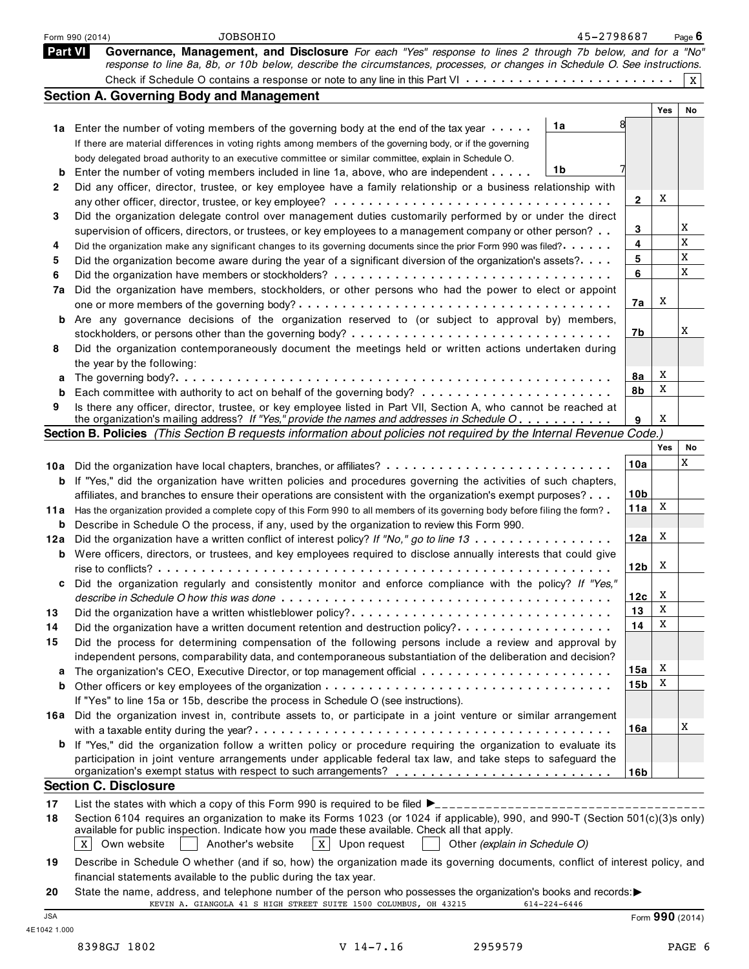|         | 45-2798687<br><b>JOBSOHIO</b><br>Form 990 (2014)                                                                                                                                                                                |                 |     | Page $6$ |
|---------|---------------------------------------------------------------------------------------------------------------------------------------------------------------------------------------------------------------------------------|-----------------|-----|----------|
| Part VI | Governance, Management, and Disclosure For each "Yes" response to lines 2 through 7b below, and for a "No"                                                                                                                      |                 |     |          |
|         | response to line 8a, 8b, or 10b below, describe the circumstances, processes, or changes in Schedule O. See instructions.                                                                                                       |                 |     |          |
|         |                                                                                                                                                                                                                                 |                 |     | X        |
|         | <b>Section A. Governing Body and Management</b>                                                                                                                                                                                 |                 |     |          |
|         |                                                                                                                                                                                                                                 |                 | Yes | No       |
|         | 1a<br>1a Enter the number of voting members of the governing body at the end of the tax year                                                                                                                                    |                 |     |          |
|         | If there are material differences in voting rights among members of the governing body, or if the governing                                                                                                                     |                 |     |          |
|         | body delegated broad authority to an executive committee or similar committee, explain in Schedule O.                                                                                                                           |                 |     |          |
| b       | 1b<br>Enter the number of voting members included in line 1a, above, who are independent                                                                                                                                        |                 |     |          |
| 2       | Did any officer, director, trustee, or key employee have a family relationship or a business relationship with                                                                                                                  |                 |     |          |
|         |                                                                                                                                                                                                                                 | $\mathbf{2}$    | X   |          |
| 3       | Did the organization delegate control over management duties customarily performed by or under the direct                                                                                                                       |                 |     |          |
|         | supervision of officers, directors, or trustees, or key employees to a management company or other person?                                                                                                                      | 3               |     | X        |
| 4       | Did the organization make any significant changes to its governing documents since the prior Form 990 was filed?                                                                                                                | 4               |     | X        |
| 5       | Did the organization become aware during the year of a significant diversion of the organization's assets?                                                                                                                      | 5               |     | X        |
| 6       |                                                                                                                                                                                                                                 | 6               |     | X        |
| 7a      | Did the organization have members, stockholders, or other persons who had the power to elect or appoint                                                                                                                         |                 |     |          |
|         |                                                                                                                                                                                                                                 | 7a              | X   |          |
| b       | Are any governance decisions of the organization reserved to (or subject to approval by) members,                                                                                                                               |                 |     |          |
|         |                                                                                                                                                                                                                                 | 7b              |     | Χ        |
| 8       | Did the organization contemporaneously document the meetings held or written actions undertaken during                                                                                                                          |                 |     |          |
|         | the year by the following:                                                                                                                                                                                                      |                 |     |          |
| а       |                                                                                                                                                                                                                                 | 8а              | X   |          |
| b       |                                                                                                                                                                                                                                 | 8b              | X   |          |
| 9       | Is there any officer, director, trustee, or key employee listed in Part VII, Section A, who cannot be reached at                                                                                                                |                 |     |          |
|         | the organization's mailing address? If "Yes," provide the names and addresses in Schedule O                                                                                                                                     | 9               | X   |          |
|         | Section B. Policies (This Section B requests information about policies not required by the Internal Revenue Code.)                                                                                                             |                 |     |          |
|         |                                                                                                                                                                                                                                 |                 | Yes | No       |
|         | 10a Did the organization have local chapters, branches, or affiliates?                                                                                                                                                          | 10a             |     | X        |
| b       | If "Yes," did the organization have written policies and procedures governing the activities of such chapters,                                                                                                                  |                 |     |          |
|         | affiliates, and branches to ensure their operations are consistent with the organization's exempt purposes?                                                                                                                     | 10 <sub>b</sub> |     |          |
| 11a     | Has the organization provided a complete copy of this Form 990 to all members of its governing body before filing the form?                                                                                                     | 11a             | X   |          |
| b       | Describe in Schedule O the process, if any, used by the organization to review this Form 990.                                                                                                                                   |                 |     |          |
| 12a     | Did the organization have a written conflict of interest policy? If "No," go to line 13                                                                                                                                         | 12a             | X   |          |
| b       | Were officers, directors, or trustees, and key employees required to disclose annually interests that could give                                                                                                                |                 |     |          |
|         |                                                                                                                                                                                                                                 | 12 <sub>b</sub> | X   |          |
| c       | Did the organization regularly and consistently monitor and enforce compliance with the policy? If "Yes,"                                                                                                                       |                 |     |          |
|         |                                                                                                                                                                                                                                 | 12c             | X   |          |
| 13      | Did the organization have a written whistleblower policy?                                                                                                                                                                       | 13              | X   |          |
| 14      | Did the organization have a written document retention and destruction policy?                                                                                                                                                  | 14              | X   |          |
| 15      | Did the process for determining compensation of the following persons include a review and approval by                                                                                                                          |                 |     |          |
|         | independent persons, comparability data, and contemporaneous substantiation of the deliberation and decision?                                                                                                                   |                 |     |          |
| а       |                                                                                                                                                                                                                                 | 15a             | X   |          |
| b       |                                                                                                                                                                                                                                 | 15b             | X   |          |
|         | If "Yes" to line 15a or 15b, describe the process in Schedule O (see instructions).                                                                                                                                             |                 |     |          |
|         | 16a Did the organization invest in, contribute assets to, or participate in a joint venture or similar arrangement                                                                                                              |                 |     | Χ        |
|         |                                                                                                                                                                                                                                 | 16a             |     |          |
| b       | If "Yes," did the organization follow a written policy or procedure requiring the organization to evaluate its<br>participation in joint venture arrangements under applicable federal tax law, and take steps to safeguard the |                 |     |          |
|         | organization's exempt status with respect to such arrangements? ___________________________________                                                                                                                             | 16b             |     |          |
|         | <b>Section C. Disclosure</b>                                                                                                                                                                                                    |                 |     |          |
| 17      |                                                                                                                                                                                                                                 |                 |     |          |
| 18      | Section 6104 requires an organization to make its Forms 1023 (or 1024 if applicable), 990, and 990-T (Section 501(c)(3)s only)                                                                                                  |                 |     |          |
|         | available for public inspection. Indicate how you made these available. Check all that apply.                                                                                                                                   |                 |     |          |
|         | Own website<br>$X$ Upon request<br>X<br>Another's website<br>Other (explain in Schedule O)                                                                                                                                      |                 |     |          |
| 19      | Describe in Schedule O whether (and if so, how) the organization made its governing documents, conflict of interest policy, and                                                                                                 |                 |     |          |
|         | financial statements available to the public during the tax year.                                                                                                                                                               |                 |     |          |
| 20      | State the name, address, and telephone number of the person who possesses the organization's books and records:                                                                                                                 |                 |     |          |
|         |                                                                                                                                                                                                                                 |                 |     |          |

| -20        |                                                                  |  |  | State the name, address, and telephone number of the person who possesses the organization's books and records: |                  |
|------------|------------------------------------------------------------------|--|--|-----------------------------------------------------------------------------------------------------------------|------------------|
|            | KEVIN A. GIANGOLA 41 S HIGH STREET SUITE 1500 COLUMBUS, OH 43215 |  |  | 614-224-6446                                                                                                    |                  |
| <b>JSA</b> |                                                                  |  |  |                                                                                                                 | Form $990(2014)$ |

4E1042 1.000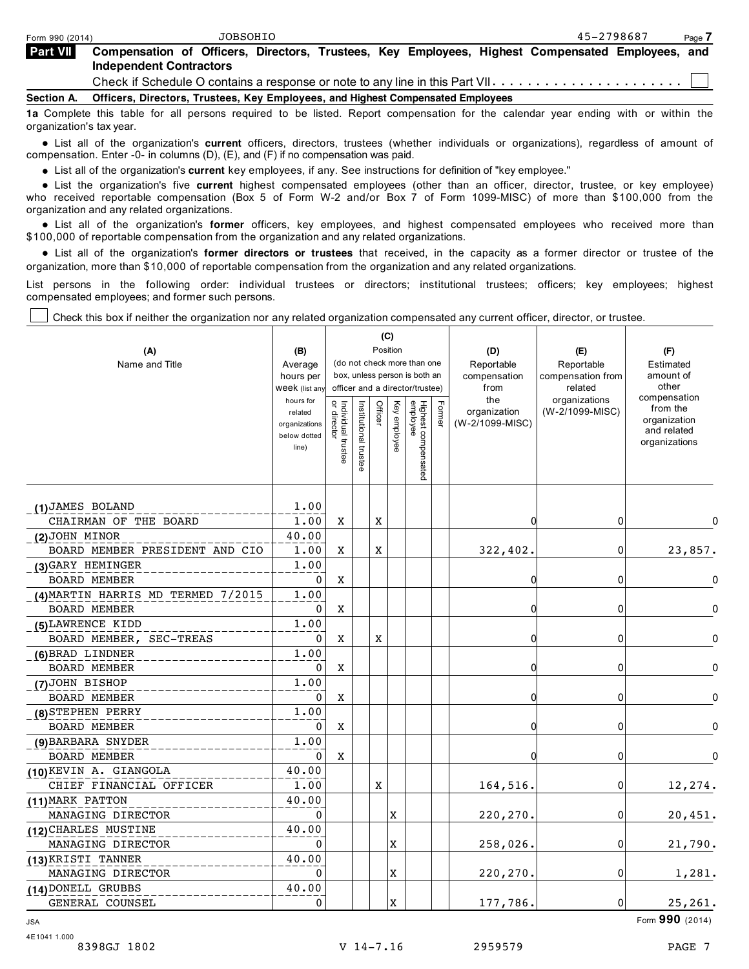| Form 990 (2014) | JOBSOHIO                                                                                                                           | 45-2798687<br>Page 7 |  |
|-----------------|------------------------------------------------------------------------------------------------------------------------------------|----------------------|--|
| <b>Part VII</b> | Compensation of Officers, Directors, Trustees, Key Employees, Highest Compensated Employees, and<br><b>Independent Contractors</b> |                      |  |
|                 | Check if Schedule O contains a response or note to any line in this Part VII                                                       |                      |  |
| Section A.      | Officers, Directors, Trustees, Key Employees, and Highest Compensated Employees                                                    |                      |  |
|                 | 1a Complete this table for all persons required to be listed. Report compensation for the calendar year ending with or within the  |                      |  |

organization's tax year. % List all of the organization's **current** officers, directors, trustees (whether individuals or organizations), regardless of amount of compensation. Enter -0- in columns (D), (E), and (F) if no compensation was paid.

npensation. Enter -∪- in columns (D), (E), and (F) if no compensation was paid.<br>● List all of the organization's **current** key employees, if any. See instructions for definition of "key employee."

● List all of the organization's **current** key employees, if any. See instructions for definition of "key employee."<br>● List the organization's five **current** highest compensated employees (other than an officer, who received reportable compensation (Box 5 of Form W-2 and/or Box 7 of Form 1099-MISC) of more than \$100,000 from the organization and any related organizations.

anization and any related organizations.<br>● List all of the organization's **former** officers, key employees, and highest compensated employees who received more than \$100,000 of reportable compensation from the organization and any related organizations.

% List all of the organization's **former directors or trustees** that received, in the capacity as a former director or trustee of the organization, more than \$10,000 of reportable compensation from the organization and any related organizations.

List persons in the following order: individual trustees or directors; institutional trustees; officers; key employees; highest compensated employees; and former such persons.

Check this box if neither the organization nor any related organization compensated any current officer, director, or trustee.

|                                    |                             |                                   |                                                              |         | (C)          |                                 |        |                 |                          |                              |
|------------------------------------|-----------------------------|-----------------------------------|--------------------------------------------------------------|---------|--------------|---------------------------------|--------|-----------------|--------------------------|------------------------------|
| (A)                                | (B)                         |                                   |                                                              |         | Position     |                                 |        | (D)             | (E)                      | (F)                          |
| Name and Title                     | Average                     |                                   | (do not check more than one<br>box, unless person is both an |         |              |                                 |        | Reportable      | Reportable               | Estimated                    |
|                                    | hours per                   |                                   |                                                              |         |              |                                 |        | compensation    | compensation from        | amount of<br>other           |
|                                    | Week (list any<br>hours for |                                   | officer and a director/trustee)                              |         |              |                                 |        | from<br>the     | related<br>organizations | compensation                 |
|                                    | related                     | or director<br>Individual trustee | Institutional trustee                                        | Officer | Key employee |                                 | Former | organization    | (W-2/1099-MISC)          | from the                     |
|                                    | organizations               |                                   |                                                              |         |              |                                 |        | (W-2/1099-MISC) |                          | organization                 |
|                                    | below dotted                |                                   |                                                              |         |              |                                 |        |                 |                          | and related<br>organizations |
|                                    | line)                       |                                   |                                                              |         |              |                                 |        |                 |                          |                              |
|                                    |                             |                                   |                                                              |         |              | Highest compensated<br>employee |        |                 |                          |                              |
|                                    |                             |                                   |                                                              |         |              |                                 |        |                 |                          |                              |
| (1) JAMES BOLAND                   | 1.00                        |                                   |                                                              |         |              |                                 |        |                 |                          |                              |
| CHAIRMAN OF THE BOARD              | 1.00                        | X                                 |                                                              | X       |              |                                 |        | 0               | 0                        | 0                            |
| (2)JOHN MINOR                      | 40.00                       |                                   |                                                              |         |              |                                 |        |                 |                          |                              |
| BOARD MEMBER PRESIDENT AND CIO     | 1.00                        | Χ                                 |                                                              | X       |              |                                 |        | 322,402.        | 0                        | 23,857.                      |
| (3) GARY HEMINGER                  | 1.00                        |                                   |                                                              |         |              |                                 |        |                 |                          |                              |
| <b>BOARD MEMBER</b>                | 0                           | X                                 |                                                              |         |              |                                 |        | 0               | 0                        | 0                            |
| (4) MARTIN HARRIS MD TERMED 7/2015 | 1.00                        |                                   |                                                              |         |              |                                 |        |                 |                          |                              |
| <b>BOARD MEMBER</b>                | $\mathbf 0$                 | X                                 |                                                              |         |              |                                 |        | $\Omega$        | 0                        | $\mathbf{0}$                 |
| (5) LAWRENCE KIDD                  | 1.00                        |                                   |                                                              |         |              |                                 |        |                 |                          |                              |
| BOARD MEMBER, SEC-TREAS            | $\mathbf 0$                 | X                                 |                                                              | X       |              |                                 |        | 0               | 0                        | $\Omega$                     |
| (6) BRAD LINDNER                   | 1.00                        |                                   |                                                              |         |              |                                 |        |                 |                          |                              |
| <b>BOARD MEMBER</b>                | 0                           | X                                 |                                                              |         |              |                                 |        | 0               | 0                        | $\Omega$                     |
| (7) JOHN BISHOP                    | 1.00                        |                                   |                                                              |         |              |                                 |        |                 |                          |                              |
| <b>BOARD MEMBER</b>                | $\Omega$                    | X                                 |                                                              |         |              |                                 |        | 0               | 0                        | O                            |
| (8) STEPHEN PERRY                  | 1.00                        |                                   |                                                              |         |              |                                 |        |                 |                          |                              |
| <b>BOARD MEMBER</b>                | $\mathbf 0$                 | X                                 |                                                              |         |              |                                 |        | $\mathbf{0}$    | 0                        | 0                            |
| (9) BARBARA SNYDER                 | 1.00                        |                                   |                                                              |         |              |                                 |        |                 |                          |                              |
| <b>BOARD MEMBER</b>                | $\mathbf 0$                 | X                                 |                                                              |         |              |                                 |        | $\Omega$        | 0                        | $\Omega$                     |
| (10) KEVIN A. GIANGOLA             | 40.00                       |                                   |                                                              |         |              |                                 |        |                 |                          |                              |
| CHIEF FINANCIAL OFFICER            | 1.00                        |                                   |                                                              | X       |              |                                 |        | 164,516.        | $\overline{0}$           | 12,274.                      |
| (11) MARK PATTON                   | 40.00                       |                                   |                                                              |         |              |                                 |        |                 |                          |                              |
| MANAGING DIRECTOR                  | $\Omega$                    |                                   |                                                              |         | X            |                                 |        | 220,270.        | $\overline{0}$           | 20,451.                      |
| (12) CHARLES MUSTINE               | 40.00                       |                                   |                                                              |         |              |                                 |        |                 |                          |                              |
| MANAGING DIRECTOR                  | $\mathbf{0}$                |                                   |                                                              |         | X            |                                 |        | 258,026.        | 0                        | 21,790.                      |
| (13) KRISTI TANNER                 | 40.00                       |                                   |                                                              |         |              |                                 |        |                 |                          |                              |
| MANAGING DIRECTOR                  | $\mathbf 0$                 |                                   |                                                              |         | X            |                                 |        | 220,270.        | 0                        | 1,281.                       |
| (14) DONELL GRUBBS                 | 40.00                       |                                   |                                                              |         |              |                                 |        |                 |                          |                              |
| GENERAL COUNSEL                    | $\mathbf 0$                 |                                   |                                                              |         | x            |                                 |        | 177,786.        | 0                        | 25,261.                      |

JSA Form **990** (2014)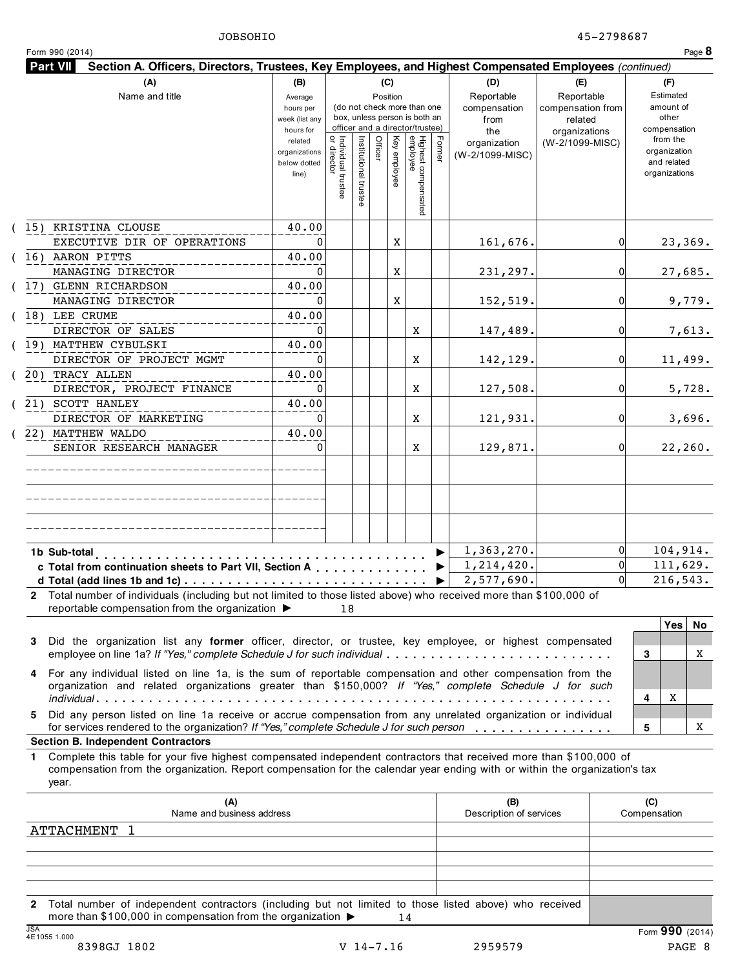|                                                     |                                                                                                                           |                                                                                                                                    |                             |          |                        |                                                                                                            |                                                                                                           |                               |                                              |                                                                                                                                                                                                                                                                                                                                                                                                                                                                                                                                                                                                                                                                                                                                                                                                                                              |                                                                                                                                                                                                                                                  | Page 8                                                                                                                                                                                                                                                                                             |
|-----------------------------------------------------|---------------------------------------------------------------------------------------------------------------------------|------------------------------------------------------------------------------------------------------------------------------------|-----------------------------|----------|------------------------|------------------------------------------------------------------------------------------------------------|-----------------------------------------------------------------------------------------------------------|-------------------------------|----------------------------------------------|----------------------------------------------------------------------------------------------------------------------------------------------------------------------------------------------------------------------------------------------------------------------------------------------------------------------------------------------------------------------------------------------------------------------------------------------------------------------------------------------------------------------------------------------------------------------------------------------------------------------------------------------------------------------------------------------------------------------------------------------------------------------------------------------------------------------------------------------|--------------------------------------------------------------------------------------------------------------------------------------------------------------------------------------------------------------------------------------------------|----------------------------------------------------------------------------------------------------------------------------------------------------------------------------------------------------------------------------------------------------------------------------------------------------|
|                                                     |                                                                                                                           |                                                                                                                                    |                             |          |                        |                                                                                                            |                                                                                                           |                               |                                              |                                                                                                                                                                                                                                                                                                                                                                                                                                                                                                                                                                                                                                                                                                                                                                                                                                              |                                                                                                                                                                                                                                                  |                                                                                                                                                                                                                                                                                                    |
| Average<br>hours per<br>week (list any<br>hours for |                                                                                                                           |                                                                                                                                    |                             |          |                        |                                                                                                            | Reportable<br>compensation<br>from<br>the                                                                 |                               |                                              |                                                                                                                                                                                                                                                                                                                                                                                                                                                                                                                                                                                                                                                                                                                                                                                                                                              |                                                                                                                                                                                                                                                  |                                                                                                                                                                                                                                                                                                    |
| related<br>organizations<br>below dotted<br>line)   |                                                                                                                           |                                                                                                                                    |                             | employee |                        |                                                                                                            | organization<br>(W-2/1099-MISC)                                                                           |                               |                                              |                                                                                                                                                                                                                                                                                                                                                                                                                                                                                                                                                                                                                                                                                                                                                                                                                                              |                                                                                                                                                                                                                                                  |                                                                                                                                                                                                                                                                                                    |
| 40.00                                               |                                                                                                                           |                                                                                                                                    |                             | X        |                        |                                                                                                            |                                                                                                           |                               | 01                                           |                                                                                                                                                                                                                                                                                                                                                                                                                                                                                                                                                                                                                                                                                                                                                                                                                                              |                                                                                                                                                                                                                                                  |                                                                                                                                                                                                                                                                                                    |
| 40.00                                               |                                                                                                                           |                                                                                                                                    |                             | X        |                        |                                                                                                            | 231, 297.                                                                                                 |                               | 0                                            |                                                                                                                                                                                                                                                                                                                                                                                                                                                                                                                                                                                                                                                                                                                                                                                                                                              | 27,685.                                                                                                                                                                                                                                          |                                                                                                                                                                                                                                                                                                    |
| 40.00                                               |                                                                                                                           |                                                                                                                                    |                             | X        |                        |                                                                                                            | 152,519.                                                                                                  |                               | 0                                            |                                                                                                                                                                                                                                                                                                                                                                                                                                                                                                                                                                                                                                                                                                                                                                                                                                              |                                                                                                                                                                                                                                                  | 9,779.                                                                                                                                                                                                                                                                                             |
| 40.00                                               |                                                                                                                           |                                                                                                                                    |                             |          | Χ                      |                                                                                                            | 147,489.                                                                                                  |                               | 0                                            |                                                                                                                                                                                                                                                                                                                                                                                                                                                                                                                                                                                                                                                                                                                                                                                                                                              |                                                                                                                                                                                                                                                  | 7,613.                                                                                                                                                                                                                                                                                             |
| 40.00                                               |                                                                                                                           |                                                                                                                                    |                             |          | Χ                      |                                                                                                            | 142,129.                                                                                                  |                               | 0                                            |                                                                                                                                                                                                                                                                                                                                                                                                                                                                                                                                                                                                                                                                                                                                                                                                                                              | 11,499.                                                                                                                                                                                                                                          |                                                                                                                                                                                                                                                                                                    |
| 40.00                                               |                                                                                                                           |                                                                                                                                    |                             |          | Χ                      |                                                                                                            | 127,508.                                                                                                  |                               | 0                                            |                                                                                                                                                                                                                                                                                                                                                                                                                                                                                                                                                                                                                                                                                                                                                                                                                                              |                                                                                                                                                                                                                                                  | 5,728.                                                                                                                                                                                                                                                                                             |
|                                                     |                                                                                                                           |                                                                                                                                    |                             |          | Χ                      |                                                                                                            | 121,931.                                                                                                  |                               | 0                                            |                                                                                                                                                                                                                                                                                                                                                                                                                                                                                                                                                                                                                                                                                                                                                                                                                                              |                                                                                                                                                                                                                                                  | 3,696.                                                                                                                                                                                                                                                                                             |
|                                                     |                                                                                                                           |                                                                                                                                    |                             |          | Χ                      |                                                                                                            | 129,871.                                                                                                  |                               | 0                                            |                                                                                                                                                                                                                                                                                                                                                                                                                                                                                                                                                                                                                                                                                                                                                                                                                                              | 22, 260.                                                                                                                                                                                                                                         |                                                                                                                                                                                                                                                                                                    |
|                                                     |                                                                                                                           |                                                                                                                                    |                             |          |                        |                                                                                                            |                                                                                                           |                               |                                              |                                                                                                                                                                                                                                                                                                                                                                                                                                                                                                                                                                                                                                                                                                                                                                                                                                              |                                                                                                                                                                                                                                                  |                                                                                                                                                                                                                                                                                                    |
|                                                     |                                                                                                                           |                                                                                                                                    |                             |          |                        |                                                                                                            |                                                                                                           |                               |                                              |                                                                                                                                                                                                                                                                                                                                                                                                                                                                                                                                                                                                                                                                                                                                                                                                                                              |                                                                                                                                                                                                                                                  |                                                                                                                                                                                                                                                                                                    |
|                                                     |                                                                                                                           |                                                                                                                                    |                             |          |                        |                                                                                                            | 1,363,270.                                                                                                |                               | $\Omega$                                     |                                                                                                                                                                                                                                                                                                                                                                                                                                                                                                                                                                                                                                                                                                                                                                                                                                              |                                                                                                                                                                                                                                                  |                                                                                                                                                                                                                                                                                                    |
|                                                     |                                                                                                                           |                                                                                                                                    |                             |          |                        | ▶                                                                                                          |                                                                                                           |                               | $\Omega$                                     |                                                                                                                                                                                                                                                                                                                                                                                                                                                                                                                                                                                                                                                                                                                                                                                                                                              |                                                                                                                                                                                                                                                  |                                                                                                                                                                                                                                                                                                    |
|                                                     |                                                                                                                           |                                                                                                                                    |                             |          |                        |                                                                                                            |                                                                                                           |                               |                                              |                                                                                                                                                                                                                                                                                                                                                                                                                                                                                                                                                                                                                                                                                                                                                                                                                                              |                                                                                                                                                                                                                                                  | No                                                                                                                                                                                                                                                                                                 |
|                                                     |                                                                                                                           |                                                                                                                                    |                             |          |                        |                                                                                                            |                                                                                                           |                               |                                              | 3                                                                                                                                                                                                                                                                                                                                                                                                                                                                                                                                                                                                                                                                                                                                                                                                                                            |                                                                                                                                                                                                                                                  | X                                                                                                                                                                                                                                                                                                  |
|                                                     |                                                                                                                           |                                                                                                                                    |                             |          |                        |                                                                                                            |                                                                                                           |                               |                                              | 4                                                                                                                                                                                                                                                                                                                                                                                                                                                                                                                                                                                                                                                                                                                                                                                                                                            | Χ                                                                                                                                                                                                                                                |                                                                                                                                                                                                                                                                                                    |
|                                                     |                                                                                                                           |                                                                                                                                    |                             |          |                        |                                                                                                            |                                                                                                           |                               |                                              | 5                                                                                                                                                                                                                                                                                                                                                                                                                                                                                                                                                                                                                                                                                                                                                                                                                                            |                                                                                                                                                                                                                                                  | X                                                                                                                                                                                                                                                                                                  |
|                                                     |                                                                                                                           |                                                                                                                                    |                             |          |                        |                                                                                                            |                                                                                                           |                               |                                              |                                                                                                                                                                                                                                                                                                                                                                                                                                                                                                                                                                                                                                                                                                                                                                                                                                              |                                                                                                                                                                                                                                                  |                                                                                                                                                                                                                                                                                                    |
|                                                     |                                                                                                                           |                                                                                                                                    |                             |          |                        |                                                                                                            |                                                                                                           |                               |                                              |                                                                                                                                                                                                                                                                                                                                                                                                                                                                                                                                                                                                                                                                                                                                                                                                                                              |                                                                                                                                                                                                                                                  |                                                                                                                                                                                                                                                                                                    |
|                                                     |                                                                                                                           |                                                                                                                                    |                             |          |                        |                                                                                                            | (B)                                                                                                       |                               |                                              | (C)                                                                                                                                                                                                                                                                                                                                                                                                                                                                                                                                                                                                                                                                                                                                                                                                                                          |                                                                                                                                                                                                                                                  |                                                                                                                                                                                                                                                                                                    |
|                                                     | (B)<br>40.00<br>40.00<br>reportable compensation from the organization $\blacktriangleright$<br>Name and business address | Individual trustee<br>  or director<br>0<br>$\mathbf{0}$<br>$\mathbf{0}$<br>$\mathbf{0}$<br>0<br>$\mathbf{0}$<br>$\mathbf{0}$<br>0 | Institutional trustee<br>18 | Officer  | (C)<br>Position<br>Ķey | Highest compensated<br>employee<br>c Total from continuation sheets to Part VII, Section A Particular 1997 | (do not check more than one<br>box, unless person is both an<br>officer and a director/trustee)<br>Former | (D)<br>161,676.<br>1,214,420. | (E)<br>2,577,690.<br>Description of services | Reportable<br>compensation from<br>related<br>organizations<br>(W-2/1099-MISC)<br>$\Omega$<br>2 Total number of individuals (including but not limited to those listed above) who received more than \$100,000 of<br>Did the organization list any former officer, director, or trustee, key employee, or highest compensated<br>employee on line 1a? If "Yes," complete Schedule J for such individual<br>For any individual listed on line 1a, is the sum of reportable compensation and other compensation from the<br>organization and related organizations greater than \$150,000? If "Yes," complete Schedule J for such<br>Did any person listed on line 1a receive or accrue compensation from any unrelated organization or individual<br>for services rendered to the organization? If "Yes," complete Schedule J for such person | Complete this table for your five highest compensated independent contractors that received more than \$100,000 of<br>compensation from the organization. Report compensation for the calendar year ending with or within the organization's tax | Section A. Officers, Directors, Trustees, Key Employees, and Highest Compensated Employees (continued)<br>(F)<br>Estimated<br>amount of<br>other<br>compensation<br>from the<br>organization<br>and related<br>organizations<br>23,369.<br>104,914.<br>111,629.<br>216,543.<br>Yes<br>Compensation |

| ATTACHMENT                                                                                                                                                                                  |             |         |                 |
|---------------------------------------------------------------------------------------------------------------------------------------------------------------------------------------------|-------------|---------|-----------------|
|                                                                                                                                                                                             |             |         |                 |
|                                                                                                                                                                                             |             |         |                 |
|                                                                                                                                                                                             |             |         |                 |
|                                                                                                                                                                                             |             |         |                 |
| 2 Total number of independent contractors (including but not limited to those listed above) who received<br>more than \$100,000 in compensation from the organization $\blacktriangleright$ | 14          |         |                 |
| <b>JSA</b><br>4E10551.000                                                                                                                                                                   |             |         | Form 990 (2014) |
| 8398GJ 1802                                                                                                                                                                                 | $V$ 14-7.16 | 2959579 | PAGE 8          |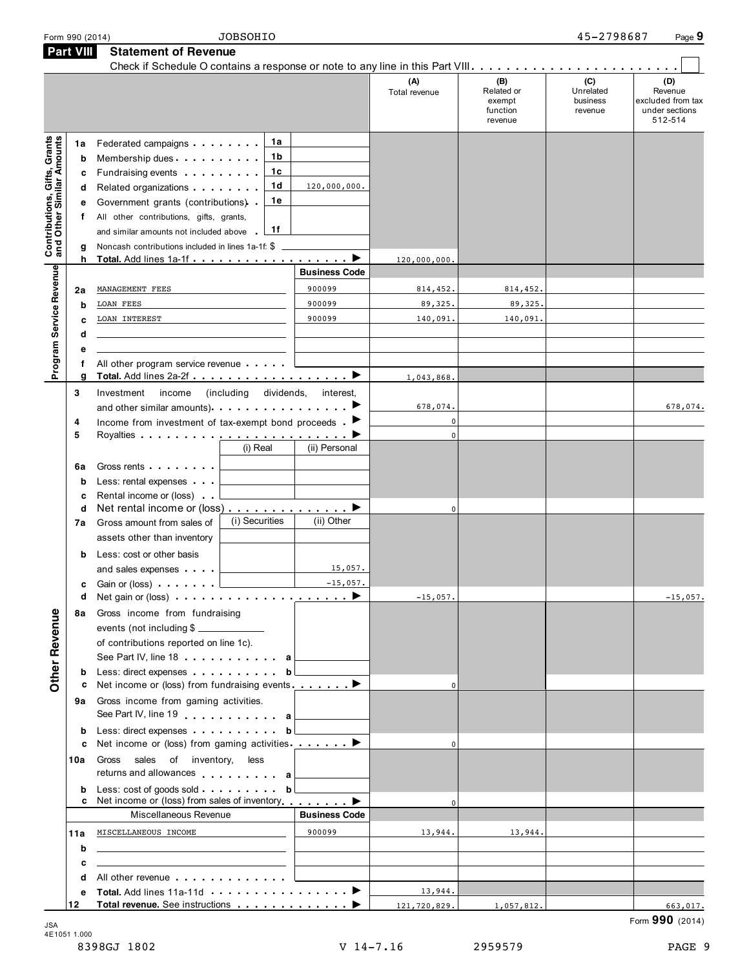|                                                                  | Form 990 (2014)                       | <b>JOBSOHIO</b>                                                                                                                                                                                                                                                                                                                                                                                                   |                      |                      |                                                    | 45-2798687                              | Page 9                                                           |
|------------------------------------------------------------------|---------------------------------------|-------------------------------------------------------------------------------------------------------------------------------------------------------------------------------------------------------------------------------------------------------------------------------------------------------------------------------------------------------------------------------------------------------------------|----------------------|----------------------|----------------------------------------------------|-----------------------------------------|------------------------------------------------------------------|
|                                                                  | <b>Part VIII</b>                      | <b>Statement of Revenue</b>                                                                                                                                                                                                                                                                                                                                                                                       |                      |                      |                                                    |                                         |                                                                  |
|                                                                  |                                       |                                                                                                                                                                                                                                                                                                                                                                                                                   |                      | (A)<br>Total revenue | (B)<br>Related or<br>exempt<br>function<br>revenue | (C)<br>Unrelated<br>business<br>revenue | (D)<br>Revenue<br>excluded from tax<br>under sections<br>512-514 |
| <b>Contributions, Gifts, Grants</b><br>and Other Similar Amounts | 1a<br>b<br>c<br>d<br>е<br>f<br>g<br>h | 1a<br>Federated campaigns<br>1b<br>Membership dues <b>All Accords</b> Membership dues<br>1с<br>Fundraising events <b>Fundraising</b><br>1d<br>Related organizations <b>contains</b> and <b>Related</b> organizations<br>1e<br>Government grants (contributions) .<br>All other contributions, gifts, grants,<br>1f<br>and similar amounts not included above<br>Noncash contributions included in lines 1a-1f: \$ | 120,000,000.         | 120,000,000.         |                                                    |                                         |                                                                  |
|                                                                  |                                       |                                                                                                                                                                                                                                                                                                                                                                                                                   | <b>Business Code</b> |                      |                                                    |                                         |                                                                  |
| Program Service Revenue                                          | 2a                                    | MANAGEMENT FEES                                                                                                                                                                                                                                                                                                                                                                                                   | 900099               | 814,452.             | 814,452.                                           |                                         |                                                                  |
|                                                                  | b                                     | LOAN FEES                                                                                                                                                                                                                                                                                                                                                                                                         | 900099               | 89,325.              | 89,325.                                            |                                         |                                                                  |
|                                                                  | C                                     | LOAN INTEREST                                                                                                                                                                                                                                                                                                                                                                                                     | 900099               | 140,091.             | 140,091.                                           |                                         |                                                                  |
|                                                                  | d                                     | the contract of the contract of the contract of the contract of the contract of                                                                                                                                                                                                                                                                                                                                   |                      |                      |                                                    |                                         |                                                                  |
|                                                                  | е                                     |                                                                                                                                                                                                                                                                                                                                                                                                                   |                      |                      |                                                    |                                         |                                                                  |
|                                                                  | f                                     | All other program service revenue                                                                                                                                                                                                                                                                                                                                                                                 |                      |                      |                                                    |                                         |                                                                  |
|                                                                  | g                                     |                                                                                                                                                                                                                                                                                                                                                                                                                   |                      | 1,043,868.           |                                                    |                                         |                                                                  |
|                                                                  | 3                                     | Investment<br>income<br>(including)<br>dividends,                                                                                                                                                                                                                                                                                                                                                                 | interest,            |                      |                                                    |                                         |                                                                  |
|                                                                  |                                       | and other similar amounts) $\blacksquare$                                                                                                                                                                                                                                                                                                                                                                         |                      | 678,074.             |                                                    |                                         | 678,074.                                                         |
|                                                                  | 4                                     | Income from investment of tax-exempt bond proceeds $\blacksquare$                                                                                                                                                                                                                                                                                                                                                 |                      | $\overline{0}$       |                                                    |                                         |                                                                  |
|                                                                  | 5                                     |                                                                                                                                                                                                                                                                                                                                                                                                                   |                      | $\overline{0}$       |                                                    |                                         |                                                                  |
|                                                                  |                                       | (i) Real                                                                                                                                                                                                                                                                                                                                                                                                          | (ii) Personal        |                      |                                                    |                                         |                                                                  |
|                                                                  | 6а                                    | Gross rents <b>contains a container</b>                                                                                                                                                                                                                                                                                                                                                                           |                      |                      |                                                    |                                         |                                                                  |
|                                                                  | b                                     | Less: rental expenses                                                                                                                                                                                                                                                                                                                                                                                             |                      |                      |                                                    |                                         |                                                                  |
|                                                                  | c                                     | Rental income or (loss)                                                                                                                                                                                                                                                                                                                                                                                           |                      |                      |                                                    |                                         |                                                                  |
|                                                                  | d                                     |                                                                                                                                                                                                                                                                                                                                                                                                                   |                      | $\mathbf 0$          |                                                    |                                         |                                                                  |
|                                                                  | 7a                                    | (i) Securities<br>Gross amount from sales of                                                                                                                                                                                                                                                                                                                                                                      | (ii) Other           |                      |                                                    |                                         |                                                                  |
|                                                                  |                                       | assets other than inventory                                                                                                                                                                                                                                                                                                                                                                                       |                      |                      |                                                    |                                         |                                                                  |
|                                                                  | b                                     | Less: cost or other basis                                                                                                                                                                                                                                                                                                                                                                                         |                      |                      |                                                    |                                         |                                                                  |
|                                                                  |                                       | and sales expenses                                                                                                                                                                                                                                                                                                                                                                                                | 15,057.              |                      |                                                    |                                         |                                                                  |
|                                                                  | c                                     | Gain or (loss) example and the set of the set of the set of the set of the set of the set of the set of the set of the set of the set of the set of the set of the set of the set of the set of the set of the set of the set                                                                                                                                                                                     | $-15,057.$           |                      |                                                    |                                         |                                                                  |
|                                                                  | d                                     | Net gain or (loss) $\cdots$ $\cdots$ $\cdots$ $\cdots$ $\cdots$ $\cdots$ $\cdots$                                                                                                                                                                                                                                                                                                                                 |                      | $-15,057.$           |                                                    |                                         | $-15,057.$                                                       |
|                                                                  | 8а                                    | Gross income from fundraising                                                                                                                                                                                                                                                                                                                                                                                     |                      |                      |                                                    |                                         |                                                                  |
|                                                                  |                                       | events (not including \$                                                                                                                                                                                                                                                                                                                                                                                          |                      |                      |                                                    |                                         |                                                                  |
|                                                                  |                                       | of contributions reported on line 1c).                                                                                                                                                                                                                                                                                                                                                                            |                      |                      |                                                    |                                         |                                                                  |
|                                                                  |                                       | See Part IV, line 18 a                                                                                                                                                                                                                                                                                                                                                                                            |                      |                      |                                                    |                                         |                                                                  |
|                                                                  | b                                     | Less: direct expenses b                                                                                                                                                                                                                                                                                                                                                                                           |                      |                      |                                                    |                                         |                                                                  |
| Other Revenue                                                    | c                                     | Net income or (loss) from fundraising events ________                                                                                                                                                                                                                                                                                                                                                             |                      | $\overline{0}$       |                                                    |                                         |                                                                  |
|                                                                  | 9а                                    | Gross income from gaming activities.                                                                                                                                                                                                                                                                                                                                                                              |                      |                      |                                                    |                                         |                                                                  |
|                                                                  |                                       | See Part IV, line 19 a                                                                                                                                                                                                                                                                                                                                                                                            |                      |                      |                                                    |                                         |                                                                  |
|                                                                  | b                                     | Less: direct expenses by the state of the basic direct expenses                                                                                                                                                                                                                                                                                                                                                   |                      |                      |                                                    |                                         |                                                                  |
|                                                                  | c                                     | Net income or (loss) from gaming activities $\ldots$                                                                                                                                                                                                                                                                                                                                                              |                      | $\overline{0}$       |                                                    |                                         |                                                                  |
|                                                                  | 10a                                   | Gross<br>sales<br>of inventory,<br>less<br>returns and allowances a                                                                                                                                                                                                                                                                                                                                               |                      |                      |                                                    |                                         |                                                                  |
|                                                                  | b<br>c                                | Net income or (loss) from sales of inventory <b>example to a</b> ▶                                                                                                                                                                                                                                                                                                                                                |                      | $\overline{0}$       |                                                    |                                         |                                                                  |
|                                                                  |                                       | Miscellaneous Revenue                                                                                                                                                                                                                                                                                                                                                                                             | <b>Business Code</b> |                      |                                                    |                                         |                                                                  |
|                                                                  | 11a                                   | MISCELLANEOUS INCOME<br>and the control of the control of                                                                                                                                                                                                                                                                                                                                                         | 900099               | 13,944.              | 13,944.                                            |                                         |                                                                  |
|                                                                  | b                                     | <u> 1989 - Johann John Stone, markin film yn y brening yn y brening yn y brening yn y brening yn y brening yn y b</u>                                                                                                                                                                                                                                                                                             |                      |                      |                                                    |                                         |                                                                  |
|                                                                  | c                                     | <u> 1989 - Andrea State Barbara, amerikan personal di personal dengan personal dengan personal dengan personal de</u>                                                                                                                                                                                                                                                                                             |                      |                      |                                                    |                                         |                                                                  |
|                                                                  | d                                     | All other revenue entitled and the control of the state of the state of the state of the state of the state of                                                                                                                                                                                                                                                                                                    |                      |                      |                                                    |                                         |                                                                  |
|                                                                  | е                                     |                                                                                                                                                                                                                                                                                                                                                                                                                   |                      | 13,944.              |                                                    |                                         |                                                                  |
|                                                                  | 12                                    |                                                                                                                                                                                                                                                                                                                                                                                                                   |                      | 121,720,829.         | 1,057,812.                                         |                                         | 663,017.                                                         |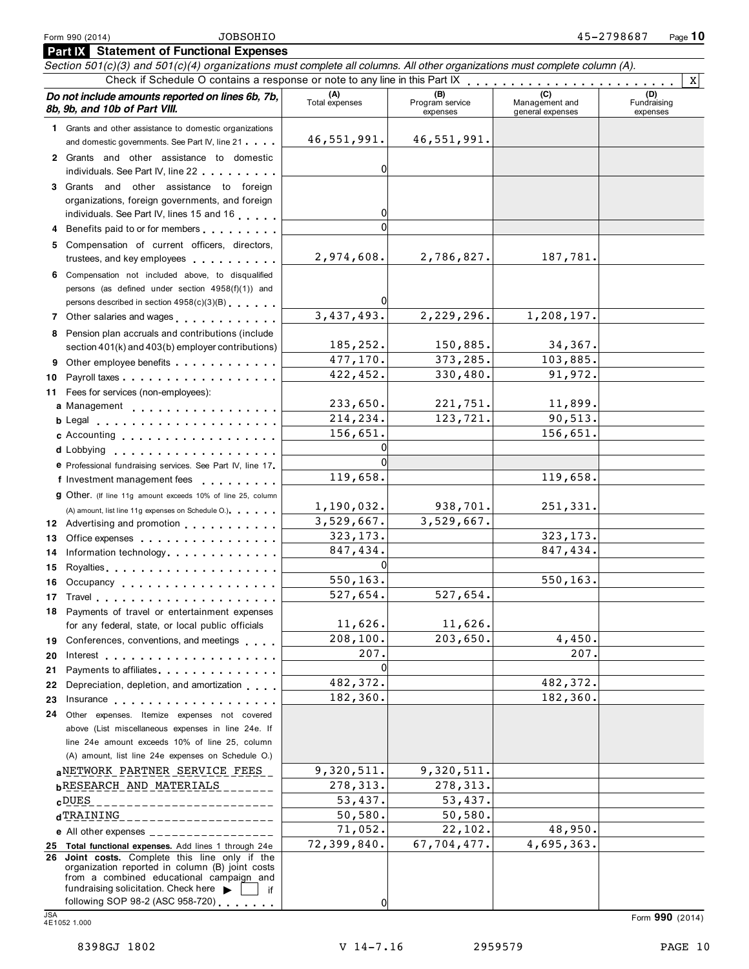| <b>Part IX</b> Statement of Functional Expenses                                                                            |                                                                                                                                                                                                                                      |                       |                                    |                                    |                                |  |
|----------------------------------------------------------------------------------------------------------------------------|--------------------------------------------------------------------------------------------------------------------------------------------------------------------------------------------------------------------------------------|-----------------------|------------------------------------|------------------------------------|--------------------------------|--|
| Section 501(c)(3) and 501(c)(4) organizations must complete all columns. All other organizations must complete column (A). |                                                                                                                                                                                                                                      |                       |                                    |                                    |                                |  |
| Check if Schedule O contains a response or note to any line in this Part IX<br>$\mathbf{X}$                                |                                                                                                                                                                                                                                      |                       |                                    |                                    |                                |  |
|                                                                                                                            | Do not include amounts reported on lines 6b, 7b,<br>8b, 9b, and 10b of Part VIII.                                                                                                                                                    | (A)<br>Total expenses | (B)<br>Program service<br>expenses | Management and<br>general expenses | (D)<br>Fundraising<br>expenses |  |
|                                                                                                                            | 1 Grants and other assistance to domestic organizations                                                                                                                                                                              |                       |                                    |                                    |                                |  |
|                                                                                                                            | and domestic governments. See Part IV, line 21                                                                                                                                                                                       | 46,551,991.           | 46,551,991.                        |                                    |                                |  |
|                                                                                                                            | 2 Grants and other assistance to domestic                                                                                                                                                                                            |                       |                                    |                                    |                                |  |
|                                                                                                                            | individuals. See Part IV, line 22                                                                                                                                                                                                    | 0                     |                                    |                                    |                                |  |
|                                                                                                                            | 3 Grants and other assistance to foreign                                                                                                                                                                                             |                       |                                    |                                    |                                |  |
|                                                                                                                            | organizations, foreign governments, and foreign                                                                                                                                                                                      | 0                     |                                    |                                    |                                |  |
|                                                                                                                            | individuals. See Part IV, lines 15 and 16                                                                                                                                                                                            | $\Omega$              |                                    |                                    |                                |  |
|                                                                                                                            | 4 Benefits paid to or for members                                                                                                                                                                                                    |                       |                                    |                                    |                                |  |
|                                                                                                                            | 5 Compensation of current officers, directors,<br>trustees, and key employees expressed as a state of                                                                                                                                | 2,974,608.            | 2,786,827.                         | 187,781.                           |                                |  |
|                                                                                                                            |                                                                                                                                                                                                                                      |                       |                                    |                                    |                                |  |
|                                                                                                                            | 6 Compensation not included above, to disqualified<br>persons (as defined under section 4958(f)(1)) and                                                                                                                              |                       |                                    |                                    |                                |  |
|                                                                                                                            | persons described in section 4958(c)(3)(B)                                                                                                                                                                                           |                       |                                    |                                    |                                |  |
|                                                                                                                            | 7 Other salaries and wages                                                                                                                                                                                                           | 3,437,493.            | 2,229,296.                         | 1,208,197.                         |                                |  |
|                                                                                                                            | 8 Pension plan accruals and contributions (include                                                                                                                                                                                   |                       |                                    |                                    |                                |  |
|                                                                                                                            | section 401(k) and 403(b) employer contributions)                                                                                                                                                                                    | 185,252.              | 150,885.                           | 34,367.                            |                                |  |
| 9.                                                                                                                         | Other employee benefits                                                                                                                                                                                                              | 477,170.              | 373,285.                           | 103,885.                           |                                |  |
| 10                                                                                                                         |                                                                                                                                                                                                                                      | 422,452.              | 330,480.                           | 91,972.                            |                                |  |
| 11.                                                                                                                        | Fees for services (non-employees):                                                                                                                                                                                                   |                       |                                    |                                    |                                |  |
|                                                                                                                            | a Management                                                                                                                                                                                                                         | 233,650.              | 221,751.                           | 11,899.                            |                                |  |
|                                                                                                                            | b Legal experience and the set of the set of the set of the set of the set of the set of the set of the set of                                                                                                                       | 214,234.              | 123,721.                           | 90, 513.                           |                                |  |
|                                                                                                                            | c Accounting                                                                                                                                                                                                                         | 156,651.              |                                    | 156,651.                           |                                |  |
|                                                                                                                            | <b>d</b> Lobbying<br>.                                                                                                                                                                                                               | 0                     |                                    |                                    |                                |  |
|                                                                                                                            | e Professional fundraising services. See Part IV, line 17                                                                                                                                                                            |                       |                                    |                                    |                                |  |
|                                                                                                                            | f Investment management fees<br>.                                                                                                                                                                                                    | 119,658.              |                                    | 119,658.                           |                                |  |
|                                                                                                                            | 9 Other. (If line 11g amount exceeds 10% of line 25, column                                                                                                                                                                          |                       |                                    |                                    |                                |  |
|                                                                                                                            | (A) amount, list line 11g expenses on Schedule O.)                                                                                                                                                                                   | 1,190,032.            | 938,701.                           | 251,331.                           |                                |  |
|                                                                                                                            | 12 Advertising and promotion                                                                                                                                                                                                         | 3,529,667.            | 3,529,667.                         | 323, 173.                          |                                |  |
| 13                                                                                                                         | Office expenses example and the set of the set of the set of the set of the set of the set of the set of the set of the set of the set of the set of the set of the set of the set of the set of the set of the set of the set       | 323, 173.<br>847,434. |                                    | 847,434.                           |                                |  |
| 14                                                                                                                         | Information technology                                                                                                                                                                                                               |                       |                                    |                                    |                                |  |
| 15<br>16                                                                                                                   |                                                                                                                                                                                                                                      | 550,163.              |                                    | 550,163.                           |                                |  |
|                                                                                                                            | Occupancy entering the set of the set of the set of the set of the set of the set of the set of the set of the<br>17 Travel <b>1.1 Travel</b>                                                                                        | 527,654.              | 527,654.                           |                                    |                                |  |
|                                                                                                                            | 18 Payments of travel or entertainment expenses                                                                                                                                                                                      |                       |                                    |                                    |                                |  |
|                                                                                                                            | for any federal, state, or local public officials                                                                                                                                                                                    | 11,626.               | $11,626$ .                         |                                    |                                |  |
|                                                                                                                            | 19 Conferences, conventions, and meetings                                                                                                                                                                                            | 208, 100.             | 203,650.                           | 4,450.                             |                                |  |
| 20                                                                                                                         |                                                                                                                                                                                                                                      | 207.                  |                                    | 207.                               |                                |  |
| 21                                                                                                                         | Payments to affiliates <b>Exercise 2.1 Fig. 1.1 Fig. 1.1</b>                                                                                                                                                                         | $\Omega$              |                                    |                                    |                                |  |
| 22                                                                                                                         | Depreciation, depletion, and amortization                                                                                                                                                                                            | 482,372.              |                                    | 482,372.                           |                                |  |
| 23                                                                                                                         | Insurance <b>All According to the Contract of the Contract of the Contract of the Contract of the Contract of the Contract of the Contract of the Contract of the Contract of the Contract of the Contract of the Contract of th</b> | 182,360.              |                                    | 182, 360.                          |                                |  |
| 24                                                                                                                         | Other expenses. Itemize expenses not covered                                                                                                                                                                                         |                       |                                    |                                    |                                |  |
|                                                                                                                            | above (List miscellaneous expenses in line 24e. If                                                                                                                                                                                   |                       |                                    |                                    |                                |  |
|                                                                                                                            | line 24e amount exceeds 10% of line 25, column                                                                                                                                                                                       |                       |                                    |                                    |                                |  |
|                                                                                                                            | (A) amount, list line 24e expenses on Schedule O.)                                                                                                                                                                                   |                       |                                    |                                    |                                |  |
|                                                                                                                            | aNETWORK PARTNER SERVICE FEES                                                                                                                                                                                                        | 9,320,511.            | 9,320,511.                         |                                    |                                |  |
|                                                                                                                            | <b>bRESEARCH AND MATERIALS</b>                                                                                                                                                                                                       | 278,313.              | 278,313.                           |                                    |                                |  |
|                                                                                                                            | $_{\rm c}$ DUES<br>____________________                                                                                                                                                                                              | 53,437.               | 53,437.                            |                                    |                                |  |
|                                                                                                                            | dTRAINING<br>---------------------                                                                                                                                                                                                   | 50,580.<br>71,052.    | 50,580.<br>22,102.                 | 48,950.                            |                                |  |
|                                                                                                                            | e All other expenses $\frac{1}{1}$                                                                                                                                                                                                   | 72,399,840.           | 67,704,477.                        | 4,695,363.                         |                                |  |
|                                                                                                                            | 25 Total functional expenses. Add lines 1 through 24e<br>26 Joint costs. Complete this line only if the                                                                                                                              |                       |                                    |                                    |                                |  |
|                                                                                                                            | organization reported in column (B) joint costs<br>from a combined educational campaign and                                                                                                                                          |                       |                                    |                                    |                                |  |
|                                                                                                                            | fundraising solicitation. Check here $\blacktriangleright$<br>if                                                                                                                                                                     |                       |                                    |                                    |                                |  |

following SOP 98-2 (ASC 958-720) m m m m m m m JSA Form **<sup>990</sup>** (2014) 4E1052 1.000

0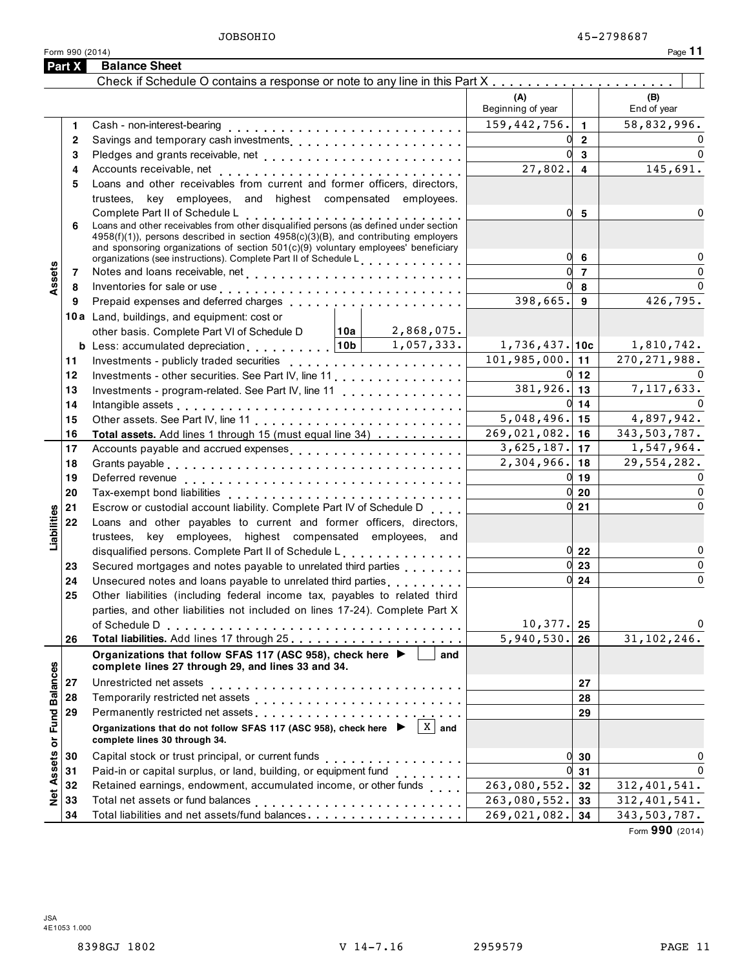Form <sup>990</sup> (2014) Page **11**

|                      | Part X       | <b>Balance Sheet</b>                                                                                                                                                                                                           |                                  |                |                    |
|----------------------|--------------|--------------------------------------------------------------------------------------------------------------------------------------------------------------------------------------------------------------------------------|----------------------------------|----------------|--------------------|
|                      |              |                                                                                                                                                                                                                                |                                  |                |                    |
|                      |              |                                                                                                                                                                                                                                | (A)<br>Beginning of year         |                | (B)<br>End of year |
|                      | 1.           |                                                                                                                                                                                                                                | 159,442,756.                     | $\mathbf{1}$   | 58,832,996.        |
|                      | $\mathbf{2}$ | Savings and temporary cash investments                                                                                                                                                                                         | 0                                | $\overline{2}$ | $\Omega$           |
|                      | 3            |                                                                                                                                                                                                                                | U                                | 3              | $\Omega$           |
|                      | 4            |                                                                                                                                                                                                                                | 27,802.                          | $\overline{4}$ | 145,691.           |
|                      | 5            | Loans and other receivables from current and former officers, directors,                                                                                                                                                       |                                  |                |                    |
|                      |              | trustees, key employees, and highest compensated employees.                                                                                                                                                                    |                                  |                |                    |
|                      | 6            | Complete Part II of Schedule L<br>Loans and other receivables from other disqualified persons (as defined under section<br>4958(f)(1)), persons described in section 4958(c)(3)(B), and contributing employers                 | 0                                | $5\phantom{1}$ | $\Omega$           |
|                      |              | and sponsoring organizations of section 501(c)(9) voluntary employees' beneficiary<br>organizations (see instructions). Complete Part II of Schedule L                                                                         | 0                                | 6              | $\mathbf 0$        |
| Assets               | 7            |                                                                                                                                                                                                                                | $\mathbf{0}$                     | $\overline{7}$ | $\mathbf 0$        |
|                      | 8            | Inventories for sale or use enterpreteral enterpreteral enterpreteral enterpreteral enterpreteral enterpreteral                                                                                                                | 0l                               | 8              | $\Omega$           |
|                      | 9            | Prepaid expenses and deferred charges entitled as a series of the set of the prepaid expenses and deferred charges                                                                                                             | 398,665.                         | 9              | 426,795.           |
|                      |              | 10a Land, buildings, and equipment: cost or                                                                                                                                                                                    |                                  |                |                    |
|                      |              | 10a <br>2,868,075.<br>other basis. Complete Part VI of Schedule D                                                                                                                                                              |                                  |                |                    |
|                      |              | <b>b</b> Less: accumulated depreciation $\ldots$ , $\ldots$ , $ 10b $<br>1,057,333.                                                                                                                                            | $1,736,437.$ 10c                 |                | 1,810,742.         |
|                      | 11           |                                                                                                                                                                                                                                | 101, 985, 000.                   | 11             | 270, 271, 988.     |
|                      | 12           | Investments - other securities. See Part IV, line 11.                                                                                                                                                                          | $0 \vert 12 \vert$               |                | $\Omega$           |
|                      | 13           | Investments - program-related. See Part IV, line 11                                                                                                                                                                            | $381,926$ . 13                   |                | 7, 117, 633.       |
|                      | 14           | Intangible assets enterpreteration of the contract of the contract of the contract of the contract of the contract of the contract of the contract of the contract of the contract of the contract of the contract of the cont | $0 \mid 14$                      |                | $\Omega$           |
|                      | 15           |                                                                                                                                                                                                                                | $5,048,496.$ 15                  |                | 4,897,942.         |
|                      | 16           | Total assets. Add lines 1 through 15 (must equal line 34)                                                                                                                                                                      | $269,021,082.$ 16                |                | 343,503,787.       |
|                      | 17           | Accounts payable and accrued expenses                                                                                                                                                                                          | $3,625,187.$ 17                  |                | 1,547,964.         |
|                      | 18           |                                                                                                                                                                                                                                | $2,304,966$ . 18                 |                | 29,554,282.        |
|                      | 19           |                                                                                                                                                                                                                                | $0$ 19                           |                | $\Omega$           |
|                      | 20           |                                                                                                                                                                                                                                | $0\vert 20$                      |                | $\mathbf 0$        |
|                      | 21           | Escrow or custodial account liability. Complete Part IV of Schedule D                                                                                                                                                          | $0 \vert 21$                     |                | $\mathbf 0$        |
| Liabilities          | 22           | Loans and other payables to current and former officers, directors,                                                                                                                                                            |                                  |                |                    |
|                      |              | trustees, key employees, highest compensated employees, and                                                                                                                                                                    |                                  |                |                    |
|                      |              | disqualified persons. Complete Part II of Schedule L.                                                                                                                                                                          | $0\overline{22}$                 |                | $\mathbf 0$        |
|                      | 23           | Secured mortgages and notes payable to unrelated third parties                                                                                                                                                                 | $0\vert 23$                      |                | $\mathbf 0$        |
|                      | 24           |                                                                                                                                                                                                                                | $0 \overline{\smash{\big)}\ 24}$ |                | $\mathbf 0$        |
|                      | 25           | Other liabilities (including federal income tax, payables to related third                                                                                                                                                     |                                  |                |                    |
|                      |              | parties, and other liabilities not included on lines 17-24). Complete Part X                                                                                                                                                   |                                  |                |                    |
|                      |              |                                                                                                                                                                                                                                | 10, 377.                         | 25             | $\mathbf 0$        |
|                      | 26           |                                                                                                                                                                                                                                | 5,940,530.                       | 26             | 31, 102, 246.      |
|                      |              | Organizations that follow SFAS 117 (ASC 958), check here ▶<br>and<br>complete lines 27 through 29, and lines 33 and 34.                                                                                                        |                                  |                |                    |
|                      | 27           |                                                                                                                                                                                                                                |                                  | 27             |                    |
| <b>Fund Balances</b> | 28           | Temporarily restricted net assets                                                                                                                                                                                              |                                  | 28             |                    |
|                      | 29           | Permanently restricted net assets entertainment of the set of the set of the set of the set of the set of the set of the set of the set of the set of the set of the set of the set of the set of the set of the set of the se |                                  | 29             |                    |
|                      |              | $\sqrt{X}$ and<br>Organizations that do not follow SFAS 117 (ASC 958), check here ▶<br>complete lines 30 through 34.                                                                                                           |                                  |                |                    |
|                      | 30           |                                                                                                                                                                                                                                | 0                                | 30             | 0                  |
| Assets or            | 31           | Paid-in or capital surplus, or land, building, or equipment fund<br>                                                                                                                                                           | 0                                | 31             | $\Omega$           |
|                      | 32           | Retained earnings, endowment, accumulated income, or other funds                                                                                                                                                               | 263,080,552.                     | 32             | 312,401,541.       |
| $\frac{d}{d}$        | 33           |                                                                                                                                                                                                                                | 263,080,552.                     | 33             | 312, 401, 541.     |
|                      | 34           |                                                                                                                                                                                                                                | 269,021,082.                     | 34             | 343,503,787.       |

Form **990** (2014)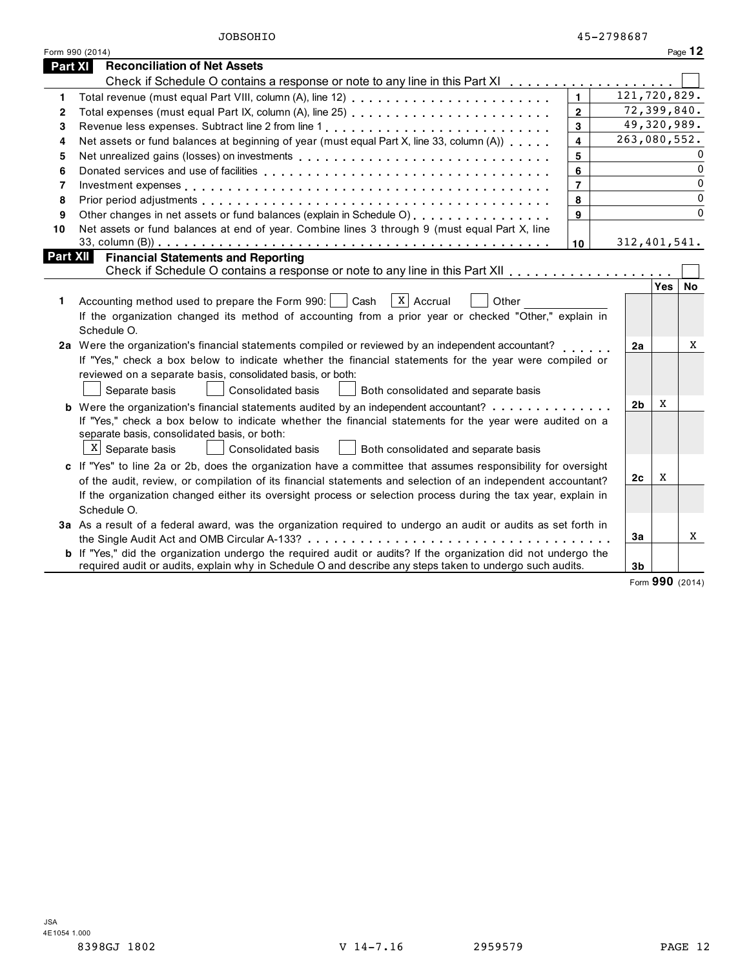| JOBSOHIO |
|----------|
|----------|

|                 | Form 990 (2014)                                                                                                                                         |                |  |                |                | Page $12$    |
|-----------------|---------------------------------------------------------------------------------------------------------------------------------------------------------|----------------|--|----------------|----------------|--------------|
| <b>Part XI</b>  | <b>Reconciliation of Net Assets</b>                                                                                                                     |                |  |                |                |              |
|                 | Check if Schedule O contains a response or note to any line in this Part XI                                                                             |                |  |                |                |              |
| 1               |                                                                                                                                                         | $\blacksquare$ |  |                | 121,720,829.   |              |
| 2               |                                                                                                                                                         | $\mathbf{2}$   |  |                | 72,399,840.    |              |
| 3               | Revenue less expenses. Subtract line 2 from line 1                                                                                                      | 3              |  |                | 49,320,989.    |              |
| 4               | Net assets or fund balances at beginning of year (must equal Part X, line 33, column (A))                                                               | 4              |  |                | 263,080,552.   |              |
| 5               |                                                                                                                                                         | 5              |  |                |                |              |
| 6               |                                                                                                                                                         | 6              |  |                |                | $\mathbf{0}$ |
| 7               |                                                                                                                                                         | $\overline{7}$ |  |                |                | $\mathbf{0}$ |
| 8               |                                                                                                                                                         | 8              |  |                |                | $\Omega$     |
| 9               | Other changes in net assets or fund balances (explain in Schedule O)                                                                                    | 9              |  |                |                | $\Omega$     |
| 10              | Net assets or fund balances at end of year. Combine lines 3 through 9 (must equal Part X, line                                                          |                |  |                |                |              |
|                 |                                                                                                                                                         | 10             |  |                | 312, 401, 541. |              |
| <b>Part XII</b> | <b>Financial Statements and Reporting</b>                                                                                                               |                |  |                |                |              |
|                 |                                                                                                                                                         |                |  |                | <b>Yes</b>     | No           |
| 1.              | X   Accrual<br>Accounting method used to prepare the Form 990:     Cash<br>Other                                                                        |                |  |                |                |              |
|                 | If the organization changed its method of accounting from a prior year or checked "Other," explain in                                                   |                |  |                |                |              |
|                 | Schedule O.                                                                                                                                             |                |  |                |                |              |
|                 | 2a Were the organization's financial statements compiled or reviewed by an independent accountant?                                                      |                |  | 2a             |                | X            |
|                 | If "Yes," check a box below to indicate whether the financial statements for the year were compiled or                                                  |                |  |                |                |              |
|                 | reviewed on a separate basis, consolidated basis, or both:                                                                                              |                |  |                |                |              |
|                 | Separate basis<br><b>Consolidated basis</b><br>Both consolidated and separate basis                                                                     |                |  |                |                |              |
|                 |                                                                                                                                                         |                |  | 2 <sub>b</sub> | x              |              |
|                 | <b>b</b> Were the organization's financial statements audited by an independent accountant?                                                             |                |  |                |                |              |
|                 | If "Yes," check a box below to indicate whether the financial statements for the year were audited on a<br>separate basis, consolidated basis, or both: |                |  |                |                |              |
|                 | $X$ Separate basis<br>Consolidated basis<br>Both consolidated and separate basis                                                                        |                |  |                |                |              |
|                 |                                                                                                                                                         |                |  |                |                |              |
|                 | c If "Yes" to line 2a or 2b, does the organization have a committee that assumes responsibility for oversight                                           |                |  | 2c             | X              |              |
|                 | of the audit, review, or compilation of its financial statements and selection of an independent accountant?                                            |                |  |                |                |              |
|                 | If the organization changed either its oversight process or selection process during the tax year, explain in<br>Schedule O.                            |                |  |                |                |              |
|                 | 3a As a result of a federal award, was the organization required to undergo an audit or audits as set forth in                                          |                |  |                |                |              |
|                 |                                                                                                                                                         |                |  | 3a             |                | X            |
|                 | <b>b</b> If "Yes," did the organization undergo the required audit or audits? If the organization did not undergo the                                   |                |  |                |                |              |
|                 | required audit or audits, explain why in Schedule O and describe any steps taken to undergo such audits.                                                |                |  | 3 <sub>b</sub> |                |              |
|                 |                                                                                                                                                         |                |  |                |                |              |

Form **990** (2014)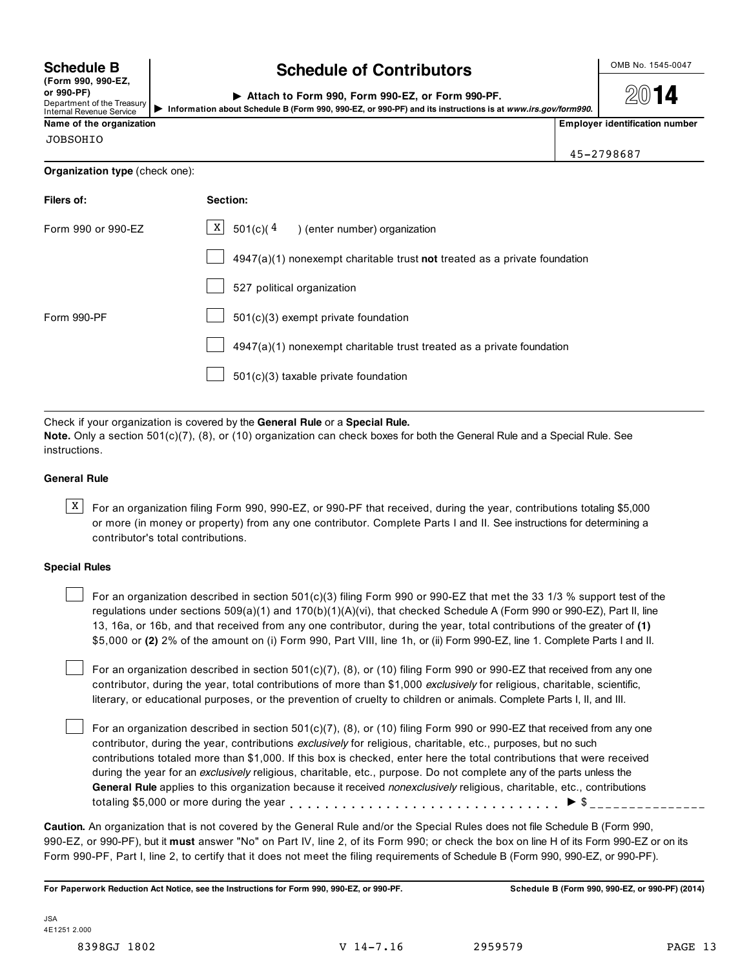| (Form 990, 990-EZ,              |
|---------------------------------|
| or 990-PF)                      |
| Department of the Treasury      |
| <b>Internal Revenue Service</b> |

## **Schedule B**  $\begin{array}{c} \big\downarrow$  **chedule of Contributors**  $\begin{array}{c} \big\downarrow \text{OMB No. 1545-0047} \\ \text{COMB No. 1545-0047} \end{array}$

| Attach to Form 990. Form 990-EZ, or Form 990-PF.                                                           |
|------------------------------------------------------------------------------------------------------------|
| Information about Schedule B (Form 990, 990-EZ, or 990-PF) and its instructions is at www.irs.gov/form990. |

À¾µ¸

**Name of the organization Employer identification number**

45-2798687

JOBSOHIO

**Organization type** (check one):

| Filers of:         | Section:                                                                  |
|--------------------|---------------------------------------------------------------------------|
| Form 990 or 990-EZ | $\boxed{\text{X}}$ 501(c)(4) (enter number) organization                  |
|                    | 4947(a)(1) nonexempt charitable trust not treated as a private foundation |
|                    | 527 political organization                                                |
| Form 990-PF        | 501(c)(3) exempt private foundation                                       |
|                    | 4947(a)(1) nonexempt charitable trust treated as a private foundation     |
|                    | 501(c)(3) taxable private foundation                                      |
|                    |                                                                           |

Check if your organization is covered by the **General Rule** or a **Special Rule.**

**Note.** Only a section 501(c)(7), (8), or (10) organization can check boxes for both the General Rule and a Special Rule. See instructions.

### **General Rule**

 $\overline{X}$  For an organization filing Form 990, 990-EZ, or 990-PF that received, during the year, contributions totaling \$5,000 or more (in money or property) from any one contributor. Complete Parts I and II. See instructions for determining a contributor's total contributions.

### **Special Rules**

For an organization described in section 501(c)(3) filing Form 990 or 990-EZ that met the 33 1/3 % support test of the regulations under sections 509(a)(1) and 170(b)(1)(A)(vi), that checked Schedule A (Form 990 or 990-EZ), Part II, line 13, 16a, or 16b, and that received from any one contributor, during the year, total contributions of the greater of **(1)** \$5,000 or **(2)** 2% of the amount on (i) Form 990, Part VIII, line 1h, or (ii) Form 990-EZ, line 1. Complete Parts I and II.

For an organization described in section 501(c)(7), (8), or (10) filing Form 990 or 990-EZ that received from any one contributor, during the year, total contributions of more than \$1,000 *exclusively* for religious, charitable, scientific, literary, or educational purposes, or the prevention of cruelty to children or animals. Complete Parts I, II, and III.

For an organization described in section 501(c)(7), (8), or (10) filing Form 990 or 990-EZ that received from any one contributor, during the year, contributions *exclusively* for religious, charitable, etc., purposes, but no such contributions totaled more than \$1,000. If this box is checked, enter here the total contributions that were received during the year for an *exclusively* religious, charitable, etc., purpose. Do not complete any of the parts unless the **General Rule** applies to this organization because it received *nonexclusively* religious, charitable, etc., contributions totaling \$5,000 or more during the year m m m m m m m m m m m m m m m m m m m m m m m m m m m m m m m I \$

**Caution.** An organization that is not covered by the General Rule and/or the Special Rules does not file Schedule B (Form 990, 990-EZ, or 990-PF), but it **must** answer "No" on Part IV, line 2, of its Form 990; or check the box on line H of its Form 990-EZ or on its Form 990-PF, Part I, line 2, to certify that it does not meet the filing requirements of Schedule B (Form 990, 990-EZ, or 990-PF).

For Paperwork Reduction Act Notice, see the Instructions for Form 990, 990-EZ, or 990-PF. Schedule B (Form 990, 990-EZ, or 990-PF) (2014)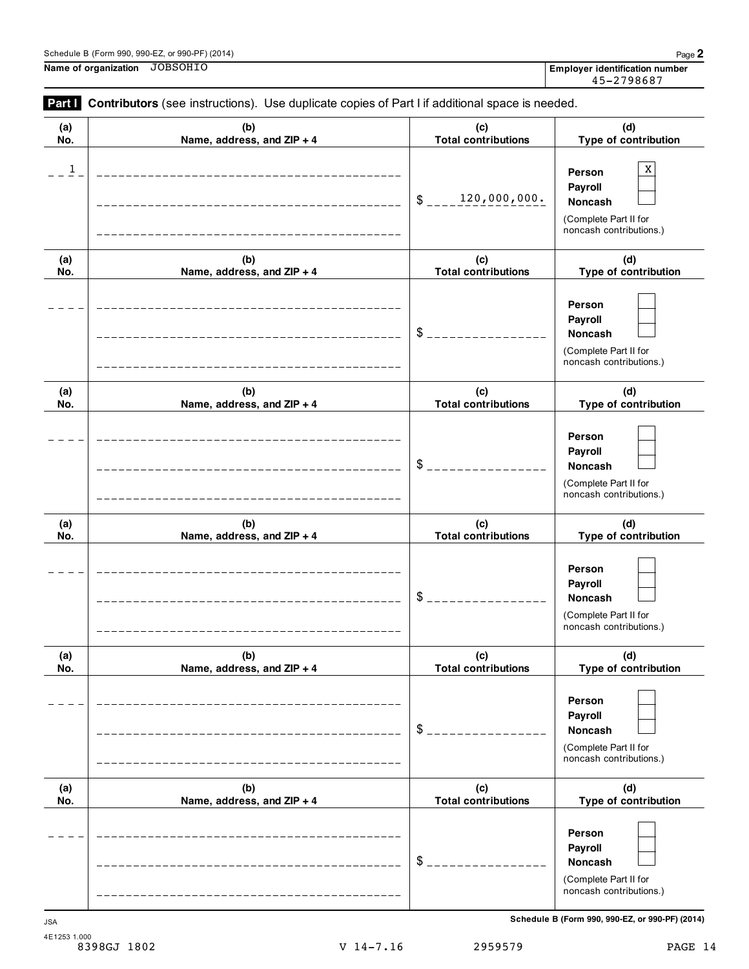## Schedule <sup>B</sup> (Form 990, 990-EZ, or 990-PF) (2014) Page **2**

**Name of organization Employer identification number** JOBSOHIO

| (a)          | (b)                        | (c)                        | (d)                                                                                     |
|--------------|----------------------------|----------------------------|-----------------------------------------------------------------------------------------|
| No.          | Name, address, and ZIP + 4 | <b>Total contributions</b> | Type of contribution                                                                    |
| $\mathbf{1}$ |                            | 120,000,000.<br>\$         | X<br>Person<br>Payroll<br>Noncash<br>(Complete Part II for<br>noncash contributions.)   |
| (a)          | (b)                        | (c)                        | (d)                                                                                     |
| No.          | Name, address, and ZIP + 4 | <b>Total contributions</b> | Type of contribution                                                                    |
|              |                            | \$                         | Person<br>Payroll<br>Noncash<br>(Complete Part II for<br>noncash contributions.)        |
| (a)          | (b)                        | (c)                        | (d)                                                                                     |
| No.          | Name, address, and ZIP + 4 | <b>Total contributions</b> | Type of contribution                                                                    |
|              |                            | \$                         | Person<br>Payroll<br>Noncash<br>(Complete Part II for<br>noncash contributions.)        |
| (a)          | (b)                        | (c)                        | (d)                                                                                     |
| No.          | Name, address, and ZIP + 4 | <b>Total contributions</b> | Type of contribution                                                                    |
|              |                            | \$                         | Person<br>Payroll<br>Noncash<br>(Complete Part II for<br>noncash contributions.)        |
| (a)          | (b)                        | (c)                        | (d)                                                                                     |
| No.          | Name, address, and ZIP + 4 | <b>Total contributions</b> | Type of contribution                                                                    |
|              |                            | \$                         | Person<br>Payroll<br><b>Noncash</b><br>(Complete Part II for<br>noncash contributions.) |
| (a)          | (b)                        | (c)                        | (d)                                                                                     |
| No.          | Name, address, and ZIP + 4 | <b>Total contributions</b> | Type of contribution                                                                    |
|              |                            | \$                         | Person<br>Payroll<br><b>Noncash</b><br>(Complete Part II for<br>noncash contributions.) |

**Schedule B (Form 990, 990-EZ, or 990-PF) (2014)** JSA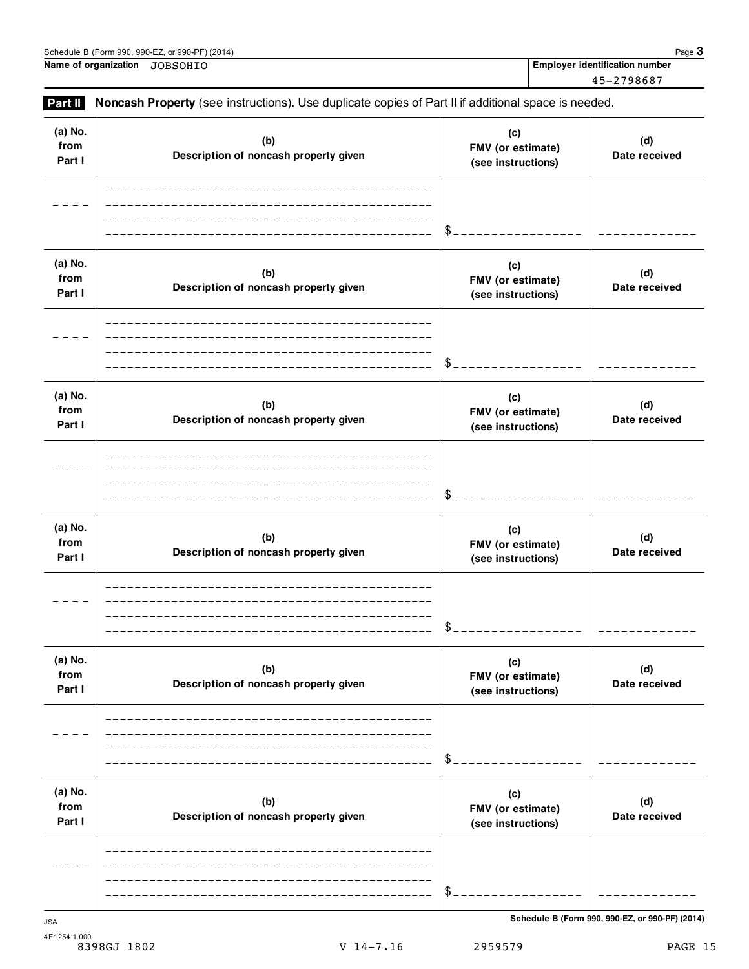**(d) Date received**

**(c) FMV (or estimate) (see instructions)**

| Part I                    | Description of noncash property given        | (see instructions)                             | Date received                                   |
|---------------------------|----------------------------------------------|------------------------------------------------|-------------------------------------------------|
|                           |                                              |                                                |                                                 |
|                           |                                              | \$                                             |                                                 |
| (a) No.<br>from<br>Part I | (b)<br>Description of noncash property given | (c)<br>FMV (or estimate)<br>(see instructions) | (d)<br>Date received                            |
|                           |                                              | \$                                             |                                                 |
| (a) No.<br>from<br>Part I | (b)<br>Description of noncash property given | (c)<br>FMV (or estimate)<br>(see instructions) | (d)<br>Date received                            |
|                           |                                              | \$                                             |                                                 |
| (a) No.<br>from<br>Part I | (b)<br>Description of noncash property given | (c)<br>FMV (or estimate)<br>(see instructions) | (d)<br>Date received                            |
|                           |                                              | \$                                             |                                                 |
| (a) No.<br>from<br>Part I | (b)<br>Description of noncash property given | (c)<br>FMV (or estimate)<br>(see instructions) | (d)<br>Date received                            |
|                           |                                              | \$                                             |                                                 |
| (a) No.<br>from<br>Part I | (b)<br>Description of noncash property given | (c)<br>FMV (or estimate)<br>(see instructions) | (d)<br>Date received                            |
|                           |                                              | \$                                             |                                                 |
|                           |                                              |                                                | Schedule B (Form 990, 990-EZ, or 990-PF) (2014) |
| JSA<br>4E1254 1.000       |                                              |                                                |                                                 |
|                           | $V$ 14-7.16<br>8398GJ 1802                   | 2959579                                        | PAGE 15                                         |

Schedule B (Form 990, 990-EZ, or 990-PF) (2014)<br>
Name of organization JOBSOHIO **Page 3**<br>
Name of organization JOBSOHIO **Name of organization Employer identification number** JOBSOHIO

> **(b) Description of noncash property given**

**Part II** Noncash Property (see instructions). Use duplicate copies of Part II if additional space is needed.

**(a) No. from**

45-2798687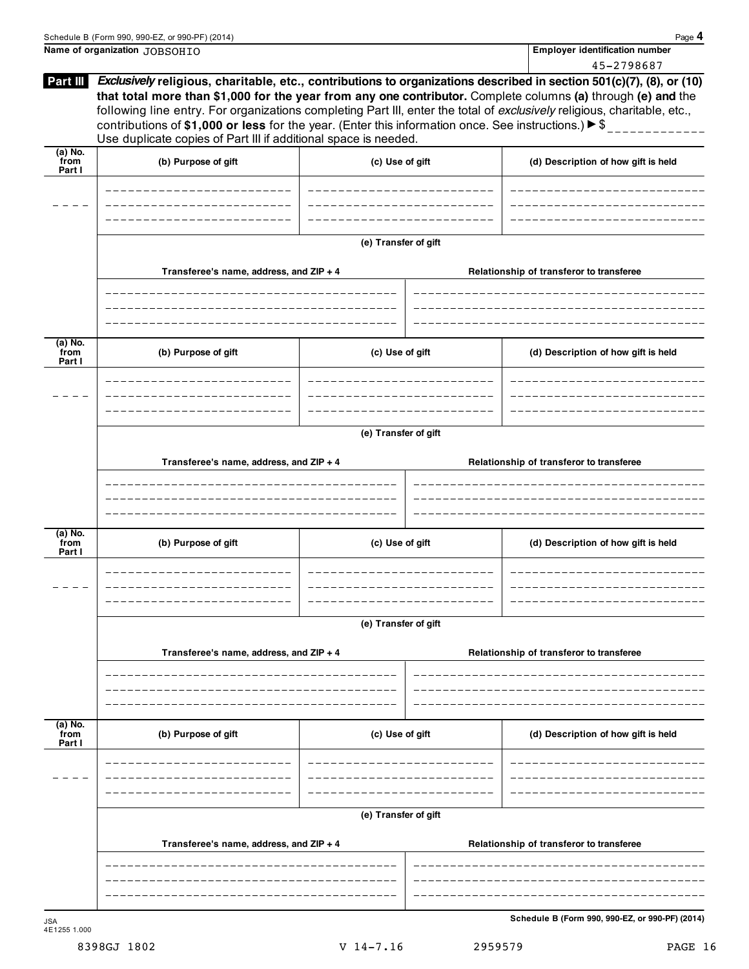|                             | Schedule B (Form 990, 990-EZ, or 990-PF) (2014)                                                                                                                                                                                                                                                                         |                      |                                          | Page 4                                                                                                                                                                                                                                             |  |  |
|-----------------------------|-------------------------------------------------------------------------------------------------------------------------------------------------------------------------------------------------------------------------------------------------------------------------------------------------------------------------|----------------------|------------------------------------------|----------------------------------------------------------------------------------------------------------------------------------------------------------------------------------------------------------------------------------------------------|--|--|
|                             | Name of organization JOBSOHIO                                                                                                                                                                                                                                                                                           |                      |                                          | Employer identification number                                                                                                                                                                                                                     |  |  |
| Part III                    | following line entry. For organizations completing Part III, enter the total of exclusively religious, charitable, etc.,<br>contributions of \$1,000 or less for the year. (Enter this information once. See instructions.) $\blacktriangleright$ \$<br>Use duplicate copies of Part III if additional space is needed. |                      |                                          | 45-2798687<br>Exclusively religious, charitable, etc., contributions to organizations described in section 501(c)(7), (8), or (10)<br>that total more than \$1,000 for the year from any one contributor. Complete columns (a) through (e) and the |  |  |
| $(a)$ No.<br>from<br>Part I | (b) Purpose of gift                                                                                                                                                                                                                                                                                                     | (c) Use of gift      |                                          | (d) Description of how gift is held                                                                                                                                                                                                                |  |  |
|                             |                                                                                                                                                                                                                                                                                                                         |                      |                                          |                                                                                                                                                                                                                                                    |  |  |
|                             |                                                                                                                                                                                                                                                                                                                         | (e) Transfer of gift |                                          |                                                                                                                                                                                                                                                    |  |  |
|                             | Transferee's name, address, and ZIP + 4                                                                                                                                                                                                                                                                                 |                      |                                          | Relationship of transferor to transferee                                                                                                                                                                                                           |  |  |
| $(a)$ No.                   |                                                                                                                                                                                                                                                                                                                         |                      |                                          |                                                                                                                                                                                                                                                    |  |  |
| from<br>Part I              | (b) Purpose of gift                                                                                                                                                                                                                                                                                                     | (c) Use of gift      |                                          | (d) Description of how gift is held                                                                                                                                                                                                                |  |  |
|                             |                                                                                                                                                                                                                                                                                                                         |                      |                                          |                                                                                                                                                                                                                                                    |  |  |
|                             | (e) Transfer of gift                                                                                                                                                                                                                                                                                                    |                      |                                          |                                                                                                                                                                                                                                                    |  |  |
|                             | Transferee's name, address, and ZIP + 4                                                                                                                                                                                                                                                                                 |                      |                                          | Relationship of transferor to transferee                                                                                                                                                                                                           |  |  |
|                             |                                                                                                                                                                                                                                                                                                                         |                      |                                          |                                                                                                                                                                                                                                                    |  |  |
| $(a)$ No.<br>from<br>Part I | (b) Purpose of gift                                                                                                                                                                                                                                                                                                     | (c) Use of gift      |                                          | (d) Description of how gift is held                                                                                                                                                                                                                |  |  |
|                             |                                                                                                                                                                                                                                                                                                                         |                      |                                          |                                                                                                                                                                                                                                                    |  |  |
|                             | (e) Transfer of gift                                                                                                                                                                                                                                                                                                    |                      |                                          |                                                                                                                                                                                                                                                    |  |  |
|                             | Transferee's name, address, and ZIP + 4                                                                                                                                                                                                                                                                                 |                      |                                          | Relationship of transferor to transferee                                                                                                                                                                                                           |  |  |
|                             |                                                                                                                                                                                                                                                                                                                         |                      |                                          |                                                                                                                                                                                                                                                    |  |  |
| (a) No.<br>from<br>Part I   | (b) Purpose of gift                                                                                                                                                                                                                                                                                                     | (c) Use of gift      |                                          | (d) Description of how gift is held                                                                                                                                                                                                                |  |  |
|                             |                                                                                                                                                                                                                                                                                                                         |                      |                                          |                                                                                                                                                                                                                                                    |  |  |
|                             | (e) Transfer of gift                                                                                                                                                                                                                                                                                                    |                      |                                          |                                                                                                                                                                                                                                                    |  |  |
|                             | Transferee's name, address, and ZIP + 4                                                                                                                                                                                                                                                                                 |                      | Relationship of transferor to transferee |                                                                                                                                                                                                                                                    |  |  |
|                             |                                                                                                                                                                                                                                                                                                                         |                      |                                          |                                                                                                                                                                                                                                                    |  |  |
| <b>JSA</b>                  |                                                                                                                                                                                                                                                                                                                         |                      |                                          | Schedule B (Form 990, 990-EZ, or 990-PF) (2014)                                                                                                                                                                                                    |  |  |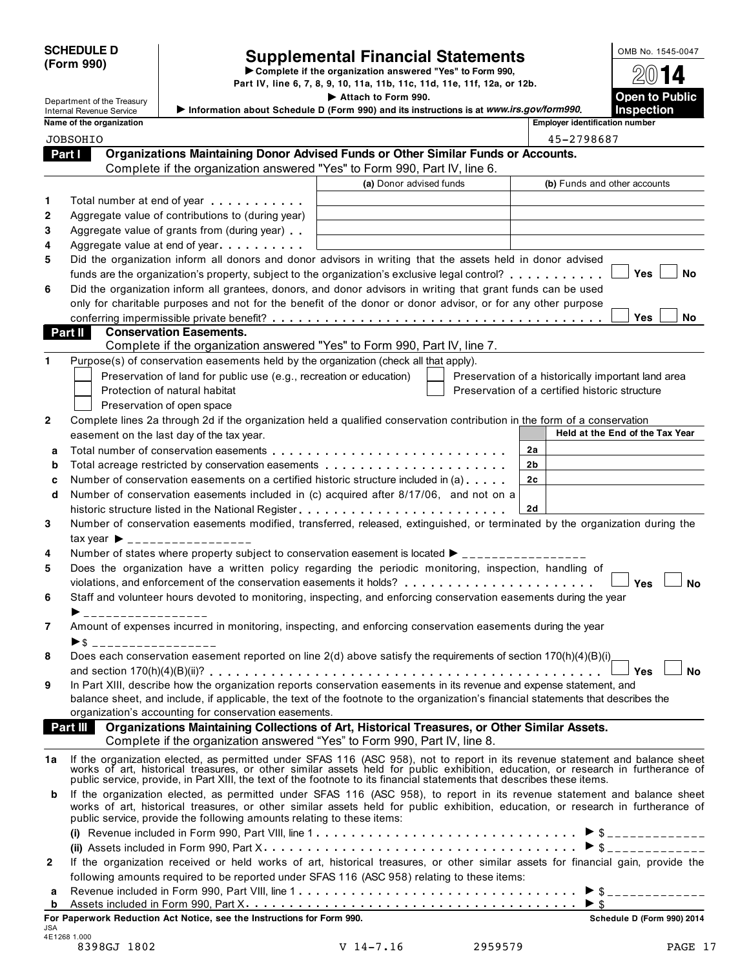# SCHEDULE D<br>
Supplemental Financial Statements<br>
Form 990) Part IV, line 6, 7, 8, 9, 10, 11a, 11b, 11c, 11d, 11e, 11f, 12a, or 12b.

**Department of the Treasury**<br> **Department of the Treasury**<br>
Information about Schedule D (Form 990) and its instructions is at *www.irs.gov/form990.*<br>
Information about Schedule D (Form 990) and its instructions is at *ww* 

|              | Internal Revenue Service |                                                                                       | Information about Schedule D (Form 990) and its instructions is at www.irs.gov/form990.                                                                                                                                        |                                                    | Inspection                         |
|--------------|--------------------------|---------------------------------------------------------------------------------------|--------------------------------------------------------------------------------------------------------------------------------------------------------------------------------------------------------------------------------|----------------------------------------------------|------------------------------------|
|              | Name of the organization |                                                                                       |                                                                                                                                                                                                                                | Employer identification number                     |                                    |
|              | <b>JOBSOHIO</b>          |                                                                                       |                                                                                                                                                                                                                                | 45-2798687                                         |                                    |
| Part I       |                          |                                                                                       | Organizations Maintaining Donor Advised Funds or Other Similar Funds or Accounts.                                                                                                                                              |                                                    |                                    |
|              |                          |                                                                                       | Complete if the organization answered "Yes" to Form 990, Part IV, line 6.                                                                                                                                                      |                                                    |                                    |
|              |                          |                                                                                       | (a) Donor advised funds                                                                                                                                                                                                        |                                                    | (b) Funds and other accounts       |
| 1            |                          | Total number at end of year                                                           |                                                                                                                                                                                                                                |                                                    |                                    |
| $\mathbf{2}$ |                          | Aggregate value of contributions to (during year)                                     |                                                                                                                                                                                                                                |                                                    |                                    |
| 3            |                          | Aggregate value of grants from (during year)                                          |                                                                                                                                                                                                                                |                                                    |                                    |
| 4            |                          | Aggregate value at end of year                                                        |                                                                                                                                                                                                                                |                                                    |                                    |
| 5            |                          |                                                                                       | Did the organization inform all donors and donor advisors in writing that the assets held in donor advised                                                                                                                     |                                                    |                                    |
|              |                          |                                                                                       | funds are the organization's property, subject to the organization's exclusive legal control?                                                                                                                                  |                                                    | Yes<br><b>No</b>                   |
| 6            |                          |                                                                                       | Did the organization inform all grantees, donors, and donor advisors in writing that grant funds can be used                                                                                                                   |                                                    |                                    |
|              |                          |                                                                                       | only for charitable purposes and not for the benefit of the donor or donor advisor, or for any other purpose                                                                                                                   |                                                    |                                    |
|              |                          |                                                                                       |                                                                                                                                                                                                                                |                                                    | Yes<br>No                          |
|              | Part II                  | <b>Conservation Easements.</b>                                                        |                                                                                                                                                                                                                                |                                                    |                                    |
|              |                          |                                                                                       | Complete if the organization answered "Yes" to Form 990, Part IV, line 7.                                                                                                                                                      |                                                    |                                    |
| 1            |                          | Purpose(s) of conservation easements held by the organization (check all that apply). |                                                                                                                                                                                                                                |                                                    |                                    |
|              |                          | Preservation of land for public use (e.g., recreation or education)                   |                                                                                                                                                                                                                                | Preservation of a historically important land area |                                    |
|              |                          | Protection of natural habitat                                                         |                                                                                                                                                                                                                                | Preservation of a certified historic structure     |                                    |
|              |                          | Preservation of open space                                                            |                                                                                                                                                                                                                                |                                                    |                                    |
| $\mathbf{2}$ |                          |                                                                                       | Complete lines 2a through 2d if the organization held a qualified conservation contribution in the form of a conservation                                                                                                      |                                                    |                                    |
|              |                          | easement on the last day of the tax year.                                             |                                                                                                                                                                                                                                |                                                    | Held at the End of the Tax Year    |
| a            |                          |                                                                                       |                                                                                                                                                                                                                                | 2a                                                 |                                    |
| b            |                          |                                                                                       |                                                                                                                                                                                                                                | 2b                                                 |                                    |
| c            |                          |                                                                                       | Number of conservation easements on a certified historic structure included in (a)                                                                                                                                             | 2c                                                 |                                    |
| d            |                          |                                                                                       | Number of conservation easements included in (c) acquired after 8/17/06, and not on a                                                                                                                                          |                                                    |                                    |
|              |                          |                                                                                       | historic structure listed in the National Register                                                                                                                                                                             | 2d                                                 |                                    |
| 3            |                          |                                                                                       | Number of conservation easements modified, transferred, released, extinguished, or terminated by the organization during the                                                                                                   |                                                    |                                    |
|              |                          | tax year $\triangleright$ __________________                                          |                                                                                                                                                                                                                                |                                                    |                                    |
| 4            |                          |                                                                                       | Number of states where property subject to conservation easement is located ► ________________                                                                                                                                 |                                                    |                                    |
| 5            |                          |                                                                                       | Does the organization have a written policy regarding the periodic monitoring, inspection, handling of                                                                                                                         |                                                    |                                    |
|              |                          |                                                                                       | violations, and enforcement of the conservation easements it holds?                                                                                                                                                            |                                                    | <b>No</b><br><b>Yes</b>            |
| 6            |                          |                                                                                       | Staff and volunteer hours devoted to monitoring, inspecting, and enforcing conservation easements during the year                                                                                                              |                                                    |                                    |
|              | ----------------         |                                                                                       | Amount of expenses incurred in monitoring, inspecting, and enforcing conservation easements during the year                                                                                                                    |                                                    |                                    |
| 7            |                          |                                                                                       |                                                                                                                                                                                                                                |                                                    |                                    |
| 8            | ▶ \$ ___________________ |                                                                                       | Does each conservation easement reported on line 2(d) above satisfy the requirements of section 170(h)(4)(B)(i)                                                                                                                |                                                    |                                    |
|              |                          |                                                                                       |                                                                                                                                                                                                                                |                                                    | Yes<br>No                          |
| 9            |                          |                                                                                       | In Part XIII, describe how the organization reports conservation easements in its revenue and expense statement, and                                                                                                           |                                                    |                                    |
|              |                          |                                                                                       | balance sheet, and include, if applicable, the text of the footnote to the organization's financial statements that describes the                                                                                              |                                                    |                                    |
|              |                          | organization's accounting for conservation easements.                                 |                                                                                                                                                                                                                                |                                                    |                                    |
|              | Part III                 |                                                                                       | Organizations Maintaining Collections of Art, Historical Treasures, or Other Similar Assets.                                                                                                                                   |                                                    |                                    |
|              |                          |                                                                                       | Complete if the organization answered "Yes" to Form 990, Part IV, line 8.                                                                                                                                                      |                                                    |                                    |
| 1a           |                          |                                                                                       |                                                                                                                                                                                                                                |                                                    |                                    |
|              |                          |                                                                                       | If the organization elected, as permitted under SFAS 116 (ASC 958), not to report in its revenue statement and balance sheet works of art, historical treasures, or other similar assets held for public exhibition, education |                                                    |                                    |
|              |                          |                                                                                       | public service, provide, in Part XIII, the text of the footnote to its financial statements that describes these items.                                                                                                        |                                                    |                                    |
| b            |                          |                                                                                       | If the organization elected, as permitted under SFAS 116 (ASC 958), to report in its revenue statement and balance sheet                                                                                                       |                                                    |                                    |
|              |                          | public service, provide the following amounts relating to these items:                | works of art, historical treasures, or other similar assets held for public exhibition, education, or research in furtherance of                                                                                               |                                                    |                                    |
|              |                          |                                                                                       |                                                                                                                                                                                                                                |                                                    | $\triangleright$ \$ ______________ |
|              |                          |                                                                                       |                                                                                                                                                                                                                                |                                                    |                                    |
| 2            |                          |                                                                                       | If the organization received or held works of art, historical treasures, or other similar assets for financial gain, provide the                                                                                               |                                                    |                                    |
|              |                          |                                                                                       | following amounts required to be reported under SFAS 116 (ASC 958) relating to these items:                                                                                                                                    |                                                    |                                    |
| a            |                          |                                                                                       |                                                                                                                                                                                                                                |                                                    | $\triangleright$ \$ ______________ |
| b            |                          |                                                                                       |                                                                                                                                                                                                                                | ► \$                                               |                                    |
|              |                          | For Paperwork Reduction Act Notice, see the Instructions for Form 990.                |                                                                                                                                                                                                                                |                                                    | Schedule D (Form 990) 2014         |
| <b>JSA</b>   | 4E1268 1.000             |                                                                                       |                                                                                                                                                                                                                                |                                                    |                                    |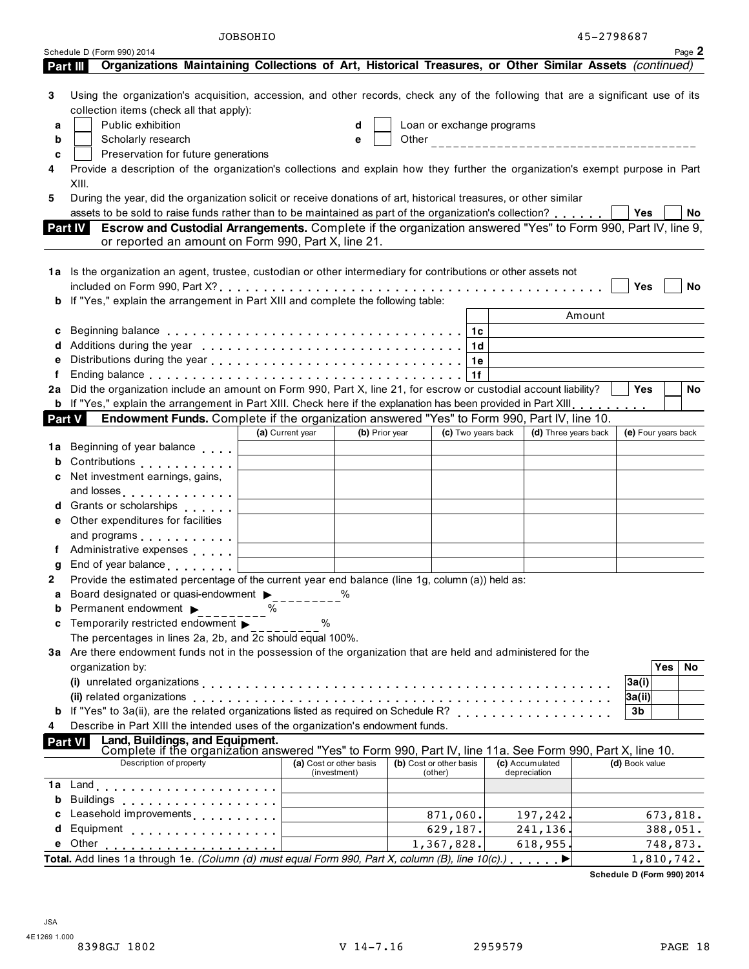| Page 2<br>Schedule D (Form 990) 2014<br>Organizations Maintaining Collections of Art, Historical Treasures, or Other Similar Assets (continued)<br>Part III<br>Using the organization's acquisition, accession, and other records, check any of the following that are a significant use of its<br>3<br>collection items (check all that apply):<br>Public exhibition<br>Loan or exchange programs<br>a<br>d<br>Scholarly research<br>b<br>e<br>Preservation for future generations<br>c<br>Provide a description of the organization's collections and explain how they further the organization's exempt purpose in Part<br>4<br>XIII.<br>During the year, did the organization solicit or receive donations of art, historical treasures, or other similar<br>5<br>assets to be sold to raise funds rather than to be maintained as part of the organization's collection?<br>Yes<br><b>No</b><br>Escrow and Custodial Arrangements. Complete if the organization answered "Yes" to Form 990, Part IV, line 9,<br><b>Part IV</b><br>or reported an amount on Form 990, Part X, line 21.<br>1a Is the organization an agent, trustee, custodian or other intermediary for contributions or other assets not<br>Yes<br>No<br>If "Yes," explain the arrangement in Part XIII and complete the following table:<br>b<br>Amount<br>1c<br>c<br>Additions during the year enterpretation of the state of the state of the state of the state of the state of the state of the state of the state of the state of the state of the state of the state of the state of the state<br>1 <sub>d</sub><br>1e<br>f<br>1f<br>Did the organization include an amount on Form 990, Part X, line 21, for escrow or custodial account liability?<br><b>Yes</b><br>No<br>2a<br><b>b</b> If "Yes," explain the arrangement in Part XIII. Check here if the explanation has been provided in Part XIII.<br>Endowment Funds. Complete if the organization answered "Yes" to Form 990, Part IV, line 10.<br><b>Part V</b><br>(a) Current year<br>(b) Prior year<br>(c) Two years back<br>(d) Three years back<br>(e) Four years back<br>Beginning of year balance<br>1a<br>Contributions <b>Contributions</b><br>b<br>Net investment earnings, gains,<br>c<br>and losses entertainment and losses<br>d Grants or scholarships exercises<br>Other expenditures for facilities<br>е<br>and programs entitled and programs<br>f Administrative expenses<br>g End of year balance<br>Provide the estimated percentage of the current year end balance (line 1g, column (a)) held as:<br>Board designated or quasi-endowment ><br>%<br>a<br>Permanent endowment ><br>℅<br>b<br>Temporarily restricted endowment<br>$\%$<br>c<br>The percentages in lines 2a, 2b, and 2c should equal 100%.<br>3a Are there endowment funds not in the possession of the organization that are held and administered for the<br>Yes<br>organization by:<br>No.<br>3a(i)<br> 3a(i) <br><b>b</b> If "Yes" to 3a(ii), are the related organizations listed as required on Schedule R?<br>3b<br>Describe in Part XIII the intended uses of the organization's endowment funds.<br>4<br>Land, Buildings, and Equipment.<br>Complete if the organization answered "Yes" to Form 990, Part IV, line 11a. See Form 990, Part X, line 10.<br><b>Part VI</b><br>Description of property<br>(b) Cost or other basis<br>(c) Accumulated<br>(d) Book value<br>(a) Cost or other basis<br>(investment)<br>(other)<br>depreciation | b<br><b>Buildings</b><br>.<br>Leasehold improvements<br>871,060.<br>197,242.<br>c<br>Equipment<br>629,187.<br>241,136.<br>d<br>1,367,828.<br>618,955.<br>748,873.<br>Other<br>е<br>Total. Add lines 1a through 1e. (Column (d) must equal Form 990, Part X, column (B), line $10(c)$ .)<br>1,810,742. | JOBSOHIO |  |  | 45-2798687 |  |
|--------------------------------------------------------------------------------------------------------------------------------------------------------------------------------------------------------------------------------------------------------------------------------------------------------------------------------------------------------------------------------------------------------------------------------------------------------------------------------------------------------------------------------------------------------------------------------------------------------------------------------------------------------------------------------------------------------------------------------------------------------------------------------------------------------------------------------------------------------------------------------------------------------------------------------------------------------------------------------------------------------------------------------------------------------------------------------------------------------------------------------------------------------------------------------------------------------------------------------------------------------------------------------------------------------------------------------------------------------------------------------------------------------------------------------------------------------------------------------------------------------------------------------------------------------------------------------------------------------------------------------------------------------------------------------------------------------------------------------------------------------------------------------------------------------------------------------------------------------------------------------------------------------------------------------------------------------------------------------------------------------------------------------------------------------------------------------------------------------------------------------------------------------------------------------------------------------------------------------------------------------------------------------------------------------------------------------------------------------------------------------------------------------------------------------------------------------------------------------------------------------------------------------------------------------------------------------------------------------------------------------------------------------------------------------------------------------------------------------------------------------------------------------------------------------------------------------------------------------------------------------------------------------------------------------------------------------------------------------------------------------------------------------------------------------------------------------------------------------------------------------------------------------------------------------------------------------------------------------------------------------------------------------------------------------------------------------------------------------------------------------------------------------------------------------------------------------------------------|-------------------------------------------------------------------------------------------------------------------------------------------------------------------------------------------------------------------------------------------------------------------------------------------------------|----------|--|--|------------|--|
|                                                                                                                                                                                                                                                                                                                                                                                                                                                                                                                                                                                                                                                                                                                                                                                                                                                                                                                                                                                                                                                                                                                                                                                                                                                                                                                                                                                                                                                                                                                                                                                                                                                                                                                                                                                                                                                                                                                                                                                                                                                                                                                                                                                                                                                                                                                                                                                                                                                                                                                                                                                                                                                                                                                                                                                                                                                                                                                                                                                                                                                                                                                                                                                                                                                                                                                                                                                                                                                                          |                                                                                                                                                                                                                                                                                                       |          |  |  |            |  |
|                                                                                                                                                                                                                                                                                                                                                                                                                                                                                                                                                                                                                                                                                                                                                                                                                                                                                                                                                                                                                                                                                                                                                                                                                                                                                                                                                                                                                                                                                                                                                                                                                                                                                                                                                                                                                                                                                                                                                                                                                                                                                                                                                                                                                                                                                                                                                                                                                                                                                                                                                                                                                                                                                                                                                                                                                                                                                                                                                                                                                                                                                                                                                                                                                                                                                                                                                                                                                                                                          |                                                                                                                                                                                                                                                                                                       |          |  |  |            |  |
|                                                                                                                                                                                                                                                                                                                                                                                                                                                                                                                                                                                                                                                                                                                                                                                                                                                                                                                                                                                                                                                                                                                                                                                                                                                                                                                                                                                                                                                                                                                                                                                                                                                                                                                                                                                                                                                                                                                                                                                                                                                                                                                                                                                                                                                                                                                                                                                                                                                                                                                                                                                                                                                                                                                                                                                                                                                                                                                                                                                                                                                                                                                                                                                                                                                                                                                                                                                                                                                                          |                                                                                                                                                                                                                                                                                                       |          |  |  |            |  |
|                                                                                                                                                                                                                                                                                                                                                                                                                                                                                                                                                                                                                                                                                                                                                                                                                                                                                                                                                                                                                                                                                                                                                                                                                                                                                                                                                                                                                                                                                                                                                                                                                                                                                                                                                                                                                                                                                                                                                                                                                                                                                                                                                                                                                                                                                                                                                                                                                                                                                                                                                                                                                                                                                                                                                                                                                                                                                                                                                                                                                                                                                                                                                                                                                                                                                                                                                                                                                                                                          |                                                                                                                                                                                                                                                                                                       |          |  |  |            |  |
|                                                                                                                                                                                                                                                                                                                                                                                                                                                                                                                                                                                                                                                                                                                                                                                                                                                                                                                                                                                                                                                                                                                                                                                                                                                                                                                                                                                                                                                                                                                                                                                                                                                                                                                                                                                                                                                                                                                                                                                                                                                                                                                                                                                                                                                                                                                                                                                                                                                                                                                                                                                                                                                                                                                                                                                                                                                                                                                                                                                                                                                                                                                                                                                                                                                                                                                                                                                                                                                                          |                                                                                                                                                                                                                                                                                                       |          |  |  |            |  |
|                                                                                                                                                                                                                                                                                                                                                                                                                                                                                                                                                                                                                                                                                                                                                                                                                                                                                                                                                                                                                                                                                                                                                                                                                                                                                                                                                                                                                                                                                                                                                                                                                                                                                                                                                                                                                                                                                                                                                                                                                                                                                                                                                                                                                                                                                                                                                                                                                                                                                                                                                                                                                                                                                                                                                                                                                                                                                                                                                                                                                                                                                                                                                                                                                                                                                                                                                                                                                                                                          |                                                                                                                                                                                                                                                                                                       |          |  |  |            |  |
|                                                                                                                                                                                                                                                                                                                                                                                                                                                                                                                                                                                                                                                                                                                                                                                                                                                                                                                                                                                                                                                                                                                                                                                                                                                                                                                                                                                                                                                                                                                                                                                                                                                                                                                                                                                                                                                                                                                                                                                                                                                                                                                                                                                                                                                                                                                                                                                                                                                                                                                                                                                                                                                                                                                                                                                                                                                                                                                                                                                                                                                                                                                                                                                                                                                                                                                                                                                                                                                                          |                                                                                                                                                                                                                                                                                                       |          |  |  |            |  |
|                                                                                                                                                                                                                                                                                                                                                                                                                                                                                                                                                                                                                                                                                                                                                                                                                                                                                                                                                                                                                                                                                                                                                                                                                                                                                                                                                                                                                                                                                                                                                                                                                                                                                                                                                                                                                                                                                                                                                                                                                                                                                                                                                                                                                                                                                                                                                                                                                                                                                                                                                                                                                                                                                                                                                                                                                                                                                                                                                                                                                                                                                                                                                                                                                                                                                                                                                                                                                                                                          |                                                                                                                                                                                                                                                                                                       |          |  |  |            |  |
|                                                                                                                                                                                                                                                                                                                                                                                                                                                                                                                                                                                                                                                                                                                                                                                                                                                                                                                                                                                                                                                                                                                                                                                                                                                                                                                                                                                                                                                                                                                                                                                                                                                                                                                                                                                                                                                                                                                                                                                                                                                                                                                                                                                                                                                                                                                                                                                                                                                                                                                                                                                                                                                                                                                                                                                                                                                                                                                                                                                                                                                                                                                                                                                                                                                                                                                                                                                                                                                                          |                                                                                                                                                                                                                                                                                                       |          |  |  |            |  |
|                                                                                                                                                                                                                                                                                                                                                                                                                                                                                                                                                                                                                                                                                                                                                                                                                                                                                                                                                                                                                                                                                                                                                                                                                                                                                                                                                                                                                                                                                                                                                                                                                                                                                                                                                                                                                                                                                                                                                                                                                                                                                                                                                                                                                                                                                                                                                                                                                                                                                                                                                                                                                                                                                                                                                                                                                                                                                                                                                                                                                                                                                                                                                                                                                                                                                                                                                                                                                                                                          |                                                                                                                                                                                                                                                                                                       |          |  |  |            |  |
|                                                                                                                                                                                                                                                                                                                                                                                                                                                                                                                                                                                                                                                                                                                                                                                                                                                                                                                                                                                                                                                                                                                                                                                                                                                                                                                                                                                                                                                                                                                                                                                                                                                                                                                                                                                                                                                                                                                                                                                                                                                                                                                                                                                                                                                                                                                                                                                                                                                                                                                                                                                                                                                                                                                                                                                                                                                                                                                                                                                                                                                                                                                                                                                                                                                                                                                                                                                                                                                                          |                                                                                                                                                                                                                                                                                                       |          |  |  |            |  |
|                                                                                                                                                                                                                                                                                                                                                                                                                                                                                                                                                                                                                                                                                                                                                                                                                                                                                                                                                                                                                                                                                                                                                                                                                                                                                                                                                                                                                                                                                                                                                                                                                                                                                                                                                                                                                                                                                                                                                                                                                                                                                                                                                                                                                                                                                                                                                                                                                                                                                                                                                                                                                                                                                                                                                                                                                                                                                                                                                                                                                                                                                                                                                                                                                                                                                                                                                                                                                                                                          |                                                                                                                                                                                                                                                                                                       |          |  |  |            |  |
|                                                                                                                                                                                                                                                                                                                                                                                                                                                                                                                                                                                                                                                                                                                                                                                                                                                                                                                                                                                                                                                                                                                                                                                                                                                                                                                                                                                                                                                                                                                                                                                                                                                                                                                                                                                                                                                                                                                                                                                                                                                                                                                                                                                                                                                                                                                                                                                                                                                                                                                                                                                                                                                                                                                                                                                                                                                                                                                                                                                                                                                                                                                                                                                                                                                                                                                                                                                                                                                                          |                                                                                                                                                                                                                                                                                                       |          |  |  |            |  |
|                                                                                                                                                                                                                                                                                                                                                                                                                                                                                                                                                                                                                                                                                                                                                                                                                                                                                                                                                                                                                                                                                                                                                                                                                                                                                                                                                                                                                                                                                                                                                                                                                                                                                                                                                                                                                                                                                                                                                                                                                                                                                                                                                                                                                                                                                                                                                                                                                                                                                                                                                                                                                                                                                                                                                                                                                                                                                                                                                                                                                                                                                                                                                                                                                                                                                                                                                                                                                                                                          |                                                                                                                                                                                                                                                                                                       |          |  |  |            |  |
|                                                                                                                                                                                                                                                                                                                                                                                                                                                                                                                                                                                                                                                                                                                                                                                                                                                                                                                                                                                                                                                                                                                                                                                                                                                                                                                                                                                                                                                                                                                                                                                                                                                                                                                                                                                                                                                                                                                                                                                                                                                                                                                                                                                                                                                                                                                                                                                                                                                                                                                                                                                                                                                                                                                                                                                                                                                                                                                                                                                                                                                                                                                                                                                                                                                                                                                                                                                                                                                                          |                                                                                                                                                                                                                                                                                                       |          |  |  |            |  |
|                                                                                                                                                                                                                                                                                                                                                                                                                                                                                                                                                                                                                                                                                                                                                                                                                                                                                                                                                                                                                                                                                                                                                                                                                                                                                                                                                                                                                                                                                                                                                                                                                                                                                                                                                                                                                                                                                                                                                                                                                                                                                                                                                                                                                                                                                                                                                                                                                                                                                                                                                                                                                                                                                                                                                                                                                                                                                                                                                                                                                                                                                                                                                                                                                                                                                                                                                                                                                                                                          |                                                                                                                                                                                                                                                                                                       |          |  |  |            |  |
|                                                                                                                                                                                                                                                                                                                                                                                                                                                                                                                                                                                                                                                                                                                                                                                                                                                                                                                                                                                                                                                                                                                                                                                                                                                                                                                                                                                                                                                                                                                                                                                                                                                                                                                                                                                                                                                                                                                                                                                                                                                                                                                                                                                                                                                                                                                                                                                                                                                                                                                                                                                                                                                                                                                                                                                                                                                                                                                                                                                                                                                                                                                                                                                                                                                                                                                                                                                                                                                                          |                                                                                                                                                                                                                                                                                                       |          |  |  |            |  |
|                                                                                                                                                                                                                                                                                                                                                                                                                                                                                                                                                                                                                                                                                                                                                                                                                                                                                                                                                                                                                                                                                                                                                                                                                                                                                                                                                                                                                                                                                                                                                                                                                                                                                                                                                                                                                                                                                                                                                                                                                                                                                                                                                                                                                                                                                                                                                                                                                                                                                                                                                                                                                                                                                                                                                                                                                                                                                                                                                                                                                                                                                                                                                                                                                                                                                                                                                                                                                                                                          |                                                                                                                                                                                                                                                                                                       |          |  |  |            |  |
|                                                                                                                                                                                                                                                                                                                                                                                                                                                                                                                                                                                                                                                                                                                                                                                                                                                                                                                                                                                                                                                                                                                                                                                                                                                                                                                                                                                                                                                                                                                                                                                                                                                                                                                                                                                                                                                                                                                                                                                                                                                                                                                                                                                                                                                                                                                                                                                                                                                                                                                                                                                                                                                                                                                                                                                                                                                                                                                                                                                                                                                                                                                                                                                                                                                                                                                                                                                                                                                                          |                                                                                                                                                                                                                                                                                                       |          |  |  |            |  |
|                                                                                                                                                                                                                                                                                                                                                                                                                                                                                                                                                                                                                                                                                                                                                                                                                                                                                                                                                                                                                                                                                                                                                                                                                                                                                                                                                                                                                                                                                                                                                                                                                                                                                                                                                                                                                                                                                                                                                                                                                                                                                                                                                                                                                                                                                                                                                                                                                                                                                                                                                                                                                                                                                                                                                                                                                                                                                                                                                                                                                                                                                                                                                                                                                                                                                                                                                                                                                                                                          |                                                                                                                                                                                                                                                                                                       |          |  |  |            |  |
|                                                                                                                                                                                                                                                                                                                                                                                                                                                                                                                                                                                                                                                                                                                                                                                                                                                                                                                                                                                                                                                                                                                                                                                                                                                                                                                                                                                                                                                                                                                                                                                                                                                                                                                                                                                                                                                                                                                                                                                                                                                                                                                                                                                                                                                                                                                                                                                                                                                                                                                                                                                                                                                                                                                                                                                                                                                                                                                                                                                                                                                                                                                                                                                                                                                                                                                                                                                                                                                                          |                                                                                                                                                                                                                                                                                                       |          |  |  |            |  |
|                                                                                                                                                                                                                                                                                                                                                                                                                                                                                                                                                                                                                                                                                                                                                                                                                                                                                                                                                                                                                                                                                                                                                                                                                                                                                                                                                                                                                                                                                                                                                                                                                                                                                                                                                                                                                                                                                                                                                                                                                                                                                                                                                                                                                                                                                                                                                                                                                                                                                                                                                                                                                                                                                                                                                                                                                                                                                                                                                                                                                                                                                                                                                                                                                                                                                                                                                                                                                                                                          |                                                                                                                                                                                                                                                                                                       |          |  |  |            |  |
|                                                                                                                                                                                                                                                                                                                                                                                                                                                                                                                                                                                                                                                                                                                                                                                                                                                                                                                                                                                                                                                                                                                                                                                                                                                                                                                                                                                                                                                                                                                                                                                                                                                                                                                                                                                                                                                                                                                                                                                                                                                                                                                                                                                                                                                                                                                                                                                                                                                                                                                                                                                                                                                                                                                                                                                                                                                                                                                                                                                                                                                                                                                                                                                                                                                                                                                                                                                                                                                                          |                                                                                                                                                                                                                                                                                                       |          |  |  |            |  |
|                                                                                                                                                                                                                                                                                                                                                                                                                                                                                                                                                                                                                                                                                                                                                                                                                                                                                                                                                                                                                                                                                                                                                                                                                                                                                                                                                                                                                                                                                                                                                                                                                                                                                                                                                                                                                                                                                                                                                                                                                                                                                                                                                                                                                                                                                                                                                                                                                                                                                                                                                                                                                                                                                                                                                                                                                                                                                                                                                                                                                                                                                                                                                                                                                                                                                                                                                                                                                                                                          |                                                                                                                                                                                                                                                                                                       |          |  |  |            |  |
|                                                                                                                                                                                                                                                                                                                                                                                                                                                                                                                                                                                                                                                                                                                                                                                                                                                                                                                                                                                                                                                                                                                                                                                                                                                                                                                                                                                                                                                                                                                                                                                                                                                                                                                                                                                                                                                                                                                                                                                                                                                                                                                                                                                                                                                                                                                                                                                                                                                                                                                                                                                                                                                                                                                                                                                                                                                                                                                                                                                                                                                                                                                                                                                                                                                                                                                                                                                                                                                                          |                                                                                                                                                                                                                                                                                                       |          |  |  |            |  |
|                                                                                                                                                                                                                                                                                                                                                                                                                                                                                                                                                                                                                                                                                                                                                                                                                                                                                                                                                                                                                                                                                                                                                                                                                                                                                                                                                                                                                                                                                                                                                                                                                                                                                                                                                                                                                                                                                                                                                                                                                                                                                                                                                                                                                                                                                                                                                                                                                                                                                                                                                                                                                                                                                                                                                                                                                                                                                                                                                                                                                                                                                                                                                                                                                                                                                                                                                                                                                                                                          |                                                                                                                                                                                                                                                                                                       |          |  |  |            |  |
|                                                                                                                                                                                                                                                                                                                                                                                                                                                                                                                                                                                                                                                                                                                                                                                                                                                                                                                                                                                                                                                                                                                                                                                                                                                                                                                                                                                                                                                                                                                                                                                                                                                                                                                                                                                                                                                                                                                                                                                                                                                                                                                                                                                                                                                                                                                                                                                                                                                                                                                                                                                                                                                                                                                                                                                                                                                                                                                                                                                                                                                                                                                                                                                                                                                                                                                                                                                                                                                                          |                                                                                                                                                                                                                                                                                                       |          |  |  |            |  |
|                                                                                                                                                                                                                                                                                                                                                                                                                                                                                                                                                                                                                                                                                                                                                                                                                                                                                                                                                                                                                                                                                                                                                                                                                                                                                                                                                                                                                                                                                                                                                                                                                                                                                                                                                                                                                                                                                                                                                                                                                                                                                                                                                                                                                                                                                                                                                                                                                                                                                                                                                                                                                                                                                                                                                                                                                                                                                                                                                                                                                                                                                                                                                                                                                                                                                                                                                                                                                                                                          |                                                                                                                                                                                                                                                                                                       |          |  |  |            |  |
|                                                                                                                                                                                                                                                                                                                                                                                                                                                                                                                                                                                                                                                                                                                                                                                                                                                                                                                                                                                                                                                                                                                                                                                                                                                                                                                                                                                                                                                                                                                                                                                                                                                                                                                                                                                                                                                                                                                                                                                                                                                                                                                                                                                                                                                                                                                                                                                                                                                                                                                                                                                                                                                                                                                                                                                                                                                                                                                                                                                                                                                                                                                                                                                                                                                                                                                                                                                                                                                                          |                                                                                                                                                                                                                                                                                                       |          |  |  |            |  |
|                                                                                                                                                                                                                                                                                                                                                                                                                                                                                                                                                                                                                                                                                                                                                                                                                                                                                                                                                                                                                                                                                                                                                                                                                                                                                                                                                                                                                                                                                                                                                                                                                                                                                                                                                                                                                                                                                                                                                                                                                                                                                                                                                                                                                                                                                                                                                                                                                                                                                                                                                                                                                                                                                                                                                                                                                                                                                                                                                                                                                                                                                                                                                                                                                                                                                                                                                                                                                                                                          |                                                                                                                                                                                                                                                                                                       |          |  |  |            |  |
|                                                                                                                                                                                                                                                                                                                                                                                                                                                                                                                                                                                                                                                                                                                                                                                                                                                                                                                                                                                                                                                                                                                                                                                                                                                                                                                                                                                                                                                                                                                                                                                                                                                                                                                                                                                                                                                                                                                                                                                                                                                                                                                                                                                                                                                                                                                                                                                                                                                                                                                                                                                                                                                                                                                                                                                                                                                                                                                                                                                                                                                                                                                                                                                                                                                                                                                                                                                                                                                                          |                                                                                                                                                                                                                                                                                                       |          |  |  |            |  |
|                                                                                                                                                                                                                                                                                                                                                                                                                                                                                                                                                                                                                                                                                                                                                                                                                                                                                                                                                                                                                                                                                                                                                                                                                                                                                                                                                                                                                                                                                                                                                                                                                                                                                                                                                                                                                                                                                                                                                                                                                                                                                                                                                                                                                                                                                                                                                                                                                                                                                                                                                                                                                                                                                                                                                                                                                                                                                                                                                                                                                                                                                                                                                                                                                                                                                                                                                                                                                                                                          |                                                                                                                                                                                                                                                                                                       |          |  |  |            |  |
|                                                                                                                                                                                                                                                                                                                                                                                                                                                                                                                                                                                                                                                                                                                                                                                                                                                                                                                                                                                                                                                                                                                                                                                                                                                                                                                                                                                                                                                                                                                                                                                                                                                                                                                                                                                                                                                                                                                                                                                                                                                                                                                                                                                                                                                                                                                                                                                                                                                                                                                                                                                                                                                                                                                                                                                                                                                                                                                                                                                                                                                                                                                                                                                                                                                                                                                                                                                                                                                                          |                                                                                                                                                                                                                                                                                                       |          |  |  |            |  |
|                                                                                                                                                                                                                                                                                                                                                                                                                                                                                                                                                                                                                                                                                                                                                                                                                                                                                                                                                                                                                                                                                                                                                                                                                                                                                                                                                                                                                                                                                                                                                                                                                                                                                                                                                                                                                                                                                                                                                                                                                                                                                                                                                                                                                                                                                                                                                                                                                                                                                                                                                                                                                                                                                                                                                                                                                                                                                                                                                                                                                                                                                                                                                                                                                                                                                                                                                                                                                                                                          |                                                                                                                                                                                                                                                                                                       |          |  |  |            |  |
|                                                                                                                                                                                                                                                                                                                                                                                                                                                                                                                                                                                                                                                                                                                                                                                                                                                                                                                                                                                                                                                                                                                                                                                                                                                                                                                                                                                                                                                                                                                                                                                                                                                                                                                                                                                                                                                                                                                                                                                                                                                                                                                                                                                                                                                                                                                                                                                                                                                                                                                                                                                                                                                                                                                                                                                                                                                                                                                                                                                                                                                                                                                                                                                                                                                                                                                                                                                                                                                                          |                                                                                                                                                                                                                                                                                                       |          |  |  |            |  |
|                                                                                                                                                                                                                                                                                                                                                                                                                                                                                                                                                                                                                                                                                                                                                                                                                                                                                                                                                                                                                                                                                                                                                                                                                                                                                                                                                                                                                                                                                                                                                                                                                                                                                                                                                                                                                                                                                                                                                                                                                                                                                                                                                                                                                                                                                                                                                                                                                                                                                                                                                                                                                                                                                                                                                                                                                                                                                                                                                                                                                                                                                                                                                                                                                                                                                                                                                                                                                                                                          |                                                                                                                                                                                                                                                                                                       |          |  |  |            |  |
|                                                                                                                                                                                                                                                                                                                                                                                                                                                                                                                                                                                                                                                                                                                                                                                                                                                                                                                                                                                                                                                                                                                                                                                                                                                                                                                                                                                                                                                                                                                                                                                                                                                                                                                                                                                                                                                                                                                                                                                                                                                                                                                                                                                                                                                                                                                                                                                                                                                                                                                                                                                                                                                                                                                                                                                                                                                                                                                                                                                                                                                                                                                                                                                                                                                                                                                                                                                                                                                                          |                                                                                                                                                                                                                                                                                                       |          |  |  |            |  |
|                                                                                                                                                                                                                                                                                                                                                                                                                                                                                                                                                                                                                                                                                                                                                                                                                                                                                                                                                                                                                                                                                                                                                                                                                                                                                                                                                                                                                                                                                                                                                                                                                                                                                                                                                                                                                                                                                                                                                                                                                                                                                                                                                                                                                                                                                                                                                                                                                                                                                                                                                                                                                                                                                                                                                                                                                                                                                                                                                                                                                                                                                                                                                                                                                                                                                                                                                                                                                                                                          |                                                                                                                                                                                                                                                                                                       |          |  |  |            |  |
|                                                                                                                                                                                                                                                                                                                                                                                                                                                                                                                                                                                                                                                                                                                                                                                                                                                                                                                                                                                                                                                                                                                                                                                                                                                                                                                                                                                                                                                                                                                                                                                                                                                                                                                                                                                                                                                                                                                                                                                                                                                                                                                                                                                                                                                                                                                                                                                                                                                                                                                                                                                                                                                                                                                                                                                                                                                                                                                                                                                                                                                                                                                                                                                                                                                                                                                                                                                                                                                                          |                                                                                                                                                                                                                                                                                                       |          |  |  |            |  |
|                                                                                                                                                                                                                                                                                                                                                                                                                                                                                                                                                                                                                                                                                                                                                                                                                                                                                                                                                                                                                                                                                                                                                                                                                                                                                                                                                                                                                                                                                                                                                                                                                                                                                                                                                                                                                                                                                                                                                                                                                                                                                                                                                                                                                                                                                                                                                                                                                                                                                                                                                                                                                                                                                                                                                                                                                                                                                                                                                                                                                                                                                                                                                                                                                                                                                                                                                                                                                                                                          |                                                                                                                                                                                                                                                                                                       |          |  |  |            |  |
|                                                                                                                                                                                                                                                                                                                                                                                                                                                                                                                                                                                                                                                                                                                                                                                                                                                                                                                                                                                                                                                                                                                                                                                                                                                                                                                                                                                                                                                                                                                                                                                                                                                                                                                                                                                                                                                                                                                                                                                                                                                                                                                                                                                                                                                                                                                                                                                                                                                                                                                                                                                                                                                                                                                                                                                                                                                                                                                                                                                                                                                                                                                                                                                                                                                                                                                                                                                                                                                                          |                                                                                                                                                                                                                                                                                                       |          |  |  |            |  |
|                                                                                                                                                                                                                                                                                                                                                                                                                                                                                                                                                                                                                                                                                                                                                                                                                                                                                                                                                                                                                                                                                                                                                                                                                                                                                                                                                                                                                                                                                                                                                                                                                                                                                                                                                                                                                                                                                                                                                                                                                                                                                                                                                                                                                                                                                                                                                                                                                                                                                                                                                                                                                                                                                                                                                                                                                                                                                                                                                                                                                                                                                                                                                                                                                                                                                                                                                                                                                                                                          |                                                                                                                                                                                                                                                                                                       |          |  |  |            |  |
|                                                                                                                                                                                                                                                                                                                                                                                                                                                                                                                                                                                                                                                                                                                                                                                                                                                                                                                                                                                                                                                                                                                                                                                                                                                                                                                                                                                                                                                                                                                                                                                                                                                                                                                                                                                                                                                                                                                                                                                                                                                                                                                                                                                                                                                                                                                                                                                                                                                                                                                                                                                                                                                                                                                                                                                                                                                                                                                                                                                                                                                                                                                                                                                                                                                                                                                                                                                                                                                                          |                                                                                                                                                                                                                                                                                                       |          |  |  |            |  |
|                                                                                                                                                                                                                                                                                                                                                                                                                                                                                                                                                                                                                                                                                                                                                                                                                                                                                                                                                                                                                                                                                                                                                                                                                                                                                                                                                                                                                                                                                                                                                                                                                                                                                                                                                                                                                                                                                                                                                                                                                                                                                                                                                                                                                                                                                                                                                                                                                                                                                                                                                                                                                                                                                                                                                                                                                                                                                                                                                                                                                                                                                                                                                                                                                                                                                                                                                                                                                                                                          |                                                                                                                                                                                                                                                                                                       |          |  |  |            |  |
|                                                                                                                                                                                                                                                                                                                                                                                                                                                                                                                                                                                                                                                                                                                                                                                                                                                                                                                                                                                                                                                                                                                                                                                                                                                                                                                                                                                                                                                                                                                                                                                                                                                                                                                                                                                                                                                                                                                                                                                                                                                                                                                                                                                                                                                                                                                                                                                                                                                                                                                                                                                                                                                                                                                                                                                                                                                                                                                                                                                                                                                                                                                                                                                                                                                                                                                                                                                                                                                                          |                                                                                                                                                                                                                                                                                                       |          |  |  |            |  |
|                                                                                                                                                                                                                                                                                                                                                                                                                                                                                                                                                                                                                                                                                                                                                                                                                                                                                                                                                                                                                                                                                                                                                                                                                                                                                                                                                                                                                                                                                                                                                                                                                                                                                                                                                                                                                                                                                                                                                                                                                                                                                                                                                                                                                                                                                                                                                                                                                                                                                                                                                                                                                                                                                                                                                                                                                                                                                                                                                                                                                                                                                                                                                                                                                                                                                                                                                                                                                                                                          |                                                                                                                                                                                                                                                                                                       |          |  |  |            |  |
|                                                                                                                                                                                                                                                                                                                                                                                                                                                                                                                                                                                                                                                                                                                                                                                                                                                                                                                                                                                                                                                                                                                                                                                                                                                                                                                                                                                                                                                                                                                                                                                                                                                                                                                                                                                                                                                                                                                                                                                                                                                                                                                                                                                                                                                                                                                                                                                                                                                                                                                                                                                                                                                                                                                                                                                                                                                                                                                                                                                                                                                                                                                                                                                                                                                                                                                                                                                                                                                                          |                                                                                                                                                                                                                                                                                                       |          |  |  |            |  |
|                                                                                                                                                                                                                                                                                                                                                                                                                                                                                                                                                                                                                                                                                                                                                                                                                                                                                                                                                                                                                                                                                                                                                                                                                                                                                                                                                                                                                                                                                                                                                                                                                                                                                                                                                                                                                                                                                                                                                                                                                                                                                                                                                                                                                                                                                                                                                                                                                                                                                                                                                                                                                                                                                                                                                                                                                                                                                                                                                                                                                                                                                                                                                                                                                                                                                                                                                                                                                                                                          |                                                                                                                                                                                                                                                                                                       |          |  |  |            |  |
|                                                                                                                                                                                                                                                                                                                                                                                                                                                                                                                                                                                                                                                                                                                                                                                                                                                                                                                                                                                                                                                                                                                                                                                                                                                                                                                                                                                                                                                                                                                                                                                                                                                                                                                                                                                                                                                                                                                                                                                                                                                                                                                                                                                                                                                                                                                                                                                                                                                                                                                                                                                                                                                                                                                                                                                                                                                                                                                                                                                                                                                                                                                                                                                                                                                                                                                                                                                                                                                                          |                                                                                                                                                                                                                                                                                                       |          |  |  |            |  |
|                                                                                                                                                                                                                                                                                                                                                                                                                                                                                                                                                                                                                                                                                                                                                                                                                                                                                                                                                                                                                                                                                                                                                                                                                                                                                                                                                                                                                                                                                                                                                                                                                                                                                                                                                                                                                                                                                                                                                                                                                                                                                                                                                                                                                                                                                                                                                                                                                                                                                                                                                                                                                                                                                                                                                                                                                                                                                                                                                                                                                                                                                                                                                                                                                                                                                                                                                                                                                                                                          |                                                                                                                                                                                                                                                                                                       |          |  |  |            |  |
|                                                                                                                                                                                                                                                                                                                                                                                                                                                                                                                                                                                                                                                                                                                                                                                                                                                                                                                                                                                                                                                                                                                                                                                                                                                                                                                                                                                                                                                                                                                                                                                                                                                                                                                                                                                                                                                                                                                                                                                                                                                                                                                                                                                                                                                                                                                                                                                                                                                                                                                                                                                                                                                                                                                                                                                                                                                                                                                                                                                                                                                                                                                                                                                                                                                                                                                                                                                                                                                                          |                                                                                                                                                                                                                                                                                                       |          |  |  |            |  |
|                                                                                                                                                                                                                                                                                                                                                                                                                                                                                                                                                                                                                                                                                                                                                                                                                                                                                                                                                                                                                                                                                                                                                                                                                                                                                                                                                                                                                                                                                                                                                                                                                                                                                                                                                                                                                                                                                                                                                                                                                                                                                                                                                                                                                                                                                                                                                                                                                                                                                                                                                                                                                                                                                                                                                                                                                                                                                                                                                                                                                                                                                                                                                                                                                                                                                                                                                                                                                                                                          |                                                                                                                                                                                                                                                                                                       |          |  |  |            |  |
| 673,818.                                                                                                                                                                                                                                                                                                                                                                                                                                                                                                                                                                                                                                                                                                                                                                                                                                                                                                                                                                                                                                                                                                                                                                                                                                                                                                                                                                                                                                                                                                                                                                                                                                                                                                                                                                                                                                                                                                                                                                                                                                                                                                                                                                                                                                                                                                                                                                                                                                                                                                                                                                                                                                                                                                                                                                                                                                                                                                                                                                                                                                                                                                                                                                                                                                                                                                                                                                                                                                                                 |                                                                                                                                                                                                                                                                                                       |          |  |  |            |  |
| 388,051.                                                                                                                                                                                                                                                                                                                                                                                                                                                                                                                                                                                                                                                                                                                                                                                                                                                                                                                                                                                                                                                                                                                                                                                                                                                                                                                                                                                                                                                                                                                                                                                                                                                                                                                                                                                                                                                                                                                                                                                                                                                                                                                                                                                                                                                                                                                                                                                                                                                                                                                                                                                                                                                                                                                                                                                                                                                                                                                                                                                                                                                                                                                                                                                                                                                                                                                                                                                                                                                                 |                                                                                                                                                                                                                                                                                                       |          |  |  |            |  |
|                                                                                                                                                                                                                                                                                                                                                                                                                                                                                                                                                                                                                                                                                                                                                                                                                                                                                                                                                                                                                                                                                                                                                                                                                                                                                                                                                                                                                                                                                                                                                                                                                                                                                                                                                                                                                                                                                                                                                                                                                                                                                                                                                                                                                                                                                                                                                                                                                                                                                                                                                                                                                                                                                                                                                                                                                                                                                                                                                                                                                                                                                                                                                                                                                                                                                                                                                                                                                                                                          |                                                                                                                                                                                                                                                                                                       |          |  |  |            |  |
|                                                                                                                                                                                                                                                                                                                                                                                                                                                                                                                                                                                                                                                                                                                                                                                                                                                                                                                                                                                                                                                                                                                                                                                                                                                                                                                                                                                                                                                                                                                                                                                                                                                                                                                                                                                                                                                                                                                                                                                                                                                                                                                                                                                                                                                                                                                                                                                                                                                                                                                                                                                                                                                                                                                                                                                                                                                                                                                                                                                                                                                                                                                                                                                                                                                                                                                                                                                                                                                                          |                                                                                                                                                                                                                                                                                                       |          |  |  |            |  |
|                                                                                                                                                                                                                                                                                                                                                                                                                                                                                                                                                                                                                                                                                                                                                                                                                                                                                                                                                                                                                                                                                                                                                                                                                                                                                                                                                                                                                                                                                                                                                                                                                                                                                                                                                                                                                                                                                                                                                                                                                                                                                                                                                                                                                                                                                                                                                                                                                                                                                                                                                                                                                                                                                                                                                                                                                                                                                                                                                                                                                                                                                                                                                                                                                                                                                                                                                                                                                                                                          |                                                                                                                                                                                                                                                                                                       |          |  |  |            |  |

**Schedule D (Form 990) 2014**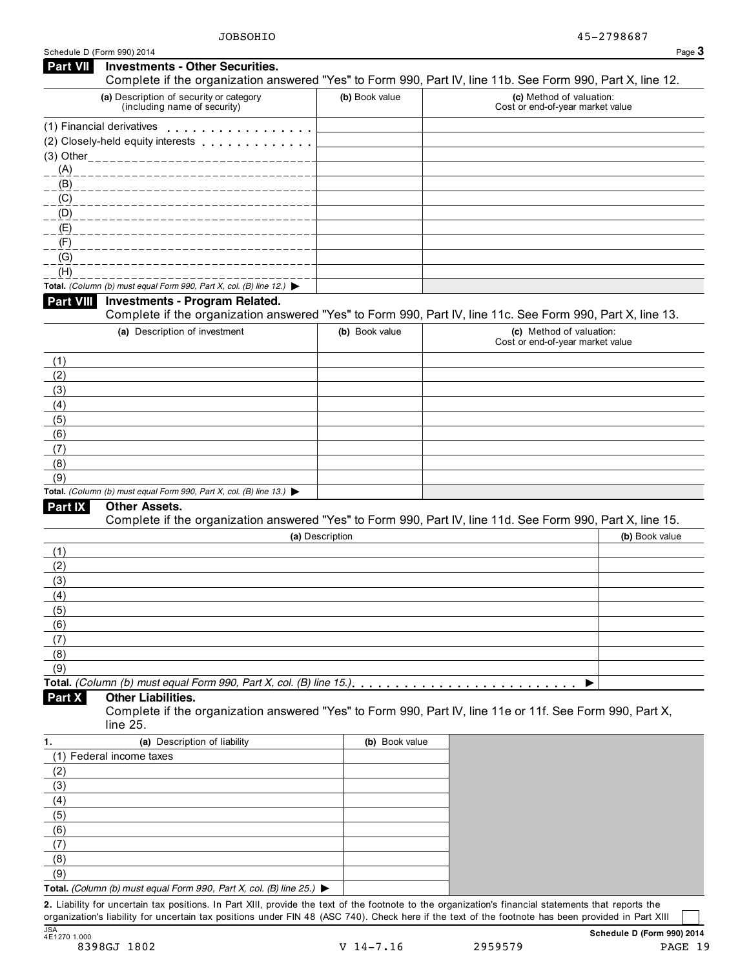| <b>Part VII</b>  | <b>Investments - Other Securities.</b>                                                                                                                                                                                        |                 | Complete if the organization answered "Yes" to Form 990, Part IV, line 11b. See Form 990, Part X, line 12. |
|------------------|-------------------------------------------------------------------------------------------------------------------------------------------------------------------------------------------------------------------------------|-----------------|------------------------------------------------------------------------------------------------------------|
|                  | (a) Description of security or category<br>(including name of security)                                                                                                                                                       | (b) Book value  | (c) Method of valuation:<br>Cost or end-of-year market value                                               |
|                  | (1) Financial derivatives experience of the state of the state of the state of the state of the state of the state of the state of the state of the state of the state of the state of the state of the state of the state of |                 |                                                                                                            |
|                  |                                                                                                                                                                                                                               |                 |                                                                                                            |
|                  | (3) Other_____________________                                                                                                                                                                                                |                 |                                                                                                            |
| (A)              |                                                                                                                                                                                                                               |                 |                                                                                                            |
| $ (B)$           |                                                                                                                                                                                                                               |                 |                                                                                                            |
| $C = (C)$        |                                                                                                                                                                                                                               |                 |                                                                                                            |
| (D)              |                                                                                                                                                                                                                               |                 |                                                                                                            |
| (E)              |                                                                                                                                                                                                                               |                 |                                                                                                            |
| (F)              |                                                                                                                                                                                                                               |                 |                                                                                                            |
| (G)              |                                                                                                                                                                                                                               |                 |                                                                                                            |
| (H)              |                                                                                                                                                                                                                               |                 |                                                                                                            |
|                  | Total. (Column (b) must equal Form 990, Part X, col. (B) line 12.) $\blacktriangleright$                                                                                                                                      |                 |                                                                                                            |
| <b>Part VIII</b> | <b>Investments - Program Related.</b>                                                                                                                                                                                         |                 |                                                                                                            |
|                  |                                                                                                                                                                                                                               |                 | Complete if the organization answered "Yes" to Form 990, Part IV, line 11c. See Form 990, Part X, line 13. |
|                  | (a) Description of investment                                                                                                                                                                                                 | (b) Book value  | (c) Method of valuation:<br>Cost or end-of-year market value                                               |
| (1)              |                                                                                                                                                                                                                               |                 |                                                                                                            |
| (2)              |                                                                                                                                                                                                                               |                 |                                                                                                            |
| (3)              |                                                                                                                                                                                                                               |                 |                                                                                                            |
| (4)              |                                                                                                                                                                                                                               |                 |                                                                                                            |
| (5)              |                                                                                                                                                                                                                               |                 |                                                                                                            |
| (6)              |                                                                                                                                                                                                                               |                 |                                                                                                            |
| (7)              |                                                                                                                                                                                                                               |                 |                                                                                                            |
| (8)              |                                                                                                                                                                                                                               |                 |                                                                                                            |
| (9)              | Total. (Column (b) must equal Form 990, Part X, col. (B) line 13.) $\blacktriangleright$                                                                                                                                      |                 |                                                                                                            |
| <b>Part IX</b>   | <b>Other Assets.</b>                                                                                                                                                                                                          |                 |                                                                                                            |
|                  |                                                                                                                                                                                                                               |                 | Complete if the organization answered "Yes" to Form 990, Part IV, line 11d. See Form 990, Part X, line 15. |
|                  |                                                                                                                                                                                                                               | (a) Description | (b) Book value                                                                                             |
| (1)              |                                                                                                                                                                                                                               |                 |                                                                                                            |
| (2)              |                                                                                                                                                                                                                               |                 |                                                                                                            |
| (3)              |                                                                                                                                                                                                                               |                 |                                                                                                            |
| (4)              |                                                                                                                                                                                                                               |                 |                                                                                                            |
| (5)              |                                                                                                                                                                                                                               |                 |                                                                                                            |
| (6)              |                                                                                                                                                                                                                               |                 |                                                                                                            |
| (7)              |                                                                                                                                                                                                                               |                 |                                                                                                            |
| (8)              |                                                                                                                                                                                                                               |                 |                                                                                                            |
| (9)              |                                                                                                                                                                                                                               |                 |                                                                                                            |
|                  | Total. (Column (b) must equal Form 990, Part X, col. (B) line 15.)                                                                                                                                                            |                 |                                                                                                            |
| Part X           | Other Liabilities.<br>line 25.                                                                                                                                                                                                |                 | Complete if the organization answered "Yes" to Form 990, Part IV, line 11e or 11f. See Form 990, Part X,   |
| 1.               | (a) Description of liability                                                                                                                                                                                                  | (b) Book value  |                                                                                                            |
|                  | (1) Federal income taxes                                                                                                                                                                                                      |                 |                                                                                                            |
| (2)              |                                                                                                                                                                                                                               |                 |                                                                                                            |
| (3)              |                                                                                                                                                                                                                               |                 |                                                                                                            |
| (4)              |                                                                                                                                                                                                                               |                 |                                                                                                            |
| (5)              |                                                                                                                                                                                                                               |                 |                                                                                                            |
| (6)              |                                                                                                                                                                                                                               |                 |                                                                                                            |
| (7)              |                                                                                                                                                                                                                               |                 |                                                                                                            |
| (8)              |                                                                                                                                                                                                                               |                 |                                                                                                            |

**2.** Liability for uncertain tax positions. In Part XIII, provide the text of the footnote to the organization's financial statements that reports the organization's liability for uncertain tax positions under FIN 48 (ASC 740). Check here if the text of the footnote has been provided in Part XIII

**Total.** *(Column (b) must equal Form 990, Part X, col. (B) line 25.)* I

(9)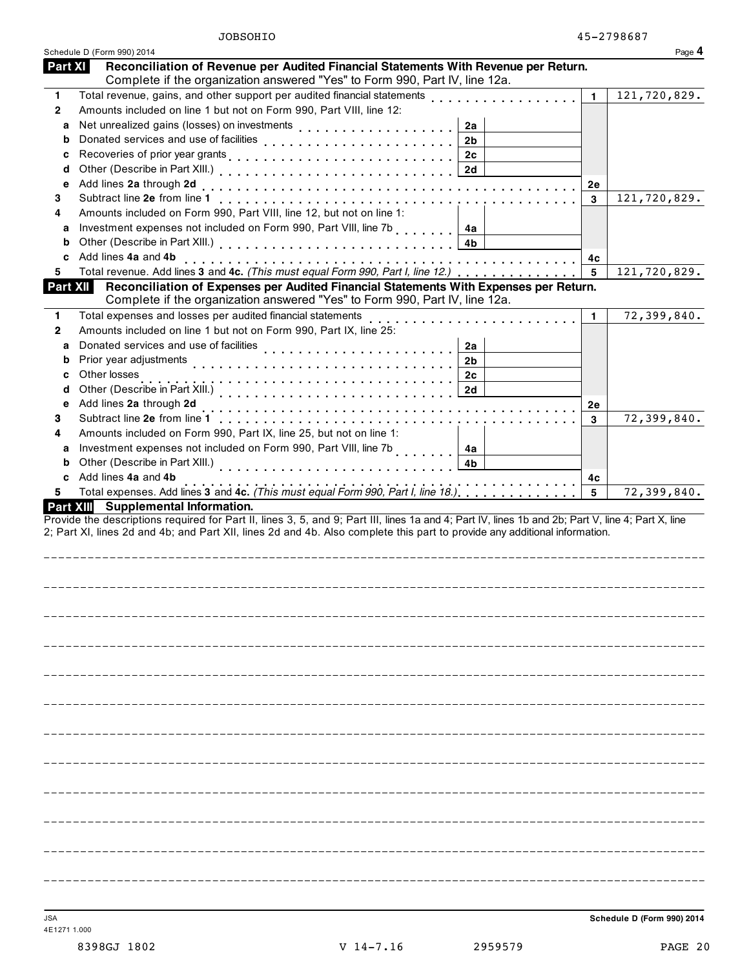|                | Schedule D (Form 990) 2014                                                                                                                                                                                                                                                       |                | Page 4       |
|----------------|----------------------------------------------------------------------------------------------------------------------------------------------------------------------------------------------------------------------------------------------------------------------------------|----------------|--------------|
| <b>Part XI</b> | Reconciliation of Revenue per Audited Financial Statements With Revenue per Return.<br>Complete if the organization answered "Yes" to Form 990, Part IV, line 12a.                                                                                                               |                |              |
| $\mathbf{1}$   | Total revenue, gains, and other support per audited financial statements                                                                                                                                                                                                         | $\mathbf{1}$   | 121,720,829. |
| $\mathbf{2}$   | Amounts included on line 1 but not on Form 990, Part VIII, line 12:                                                                                                                                                                                                              |                |              |
| a              | 2a                                                                                                                                                                                                                                                                               |                |              |
| b              | Donated services and use of facilities<br>2 <sub>b</sub>                                                                                                                                                                                                                         |                |              |
| c              | 2c                                                                                                                                                                                                                                                                               |                |              |
| d              | 2d                                                                                                                                                                                                                                                                               |                |              |
| е              | Add lines 2a through 2d                                                                                                                                                                                                                                                          | 2e             |              |
| 3              |                                                                                                                                                                                                                                                                                  | 3              | 121,720,829. |
| 4              | Amounts included on Form 990, Part VIII, line 12, but not on line 1:                                                                                                                                                                                                             |                |              |
| a              | Investment expenses not included on Form 990, Part VIII, line 7b<br>4a                                                                                                                                                                                                           |                |              |
| b              | 4b                                                                                                                                                                                                                                                                               |                |              |
| c              | Add lines 4a and 4b                                                                                                                                                                                                                                                              | 4c             |              |
| 5              | Total revenue. Add lines 3 and 4c. (This must equal Form 990, Part I, line 12.)                                                                                                                                                                                                  | 5              | 121,720,829. |
| Part XII       | Reconciliation of Expenses per Audited Financial Statements With Expenses per Return.<br>Complete if the organization answered "Yes" to Form 990, Part IV, line 12a.                                                                                                             |                |              |
| $\mathbf{1}$   | Total expenses and losses per audited financial statements                                                                                                                                                                                                                       | 1              | 72,399,840.  |
| $\mathbf{2}$   | Amounts included on line 1 but not on Form 990, Part IX, line 25:                                                                                                                                                                                                                |                |              |
| a              | Donated services and use of facilities<br>2a                                                                                                                                                                                                                                     |                |              |
| b              | Prior year adjustments<br>2b                                                                                                                                                                                                                                                     |                |              |
| c              | Other losses<br>2c                                                                                                                                                                                                                                                               |                |              |
| d              | Other (Describe in Part XIII.) (2002) (2003) (2014) (2014) (2014) (2014) (2014) (2014) (2014) (2014) (2014) (20<br>2d                                                                                                                                                            |                |              |
| е              | Add lines 2a through 2d                                                                                                                                                                                                                                                          | 2е             |              |
| 3              | Subtract line 2e from line 1                                                                                                                                                                                                                                                     | 3              | 72,399,840.  |
| 4              | Amounts included on Form 990, Part IX, line 25, but not on line 1:                                                                                                                                                                                                               |                |              |
| a              | Investment expenses not included on Form 990, Part VIII, line 7b<br>4a                                                                                                                                                                                                           |                |              |
| b              | Other (Describe in Part XIII.)<br>4b                                                                                                                                                                                                                                             |                |              |
| c              | Add lines 4a and 4b                                                                                                                                                                                                                                                              | 4 <sub>c</sub> |              |
| 5.             | Total expenses. Add lines 3 and 4c. (This must equal Form 990, Part I, line 18.)                                                                                                                                                                                                 | 5              | 72,399,840.  |
|                | Part XIII Supplemental Information.                                                                                                                                                                                                                                              |                |              |
|                | Provide the descriptions required for Part II, lines 3, 5, and 9; Part III, lines 1a and 4; Part IV, lines 1b and 2b; Part V, line 4; Part X, line<br>2; Part XI, lines 2d and 4b; and Part XII, lines 2d and 4b. Also complete this part to provide any additional information. |                |              |
|                |                                                                                                                                                                                                                                                                                  |                |              |
|                |                                                                                                                                                                                                                                                                                  |                |              |
|                |                                                                                                                                                                                                                                                                                  |                |              |
|                |                                                                                                                                                                                                                                                                                  |                |              |
|                |                                                                                                                                                                                                                                                                                  |                |              |
|                |                                                                                                                                                                                                                                                                                  |                |              |
|                |                                                                                                                                                                                                                                                                                  |                |              |
|                |                                                                                                                                                                                                                                                                                  |                |              |
|                |                                                                                                                                                                                                                                                                                  |                |              |
|                |                                                                                                                                                                                                                                                                                  |                |              |
|                |                                                                                                                                                                                                                                                                                  |                |              |
|                |                                                                                                                                                                                                                                                                                  |                |              |
|                |                                                                                                                                                                                                                                                                                  |                |              |
|                |                                                                                                                                                                                                                                                                                  |                |              |
|                |                                                                                                                                                                                                                                                                                  |                |              |
|                |                                                                                                                                                                                                                                                                                  |                |              |
|                |                                                                                                                                                                                                                                                                                  |                |              |
|                |                                                                                                                                                                                                                                                                                  |                |              |
|                |                                                                                                                                                                                                                                                                                  |                |              |
|                |                                                                                                                                                                                                                                                                                  |                |              |
|                |                                                                                                                                                                                                                                                                                  |                |              |
|                |                                                                                                                                                                                                                                                                                  |                |              |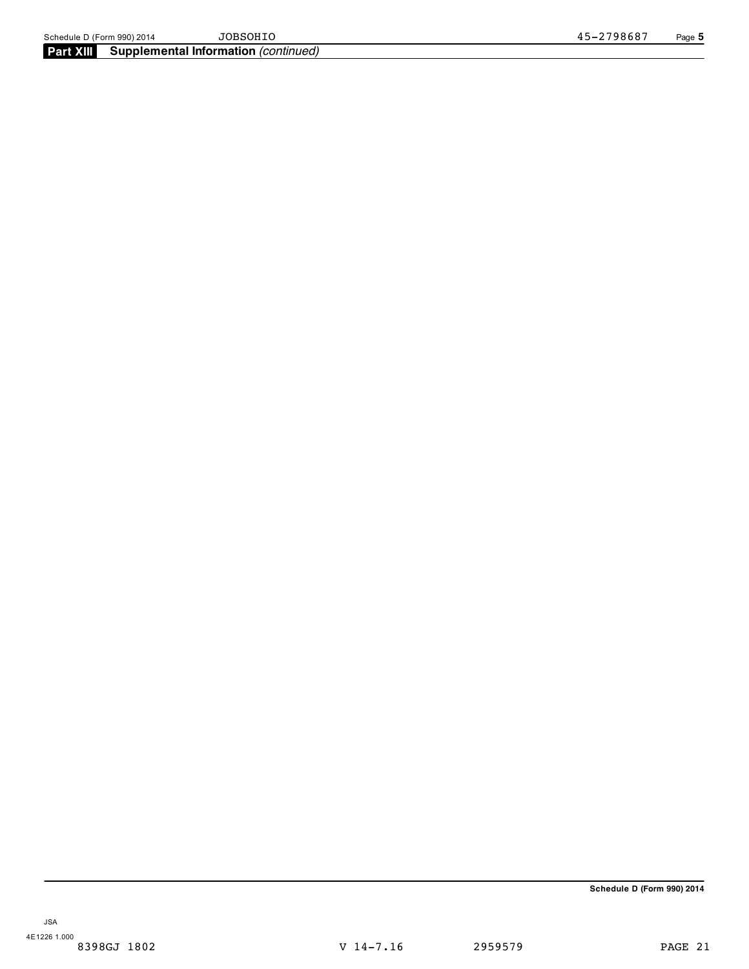**Schedule D (Form 990) 2014**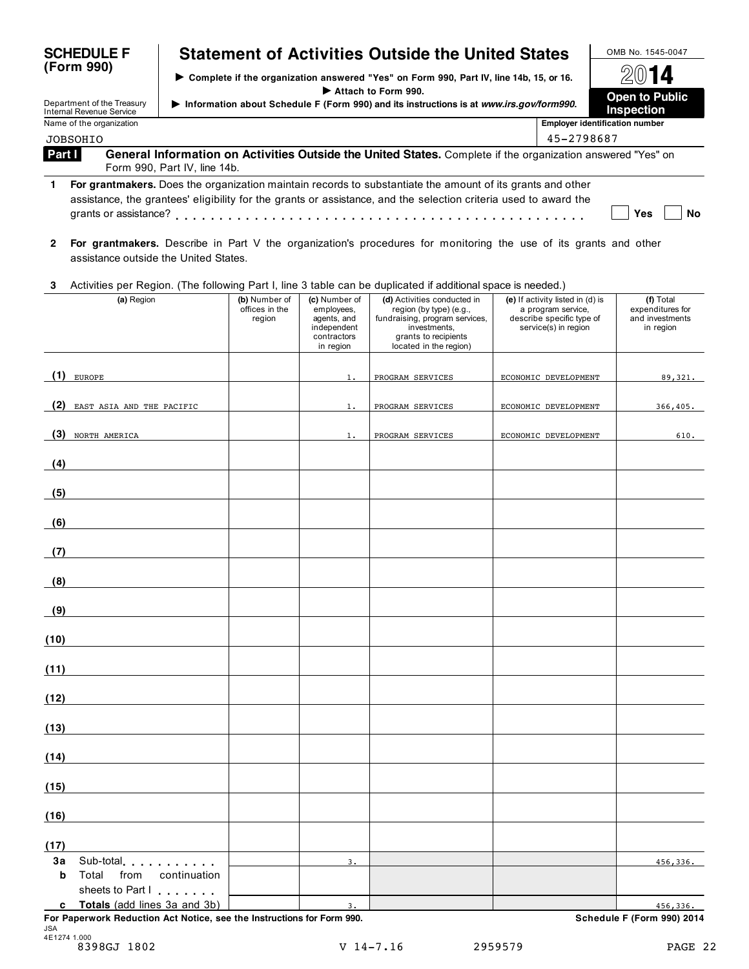|              | <b>SCHEDULE F</b>                                    |                              |                                           |                                                                                       | <b>Statement of Activities Outside the United States</b>                                                                                                                                                                       |                                                                                                             | OMB No. 1545-0047                                             |  |  |
|--------------|------------------------------------------------------|------------------------------|-------------------------------------------|---------------------------------------------------------------------------------------|--------------------------------------------------------------------------------------------------------------------------------------------------------------------------------------------------------------------------------|-------------------------------------------------------------------------------------------------------------|---------------------------------------------------------------|--|--|
|              | (Form 990)                                           |                              |                                           |                                                                                       | > Complete if the organization answered "Yes" on Form 990, Part IV, line 14b, 15, or 16.                                                                                                                                       |                                                                                                             | 2014                                                          |  |  |
|              | Department of the Treasury                           |                              |                                           |                                                                                       | Attach to Form 990.<br>Information about Schedule F (Form 990) and its instructions is at www.irs.gov/form990.                                                                                                                 |                                                                                                             | <b>Open to Public</b><br>Inspection                           |  |  |
|              | Internal Revenue Service<br>Name of the organization |                              |                                           |                                                                                       |                                                                                                                                                                                                                                |                                                                                                             | <b>Employer identification number</b>                         |  |  |
|              | <b>JOBSOHIO</b>                                      |                              |                                           |                                                                                       |                                                                                                                                                                                                                                | 45-2798687                                                                                                  |                                                               |  |  |
| Part I       |                                                      | Form 990, Part IV, line 14b. |                                           |                                                                                       | General Information on Activities Outside the United States. Complete if the organization answered "Yes" on                                                                                                                    |                                                                                                             |                                                               |  |  |
| 1            |                                                      |                              |                                           |                                                                                       | For grantmakers. Does the organization maintain records to substantiate the amount of its grants and other<br>assistance, the grantees' eligibility for the grants or assistance, and the selection criteria used to award the |                                                                                                             | Yes<br>No                                                     |  |  |
| $\mathbf{2}$ | assistance outside the United States.                |                              |                                           |                                                                                       | For grantmakers. Describe in Part V the organization's procedures for monitoring the use of its grants and other                                                                                                               |                                                                                                             |                                                               |  |  |
| 3            |                                                      |                              |                                           |                                                                                       | Activities per Region. (The following Part I, line 3 table can be duplicated if additional space is needed.)                                                                                                                   |                                                                                                             |                                                               |  |  |
|              | (a) Region                                           |                              | (b) Number of<br>offices in the<br>region | (c) Number of<br>employees,<br>agents, and<br>independent<br>contractors<br>in region | (d) Activities conducted in<br>region (by type) (e.g.,<br>fundraising, program services,<br>investments,<br>grants to recipients<br>located in the region)                                                                     | (e) If activity listed in (d) is<br>a program service,<br>describe specific type of<br>service(s) in region | (f) Total<br>expenditures for<br>and investments<br>in region |  |  |
| (1)          | <b>EUROPE</b>                                        |                              |                                           | $1$ .                                                                                 | PROGRAM SERVICES                                                                                                                                                                                                               | ECONOMIC DEVELOPMENT                                                                                        | 89,321.                                                       |  |  |
| (2)          | EAST ASIA AND THE PACIFIC                            |                              |                                           | 1.                                                                                    | PROGRAM SERVICES                                                                                                                                                                                                               | ECONOMIC DEVELOPMENT                                                                                        | 366,405.                                                      |  |  |
| (3)          | NORTH AMERICA                                        |                              |                                           | 1.                                                                                    | PROGRAM SERVICES                                                                                                                                                                                                               | ECONOMIC DEVELOPMENT                                                                                        | 610.                                                          |  |  |
| (4)          |                                                      |                              |                                           |                                                                                       |                                                                                                                                                                                                                                |                                                                                                             |                                                               |  |  |
| (5)          |                                                      |                              |                                           |                                                                                       |                                                                                                                                                                                                                                |                                                                                                             |                                                               |  |  |
| (6)          |                                                      |                              |                                           |                                                                                       |                                                                                                                                                                                                                                |                                                                                                             |                                                               |  |  |
| (7)          |                                                      |                              |                                           |                                                                                       |                                                                                                                                                                                                                                |                                                                                                             |                                                               |  |  |
| (8)          |                                                      |                              |                                           |                                                                                       |                                                                                                                                                                                                                                |                                                                                                             |                                                               |  |  |
| (9)          |                                                      |                              |                                           |                                                                                       |                                                                                                                                                                                                                                |                                                                                                             |                                                               |  |  |
| (10)         |                                                      |                              |                                           |                                                                                       |                                                                                                                                                                                                                                |                                                                                                             |                                                               |  |  |
| (11)         |                                                      |                              |                                           |                                                                                       |                                                                                                                                                                                                                                |                                                                                                             |                                                               |  |  |
| (12)         |                                                      |                              |                                           |                                                                                       |                                                                                                                                                                                                                                |                                                                                                             |                                                               |  |  |
| (13)         |                                                      |                              |                                           |                                                                                       |                                                                                                                                                                                                                                |                                                                                                             |                                                               |  |  |
| (14)         |                                                      |                              |                                           |                                                                                       |                                                                                                                                                                                                                                |                                                                                                             |                                                               |  |  |
| (15)         |                                                      |                              |                                           |                                                                                       |                                                                                                                                                                                                                                |                                                                                                             |                                                               |  |  |
| (16)         |                                                      |                              |                                           |                                                                                       |                                                                                                                                                                                                                                |                                                                                                             |                                                               |  |  |
| (17)         |                                                      |                              |                                           |                                                                                       |                                                                                                                                                                                                                                |                                                                                                             |                                                               |  |  |
| За           | Sub-total experience in the set                      |                              |                                           | 3.                                                                                    |                                                                                                                                                                                                                                |                                                                                                             | 456,336.                                                      |  |  |
| b            | Total<br>from<br>sheets to Part I                    | continuation                 |                                           |                                                                                       |                                                                                                                                                                                                                                |                                                                                                             |                                                               |  |  |
| c            | Totals (add lines 3a and 3b)                         |                              |                                           | 3.                                                                                    |                                                                                                                                                                                                                                |                                                                                                             | 456,336.                                                      |  |  |

**For Paperwork Reduction Act Notice, see the Instructions for Form 990. Schedule F (Form 990) 2014** JSA 4E1274 1.000 8398GJ 1802 V 14-7.16 2959579 PAGE 22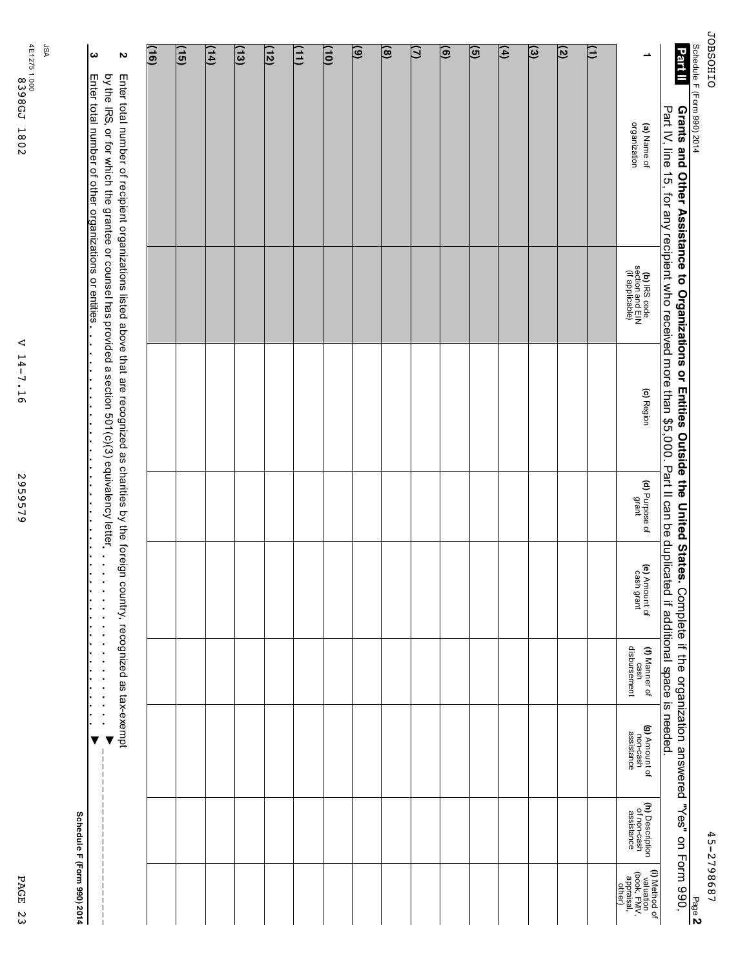45-2798687 45-2798687

Page **2**

| i |  |
|---|--|
|   |  |
|   |  |
|   |  |
|   |  |
|   |  |
|   |  |

Schedule

F (Form

990) 2014

| (16) | (15) | $\frac{1}{4}$ | $\overline{(13)}$ | (12) | (11) | $\overline{10}$ | $\circledcirc$ | $\circledast$ | $\mathbf{\Omega}$ | ම | ত্ৰ | $\left( 4\right)$ | $\circledcirc$ | $\overline{5}$ | Ξ |                                                                   | Part II                                                                                                                                                                                                                                 |
|------|------|---------------|-------------------|------|------|-----------------|----------------|---------------|-------------------|---|-----|-------------------|----------------|----------------|---|-------------------------------------------------------------------|-----------------------------------------------------------------------------------------------------------------------------------------------------------------------------------------------------------------------------------------|
|      |      |               |                   |      |      |                 |                |               |                   |   |     |                   |                |                |   | organization<br>(a) Name of                                       | <b>Grants and Other Assistance to Organizations or Entities Outside the United States.</b> Complete if the organization ar<br>Part IV, line 15, for any recipient who received more than \$5,000. Part II can be duplicated if addition |
|      |      |               |                   |      |      |                 |                |               |                   |   |     |                   |                |                |   | (b) IRS code<br>section and EIN<br>(if applicable)                |                                                                                                                                                                                                                                         |
|      |      |               |                   |      |      |                 |                |               |                   |   |     |                   |                |                |   | (c) Region                                                        |                                                                                                                                                                                                                                         |
|      |      |               |                   |      |      |                 |                |               |                   |   |     |                   |                |                |   | (d) Purpose of<br>grant                                           |                                                                                                                                                                                                                                         |
|      |      |               |                   |      |      |                 |                |               |                   |   |     |                   |                |                |   | (e) Amount of<br>cash grant                                       |                                                                                                                                                                                                                                         |
|      |      |               |                   |      |      |                 |                |               |                   |   |     |                   |                |                |   | cash<br>disbursement<br>(f) Manner of                             |                                                                                                                                                                                                                                         |
|      |      |               |                   |      |      |                 |                |               |                   |   |     |                   |                |                |   | (g) Amount of<br>non-cash<br>assistance                           | Complete if the organization answered "Yes" on Form 990,                                                                                                                                                                                |
|      |      |               |                   |      |      |                 |                |               |                   |   |     |                   |                |                |   | (h) Description<br>of non-cash<br>assistance                      |                                                                                                                                                                                                                                         |
|      |      |               |                   |      |      |                 |                |               |                   |   |     |                   |                |                |   | (I) Method of<br>valuation<br>(book, FMV,<br>appraisal,<br>other) |                                                                                                                                                                                                                                         |

| 1.000<br>839<br><b>8GJ</b> | 4Ē.<br>1275. | ΨSΓ |
|----------------------------|--------------|-----|
| 1802                       |              |     |

**2**

Enter

হ the IRS, or for which

**3**

Enter

total

number

Չ, other

organizations

or

total

number

Չ,

recipient

the

grantee

or

counsel

has

provided a section

501(c)(3)

equivalency

entities m m m m m m m m m m m m m m m m m m m m m m m m m m m m m m m m m m m m m m m m m m m m m m

letter

organizations

listed

above

that ar<br>a

recognized

as

charities

হ the

foreign

country,

recognized

m m m m m m m m m m m m m m m m m m m m m

as

tax-exempt

IV V

**Schedule**

**F (Form**

**990) 2014**

 $\begin{bmatrix} 1 \\ 1 \\ 1 \end{bmatrix}$ 

| ⊲                        |  |
|--------------------------|--|
|                          |  |
| ۳                        |  |
| ↛                        |  |
| ı                        |  |
| ٦                        |  |
| ٠                        |  |
| $\overline{\phantom{0}}$ |  |
| ᡡ                        |  |
|                          |  |
|                          |  |
|                          |  |
|                          |  |
|                          |  |
|                          |  |
|                          |  |
|                          |  |
|                          |  |
|                          |  |
| N<br>J                   |  |

2959579 959579

PAGE 23 PAGE 23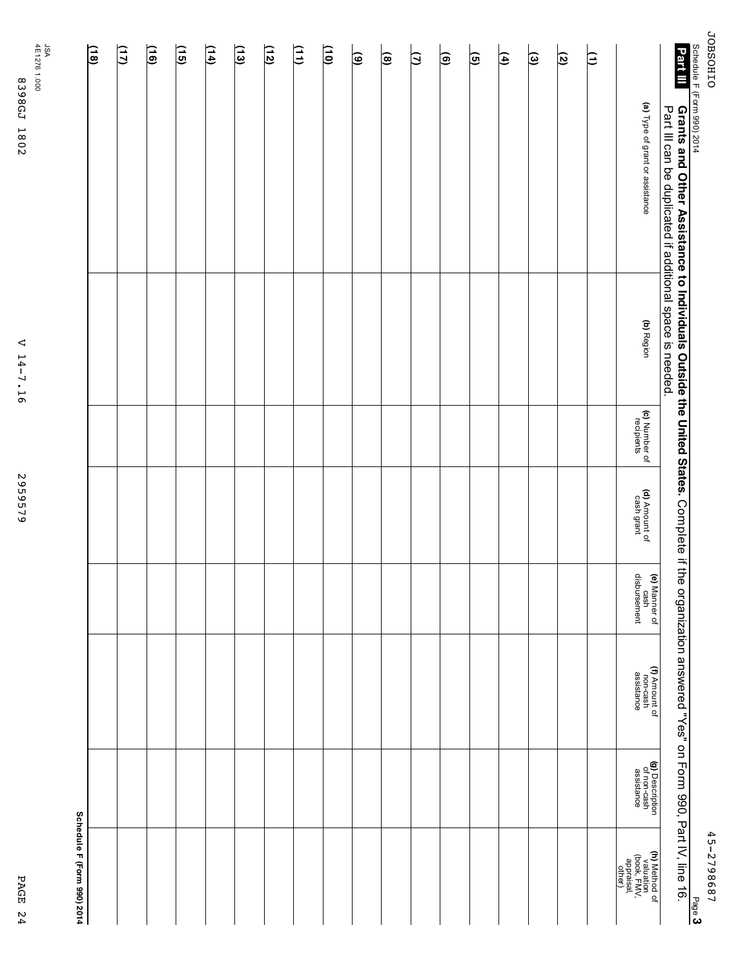**JOBSOHIO** JOBSOHIO Schedule F (Form 990)

|                | l<br>I           |
|----------------|------------------|
| 1              | .<br>.<br>.<br>. |
| Page<br>ć<br>١ |                  |

| Part III<br>chedule F (Form 990) 2014<br><b>Grants and Other Assistance to Individuals Outside the United States.</b> Complete if the organization answered "Yes" on Form 990, Part IV, line 16.<br>Part III can be duplicated if additional space is needed. | (a) Type of grant or assistance<br>(b) Region<br>(c) Number of<br>recipients<br>(d) Amount of<br>cash grant<br>(e) Manner of<br>cash<br>disbursement | Ξ | ত | ভি | $\left  \widehat{4}\right\rangle$ | তি | ම | β | ၜႄ | ම | $\frac{1}{2}$ | $\left(11\right)$ | (12) | $\widetilde{\Xi}$ | $\left(14\right)$ | $\overline{15}$ | $\frac{1}{2}$ | (17) |
|---------------------------------------------------------------------------------------------------------------------------------------------------------------------------------------------------------------------------------------------------------------|------------------------------------------------------------------------------------------------------------------------------------------------------|---|---|----|-----------------------------------|----|---|---|----|---|---------------|-------------------|------|-------------------|-------------------|-----------------|---------------|------|
|                                                                                                                                                                                                                                                               |                                                                                                                                                      |   |   |    |                                   |    |   |   |    |   |               |                   |      |                   |                   |                 |               |      |
|                                                                                                                                                                                                                                                               | (f) Amount of<br>non-cash<br>assistance<br>(g) Description<br>of non-cash<br>assistance                                                              |   |   |    |                                   |    |   |   |    |   |               |                   |      |                   |                   |                 |               |      |
| Page 3                                                                                                                                                                                                                                                        | (h) Method of<br>valuation<br>(book, FMV,<br>appraisal,<br>other)                                                                                    |   |   |    |                                   |    |   |   |    |   |               |                   |      |                   |                   |                 |               |      |

2959579 2959579

4E1276 8398GJ 1802 1.000 8398GJ 1802

JSA

V 14-7.16 V 14-7.16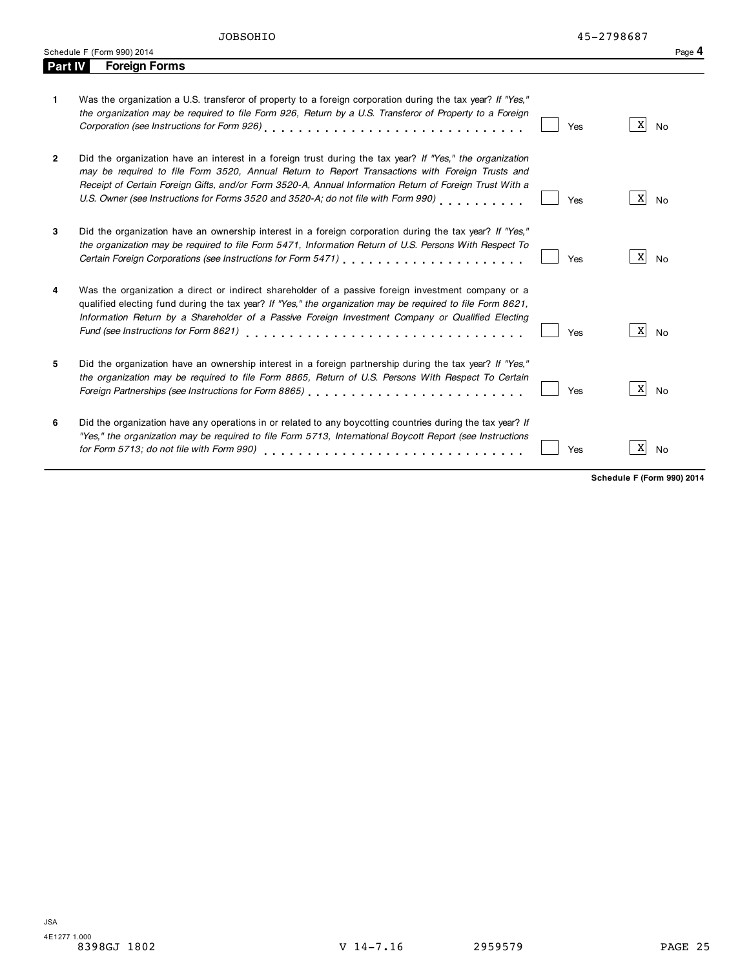| Part IV        | <b>Foreign Forms</b>                                                                                                                                                                                                                                                                                                                                                                                         |            |                |
|----------------|--------------------------------------------------------------------------------------------------------------------------------------------------------------------------------------------------------------------------------------------------------------------------------------------------------------------------------------------------------------------------------------------------------------|------------|----------------|
| 1.             | Was the organization a U.S. transferor of property to a foreign corporation during the tax year? If "Yes,"<br>the organization may be required to file Form 926, Return by a U.S. Transferor of Property to a Foreign<br>Corporation (see Instructions for Form 926)                                                                                                                                         | Yes        | X<br><b>No</b> |
| $\overline{2}$ | Did the organization have an interest in a foreign trust during the tax year? If "Yes," the organization<br>may be required to file Form 3520, Annual Return to Report Transactions with Foreign Trusts and<br>Receipt of Certain Foreign Gifts, and/or Form 3520-A, Annual Information Return of Foreign Trust With a<br>U.S. Owner (see Instructions for Forms 3520 and 3520-A; do not file with Form 990) | <b>Yes</b> | X              |

|   |                                                                                                                                                                                                                                                                                                                       |     | .               |
|---|-----------------------------------------------------------------------------------------------------------------------------------------------------------------------------------------------------------------------------------------------------------------------------------------------------------------------|-----|-----------------|
| 3 | Did the organization have an ownership interest in a foreign corporation during the tax year? If "Yes,"<br>the organization may be required to file Form 5471, Information Return of U.S. Persons With Respect To                                                                                                     | Yes | No              |
| 4 | Was the organization a direct or indirect shareholder of a passive foreign investment company or a<br>qualified electing fund during the tax year? If "Yes," the organization may be required to file Form 8621,<br>Information Return by a Shareholder of a Passive Foreign Investment Company or Qualified Electing | Yes | X <br><b>No</b> |
| 5 | Did the organization have an ownership interest in a foreign partnership during the tax year? If "Yes,"<br>the organization may be required to file Form 8865, Return of U.S. Persons With Respect To Certain                                                                                                         | Yes | X<br><b>No</b>  |
| 6 | Did the organization have any operations in or related to any boycotting countries during the tax year? If<br>"Yes," the organization may be required to file Form 5713, International Boycott Report (see Instructions                                                                                               | Yes | X<br>No         |

Schedule <sup>F</sup> (Form 990) <sup>2014</sup> Page **4**

**Schedule F (Form 990) 2014**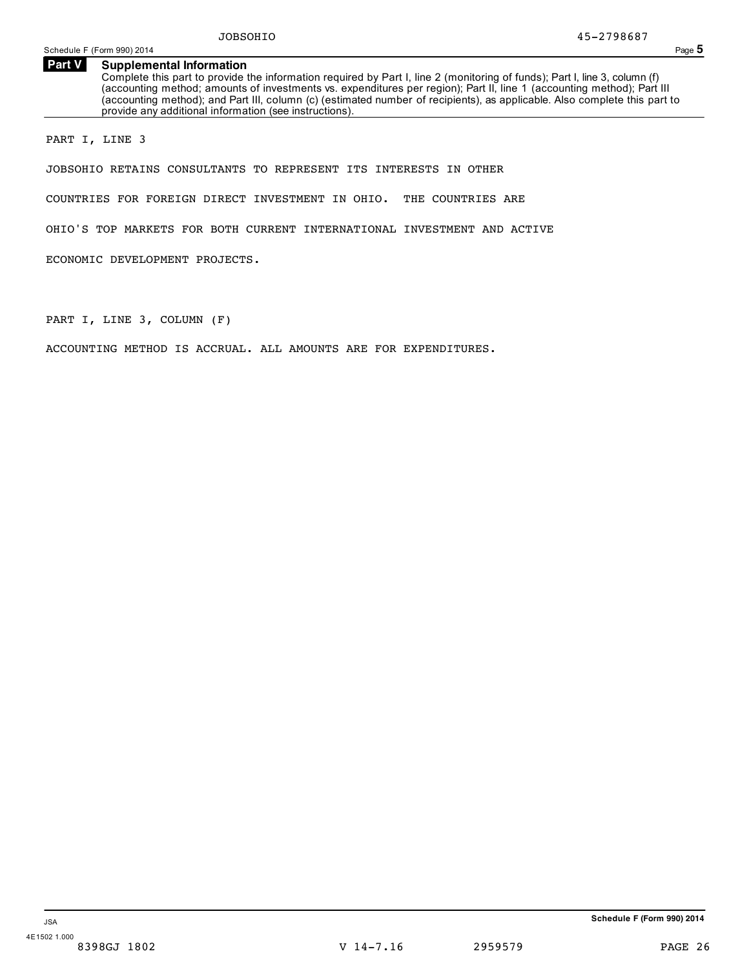### **Supplemental Information Part V**

Complete this part to provide the information required by Part I, line 2 (monitoring of funds); Part I, line 3, column (f) (accounting method; amounts of investments vs. expenditures per region); Part II, line 1 (accounting method); Part III (accounting method); and Part III, column (c) (estimated number of recipients), as applicable. Also complete this part to provide any additional information (see instructions).

PART I, LINE 3

JOBSOHIO RETAINS CONSULTANTS TO REPRESENT ITS INTERESTS IN OTHER

COUNTRIES FOR FOREIGN DIRECT INVESTMENT IN OHIO. THE COUNTRIES ARE

OHIO'S TOP MARKETS FOR BOTH CURRENT INTERNATIONAL INVESTMENT AND ACTIVE

ECONOMIC DEVELOPMENT PROJECTS.

PART I, LINE 3, COLUMN (F)

ACCOUNTING METHOD IS ACCRUAL. ALL AMOUNTS ARE FOR EXPENDITURES.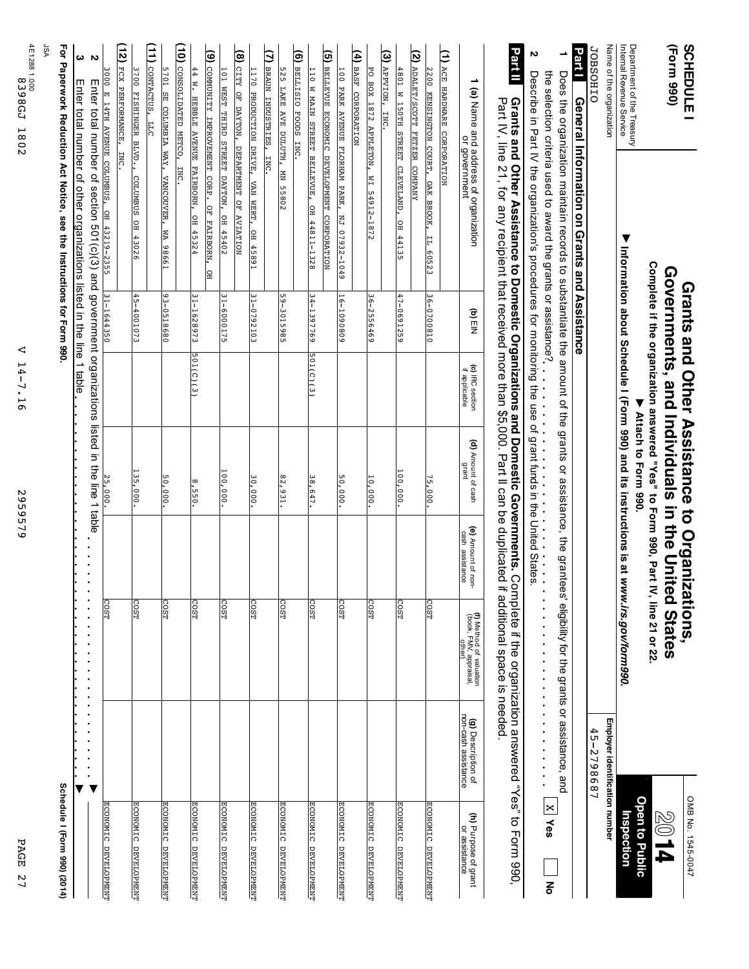| PAGE<br>77                                   |                                                  |                                                                                           | 959579                                | $\sim$                                                        | ◁<br>$14 -$<br>$-7.16$           |                              |                                                                                                                                                                                     | 4E1288 1.000.1 885134<br>1802                         |
|----------------------------------------------|--------------------------------------------------|-------------------------------------------------------------------------------------------|---------------------------------------|---------------------------------------------------------------|----------------------------------|------------------------------|-------------------------------------------------------------------------------------------------------------------------------------------------------------------------------------|-------------------------------------------------------|
|                                              |                                                  |                                                                                           |                                       |                                                               |                                  |                              |                                                                                                                                                                                     | ASL                                                   |
| Schedule I (Form 990) (2014)                 |                                                  |                                                                                           |                                       |                                                               |                                  |                              | For Paperwork Reduction Act Notice, see the Instructions for Form 990.                                                                                                              |                                                       |
|                                              |                                                  |                                                                                           |                                       |                                                               |                                  |                              | Enter total number of other organizations listed in the line 1 table                                                                                                                | ω                                                     |
|                                              | ▼                                                |                                                                                           |                                       |                                                               |                                  |                              | Enter total number of section 501(c)(3) and government organizations listed in the line 1 table                                                                                     | $\sim$                                                |
| ECONOMIC DEVELOPMENT                         |                                                  | <b>COST</b>                                                                               |                                       | 25,000.                                                       |                                  | 31-1644350                   | 3000 E 14TH AVENUE COLUMBUS, OH 43219-2355                                                                                                                                          |                                                       |
|                                              |                                                  |                                                                                           |                                       |                                                               |                                  |                              | INC.                                                                                                                                                                                | (12)<br>FCX PERFORMANCE,                              |
| <b>ECONOMIC DEVELOPMENT</b>                  |                                                  | COST                                                                                      |                                       | 135,000.                                                      |                                  | 45-4001073                   | COLUMBUS<br>OH 43026                                                                                                                                                                | 3700 FISHINGER BLVD.                                  |
|                                              |                                                  |                                                                                           |                                       |                                                               |                                  |                              |                                                                                                                                                                                     | (11) CONTACTUS,<br>E                                  |
| ECONOMIC DEVELOPMENT                         |                                                  | <b>COST</b>                                                                               |                                       | 50,000                                                        |                                  | $93 - 0518680$               | 5701 SE COLUMBIA WAY, VANCOUVER, WA 98661                                                                                                                                           |                                                       |
|                                              |                                                  |                                                                                           |                                       |                                                               |                                  |                              | <b>INC</b>                                                                                                                                                                          | (10) CONSOLIDATED METCO,                              |
| ECONOMIC DEVELOPMENT                         |                                                  | <b>COST</b>                                                                               |                                       | 8,550                                                         | 501(C)(3)                        | 31-1628973                   | 44 W. HEBBLE AVENUE FAIRBORN, OH 45324                                                                                                                                              |                                                       |
|                                              |                                                  |                                                                                           |                                       |                                                               |                                  |                              | OF FAIRBORN,<br>ļа                                                                                                                                                                  | (9) COMMUNITY IMPROVEMENT CORP.                       |
| ECONOMIC DEVELOPMENT                         |                                                  | COST                                                                                      |                                       | $\frac{100}{100}$ , 000.                                      |                                  | 31-6000175                   | OH 45402                                                                                                                                                                            | 101 WEST THIRD STREET DAYTON,                         |
|                                              |                                                  |                                                                                           |                                       |                                                               |                                  |                              |                                                                                                                                                                                     | (8) CITY OF DAYTON, DEPARTMENT OF AVIATION            |
| ECONOMIC DEVELOPMENT                         |                                                  | COST                                                                                      |                                       | 30,000                                                        |                                  | $31 - 0792103$               | 1170 PRODUCTION DRIVE, VAN WERT, OH 45891                                                                                                                                           |                                                       |
|                                              |                                                  |                                                                                           |                                       |                                                               |                                  |                              |                                                                                                                                                                                     | (7) BRAUN INDUSTRIES, INC.                            |
| ECONOMIC DEVELOPMENT                         |                                                  | <b>COST</b>                                                                               |                                       | 82,931.                                                       |                                  | $59 - 3015985$               | MN 55802                                                                                                                                                                            | 525<br>LAKE AVE DULUTH,                               |
|                                              |                                                  |                                                                                           |                                       |                                                               |                                  |                              |                                                                                                                                                                                     | $\overline{9}$<br>BELLISIO FOODS<br>INC.              |
| ECONOMIC DEVELOPMENT                         |                                                  | COST                                                                                      |                                       | $\frac{38,647}{2}$                                            | 501(C)(3)                        | 34-1397769                   | 110 W MAIN STREET BELLEVUE, OH 44811-1328                                                                                                                                           |                                                       |
|                                              |                                                  |                                                                                           |                                       |                                                               |                                  |                              | BELLEVUE ECONOMIC DEVELOPMENT CORPORATION                                                                                                                                           | ত্র                                                   |
| ECONOMIC DEVELOPMENT                         |                                                  | COST                                                                                      |                                       | 50,000.                                                       |                                  | 16-1090809                   | NJ 07932-1049                                                                                                                                                                       | 100 PARK AVENUE FLORHAM PARK,                         |
|                                              |                                                  |                                                                                           |                                       |                                                               |                                  |                              |                                                                                                                                                                                     | (4) BASF CORPORATION                                  |
| ECONOMIC DEVELOPMENT                         |                                                  | COST                                                                                      |                                       | 10,000.                                                       |                                  | 36-2556469                   | EM<br>54912-1872                                                                                                                                                                    | PO BOX 1872 APPLETON,                                 |
|                                              |                                                  |                                                                                           |                                       |                                                               |                                  |                              |                                                                                                                                                                                     | (3) дрругом,<br><b>INC</b>                            |
| ECONOMIC DEVELOPMENT                         |                                                  | COST                                                                                      |                                       | $\frac{100}{100}$ , 000                                       |                                  | $47 - 0691259$               | 4801 W 150TH STREET CLEVELAND, OH 44135                                                                                                                                             |                                                       |
|                                              |                                                  |                                                                                           |                                       |                                                               |                                  |                              |                                                                                                                                                                                     |                                                       |
|                                              |                                                  |                                                                                           |                                       |                                                               |                                  |                              |                                                                                                                                                                                     | (2) ADALET/SCOTT FETZER COMPANY                       |
| ECONOMIC DEVELOPMENT                         |                                                  | COST                                                                                      |                                       | 75,000.                                                       |                                  | 36-0700810                   | Ħ<br>60523                                                                                                                                                                          | 2200 KENSINGTON COURT, OAK BROOK,                     |
|                                              |                                                  |                                                                                           |                                       |                                                               |                                  |                              |                                                                                                                                                                                     | (1) ACE HARDWARE CORPORATION                          |
| <b>(h)</b> Purpose of grant<br>or assistance | <b>(g)</b> Description of<br>non-cash assistance | (f) Method of valuation<br>(book, FMV, appraisal,<br>other)                               | (e) Amount of non-<br>cash assistance | (d) Amount of cash<br>grant                                   | (c) IRC section<br>if applicable | $\mathbf{a}$<br>$\mathbf{b}$ | 1 (a) Name and address of organization<br>or government                                                                                                                             |                                                       |
|                                              |                                                  |                                                                                           |                                       |                                                               |                                  |                              |                                                                                                                                                                                     |                                                       |
|                                              |                                                  | omplete if the organization answered "Yes" to Form 990,<br>if additional space is needed. |                                       |                                                               |                                  |                              | Grants and Other Assistance to Domestic Organizations and Domestic Governments. C<br>Part IV, line 21, for any recipient that received more than \$5,000. Part II can be duplicated | Part II                                               |
|                                              |                                                  |                                                                                           |                                       |                                                               |                                  |                              |                                                                                                                                                                                     |                                                       |
|                                              |                                                  | j,<br>$\ddot{\phantom{0}}$<br>$\ddot{\phantom{0}}$                                        |                                       |                                                               |                                  |                              |                                                                                                                                                                                     | N                                                     |
| $\overline{X}$ Ves<br>종                      |                                                  |                                                                                           |                                       |                                                               |                                  |                              | the selection criteria used to award the grants or assistance?                                                                                                                      |                                                       |
|                                              |                                                  |                                                                                           |                                       |                                                               |                                  |                              | Does the organization maintain records to substantiate the amount of the grants or assistance, the grantees' eligibility for the grants or assistance, and                          |                                                       |
|                                              |                                                  |                                                                                           |                                       |                                                               |                                  |                              | General Information on Grants and Assistance                                                                                                                                        | <b>Part1</b>                                          |
|                                              | 45-2798687                                       |                                                                                           |                                       |                                                               |                                  |                              |                                                                                                                                                                                     | <b>JOBSOHIO</b>                                       |
|                                              | Employer identification number                   |                                                                                           |                                       |                                                               |                                  |                              |                                                                                                                                                                                     | Name of the organization                              |
| Inspection                                   |                                                  | Information about Schedule I (Form 990) and its instructions is at www.irs.gov/form990    |                                       |                                                               |                                  |                              | $\blacktriangledown$                                                                                                                                                                | Department of the Treasury<br>Intemal Revenue Service |
| <b>Open to Public</b>                        |                                                  |                                                                                           |                                       | Attach to Form 990.                                           |                                  |                              |                                                                                                                                                                                     |                                                       |
| P L 08                                       |                                                  | IV, line 21 or 22.                                                                        |                                       | Complete if the organization answered "Yes" to Form 990, Part |                                  |                              |                                                                                                                                                                                     |                                                       |
|                                              |                                                  |                                                                                           |                                       | Governments, and Individuals in the United States             |                                  |                              |                                                                                                                                                                                     | (Form 990)                                            |
| OMB No. 1545-0047                            |                                                  |                                                                                           |                                       | Grants and Other Assistance to Organizations,                 |                                  |                              |                                                                                                                                                                                     | <b>SCHEDULE</b>                                       |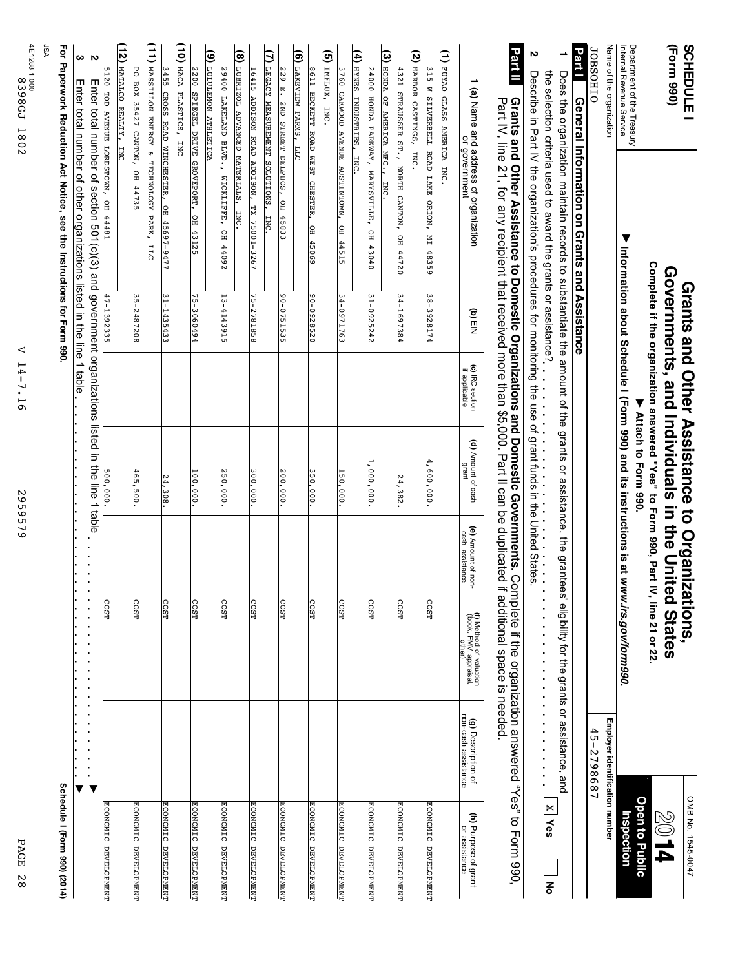| SCHEDULE                                               |                                                                                                                                                                                     |                |                                  | Grants and Other Assistance to Organizations,                                                           |                                       |                                                                                                                                                                            |                                                                                            | OMB No. 1545-0047                            |
|--------------------------------------------------------|-------------------------------------------------------------------------------------------------------------------------------------------------------------------------------------|----------------|----------------------------------|---------------------------------------------------------------------------------------------------------|---------------------------------------|----------------------------------------------------------------------------------------------------------------------------------------------------------------------------|--------------------------------------------------------------------------------------------|----------------------------------------------|
| (Form 990)                                             |                                                                                                                                                                                     |                |                                  | Governments, and Individuals in the Chited                                                              |                                       | States                                                                                                                                                                     |                                                                                            | $\blacktriangledown$                         |
|                                                        |                                                                                                                                                                                     |                |                                  | Complete if the organization answered "Yes" to Form 990, Part IV, line 21 or 22.<br>Attach to Form 990. |                                       |                                                                                                                                                                            |                                                                                            | <b>Open to Public</b>                        |
| Internal Revenue Service<br>Department of the Treasury | $\blacktriangledown$                                                                                                                                                                |                |                                  |                                                                                                         |                                       | Information about Schedule I (Form 990) and its instructions is at www.irs.gov/form990                                                                                     |                                                                                            | Inspection                                   |
| Name of the organization                               |                                                                                                                                                                                     |                |                                  |                                                                                                         |                                       |                                                                                                                                                                            | Employer identification number                                                             |                                              |
| <b>JOBSOHIO</b>                                        |                                                                                                                                                                                     |                |                                  |                                                                                                         |                                       |                                                                                                                                                                            | 45-2798687                                                                                 |                                              |
| <b>Part</b> T                                          | General Information on Grants and Assistance                                                                                                                                        |                |                                  |                                                                                                         |                                       |                                                                                                                                                                            |                                                                                            |                                              |
| ∸                                                      | Does the organization maintain records to substantiate the amount of the grants or assistance, the grante                                                                           |                |                                  |                                                                                                         | Ğ,                                    | eligibility for the grants or assistance, and                                                                                                                              |                                                                                            | $\times$<br>Yes<br>종                         |
| N                                                      | the selection criteria used to award the grants or assistance?<br>Describe in Part IV the organization's procedures for monitoring the use of grant funds in the United States.     |                |                                  |                                                                                                         |                                       | ×<br>$\blacksquare$<br>×<br>$\ddot{\phantom{0}}$<br>$\ddot{\phantom{0}}$                                                                                                   | i,<br>$\blacksquare$<br>$\blacksquare$<br>i,<br>i,<br>×<br>$\blacksquare$                  |                                              |
| Part II                                                | Part IV, line 21, for any recipient that received more than \$5,000. Part II can be duplicated<br>Grants and Other Assistance to Domestic Organizations and Domestic Governments. C |                |                                  |                                                                                                         |                                       | if additional space is needed<br>omplete if the organization answered "Yes"                                                                                                |                                                                                            | to Form 990,                                 |
|                                                        | 1 (a) Name and address of organization<br>or government                                                                                                                             | (d)<br>ElN     | (c) IRC section<br>if applicable | (d) Amount of cash<br>grant                                                                             | (e) Amount of non-<br>cash assistance | (f) Method of valuation<br>(book, FMV, appraisal,<br>other                                                                                                                 | <b>(g)</b> Description of<br>non-cash assistance                                           | <b>(h)</b> Purpose of grant<br>or assistance |
| (1) FUYAO GLASS AMERICA INC.                           |                                                                                                                                                                                     |                |                                  |                                                                                                         |                                       |                                                                                                                                                                            |                                                                                            |                                              |
| 315 W SILVERBELL ROAD LAKE ORION,                      | E<br>$\frac{48359}{2}$                                                                                                                                                              | 38-3928174     |                                  | 4,600,000                                                                                               |                                       | COST <sub></sub>                                                                                                                                                           |                                                                                            | ECONOMIC DEVELOPMENT                         |
| $\widetilde{\mathcal{E}}$<br>HARBOR CASTINGS,          | <b>ENC</b>                                                                                                                                                                          |                |                                  |                                                                                                         |                                       |                                                                                                                                                                            |                                                                                            |                                              |
| 4321 STRAUSSER ST., NORTH CANTON,                      | ∣≘<br>44720                                                                                                                                                                         | $34 - 1697384$ |                                  | 24,382                                                                                                  |                                       | COST                                                                                                                                                                       |                                                                                            | ECONOMIC DEVELOPMENT                         |
| $(3)$ HONDA<br>OF AMERICA MFG.,                        | INC.                                                                                                                                                                                |                |                                  |                                                                                                         |                                       |                                                                                                                                                                            |                                                                                            |                                              |
| 24000 HONDA PARKWAY,                                   | MARYSVILLE,<br>OH 43040                                                                                                                                                             | $31 - 0925242$ |                                  | 000,000,000                                                                                             |                                       | COST                                                                                                                                                                       |                                                                                            | ECONOMIC DEVELOPMENT                         |
| (4) HYNES INDUSTRIES,                                  | INC.                                                                                                                                                                                |                |                                  |                                                                                                         |                                       |                                                                                                                                                                            |                                                                                            |                                              |
| 3760 OAKWOOD AVENUE AUSTINTOWN,                        | OH 44515                                                                                                                                                                            | 34-0971763     |                                  | 150,000                                                                                                 |                                       | COST <sub></sub>                                                                                                                                                           |                                                                                            | ECONOMIC DEVELOPMENT                         |
| (5) IMFLUX, INC.                                       |                                                                                                                                                                                     |                |                                  |                                                                                                         |                                       |                                                                                                                                                                            |                                                                                            |                                              |
| 8611 BECKETT ROAD WEST CHESTER,                        | OH 45069                                                                                                                                                                            | 90-0928520     |                                  | 350,000                                                                                                 |                                       | COST                                                                                                                                                                       |                                                                                            | ECONOMIC DEVELOPMENT                         |
| ම<br>LAKEVIEW FARMS,<br>SЕ                             |                                                                                                                                                                                     |                |                                  |                                                                                                         |                                       |                                                                                                                                                                            |                                                                                            |                                              |
| 229 E.                                                 | ZND STREET DELPHOS, OH 45833                                                                                                                                                        | 90-0751535     |                                  | 200,000                                                                                                 |                                       | COST <sub></sub>                                                                                                                                                           |                                                                                            | ECONOMIC DEVELOPMENT                         |
| ₿<br>LEGACY MEASUREMENT SOLUTIONS,                     | <b>INC</b>                                                                                                                                                                          |                |                                  |                                                                                                         |                                       |                                                                                                                                                                            |                                                                                            |                                              |
| 16415 ADDISON ROAD ADDISON, TX                         | 75001-3267                                                                                                                                                                          | 75-2781858     |                                  | 300,000                                                                                                 |                                       | COST                                                                                                                                                                       |                                                                                            | <b>ECONOMIC</b><br><b>DEVELOPMENT</b>        |
| (8) LUBRIZOL ADVANCED MATERIALS,                       | INC.                                                                                                                                                                                |                |                                  |                                                                                                         |                                       |                                                                                                                                                                            |                                                                                            |                                              |
| 29400 LAKELAND BLVD.,                                  | MICKLIFFE, OH 44092                                                                                                                                                                 | 13-4143915     |                                  | 250,000                                                                                                 |                                       | COST                                                                                                                                                                       |                                                                                            | <b>ECONOMIC DEVELOPMENT</b>                  |
| (9) LULULEMON ATHLETICA                                |                                                                                                                                                                                     |                |                                  |                                                                                                         |                                       |                                                                                                                                                                            |                                                                                            |                                              |
| 2200 SPIEGEL DRIVE GROVEPORT,                          | OH 43125                                                                                                                                                                            | 75-3060494     |                                  | 100,000                                                                                                 |                                       | COST                                                                                                                                                                       |                                                                                            | ECONOMIC DEVELOPMENT                         |
| (10) MACA PLASTICS,<br><b>INC</b>                      |                                                                                                                                                                                     |                |                                  |                                                                                                         |                                       |                                                                                                                                                                            |                                                                                            |                                              |
|                                                        | 3455 CROSS ROAD WINCHESTER, OH 45697-9477                                                                                                                                           | 31-1435433     |                                  | $\frac{24,308}{2}$                                                                                      |                                       | COST                                                                                                                                                                       |                                                                                            | ECONOMIC DEVELOPMENT                         |
| (11) MASSILLON ENERGY & TECHNOLOGY PARK,               | <b>LLC</b>                                                                                                                                                                          |                |                                  |                                                                                                         |                                       |                                                                                                                                                                            |                                                                                            |                                              |
| PO BOX 35427 CANTON,                                   | OH 44735                                                                                                                                                                            | $35 - 2487208$ |                                  | 465,500                                                                                                 |                                       | COST                                                                                                                                                                       |                                                                                            | <b>ECONOMIC</b><br>DEVELOPMENT               |
| (12<br>MATALCO REALTY,                                 | ENC                                                                                                                                                                                 |                |                                  |                                                                                                         |                                       |                                                                                                                                                                            |                                                                                            |                                              |
|                                                        | 5120 TOD AVENUE LORDSTOWN, OH 44481                                                                                                                                                 | 47-1392335     |                                  | 500,000.                                                                                                |                                       | <b>COST</b>                                                                                                                                                                |                                                                                            | <b>ECONOMIC</b><br>DEVELOPMENT               |
| $\sim$                                                 | mater total number of section 501(c)(3) and government organizations listed in the line 1                                                                                           |                |                                  |                                                                                                         | aldet<br>$\blacksquare$               | $\blacksquare$<br>$\blacksquare$<br>$\blacksquare$<br>Ē.<br>$\blacksquare$<br>$\blacksquare$<br>r.<br>$\blacksquare$<br>$\blacksquare$<br>$\blacksquare$<br>$\blacksquare$ | ×<br>Ē.<br>×,<br>$\blacksquare$<br>$\blacksquare$<br>×<br>$\blacksquare$<br>$\blacksquare$ |                                              |
| ω                                                      | Enter total number of other organizations listed in the line 1 table                                                                                                                |                |                                  |                                                                                                         |                                       |                                                                                                                                                                            |                                                                                            |                                              |
|                                                        | For Paperwork Reduction Act Notice, see the Instructions for Form 990                                                                                                               |                |                                  |                                                                                                         |                                       |                                                                                                                                                                            |                                                                                            | Schedule I (Form 990) (2014)                 |
| ASL                                                    |                                                                                                                                                                                     |                |                                  |                                                                                                         |                                       |                                                                                                                                                                            |                                                                                            |                                              |
|                                                        |                                                                                                                                                                                     |                |                                  |                                                                                                         |                                       |                                                                                                                                                                            |                                                                                            |                                              |
| 4E1288 1.000.188513<br>1802                            |                                                                                                                                                                                     | ◁              | H<br>$4-$<br>7.16                |                                                                                                         | 2959579                               |                                                                                                                                                                            |                                                                                            | PAGE<br>N<br>$^\infty$                       |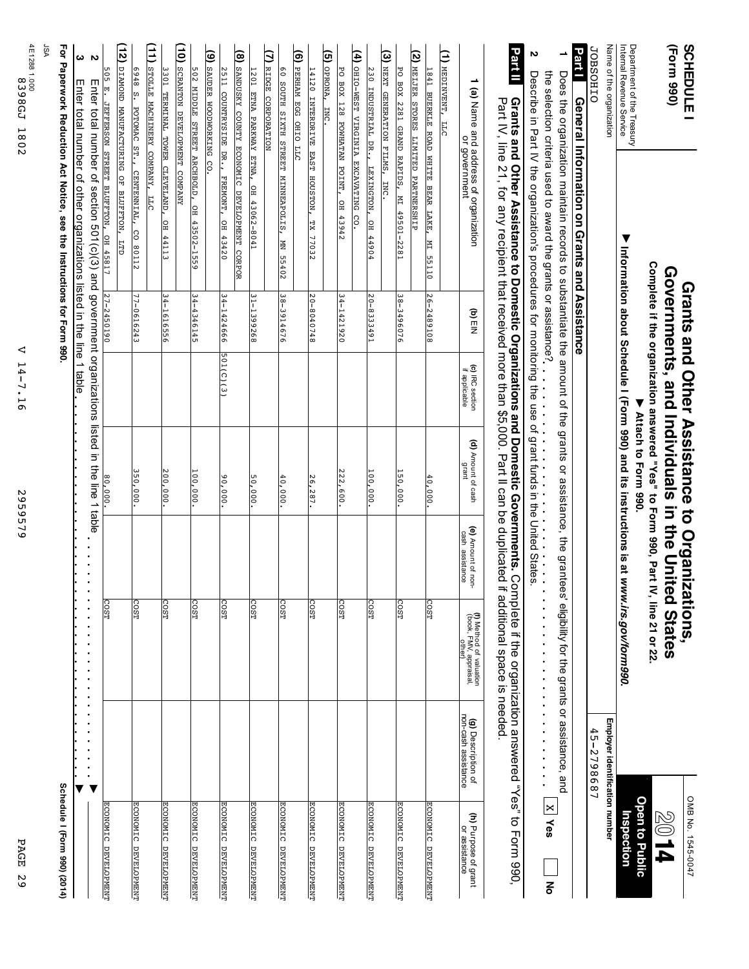| <b>SCHEDULE I</b>                                                 |                                                                                                                                                                                      |                |                                  | Grants and Other Assistance to Organizations,                                        |                                       |                                                                                                                                                                     |                                                                                             | OMB No. 1545-0047                                       |
|-------------------------------------------------------------------|--------------------------------------------------------------------------------------------------------------------------------------------------------------------------------------|----------------|----------------------------------|--------------------------------------------------------------------------------------|---------------------------------------|---------------------------------------------------------------------------------------------------------------------------------------------------------------------|---------------------------------------------------------------------------------------------|---------------------------------------------------------|
| (Form 990)                                                        |                                                                                                                                                                                      |                |                                  | Governments, and Individuals in the United                                           |                                       | <b>States</b>                                                                                                                                                       |                                                                                             | 2014                                                    |
|                                                                   |                                                                                                                                                                                      |                |                                  | Complete if the organization answered "Yes" to Form 990, Part<br>Attach to Form 990. |                                       | IV, line 21 or 22.                                                                                                                                                  |                                                                                             | <b>Open to Public</b>                                   |
| Department of the Treasury<br>Internal Revenue Service            | $\blacktriangledown$                                                                                                                                                                 |                |                                  |                                                                                      |                                       | Information about Schedule I (Form 990) and its instructions is at www.irs.gov/form990                                                                              |                                                                                             | Inspection                                              |
| Name of the organization                                          |                                                                                                                                                                                      |                |                                  |                                                                                      |                                       |                                                                                                                                                                     | Employer identification number                                                              |                                                         |
| <b>JOBSOHIO</b>                                                   |                                                                                                                                                                                      |                |                                  |                                                                                      |                                       |                                                                                                                                                                     | $45 - 2798687$                                                                              |                                                         |
| Part I                                                            | General Information on Grants and Assistance                                                                                                                                         |                |                                  |                                                                                      |                                       |                                                                                                                                                                     |                                                                                             |                                                         |
| ∸                                                                 | Does the organization maintain records to substantiate the amount of the grants or assistance, the grantees' eligibility for the grants or assistance, and                           |                |                                  |                                                                                      |                                       | ×<br>ä<br>$\blacksquare$<br>ä<br>ä,<br>ä<br>ä<br>ä                                                                                                                  | ä<br>i,<br>×<br>ä<br>ä<br>$\blacksquare$                                                    | $\mathbf{\times}$<br>Yes<br>종                           |
| N                                                                 | the selection criteria used to award the grants or assistance?<br>Describe in Part IV the organization's procedures for monitoring the use of grant funds in the United States       |                |                                  |                                                                                      |                                       |                                                                                                                                                                     |                                                                                             |                                                         |
| Part II                                                           | Part IV, line 21, tor any recipient that received more than \$9,000. Part III can be duplicated<br>Grants and Other Assistance to Domestic Organizations and Domestic Governments. C |                |                                  |                                                                                      |                                       | if additional space is needed                                                                                                                                       |                                                                                             | omplete if the organization answered "Yes" to Form 990, |
| ÷                                                                 | (a) Name and address of organization<br>or government                                                                                                                                | (d)<br>EIN     | (c) IRC section<br>if applicable | <b>(d)</b> Amount of cash<br>grant                                                   | (e) Amount of non-<br>cash assistance | (f) Method of valuation<br>(book, FMV, appraisal,<br>other)                                                                                                         | <b>(g)</b> Description of<br>non-cash assistance                                            | <b>(h)</b> Purpose of grant<br>or assistance            |
| (1) MEDINVENT,<br>$\overline{C}$                                  |                                                                                                                                                                                      |                |                                  |                                                                                      |                                       |                                                                                                                                                                     |                                                                                             |                                                         |
| 1841 BUERKLE ROAD WHITE BEAR LAKE,                                | MI 55110                                                                                                                                                                             | 26-2489108     |                                  | 40,000                                                                               |                                       | COST                                                                                                                                                                |                                                                                             | ECONONIC DEVELOPMENT                                    |
| (2) MEIJER STORES LIMITED PARTNERSHIP                             |                                                                                                                                                                                      |                |                                  |                                                                                      |                                       |                                                                                                                                                                     |                                                                                             |                                                         |
|                                                                   | PO BOX 2281 GRAND RAPIDS, MI 49501-2281                                                                                                                                              | 38-3496076     |                                  | 150,000.                                                                             |                                       | COST                                                                                                                                                                |                                                                                             | ECONOMIC DEVELOPMENT                                    |
| (3) NEXT GENERATION FILMS,                                        | INC.                                                                                                                                                                                 |                |                                  |                                                                                      |                                       |                                                                                                                                                                     |                                                                                             |                                                         |
| 230 INDUSTRIAL DR.,                                               | LEXINGTON, OH 44904                                                                                                                                                                  | 20-8333491     |                                  | 100,000.                                                                             |                                       | <b>COST</b>                                                                                                                                                         |                                                                                             | ECONOMIC DEVELOPMENT                                    |
| (4) OHIO-WEST VIRGINIA EXCAVATING CO.                             |                                                                                                                                                                                      |                |                                  |                                                                                      |                                       |                                                                                                                                                                     |                                                                                             |                                                         |
| <u>ତ୍ର</u><br>OPRONA,<br>PO BOX 128 POWHATAN POINT,<br><b>LNC</b> | OH 43942                                                                                                                                                                             | $34 - 1421920$ |                                  | 222,600                                                                              |                                       | COST                                                                                                                                                                |                                                                                             | ECONOMIC DEVELOPMENT                                    |
|                                                                   | 14120 INTERDRIVE EAST HOUSTON, TX 77032                                                                                                                                              | 20-8040748     |                                  | 26, 287.                                                                             |                                       | <b>COST</b>                                                                                                                                                         |                                                                                             | ECONOMIC DEVELOPMENT                                    |
| ම<br>PERHAM EGG OHIO LLC                                          |                                                                                                                                                                                      |                |                                  |                                                                                      |                                       |                                                                                                                                                                     |                                                                                             |                                                         |
| 60 SOUTH SIXTH STREET MINNEAPOLIS,                                | MN 55402                                                                                                                                                                             | 38-3914676     |                                  | $\frac{40,000}{2}$                                                                   |                                       | COST                                                                                                                                                                |                                                                                             | ECONOMIC DEVELOPMENT                                    |
| ₿<br>RIDGE CORPORATION                                            |                                                                                                                                                                                      |                |                                  |                                                                                      |                                       |                                                                                                                                                                     |                                                                                             |                                                         |
|                                                                   | 1201 ETNA PARKWAY ETNA, OH 43062-8041                                                                                                                                                | 31-1399268     |                                  | 50,000                                                                               |                                       | <b>COST</b>                                                                                                                                                         |                                                                                             | ECONOMIC DEVELOPMENT                                    |
|                                                                   | (8) SANDUSKY COUNTY ECONOMIC DEVELOPMENT CORPOR                                                                                                                                      |                |                                  |                                                                                      |                                       |                                                                                                                                                                     |                                                                                             |                                                         |
| 2511 COUNTRYSIDE DR.,                                             | FREMONT,<br>$\frac{OH}{43420}$                                                                                                                                                       | $34 - 1424666$ | 501(C)(3)                        | $\frac{900,000}{$                                                                    |                                       | COST                                                                                                                                                                |                                                                                             | ECONOMIC DEVELOPMENT                                    |
| (9) SAUDER WOODWORKING CO.                                        |                                                                                                                                                                                      |                |                                  |                                                                                      |                                       |                                                                                                                                                                     |                                                                                             |                                                         |
| 502 MIDDLE STREET ARCHBOLD, OH                                    | $43502 - 1559$                                                                                                                                                                       | $34 - 4346145$ |                                  | 100,000                                                                              |                                       | COST                                                                                                                                                                |                                                                                             | ECONOMIC DEVELOPMENT                                    |
| Θ<br>SCRANTON DEVELOPMENT COMPANY                                 |                                                                                                                                                                                      |                |                                  |                                                                                      |                                       |                                                                                                                                                                     |                                                                                             |                                                         |
| 3301 TERMINAL TOWER CLEVELAND,                                    | OH 44113                                                                                                                                                                             | 34-1616556     |                                  | 200,000.                                                                             |                                       | COST <sub></sub>                                                                                                                                                    |                                                                                             | ECONOMIC DEVELOPMENT                                    |
| ίIJ<br>STOLLE MACHINERY COMPANY,                                  | $\overline{C}$                                                                                                                                                                       |                |                                  |                                                                                      |                                       |                                                                                                                                                                     |                                                                                             |                                                         |
| 6948S.<br>POTOMAC ST.,                                            | CENTENNIAL,<br>CO 80112                                                                                                                                                              | 77-0616243     |                                  | 350,000                                                                              |                                       | COST                                                                                                                                                                |                                                                                             | ECONOMIC DEVELOPMENT                                    |
| (12)<br>DIAMOND MANUFACTURING OF BLUFFTON,                        | Err                                                                                                                                                                                  |                |                                  |                                                                                      |                                       |                                                                                                                                                                     |                                                                                             |                                                         |
| 505<br>Ë.                                                         | JEFFERSON STREET BLUFFTON, OH 45817                                                                                                                                                  | 27-2450190     |                                  | $0.000$ .                                                                            |                                       | <b>COST</b>                                                                                                                                                         |                                                                                             | ECONOMIC DEVELOPMENT                                    |
| $\sim$                                                            | Enter total number of section 501(c)(3) and government organizations listed in the line 1 table                                                                                      |                |                                  |                                                                                      | $\blacksquare$<br>$\blacksquare$      | $\blacksquare$<br>$\blacksquare$<br>$\blacksquare$<br>$\blacksquare$<br>$\blacksquare$<br>×<br>$\blacksquare$<br>$\blacksquare$<br>$\blacksquare$<br>$\blacksquare$ | ×<br>$\blacksquare$<br>$\blacksquare$<br>$\blacksquare$<br>$\blacksquare$<br>$\blacksquare$ | ▼                                                       |
| ω                                                                 | Enter total number of other organizations listed in the line 1 table                                                                                                                 |                |                                  |                                                                                      |                                       |                                                                                                                                                                     |                                                                                             | v                                                       |
|                                                                   | For Paperwork Reduction Act Notice, see the Instructions for Form 990.                                                                                                               |                |                                  |                                                                                      |                                       |                                                                                                                                                                     |                                                                                             | Schedule I (Form 990) (2014)                            |
| ASL                                                               |                                                                                                                                                                                      |                |                                  |                                                                                      |                                       |                                                                                                                                                                     |                                                                                             |                                                         |
| 4E1288 1.000.1 885134                                             |                                                                                                                                                                                      |                |                                  |                                                                                      |                                       |                                                                                                                                                                     |                                                                                             |                                                         |
| 1802                                                              |                                                                                                                                                                                      |                | ◁<br>$14 -$<br>$-7.16$           | $\sim$                                                                               | 959579                                |                                                                                                                                                                     |                                                                                             | PAGE<br>N<br>$\circ$                                    |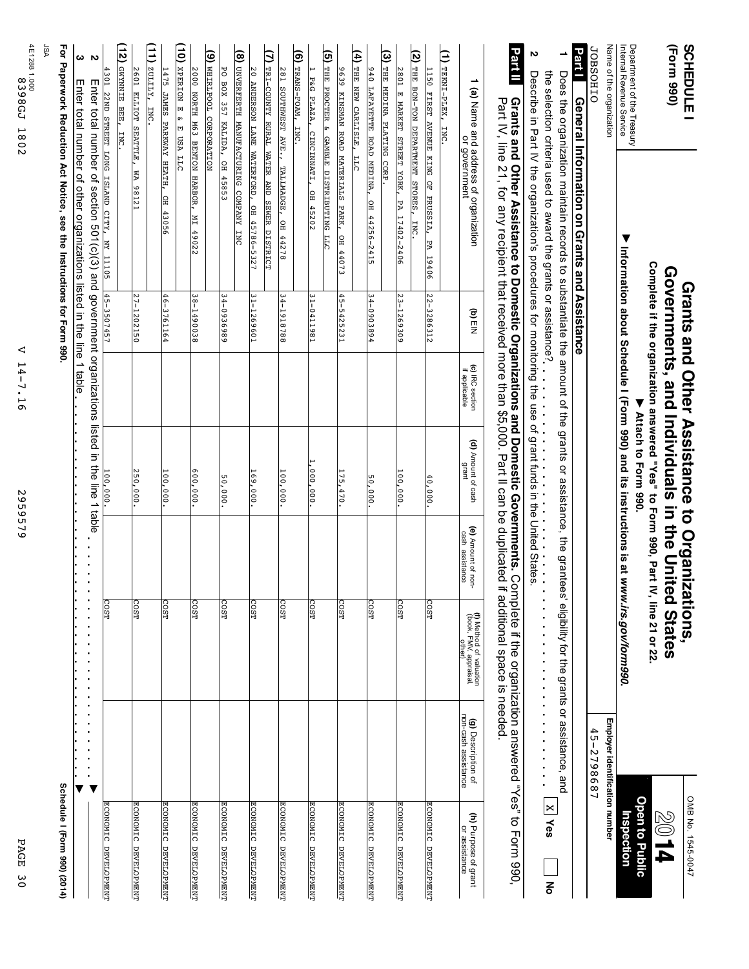| PAGE<br>$\frac{8}{2}$                                |                                                  |                                                                                        | 2959579                               |                                                               | ◁<br>$14 -$<br>$\mathbf{L}$<br>$\overline{5}$ |                |                                                                                                                                                                                                                                                                                                    | 4E1288 1.000.<br>4E1288 1.000.<br>1802                |
|------------------------------------------------------|--------------------------------------------------|----------------------------------------------------------------------------------------|---------------------------------------|---------------------------------------------------------------|-----------------------------------------------|----------------|----------------------------------------------------------------------------------------------------------------------------------------------------------------------------------------------------------------------------------------------------------------------------------------------------|-------------------------------------------------------|
|                                                      |                                                  |                                                                                        |                                       |                                                               |                                               |                |                                                                                                                                                                                                                                                                                                    | ASL                                                   |
| Schedule I (Form 990) (2014)                         |                                                  |                                                                                        |                                       |                                                               |                                               |                | For Paperwork Reduction Act Notice, see the Instructions for Form 990                                                                                                                                                                                                                              |                                                       |
|                                                      |                                                  |                                                                                        |                                       |                                                               |                                               |                | Enter total number of other organizations listed in the line 1 table                                                                                                                                                                                                                               | ω                                                     |
|                                                      |                                                  |                                                                                        |                                       |                                                               |                                               |                | Enter total number of section 501(c)(3) and government organizations listed in the line 1 table                                                                                                                                                                                                    | $\sim$                                                |
| ECONOMIC DEVELOPMENT                                 |                                                  | <b>COST</b>                                                                            |                                       | 100,000.                                                      |                                               | 45-3507457     | 4301 22ND STREET LONG ISLAND CITY, NY 1105                                                                                                                                                                                                                                                         |                                                       |
|                                                      |                                                  |                                                                                        |                                       |                                                               |                                               |                |                                                                                                                                                                                                                                                                                                    | ί<br>GWYNNIE BEE,<br><b>INC</b>                       |
| <b>ECONOMIC DEVELOPMENT</b>                          |                                                  | COST                                                                                   |                                       | 250,000                                                       |                                               | $27 - 1202150$ | MA 98121                                                                                                                                                                                                                                                                                           | 2601<br>ELLIOT SEATTLE,                               |
|                                                      |                                                  |                                                                                        |                                       |                                                               |                                               |                |                                                                                                                                                                                                                                                                                                    | $\Xi$<br>ZULLLY,<br><b>INC</b>                        |
| ECONOMIC DEVELOPMENT                                 |                                                  | COST <sub></sub>                                                                       |                                       | 100,000                                                       |                                               | 46-3761164     | OH 43056                                                                                                                                                                                                                                                                                           | 1475 JAMES PARKWAY HEATH,                             |
|                                                      |                                                  |                                                                                        |                                       |                                                               |                                               |                |                                                                                                                                                                                                                                                                                                    | (ig<br>XPERION E &<br>E USA LLC                       |
| ECONOMIC DEVELOPMENT                                 |                                                  | COST                                                                                   |                                       | 600,000                                                       |                                               | 38-1490038     | NI 49022                                                                                                                                                                                                                                                                                           | 2000 NORTH M63 BENTON HARBOR,                         |
|                                                      |                                                  |                                                                                        |                                       |                                                               |                                               |                |                                                                                                                                                                                                                                                                                                    | (9) WHIRLPOOL CORPORATION                             |
| ECONOMIC DEVELOPMENT                                 |                                                  | COST                                                                                   |                                       | 50,000                                                        |                                               | 34-0936989     | OH 45853                                                                                                                                                                                                                                                                                           | 히<br>$\frac{1}{200}$<br>357 KALIDA,                   |
|                                                      |                                                  |                                                                                        |                                       |                                                               |                                               |                |                                                                                                                                                                                                                                                                                                    | (8) UNVERFERTH MANUFACTURING COMPANY INC              |
| <b>ECONOMIC DEVELOPMENT</b>                          |                                                  | COST <sub>1</sub>                                                                      |                                       | 169,000                                                       |                                               | 31-1269601     | 20 ANDERSON LANE WATERFORD, OH 45786-5327                                                                                                                                                                                                                                                          |                                                       |
|                                                      |                                                  |                                                                                        |                                       |                                                               |                                               |                | (7) TRI-COUNTY RURAL WATER AND SEWER DISTRICT                                                                                                                                                                                                                                                      |                                                       |
| ECONOMIC DEVELOPMENT                                 |                                                  | <b>COST</b>                                                                            |                                       | $\frac{100}{100}$ , 000                                       |                                               | 34-1918788     | SOUTHWEST AVE., TALLMADGE, OH 44278                                                                                                                                                                                                                                                                | 281                                                   |
|                                                      |                                                  |                                                                                        |                                       |                                                               |                                               |                |                                                                                                                                                                                                                                                                                                    | (6) TRANS-FOAM,<br><b>INC</b>                         |
| ECONOMIC DEVELOPMENT                                 |                                                  | COST <sub>1</sub>                                                                      |                                       | 1,000,000                                                     |                                               | 31-0411981     | CINCINNATI, OH 45202                                                                                                                                                                                                                                                                               | P&G PLAZA,                                            |
|                                                      |                                                  |                                                                                        |                                       |                                                               |                                               |                |                                                                                                                                                                                                                                                                                                    | (5) THE PROCTER & GAMBLE DISTRIBUTING LLC             |
| ECONOMIC DEVELOPMENT                                 |                                                  | COST                                                                                   |                                       | 175, 470                                                      |                                               | $45 - 5425231$ | OH 44073                                                                                                                                                                                                                                                                                           | 9639 KINSMAN ROAD MATERIALS PARK,                     |
|                                                      |                                                  |                                                                                        |                                       |                                                               |                                               |                | $\frac{1}{2}$                                                                                                                                                                                                                                                                                      | (4) THE NEW CARLISLE,                                 |
| ECONOMIC DEVELOPMENT                                 |                                                  | COST                                                                                   |                                       | 50,000.                                                       |                                               | 34-0903894     | OH 44256-2415                                                                                                                                                                                                                                                                                      | 940 LAFAYETTE ROAD MEDINA,                            |
|                                                      |                                                  |                                                                                        |                                       |                                                               |                                               |                |                                                                                                                                                                                                                                                                                                    | (3) THE MEDINA PLATING CORP.                          |
| ECONOMIC DEVELOPMENT                                 |                                                  | COST                                                                                   |                                       | $\frac{100}{100}$ , 000                                       |                                               | $23 - 1269309$ | PA 17402-2406                                                                                                                                                                                                                                                                                      | 2801 E MARKET STREET YORK,                            |
|                                                      |                                                  |                                                                                        |                                       |                                                               |                                               |                | <b>INC.</b>                                                                                                                                                                                                                                                                                        | (2) THE BON-TON DEPARTMENT STORES,                    |
| ECONOMIC DEVELOPMENT                                 |                                                  | COST                                                                                   |                                       | $\frac{40,000}{2}$                                            |                                               | 22-3286312     | PA 19406                                                                                                                                                                                                                                                                                           | 1150 FIRST AVENUE KING OF PRUSSIA,                    |
|                                                      |                                                  |                                                                                        |                                       |                                                               |                                               |                |                                                                                                                                                                                                                                                                                                    | (1) TEKNI-PLEX,<br>INC.                               |
| <b>(h)</b> Purpose of grant<br>o <u>r assistance</u> | <b>(g)</b> Description of<br>non-cash assistance | (f) Method of valuation<br>(book, FMV, appraisal,<br>other)                            | (e) Amount of non-<br>cash assistance | <b>(d)</b> Amount of cash<br>grant                            | (c) IRC section<br>if applicable              | to) EIN        | 1 (a) Name and address of organization<br>or government                                                                                                                                                                                                                                            |                                                       |
|                                                      |                                                  |                                                                                        |                                       |                                                               |                                               |                |                                                                                                                                                                                                                                                                                                    |                                                       |
|                                                      |                                                  |                                                                                        |                                       |                                                               |                                               |                | <b>Grants and Other Assistance to Domestic Organizations and Domestic Governments.</b> Complete if the organization answered "Yes" to Form 990,<br>Part IV, line 21, for any recipient that received more than \$5,000. Part II can be                                                             | <b>Part II</b>                                        |
|                                                      |                                                  |                                                                                        |                                       |                                                               |                                               |                |                                                                                                                                                                                                                                                                                                    | N                                                     |
| <b>X</b> Yes<br>종                                    |                                                  | l,<br>i,<br>$\ddot{\phantom{a}}$                                                       | ×                                     |                                                               |                                               |                | the selection criteria used to award the grants or assistance?<br><br>Describe in Part IV the organization's procedures for monitoring the use of grant funds in the United States<br>Describe in Part IV the organization's procedures for monitoring the use of grant funds in the United States |                                                       |
|                                                      |                                                  |                                                                                        |                                       |                                                               |                                               |                | Does the organization maintain records to substantiate the amount of the grants or assistance, the grantees' eligiblity for the grants or assistance, and                                                                                                                                          | ∸                                                     |
|                                                      |                                                  |                                                                                        |                                       |                                                               |                                               |                | General Information on Grants and Assistance                                                                                                                                                                                                                                                       | <b>Part I</b>                                         |
|                                                      | 45-2798687                                       |                                                                                        |                                       |                                                               |                                               |                |                                                                                                                                                                                                                                                                                                    | <b>JOBSOHIO</b>                                       |
|                                                      | Employer identification number                   |                                                                                        |                                       |                                                               |                                               |                |                                                                                                                                                                                                                                                                                                    | Name of the organization                              |
| nspection                                            |                                                  | Information about Schedule I (Form 990) and its instructions is at www.irs.gov/form990 |                                       |                                                               |                                               |                | $\blacktriangledown$                                                                                                                                                                                                                                                                               | Department of the Treasury<br>Intemal Revenue Service |
| <b>Open to Public</b>                                |                                                  |                                                                                        |                                       | Attach to Form 990.                                           |                                               |                |                                                                                                                                                                                                                                                                                                    |                                                       |
|                                                      |                                                  | IV, line 21 or 22.                                                                     |                                       | Complete if the organization answered "Yes" to Form 990, Part |                                               |                |                                                                                                                                                                                                                                                                                                    |                                                       |
| P L 08                                               |                                                  |                                                                                        |                                       | Governments, and Individuals in the United States             |                                               |                |                                                                                                                                                                                                                                                                                                    | (Form 990)                                            |
| OMB No. 1545-0047                                    |                                                  |                                                                                        |                                       | Grants and Other Assistance to Organizations                  |                                               |                |                                                                                                                                                                                                                                                                                                    | <b>SCHEDULE</b>                                       |
|                                                      |                                                  |                                                                                        |                                       |                                                               |                                               |                |                                                                                                                                                                                                                                                                                                    |                                                       |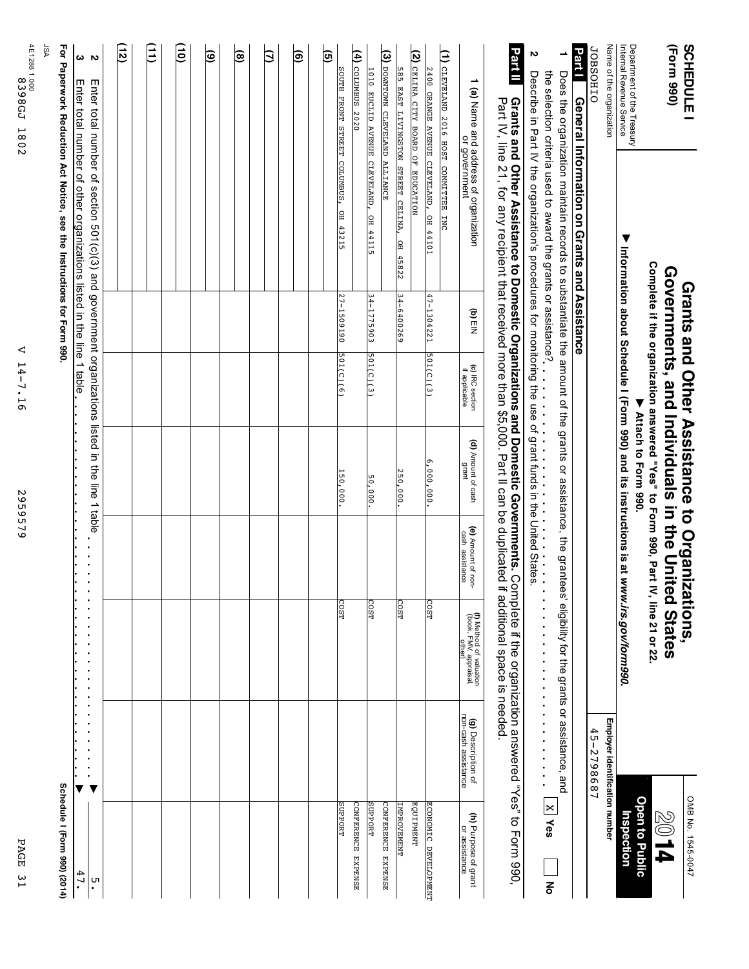| ᡰ᠊ᡉ |  |
|-----|--|
| 58  |  |
|     |  |
| ᇅ   |  |
| ω   |  |
| ⊢   |  |
|     |  |

2959579 2959579

V 14-7.16

V 14-7.16

4E1288 1.000<br>1898GJ 1802 8398GJ 1802

4E1288

| 585 EAST LIVINGSTON STREET CELINA, OH 45822                                                                       | $34 - 6400269$ |              | 250,000. | <b>COST</b> |  | <b>IMPROVEMENT</b>           |
|-------------------------------------------------------------------------------------------------------------------|----------------|--------------|----------|-------------|--|------------------------------|
| (3) DOWNTOWN CLEVELAND ALLIANCE                                                                                   |                |              |          |             |  | CONFERENCE EXPENSE           |
| 1010 EUCLID AVENUE CLEVELAND, OH 44115                                                                            | 34-1775903     | [501(C)(3)]  | 50,000.  | <b>COST</b> |  | <b>SUPPORT</b>               |
| (4) содимвиз 2020                                                                                                 |                |              |          |             |  | CONFERENCE EXPENSE           |
| SOUTH FRONT STREET COLUMBUS, OH 43215                                                                             | 27-1509190     | $501(c)$ (6) | 150,000. | <b>COST</b> |  | <b>SUPPORT</b>               |
| <u>ତ୍ର</u>                                                                                                        |                |              |          |             |  |                              |
|                                                                                                                   |                |              |          |             |  |                              |
| ම                                                                                                                 |                |              |          |             |  |                              |
|                                                                                                                   |                |              |          |             |  |                              |
| Э                                                                                                                 |                |              |          |             |  |                              |
|                                                                                                                   |                |              |          |             |  |                              |
| ම                                                                                                                 |                |              |          |             |  |                              |
| $\widehat{\mathbf{e}}$                                                                                            |                |              |          |             |  |                              |
|                                                                                                                   |                |              |          |             |  |                              |
| $\mathbf{\hat{e}}$                                                                                                |                |              |          |             |  |                              |
|                                                                                                                   |                |              |          |             |  |                              |
| Ξ                                                                                                                 |                |              |          |             |  |                              |
|                                                                                                                   |                |              |          |             |  |                              |
| $\left(12\right)$                                                                                                 |                |              |          |             |  |                              |
|                                                                                                                   |                |              |          |             |  |                              |
| $\overline{v}$<br>mnter total number of section 501(c)(3) and government organizations listed in the line 1 table |                |              |          |             |  | .<br>ი                       |
| $\boldsymbol{\omega}$<br>Enter total number of other organizations listed in the line 1 table                     |                |              |          |             |  | 47.                          |
| For Paperwork Reduction Act Notice, see the Instructions for Form 990.                                            |                |              |          |             |  | Schedule I (Form 990) (2014) |
| ASL                                                                                                               |                |              |          |             |  |                              |
|                                                                                                                   |                |              |          |             |  |                              |

| SCHEDULE <sub>1</sub>                                         |                                                                                                                                                                                                                                       |            |                                 | Grants and Other Assistance to Organi                                            |                                       | izations,                                                  |                                           | OMB No. 1545-0047                     |
|---------------------------------------------------------------|---------------------------------------------------------------------------------------------------------------------------------------------------------------------------------------------------------------------------------------|------------|---------------------------------|----------------------------------------------------------------------------------|---------------------------------------|------------------------------------------------------------|-------------------------------------------|---------------------------------------|
| (Form 990)                                                    |                                                                                                                                                                                                                                       |            |                                 | Governments, and Individuals in the United States                                |                                       |                                                            |                                           | 2014                                  |
|                                                               |                                                                                                                                                                                                                                       |            |                                 | Complete if the organization answered "Yes" to Form 990, Part IV, line 21 or 22. |                                       |                                                            |                                           |                                       |
|                                                               |                                                                                                                                                                                                                                       |            |                                 | Attach to Form 990.                                                              |                                       |                                                            |                                           | <b>Open to Public</b>                 |
| Department of the Treasury<br><b>Internal Revenue Service</b> |                                                                                                                                                                                                                                       |            |                                 | Intormation about Schedule I (Form 990) and its instructions is at               |                                       | www.irs.gov/form990.                                       |                                           | Inspection                            |
| Name of the organization                                      |                                                                                                                                                                                                                                       |            |                                 |                                                                                  |                                       |                                                            | Employer identification number            |                                       |
| <b>JOBSOHIO</b>                                               |                                                                                                                                                                                                                                       |            |                                 |                                                                                  |                                       |                                                            | 45-2798687                                |                                       |
|                                                               | <b>Parill</b> General Information on Grants and Assistance                                                                                                                                                                            |            |                                 |                                                                                  |                                       |                                                            |                                           |                                       |
|                                                               | Does the organization maintain records to substantiate the amount of the grants or assistance, the grants of and the dividity for the dialibility for the dividing the section of the street of $\alpha$                              |            |                                 |                                                                                  |                                       |                                                            |                                           |                                       |
|                                                               | the selection oriterial research assignment of the graph of the graph of a selection oriterial research of the selection oriterial research of the selection oriterial research of the selection oriterial research of the sel        |            |                                 |                                                                                  |                                       | .                                                          |                                           | <b>X Yes</b><br>이<br>이                |
| N                                                             | Descripe in that the organization's procedures for monitoring the use of grant funds in the United States                                                                                                                             |            |                                 |                                                                                  |                                       |                                                            |                                           |                                       |
| Part II                                                       | Grants and Other Assistance to Domestic Organizations and Domestic Governments. Complete if the organization answered "Yes" to Popm<br>Part IV, line 21, for any recipient that received more than \$5,000. Part II can be duplicated |            |                                 |                                                                                  |                                       | it additional space is needed                              |                                           |                                       |
|                                                               | (a) Name and address of organization<br>or government                                                                                                                                                                                 | to<br>ElN  | (c) RC section<br>if applicable | (d) Amount of cash<br>aueu6                                                      | (e) Amount of non-<br>cash assistance | (f) Method of valuation<br>book, FMV, appraisal,<br>other) | non-cash assistance<br>(g) Description of | (h) Purpose of grant<br>or assistance |
| (1) CLEVELAND 2010 HOST COMMITTEE INC                         |                                                                                                                                                                                                                                       |            |                                 |                                                                                  |                                       |                                                            |                                           |                                       |
|                                                               | 2400 ORANGE AVENUE CLEVELAND, OH 44101                                                                                                                                                                                                | 47-1304221 | 501(C)(3)                       | $6,000,000$ .                                                                    |                                       | COST                                                       |                                           | ECONOMIC DEVELOPMENT                  |
| (2) CELINA CITY GRAD OF EDOCATION                             |                                                                                                                                                                                                                                       |            |                                 |                                                                                  |                                       |                                                            |                                           | <b>EQUIPMENT</b>                      |
|                                                               | 585 EAST LIVINGSTON STREET CELINA, OH 45822                                                                                                                                                                                           | 34-6400269 |                                 | 250,000.                                                                         |                                       | <b>COST</b>                                                |                                           | <b>LNBROVEMENT</b>                    |
| (3) DOWNDOWN CLEVELAND ALLIANCE                               |                                                                                                                                                                                                                                       |            |                                 |                                                                                  |                                       |                                                            |                                           | <b>CONFERENCE EXPERIENCE</b>          |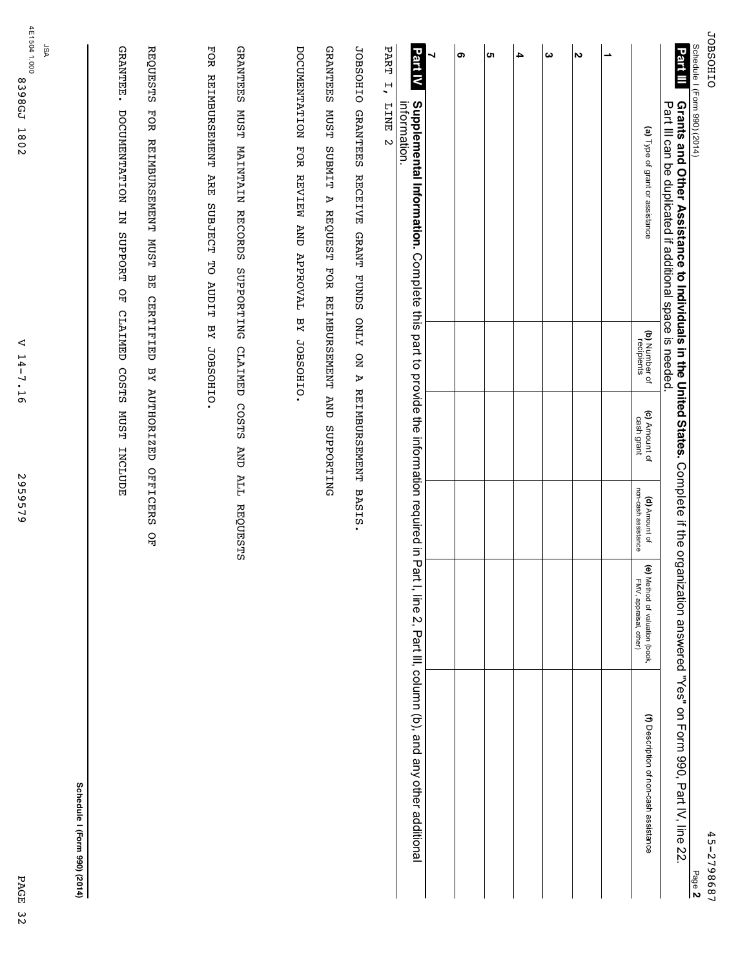| Schedule I (Form 990) (2014)<br>Part III<br>Grants and Other Assistance to Individuals in the United States. Complete if the organization answered "Yes" on Form 990, Part IV, line 22.<br>Part III can be duplicated if additional space is needed. |                                                   |                             |                                                |                                                                                | 45-2798687<br>Page 2                                         |
|------------------------------------------------------------------------------------------------------------------------------------------------------------------------------------------------------------------------------------------------------|---------------------------------------------------|-----------------------------|------------------------------------------------|--------------------------------------------------------------------------------|--------------------------------------------------------------|
| (a) Type of grant or assistance                                                                                                                                                                                                                      | (b) Number of<br>recipients                       | (c) Amount of<br>cash grant | non-cash assistance<br>(d) Amount of           | $\widehat{\mathbf{e}}$<br>Method of valuation (book,<br>FMV, appraisal, other) | (f) Description of non-cash assistance                       |
| ∸                                                                                                                                                                                                                                                    |                                                   |                             |                                                |                                                                                |                                                              |
| $\boldsymbol{\sim}$                                                                                                                                                                                                                                  |                                                   |                             |                                                |                                                                                |                                                              |
| ω                                                                                                                                                                                                                                                    |                                                   |                             |                                                |                                                                                |                                                              |
| 4                                                                                                                                                                                                                                                    |                                                   |                             |                                                |                                                                                |                                                              |
| <b>ຕາ</b>                                                                                                                                                                                                                                            |                                                   |                             |                                                |                                                                                |                                                              |
| ၜ                                                                                                                                                                                                                                                    |                                                   |                             |                                                |                                                                                |                                                              |
| ┙                                                                                                                                                                                                                                                    |                                                   |                             |                                                |                                                                                |                                                              |
| Part IV<br>Supplemental Information. Complete this<br>information.                                                                                                                                                                                   |                                                   |                             | part to provide the information required in Pa |                                                                                | rt I, line 2, Part III, column (b), and any other additional |
| PART<br>$\overline{a}$<br><b>EINE</b><br>$\mathbf{\tilde{c}}$                                                                                                                                                                                        |                                                   |                             |                                                |                                                                                |                                                              |
| <b>JOBSOHIO</b><br><b>GRANTEES</b><br><b>RECEIVE</b><br>A                                                                                                                                                                                            | GRANT FUNDS ONLY ON A REIMBURSEMENT<br><b>AND</b> | SUPPORTING                  | BASIS.                                         |                                                                                |                                                              |
| <b>GRANTEES</b><br><b>MUST</b><br><b>TIMEUS</b><br>REQUEST FOR REIMBURSEMENT                                                                                                                                                                         |                                                   |                             |                                                |                                                                                |                                                              |
| DOCUMENTATION FOR REVIEW AND APPROVAL BY JOBSOHIO.                                                                                                                                                                                                   |                                                   |                             |                                                |                                                                                |                                                              |
| <b>GRANTEES</b><br><b>MUST</b><br>MAINTAIN RECORDS<br>SUPPORTING                                                                                                                                                                                     | CLAIMED COSTS                                     | <b>AND</b>                  | ALL REQUESTS                                   |                                                                                |                                                              |
| FOR<br><b>ABINDIRORSHINDI</b><br>ARE<br><b>SUBJECT</b><br>50<br><b>AUDIT</b>                                                                                                                                                                         | ΥA<br>JOBSOHIO.                                   |                             |                                                |                                                                                |                                                              |
| <b>REQUESTS</b><br>FOR REINBURSENENT MUST<br>BE                                                                                                                                                                                                      | <b>CERTIFIED</b>                                  | BY AUTHORIZED               | OFFICERS<br>ĞЕ                                 |                                                                                |                                                              |
| GRANTEE.<br>DOCUMENTATION<br>$E_{\rm N}$<br><b>SUPPORT</b><br>유<br>모                                                                                                                                                                                 | <b>CLAIMED</b><br>COSTS                           | <b>MUST</b><br>INCLUDE      |                                                |                                                                                |                                                              |
| ASL                                                                                                                                                                                                                                                  |                                                   |                             |                                                |                                                                                | Schedule I (Form 990) (2014)                                 |
| 4E1504 1.000<br><b>8398GZ</b><br>1802                                                                                                                                                                                                                | ◁<br>$14 - 7.16$                                  |                             | 2959579                                        |                                                                                | PAGE                                                         |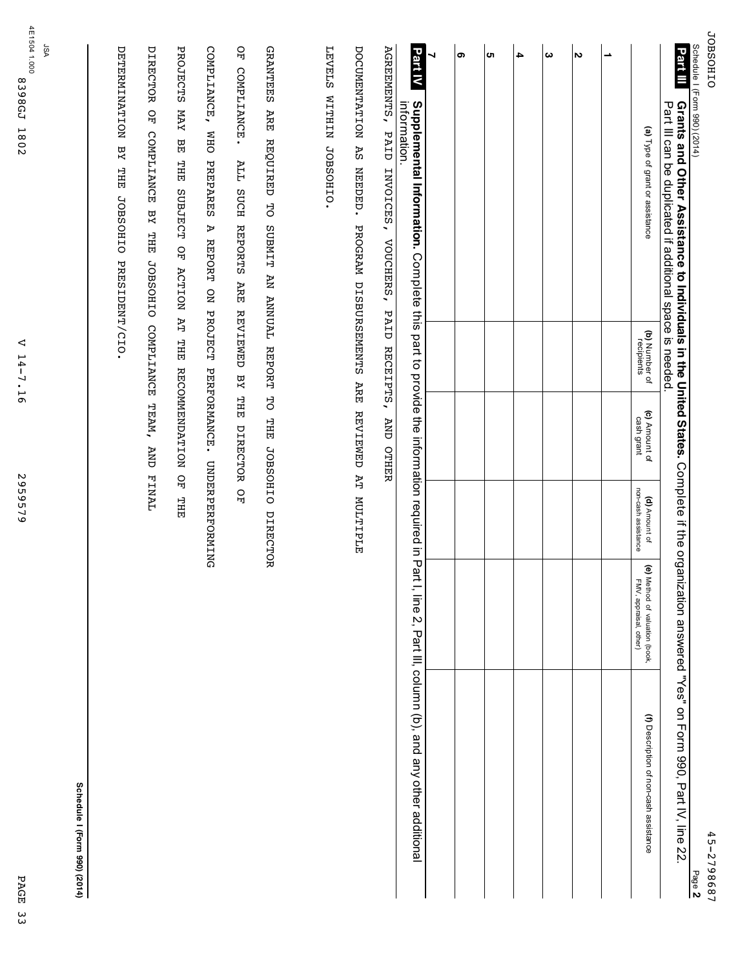| <b>JOBSOHIO</b><br>Schedule I (Form 990) (2014)                                                                                                               |                                     |                             |                                      |                                                          | 45-2798687<br>Page 2                                          |
|---------------------------------------------------------------------------------------------------------------------------------------------------------------|-------------------------------------|-----------------------------|--------------------------------------|----------------------------------------------------------|---------------------------------------------------------------|
| Part III<br>Grants and Other Assistance to Individuals in the United States. Complete if the org<br>Part III can be dublicated if additional space is needed. |                                     |                             |                                      |                                                          | anization answeeper "Yes" on Form 990, Part IV, line 22       |
| (a) Type of grant or assistance                                                                                                                               | (b) Number of<br>recipients         | (c) Amount of<br>cash grant | non-cash assistance<br>(d) Amount of | (e) Method of valuation (book,<br>FMV, appraisal, other) | (f) Description of non-cash assistance                        |
| $\overline{\phantom{a}}$                                                                                                                                      |                                     |                             |                                      |                                                          |                                                               |
| $\sim$                                                                                                                                                        |                                     |                             |                                      |                                                          |                                                               |
| ယ                                                                                                                                                             |                                     |                             |                                      |                                                          |                                                               |
| 4                                                                                                                                                             |                                     |                             |                                      |                                                          |                                                               |
| CΠ                                                                                                                                                            |                                     |                             |                                      |                                                          |                                                               |
| თ                                                                                                                                                             |                                     |                             |                                      |                                                          |                                                               |
| Part IV<br>⇃<br>Supplemental Information. Complete this part to provide the information required in P                                                         |                                     |                             |                                      |                                                          | art I, line 2, Part III, column (b), and any other additional |
| AGREEMENTS, PAID INVOICES,<br>information.<br>VOUCHERS,                                                                                                       | PAID RECEIPTS,                      | AND OTHER                   |                                      |                                                          |                                                               |
| DOCUMENTATION AS NEEDED.<br>PROGRAM DISBURSEMENTS ARE REVIEND AT MULTIPLE                                                                                     |                                     |                             |                                      |                                                          |                                                               |
| <b>LEVELS</b><br>WITHIN JOBSOOHIO.                                                                                                                            |                                     |                             |                                      |                                                          |                                                               |
| <b>GRANTEES</b><br>ARE<br>REQUIRED TO<br>SUBMIT AN ANNUAL REPORT                                                                                              |                                     | TO THE                      | JOBSOHIO DIRECTOR                    |                                                          |                                                               |
| $_{\rm 50}$<br>COMPLIANCE.<br><b>ALL</b><br><b>SUCH</b><br><b>REPORTS</b><br><b>ARE</b>                                                                       | <b>REVIEWED</b><br>$X\overline{a}$  | THE<br>DIRECTOR OF          |                                      |                                                          |                                                               |
| COMPLIANCE, WHO<br><b>PREPARES</b><br>A REPORT<br><b>QN</b>                                                                                                   | <b>PROJECT</b>                      | PERFORMANCE.                | <b>UNDERPERFORMING</b>               |                                                          |                                                               |
| <b>PROJECTS</b><br>YAN<br>멻<br>THE<br>SUBJECT OF<br><b>ACTION</b>                                                                                             | <b>AT</b><br><b>THE</b>             | <b>RECOMMENDATION</b>       | 요<br>면<br><b>THE</b>                 |                                                          |                                                               |
| DIRECTOR OF COMPLIANCE<br>BY THE                                                                                                                              | JOBSOHIO COMPLIANCE TEAM, AND FINAL |                             |                                      |                                                          |                                                               |
| <b>NOITININING</b><br>THE<br><b>JOBSOHIO</b><br>PRESIDENT/CIO.                                                                                                |                                     |                             |                                      |                                                          |                                                               |
|                                                                                                                                                               |                                     |                             |                                      |                                                          | Schedule I (Form 990) (2014)                                  |
| ASL                                                                                                                                                           |                                     |                             |                                      |                                                          |                                                               |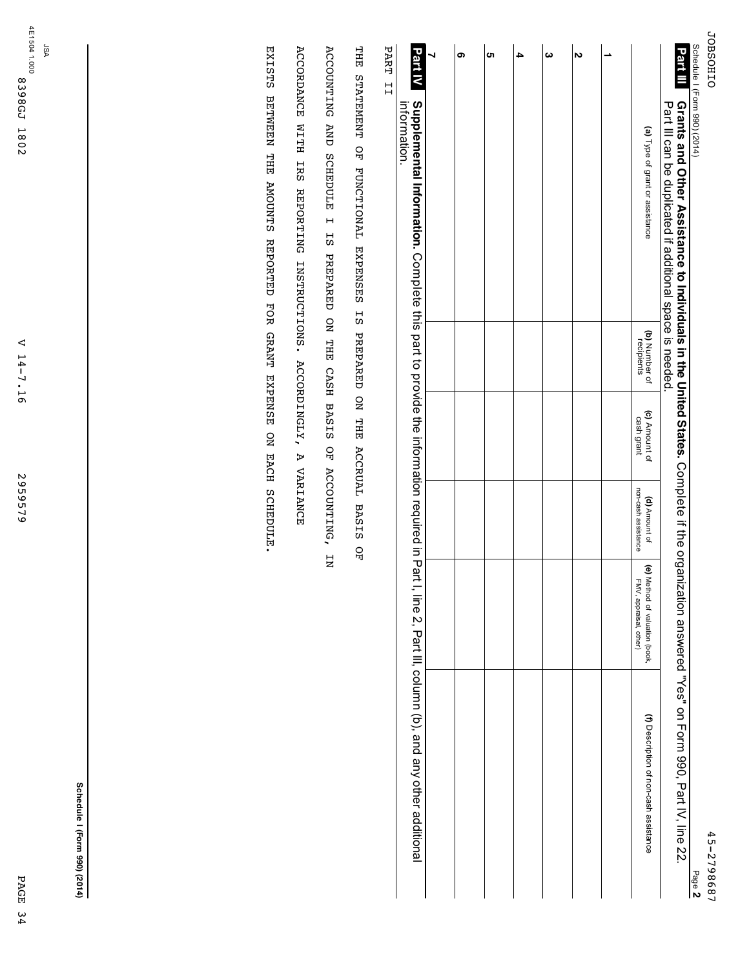**JOBSOHIO** JOBSOHIO

Schedule

I (Form

990) (2014)

| თ | ຕ | $\boldsymbol{\omega}$ | N |                                                          |                                                                                                                                                                                                                              |
|---|---|-----------------------|---|----------------------------------------------------------|------------------------------------------------------------------------------------------------------------------------------------------------------------------------------------------------------------------------------|
|   |   |                       |   | (a) Type of grant or assistance                          | Part $\blacksquare$ Grants and Other Assistance to Individuals in the United States. Complete if the organization answered "Yes" on Form 990, Part IV, line 22.<br>Part III can be duplicated if additional space is needed. |
|   |   |                       |   | (b) Number of<br>recipients                              |                                                                                                                                                                                                                              |
|   |   |                       |   | (c) Amount of<br>cash grant                              |                                                                                                                                                                                                                              |
|   |   |                       |   | non-cash assistance<br>(d) Amount of                     |                                                                                                                                                                                                                              |
|   |   |                       |   | (e) Method of valuation (book,<br>FMV, appraisal, other) |                                                                                                                                                                                                                              |
|   |   |                       |   | (f) Description of non-cash assistance                   |                                                                                                                                                                                                                              |

**Supplemental Information.** Complete this part to provide e<br>S information required E. Part I, line بر Part III, column (b), and any other additional information. **Part IV** 

PART II PART II

THE STATEMENT OF FUNCTIONAL EXPENSES IS PREPARED ON THE ACCRUAL BASIS OF THE STATEMENT OF FUNCTIONAL EXPENSES IS PREPARED ON THE ACCRUAL BASIS OF

ACCOUNTING AND SCHEDULE I IS PREPARED ON THE CASH BASIS OF ACCOUNTING, IN ACCOUNTING AND SCHEDULE I IS PREPARED ON THE CASH BASIS OF ACCOUNTING, IN

ACCORDANCE WITH IRS REPORTING INSTRUCTIONS. ACCORDINGLY, A VARIANCE ACCORDANCE WITH IRS REPORTING INSTRUCTIONS. ACCORDINGLY, A VARIANCE

EXISTS BETWEEN THE AMOUNTS REPORTED FOR GRANT EXPENSE ON EACH SCHEDULE. EXISTS BETWEEN THE AMOUNTS REPORTED FOR GRANT EXPENSE ON EACH SCHEDULE.

**Schedule**

**I (Form**

**990) (2014)**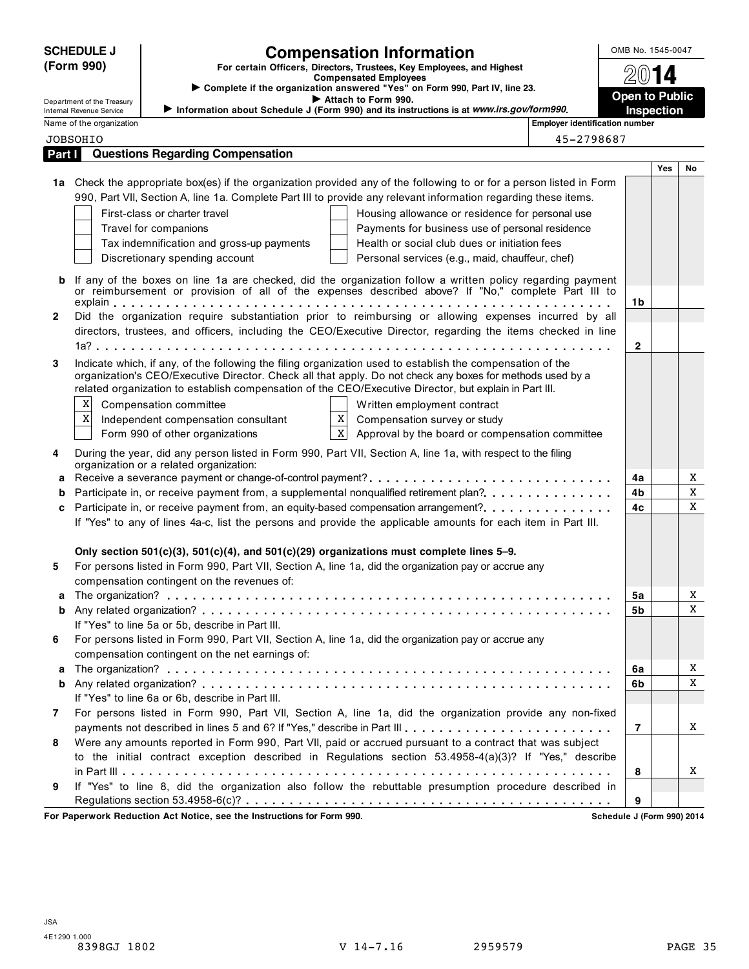|        | <b>SCHEDULE J</b><br>(Form 990)<br>Department of the Treasury |                                                                                                                                       | <b>Compensation Information</b><br>For certain Officers, Directors, Trustees, Key Employees, and Highest<br><b>Compensated Employees</b><br>Complete if the organization answered "Yes" on Form 990, Part IV, line 23.<br>Attach to Form 990.<br>Information about Schedule J (Form 990) and its instructions is at www.irs.gov/form990.                                                                                                                                                                                                                        |                                       | OMB No. 1545-0047<br><b>Open to Public</b> |     |        |
|--------|---------------------------------------------------------------|---------------------------------------------------------------------------------------------------------------------------------------|-----------------------------------------------------------------------------------------------------------------------------------------------------------------------------------------------------------------------------------------------------------------------------------------------------------------------------------------------------------------------------------------------------------------------------------------------------------------------------------------------------------------------------------------------------------------|---------------------------------------|--------------------------------------------|-----|--------|
|        | Internal Revenue Service<br>Name of the organization          |                                                                                                                                       |                                                                                                                                                                                                                                                                                                                                                                                                                                                                                                                                                                 | <b>Employer identification number</b> | Inspection                                 |     |        |
|        | <b>JOBSOHIO</b>                                               |                                                                                                                                       |                                                                                                                                                                                                                                                                                                                                                                                                                                                                                                                                                                 | 45-2798687                            |                                            |     |        |
| Part I |                                                               | <b>Questions Regarding Compensation</b>                                                                                               |                                                                                                                                                                                                                                                                                                                                                                                                                                                                                                                                                                 |                                       |                                            |     |        |
|        |                                                               |                                                                                                                                       |                                                                                                                                                                                                                                                                                                                                                                                                                                                                                                                                                                 |                                       |                                            | Yes | No     |
| b      |                                                               | First-class or charter travel<br>Travel for companions<br>Tax indemnification and gross-up payments<br>Discretionary spending account | 1a Check the appropriate box(es) if the organization provided any of the following to or for a person listed in Form<br>990, Part VII, Section A, line 1a. Complete Part III to provide any relevant information regarding these items.<br>Housing allowance or residence for personal use<br>Payments for business use of personal residence<br>Health or social club dues or initiation fees<br>Personal services (e.g., maid, chauffeur, chef)<br>If any of the boxes on line 1a are checked, did the organization follow a written policy regarding payment |                                       |                                            |     |        |
|        |                                                               |                                                                                                                                       | or reimbursement or provision of all of the expenses described above? If "No," complete Part III to                                                                                                                                                                                                                                                                                                                                                                                                                                                             |                                       |                                            |     |        |
| 2      |                                                               |                                                                                                                                       | Did the organization require substantiation prior to reimbursing or allowing expenses incurred by all                                                                                                                                                                                                                                                                                                                                                                                                                                                           |                                       | 1b                                         |     |        |
|        |                                                               |                                                                                                                                       | directors, trustees, and officers, including the CEO/Executive Director, regarding the items checked in line                                                                                                                                                                                                                                                                                                                                                                                                                                                    |                                       |                                            |     |        |
|        |                                                               |                                                                                                                                       |                                                                                                                                                                                                                                                                                                                                                                                                                                                                                                                                                                 |                                       | $\mathbf{2}$                               |     |        |
| 3      | X<br>$\mathbf X$                                              | Compensation committee<br>Independent compensation consultant<br>Form 990 of other organizations                                      | Indicate which, if any, of the following the filing organization used to establish the compensation of the<br>organization's CEO/Executive Director. Check all that apply. Do not check any boxes for methods used by a<br>related organization to establish compensation of the CEO/Executive Director, but explain in Part III.<br>Written employment contract<br>X<br>Compensation survey or study<br>$\mathbf{x}$<br>Approval by the board or compensation committee                                                                                        |                                       |                                            |     |        |
| 4      |                                                               |                                                                                                                                       | During the year, did any person listed in Form 990, Part VII, Section A, line 1a, with respect to the filing                                                                                                                                                                                                                                                                                                                                                                                                                                                    |                                       |                                            |     |        |
|        |                                                               | organization or a related organization:                                                                                               |                                                                                                                                                                                                                                                                                                                                                                                                                                                                                                                                                                 |                                       |                                            |     |        |
| a      |                                                               |                                                                                                                                       | Receive a severance payment or change-of-control payment?                                                                                                                                                                                                                                                                                                                                                                                                                                                                                                       |                                       | 4a                                         |     | X      |
| b      |                                                               |                                                                                                                                       | Participate in, or receive payment from, a supplemental nonqualified retirement plan?                                                                                                                                                                                                                                                                                                                                                                                                                                                                           |                                       | 4b                                         |     | X      |
| c      |                                                               |                                                                                                                                       | Participate in, or receive payment from, an equity-based compensation arrangement?                                                                                                                                                                                                                                                                                                                                                                                                                                                                              |                                       | 4c                                         |     | X      |
| 5      |                                                               | compensation contingent on the revenues of:                                                                                           | If "Yes" to any of lines 4a-c, list the persons and provide the applicable amounts for each item in Part III.<br>Only section $501(c)(3)$ , $501(c)(4)$ , and $501(c)(29)$ organizations must complete lines 5-9.<br>For persons listed in Form 990, Part VII, Section A, line 1a, did the organization pay or accrue any                                                                                                                                                                                                                                       |                                       |                                            |     |        |
|        |                                                               |                                                                                                                                       |                                                                                                                                                                                                                                                                                                                                                                                                                                                                                                                                                                 |                                       | 5a                                         |     | X      |
|        |                                                               |                                                                                                                                       |                                                                                                                                                                                                                                                                                                                                                                                                                                                                                                                                                                 |                                       | <b>5b</b>                                  |     | X      |
|        |                                                               | If "Yes" to line 5a or 5b, describe in Part III.                                                                                      |                                                                                                                                                                                                                                                                                                                                                                                                                                                                                                                                                                 |                                       |                                            |     |        |
| 6      |                                                               | compensation contingent on the net earnings of:                                                                                       | For persons listed in Form 990, Part VII, Section A, line 1a, did the organization pay or accrue any                                                                                                                                                                                                                                                                                                                                                                                                                                                            |                                       |                                            |     |        |
| a      |                                                               |                                                                                                                                       |                                                                                                                                                                                                                                                                                                                                                                                                                                                                                                                                                                 |                                       | 6a                                         |     | X      |
|        |                                                               | If "Yes" to line 6a or 6b, describe in Part III.                                                                                      |                                                                                                                                                                                                                                                                                                                                                                                                                                                                                                                                                                 |                                       | 6b                                         |     | X      |
| 7      |                                                               |                                                                                                                                       | For persons listed in Form 990, Part VII, Section A, line 1a, did the organization provide any non-fixed                                                                                                                                                                                                                                                                                                                                                                                                                                                        |                                       |                                            |     |        |
| 8      |                                                               |                                                                                                                                       | payments not described in lines 5 and 6? If "Yes," describe in Part III.<br>Were any amounts reported in Form 990, Part VII, paid or accrued pursuant to a contract that was subject<br>to the initial contract exception described in Regulations section 53.4958-4(a)(3)? If "Yes," describe                                                                                                                                                                                                                                                                  |                                       | $\overline{7}$<br>8                        |     | X<br>X |
| 9      |                                                               |                                                                                                                                       | If "Yes" to line 8, did the organization also follow the rebuttable presumption procedure described in                                                                                                                                                                                                                                                                                                                                                                                                                                                          |                                       | 9                                          |     |        |
|        |                                                               | For Paperwork Reduction Act Notice, see the Instructions for Form 990.                                                                |                                                                                                                                                                                                                                                                                                                                                                                                                                                                                                                                                                 |                                       | Schedule J (Form 990) 2014                 |     |        |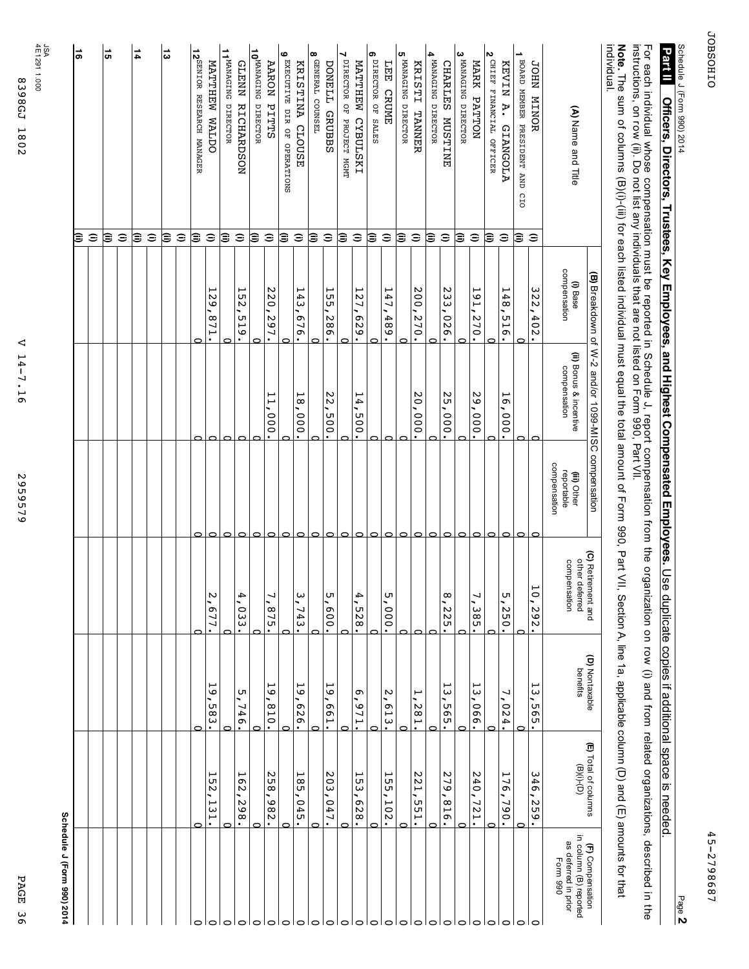| Π<br>ּת |
|---------|
| ה<br>며  |
| ω       |
| ō       |

2959579 2959579

## **Schedule J (Form 990) 2014**

|                                                               |                               |                            | (B) Breakdown of W-2 and/or 1099-MISC compensation |                                           | (C) Retirement and                  | (D) Nontaxable                                      | (E) Total of columns         | (F) Compensation                                           |
|---------------------------------------------------------------|-------------------------------|----------------------------|----------------------------------------------------|-------------------------------------------|-------------------------------------|-----------------------------------------------------|------------------------------|------------------------------------------------------------|
| (A) Name and Title                                            |                               | compensation<br>$(1)$ Base | (ii) Bonus & incentive<br>compensation             | compensation<br>reportable<br>(iii) Other | other deferred<br>compensation      | benefits                                            | $(9)(i)-(D)$                 | in column (B) reported<br>as deferred in prior<br>Form 990 |
| <b>JOHN MINOR</b>                                             | $\widehat{=}$                 | 322<br>402                 | $\circ$                                            |                                           | $\hat{Q}$<br>292                    | ى<br>$\omega$<br>565                                | 346<br>259                   | $\circ$                                                    |
| ∸<br>BOARD MEMBER PRESIDENT AND CIO                           | ι⊜                            |                            | ⊂                                                  | C                                         |                                     | c                                                   | C                            | $\circ$                                                    |
| KEVIN A.<br><b>GIANGOLA</b>                                   | $\widehat{\phantom{a}}$       | 148<br>919                 | ٣<br>$\frac{1}{2}$<br>000                          | ⊂                                         | UТ<br>,<br>250                      | J<br>024                                            | 11<br>Ō<br>,<br>790          | $\circ$                                                    |
| N<br>CHIEF FINANCIAL OFFICER                                  | ι€                            |                            |                                                    | 0                                         |                                     | 0                                                   |                              | $\circ$                                                    |
| MARK PATTON                                                   | $\widehat{\phantom{a}}$       | 161<br>'270.               | 29,000                                             | $\circ$                                   | ┙<br>۰<br>$\omega$<br>$\frac{8}{9}$ | ⊢<br>ω<br>990                                       | N<br>40<br>۰,<br>721.        | $\circ$                                                    |
| 3 MANAGING DIRECTOR                                           | ⊜                             | ┌                          |                                                    | $\circ$                                   |                                     | $\circ$                                             | C                            | $\circ$                                                    |
| CHARLES MUSTINE                                               | $\widehat{\phantom{a}}$       | 233<br>,026.               | 25,000                                             | $\circ$                                   | $\infty$<br>Z<br>SZ.                | ۳<br>ω<br>565                                       | N<br>79<br>۰.<br>918         | $\circ$                                                    |
| 4 MANAGING DIRECTOR                                           | ⊜                             |                            |                                                    | $\circ$                                   |                                     | ⊂                                                   |                              | $\circ$                                                    |
| KRISTI TANNER                                                 | $\widehat{\phantom{a}}$       | 200,270.                   | 20,000.                                            | 0                                         |                                     | ٣<br>'281.                                          | N<br>12<br>۰<br><b>551.</b>  | $\circ$                                                    |
| 5 MANAGING DIRECTOR                                           | ε                             | $\mathbf{\Omega}$          |                                                    | 0                                         |                                     | ⊂                                                   | c                            | $\circ$                                                    |
| LEE CRUME                                                     | $\widehat{\phantom{a}}$       | 147<br>.489.               | ⊂                                                  | っ                                         | UТ<br>.000.                         | $\sim$<br><b>613</b>                                | 55<br>UΤ.<br>,<br><b>102</b> | $\circ$                                                    |
| თ<br>DIRECTOR OF SALES                                        | ι€                            | උ                          |                                                    | $\circ$                                   |                                     | ⊂                                                   | ╭                            | $\circ$                                                    |
| MATTHEW CYBULSKI                                              | $\widehat{\phantom{a}}$       | 121<br>'629'               | 14,<br>005<br>$\bullet$                            | $\circ$                                   | 4<br><b>528</b>                     | Ō<br>126'                                           | 55<br>ω<br>829               | o                                                          |
| ↘<br>DIRECTOR OF PROJECT MGMT                                 | ι⊜                            |                            |                                                    | $\circ$                                   |                                     | ⊂                                                   | උ                            | O                                                          |
| $\infty$<br>GENERAL COUNSEL<br><b>DONELL</b><br><b>GRUBBS</b> | $\widehat{\phantom{a}}$<br>ι€ | 155<br>982                 | 22,<br>000                                         | $\circ$<br>$\circ$                        | UТ<br>009<br>٠                      | $\overline{6}$<br>L <sub>99</sub><br>$\bullet$<br>⊂ | 203<br>047                   | $\circ$<br>$\circ$                                         |
| KRISTINA CLOUSE                                               | $\widehat{\phantom{a}}$       | 143<br>.919                | ٣<br>${}^{\infty}$<br>$000 -$                      | $\circ$                                   | ω<br>,<br>┙<br>43<br>٠              | 19<br>979<br>$\bullet$                              | <b>185</b><br>,<br>045       | $\circ$                                                    |
| ဖ<br>EXECUTIVE DIR OF OPERATIONS                              | €                             |                            |                                                    | $\circ$                                   |                                     | 0                                                   |                              | $\circ$                                                    |
| <b>AARON</b><br>PITTS                                         | Ξ                             | 220,297.                   | 000                                                | $\circ$                                   | ┙<br>575<br>$\bullet$               | 59<br>018<br>$\bullet$                              | 258<br>.982.                 | $\circ$                                                    |
| 10MANAGING DIRECTOR                                           | ι⊜                            |                            |                                                    | $\circ$                                   |                                     |                                                     |                              | $\circ$                                                    |
| GLENN RICHARDSON                                              | $\widehat{\phantom{a}}$       | 152<br>,<br>.519.          | $\circ$                                            | $\circ$                                   | 4<br><b>033</b>                     | 5,746.                                              | 162<br>۰,<br>.298.           | $\circ$ $\circ$                                            |
| 11 MANAGING DIRECTOR                                          | ε                             |                            | $\circ$                                            | $\circ$                                   |                                     | c                                                   |                              |                                                            |
| MATTHEW WALDO                                                 | $\widehat{\phantom{a}}$       | 521<br>:118                | 0                                                  | $\circ$                                   | N<br>677<br>$\bullet$               | 161<br>$-583.$                                      | <b>152</b><br>131.           | $\circ$                                                    |
| 12 <sup>SENIOR</sup> RESEARCH MANAGER                         | ι⊜                            |                            | 0                                                  | 0                                         |                                     | c                                                   | ⊂                            | 0                                                          |
|                                                               | $\widehat{\phantom{a}}$       |                            |                                                    |                                           |                                     |                                                     |                              |                                                            |
| ದ                                                             | ι€                            |                            |                                                    |                                           |                                     |                                                     |                              |                                                            |
|                                                               | $\widehat{\phantom{a}}$       |                            |                                                    |                                           |                                     |                                                     |                              |                                                            |
| 14                                                            | ε                             |                            |                                                    |                                           |                                     |                                                     |                              |                                                            |
|                                                               | $\widehat{=}$                 |                            |                                                    |                                           |                                     |                                                     |                              |                                                            |
| <b>G</b>                                                      | ι⊜                            |                            |                                                    |                                           |                                     |                                                     |                              |                                                            |
|                                                               | $\widehat{\phantom{a}}$       |                            |                                                    |                                           |                                     |                                                     |                              |                                                            |
| $\overline{5}$                                                | ε                             |                            |                                                    |                                           |                                     |                                                     |                              |                                                            |
|                                                               |                               |                            |                                                    |                                           |                                     |                                                     |                              |                                                            |

Page **2**

Schedule

**Part II** 

J (Form

2014

# 990) **Officers, Directors, Trustees, Key Employees, and Highest Compensated Employees.** Use duplicate copies if additional space is **12 III Officers. Trustees. Trustees. The Second Second Proportional Support Compated Employees. Second Highley Assumpts additional seconds of the second of the second Proport Centers is additional second of the second pro**

고<br>우 each individual whose compensation must መ<br>ወ reported in Si Schedule ب report compensation from the organization on row  $\widehat{\text{}}$ and from related organizations, described E. the instructions, on row  $\widehat{\mathrel{\mathop{\mathrm{e}}\nolimits}}$ Do not list any individuals that a<br>ə not listed on Form 990, Part<br>F  $\leqq$ 

individual. individual. **Note.** The sum q columns (B)(i)-(iii) for each listed individual must equal the total amount ቧ Form 990, Part<br>H  $\leqq$ Section A, line 1a, applicable column (D) and  $\widehat{\mathbb{E}}$ amounts for that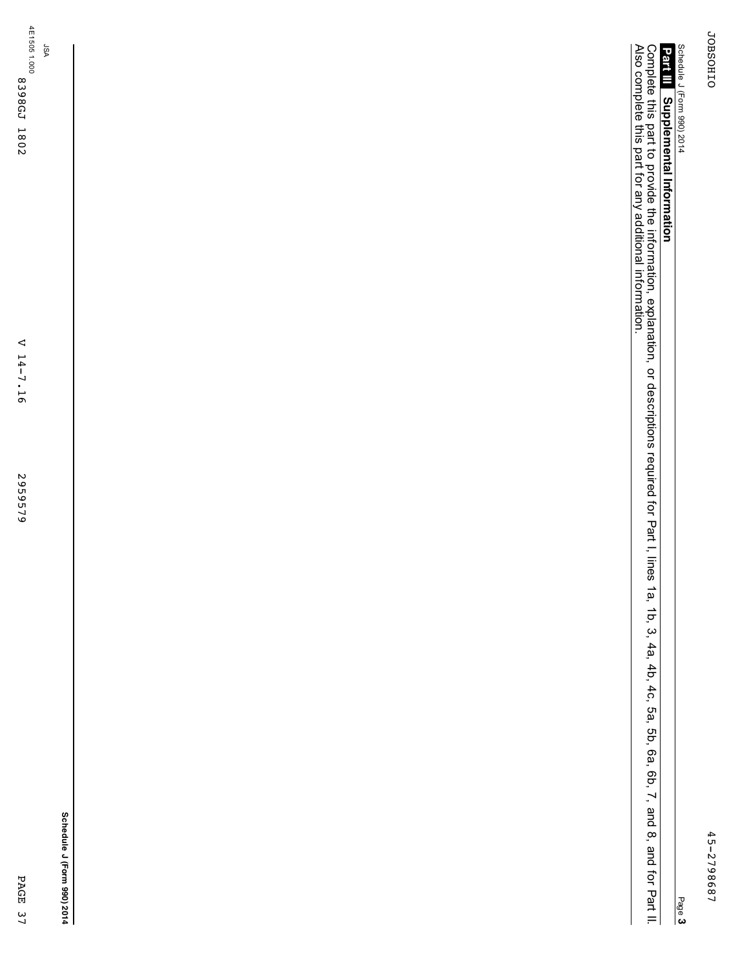45-2798687

45-2798687

# Schedule J (Form 990) 2014

**Supplemental Information Part III**

Complete this part to provide e<br>S information, explanation, or descriptions required for Part<br>F I, lines ب<br>م 1b, بي 4a, 4b, 4c, 5a, 5b, 6a, 6b, بر and  $\infty$ and<br>B ਕ੍ਰੋ Part<br>F = Also complete this part for any additional information.

**Schedule J (Form 990) 2014**

PAGE 37

PAGE 37

JSA

V 14-7.16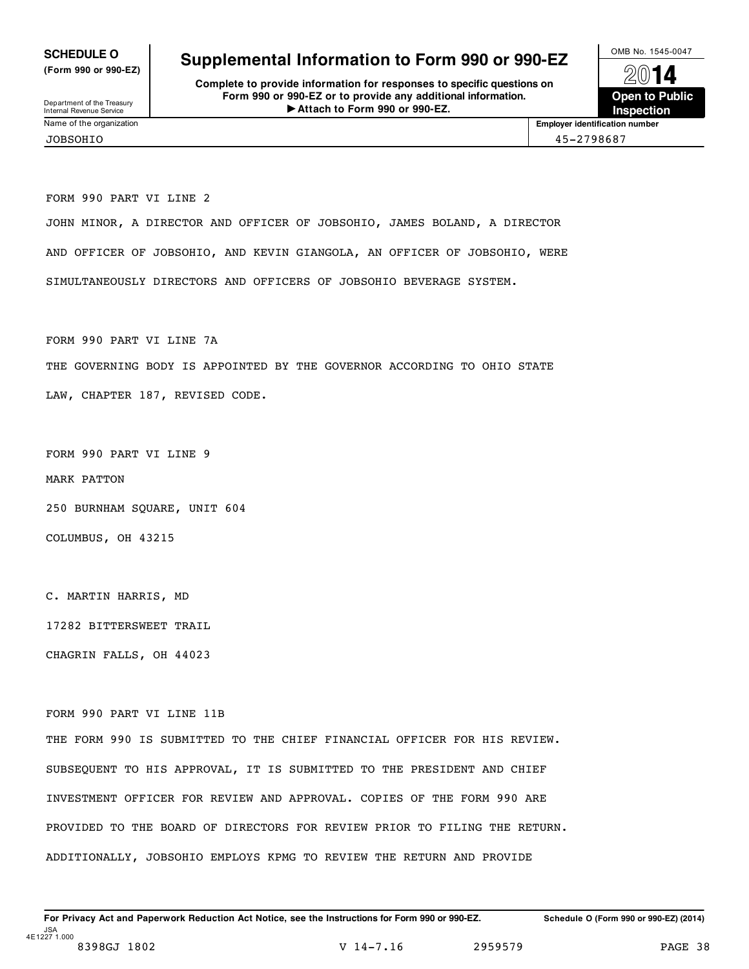**(Form 990 or 990-EZ)**

Department of the Treasury<br>Internal Revenue Service<br>Name of the organization

## **SCHEDULE O** Supplemental Information to Form 990 or 990-EZ  $\frac{100\text{dB No. }1545-0047}{000\text{dB}}$

**Complete to provide information for responses to specific questions on Form 990 or 990-EZ or to provide any additional information.** Department of the Treasury<br> **Attach to Form 990 or 990-EZ. Inspection** 



**Employer identification number** 

FORM 990 PART VI LINE 2 JOHN MINOR, A DIRECTOR AND OFFICER OF JOBSOHIO, JAMES BOLAND, A DIRECTOR AND OFFICER OF JOBSOHIO, AND KEVIN GIANGOLA, AN OFFICER OF JOBSOHIO, WERE SIMULTANEOUSLY DIRECTORS AND OFFICERS OF JOBSOHIO BEVERAGE SYSTEM.

FORM 990 PART VI LINE 7A THE GOVERNING BODY IS APPOINTED BY THE GOVERNOR ACCORDING TO OHIO STATE LAW, CHAPTER 187, REVISED CODE.

FORM 990 PART VI LINE 9

MARK PATTON

250 BURNHAM SQUARE, UNIT 604

COLUMBUS, OH 43215

C. MARTIN HARRIS, MD

17282 BITTERSWEET TRAIL

CHAGRIN FALLS, OH 44023

FORM 990 PART VI LINE 11B

THE FORM 990 IS SUBMITTED TO THE CHIEF FINANCIAL OFFICER FOR HIS REVIEW. SUBSEQUENT TO HIS APPROVAL, IT IS SUBMITTED TO THE PRESIDENT AND CHIEF INVESTMENT OFFICER FOR REVIEW AND APPROVAL. COPIES OF THE FORM 990 ARE PROVIDED TO THE BOARD OF DIRECTORS FOR REVIEW PRIOR TO FILING THE RETURN. ADDITIONALLY, JOBSOHIO EMPLOYS KPMG TO REVIEW THE RETURN AND PROVIDE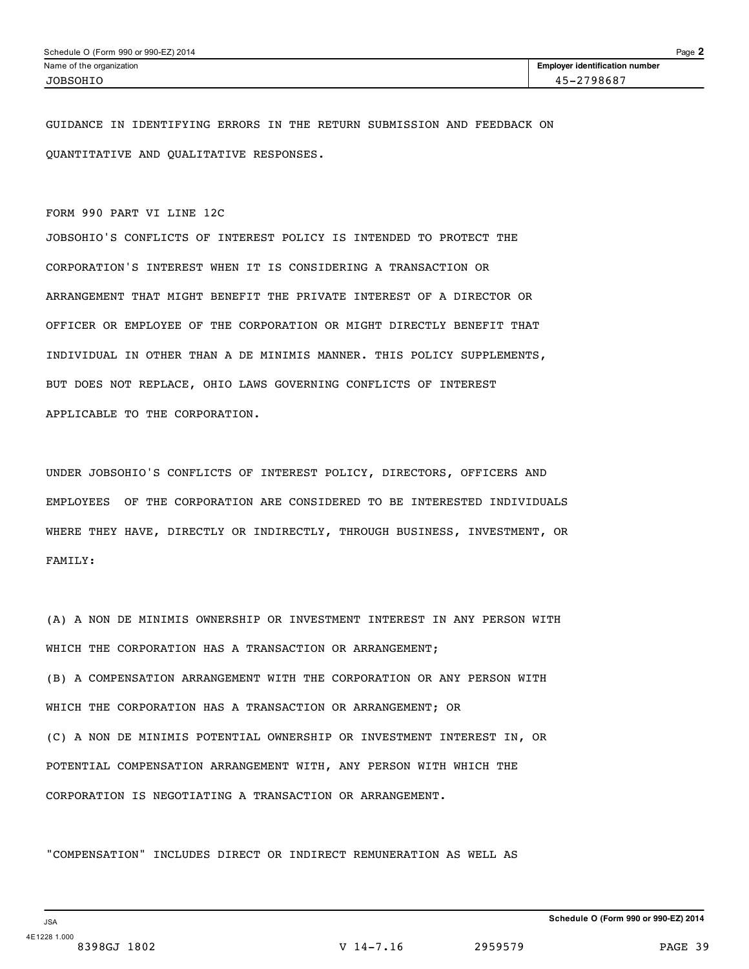GUIDANCE IN IDENTIFYING ERRORS IN THE RETURN SUBMISSION AND FEEDBACK ON QUANTITATIVE AND QUALITATIVE RESPONSES.

### FORM 990 PART VI LINE 12C

JOBSOHIO'S CONFLICTS OF INTEREST POLICY IS INTENDED TO PROTECT THE CORPORATION'S INTEREST WHEN IT IS CONSIDERING A TRANSACTION OR ARRANGEMENT THAT MIGHT BENEFIT THE PRIVATE INTEREST OF A DIRECTOR OR OFFICER OR EMPLOYEE OF THE CORPORATION OR MIGHT DIRECTLY BENEFIT THAT INDIVIDUAL IN OTHER THAN A DE MINIMIS MANNER. THIS POLICY SUPPLEMENTS, BUT DOES NOT REPLACE, OHIO LAWS GOVERNING CONFLICTS OF INTEREST APPLICABLE TO THE CORPORATION.

UNDER JOBSOHIO'S CONFLICTS OF INTEREST POLICY, DIRECTORS, OFFICERS AND EMPLOYEES OF THE CORPORATION ARE CONSIDERED TO BE INTERESTED INDIVIDUALS WHERE THEY HAVE, DIRECTLY OR INDIRECTLY, THROUGH BUSINESS, INVESTMENT, OR FAMILY:

(A) A NON DE MINIMIS OWNERSHIP OR INVESTMENT INTEREST IN ANY PERSON WITH WHICH THE CORPORATION HAS A TRANSACTION OR ARRANGEMENT; (B) A COMPENSATION ARRANGEMENT WITH THE CORPORATION OR ANY PERSON WITH WHICH THE CORPORATION HAS A TRANSACTION OR ARRANGEMENT; OR (C) A NON DE MINIMIS POTENTIAL OWNERSHIP OR INVESTMENT INTEREST IN, OR POTENTIAL COMPENSATION ARRANGEMENT WITH, ANY PERSON WITH WHICH THE CORPORATION IS NEGOTIATING A TRANSACTION OR ARRANGEMENT.

"COMPENSATION" INCLUDES DIRECT OR INDIRECT REMUNERATION AS WELL AS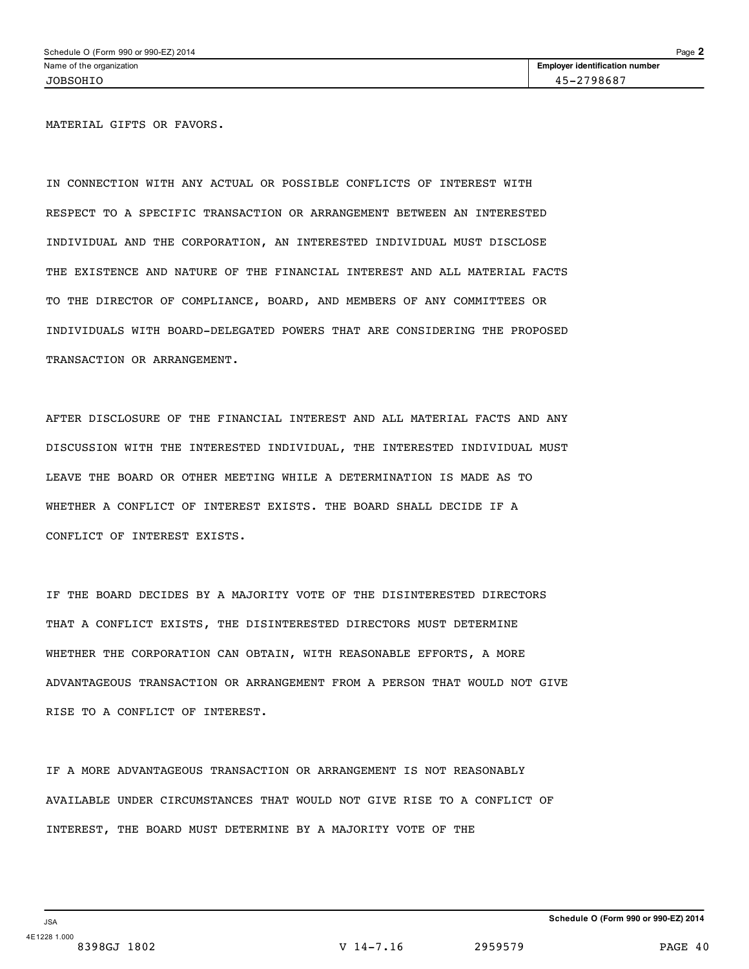MATERIAL GIFTS OR FAVORS.

IN CONNECTION WITH ANY ACTUAL OR POSSIBLE CONFLICTS OF INTEREST WITH RESPECT TO A SPECIFIC TRANSACTION OR ARRANGEMENT BETWEEN AN INTERESTED INDIVIDUAL AND THE CORPORATION, AN INTERESTED INDIVIDUAL MUST DISCLOSE THE EXISTENCE AND NATURE OF THE FINANCIAL INTEREST AND ALL MATERIAL FACTS TO THE DIRECTOR OF COMPLIANCE, BOARD, AND MEMBERS OF ANY COMMITTEES OR INDIVIDUALS WITH BOARD-DELEGATED POWERS THAT ARE CONSIDERING THE PROPOSED TRANSACTION OR ARRANGEMENT.

AFTER DISCLOSURE OF THE FINANCIAL INTEREST AND ALL MATERIAL FACTS AND ANY DISCUSSION WITH THE INTERESTED INDIVIDUAL, THE INTERESTED INDIVIDUAL MUST LEAVE THE BOARD OR OTHER MEETING WHILE A DETERMINATION IS MADE AS TO WHETHER A CONFLICT OF INTEREST EXISTS. THE BOARD SHALL DECIDE IF A CONFLICT OF INTEREST EXISTS.

IF THE BOARD DECIDES BY A MAJORITY VOTE OF THE DISINTERESTED DIRECTORS THAT A CONFLICT EXISTS, THE DISINTERESTED DIRECTORS MUST DETERMINE WHETHER THE CORPORATION CAN OBTAIN, WITH REASONABLE EFFORTS, A MORE ADVANTAGEOUS TRANSACTION OR ARRANGEMENT FROM A PERSON THAT WOULD NOT GIVE RISE TO A CONFLICT OF INTEREST.

IF A MORE ADVANTAGEOUS TRANSACTION OR ARRANGEMENT IS NOT REASONABLY AVAILABLE UNDER CIRCUMSTANCES THAT WOULD NOT GIVE RISE TO A CONFLICT OF INTEREST, THE BOARD MUST DETERMINE BY A MAJORITY VOTE OF THE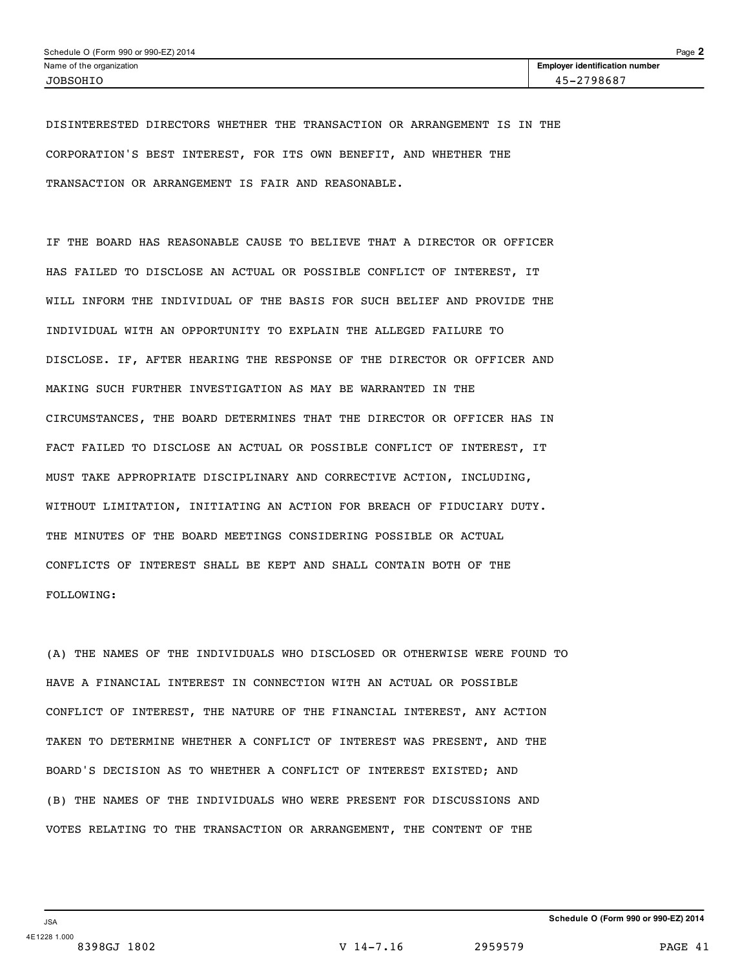DISINTERESTED DIRECTORS WHETHER THE TRANSACTION OR ARRANGEMENT IS IN THE CORPORATION'S BEST INTEREST, FOR ITS OWN BENEFIT, AND WHETHER THE TRANSACTION OR ARRANGEMENT IS FAIR AND REASONABLE.

IF THE BOARD HAS REASONABLE CAUSE TO BELIEVE THAT A DIRECTOR OR OFFICER HAS FAILED TO DISCLOSE AN ACTUAL OR POSSIBLE CONFLICT OF INTEREST, IT WILL INFORM THE INDIVIDUAL OF THE BASIS FOR SUCH BELIEF AND PROVIDE THE INDIVIDUAL WITH AN OPPORTUNITY TO EXPLAIN THE ALLEGED FAILURE TO DISCLOSE. IF, AFTER HEARING THE RESPONSE OF THE DIRECTOR OR OFFICER AND MAKING SUCH FURTHER INVESTIGATION AS MAY BE WARRANTED IN THE CIRCUMSTANCES, THE BOARD DETERMINES THAT THE DIRECTOR OR OFFICER HAS IN FACT FAILED TO DISCLOSE AN ACTUAL OR POSSIBLE CONFLICT OF INTEREST, IT MUST TAKE APPROPRIATE DISCIPLINARY AND CORRECTIVE ACTION, INCLUDING, WITHOUT LIMITATION, INITIATING AN ACTION FOR BREACH OF FIDUCIARY DUTY. THE MINUTES OF THE BOARD MEETINGS CONSIDERING POSSIBLE OR ACTUAL CONFLICTS OF INTEREST SHALL BE KEPT AND SHALL CONTAIN BOTH OF THE FOLLOWING:

(A) THE NAMES OF THE INDIVIDUALS WHO DISCLOSED OR OTHERWISE WERE FOUND TO HAVE A FINANCIAL INTEREST IN CONNECTION WITH AN ACTUAL OR POSSIBLE CONFLICT OF INTEREST, THE NATURE OF THE FINANCIAL INTEREST, ANY ACTION TAKEN TO DETERMINE WHETHER A CONFLICT OF INTEREST WAS PRESENT, AND THE BOARD'S DECISION AS TO WHETHER A CONFLICT OF INTEREST EXISTED; AND (B) THE NAMES OF THE INDIVIDUALS WHO WERE PRESENT FOR DISCUSSIONS AND VOTES RELATING TO THE TRANSACTION OR ARRANGEMENT, THE CONTENT OF THE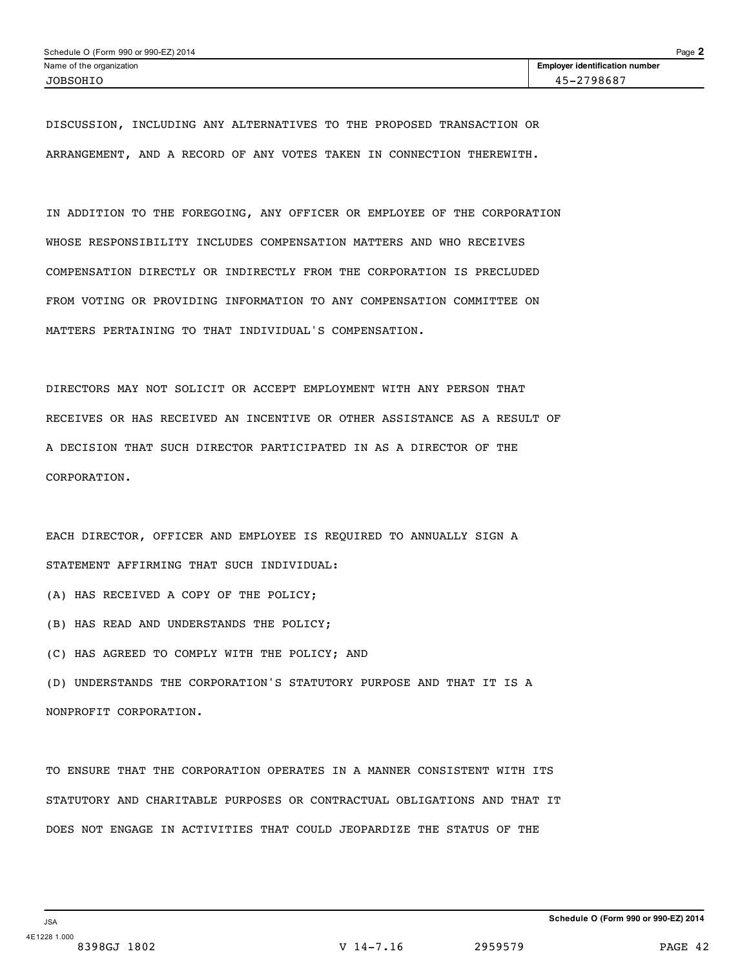DISCUSSION, INCLUDING ANY ALTERNATIVES TO THE PROPOSED TRANSACTION OR ARRANGEMENT, AND A RECORD OF ANY VOTES TAKEN IN CONNECTION THEREWITH.

IN ADDITION TO THE FOREGOING, ANY OFFICER OR EMPLOYEE OF THE CORPORATION WHOSE RESPONSIBILITY INCLUDES COMPENSATION MATTERS AND WHO RECEIVES COMPENSATION DIRECTLY OR INDIRECTLY FROM THE CORPORATION IS PRECLUDED FROM VOTING OR PROVIDING INFORMATION TO ANY COMPENSATION COMMITTEE ON MATTERS PERTAINING TO THAT INDIVIDUAL'S COMPENSATION.

DIRECTORS MAY NOT SOLICIT OR ACCEPT EMPLOYMENT WITH ANY PERSON THAT RECEIVES OR HAS RECEIVED AN INCENTIVE OR OTHER ASSISTANCE AS A RESULT OF A DECISION THAT SUCH DIRECTOR PARTICIPATED IN AS A DIRECTOR OF THE CORPORATION.

EACH DIRECTOR, OFFICER AND EMPLOYEE IS REQUIRED TO ANNUALLY SIGN A STATEMENT AFFIRMING THAT SUCH INDIVIDUAL:

- (A) HAS RECEIVED A COPY OF THE POLICY;
- (B) HAS READ AND UNDERSTANDS THE POLICY;
- (C) HAS AGREED TO COMPLY WITH THE POLICY; AND

(D) UNDERSTANDS THE CORPORATION'S STATUTORY PURPOSE AND THAT IT IS A NONPROFIT CORPORATION.

TO ENSURE THAT THE CORPORATION OPERATES IN A MANNER CONSISTENT WITH ITS STATUTORY AND CHARITABLE PURPOSES OR CONTRACTUAL OBLIGATIONS AND THAT IT DOES NOT ENGAGE IN ACTIVITIES THAT COULD JEOPARDIZE THE STATUS OF THE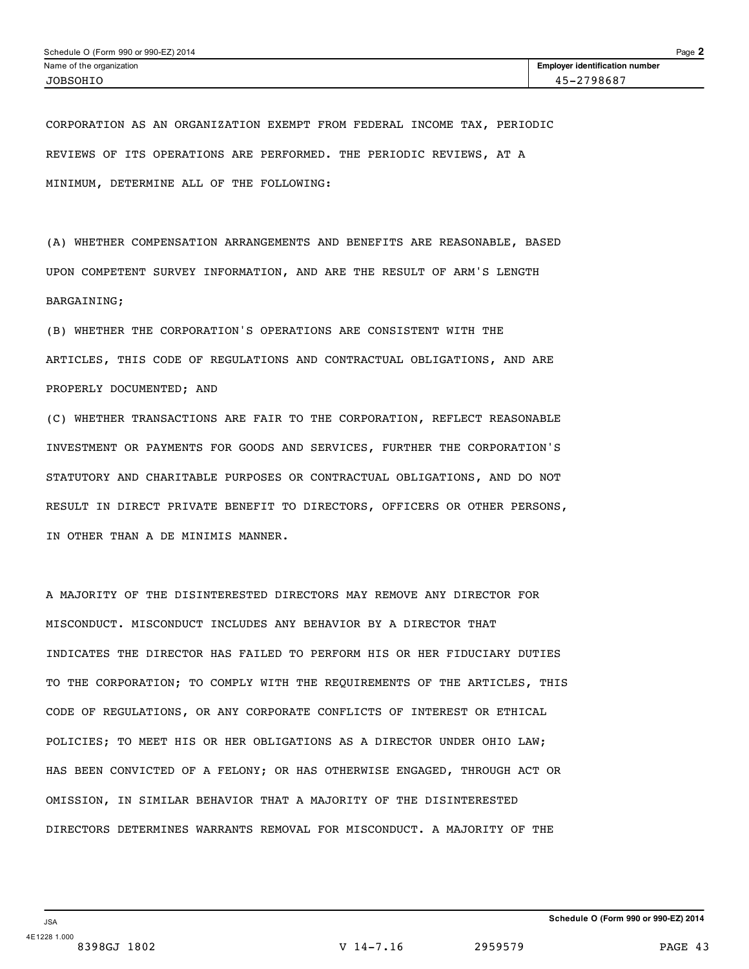CORPORATION AS AN ORGANIZATION EXEMPT FROM FEDERAL INCOME TAX, PERIODIC REVIEWS OF ITS OPERATIONS ARE PERFORMED. THE PERIODIC REVIEWS, AT A MINIMUM, DETERMINE ALL OF THE FOLLOWING:

(A) WHETHER COMPENSATION ARRANGEMENTS AND BENEFITS ARE REASONABLE, BASED UPON COMPETENT SURVEY INFORMATION, AND ARE THE RESULT OF ARM'S LENGTH BARGAINING;

(B) WHETHER THE CORPORATION'S OPERATIONS ARE CONSISTENT WITH THE ARTICLES, THIS CODE OF REGULATIONS AND CONTRACTUAL OBLIGATIONS, AND ARE PROPERLY DOCUMENTED; AND

(C) WHETHER TRANSACTIONS ARE FAIR TO THE CORPORATION, REFLECT REASONABLE INVESTMENT OR PAYMENTS FOR GOODS AND SERVICES, FURTHER THE CORPORATION'S STATUTORY AND CHARITABLE PURPOSES OR CONTRACTUAL OBLIGATIONS, AND DO NOT RESULT IN DIRECT PRIVATE BENEFIT TO DIRECTORS, OFFICERS OR OTHER PERSONS, IN OTHER THAN A DE MINIMIS MANNER.

A MAJORITY OF THE DISINTERESTED DIRECTORS MAY REMOVE ANY DIRECTOR FOR MISCONDUCT. MISCONDUCT INCLUDES ANY BEHAVIOR BY A DIRECTOR THAT INDICATES THE DIRECTOR HAS FAILED TO PERFORM HIS OR HER FIDUCIARY DUTIES TO THE CORPORATION; TO COMPLY WITH THE REQUIREMENTS OF THE ARTICLES, THIS CODE OF REGULATIONS, OR ANY CORPORATE CONFLICTS OF INTEREST OR ETHICAL POLICIES; TO MEET HIS OR HER OBLIGATIONS AS A DIRECTOR UNDER OHIO LAW; HAS BEEN CONVICTED OF A FELONY; OR HAS OTHERWISE ENGAGED, THROUGH ACT OR OMISSION, IN SIMILAR BEHAVIOR THAT A MAJORITY OF THE DISINTERESTED DIRECTORS DETERMINES WARRANTS REMOVAL FOR MISCONDUCT. A MAJORITY OF THE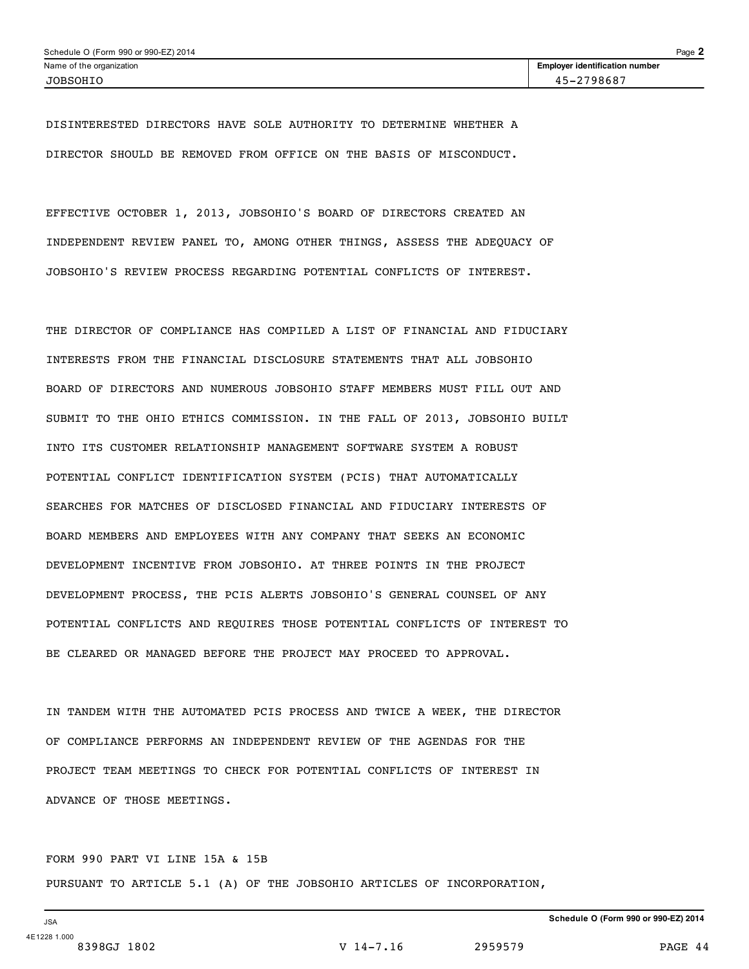DISINTERESTED DIRECTORS HAVE SOLE AUTHORITY TO DETERMINE WHETHER A DIRECTOR SHOULD BE REMOVED FROM OFFICE ON THE BASIS OF MISCONDUCT.

EFFECTIVE OCTOBER 1, 2013, JOBSOHIO'S BOARD OF DIRECTORS CREATED AN INDEPENDENT REVIEW PANEL TO, AMONG OTHER THINGS, ASSESS THE ADEQUACY OF JOBSOHIO'S REVIEW PROCESS REGARDING POTENTIAL CONFLICTS OF INTEREST.

THE DIRECTOR OF COMPLIANCE HAS COMPILED A LIST OF FINANCIAL AND FIDUCIARY INTERESTS FROM THE FINANCIAL DISCLOSURE STATEMENTS THAT ALL JOBSOHIO BOARD OF DIRECTORS AND NUMEROUS JOBSOHIO STAFF MEMBERS MUST FILL OUT AND SUBMIT TO THE OHIO ETHICS COMMISSION. IN THE FALL OF 2013, JOBSOHIO BUILT INTO ITS CUSTOMER RELATIONSHIP MANAGEMENT SOFTWARE SYSTEM A ROBUST POTENTIAL CONFLICT IDENTIFICATION SYSTEM (PCIS) THAT AUTOMATICALLY SEARCHES FOR MATCHES OF DISCLOSED FINANCIAL AND FIDUCIARY INTERESTS OF BOARD MEMBERS AND EMPLOYEES WITH ANY COMPANY THAT SEEKS AN ECONOMIC DEVELOPMENT INCENTIVE FROM JOBSOHIO. AT THREE POINTS IN THE PROJECT DEVELOPMENT PROCESS, THE PCIS ALERTS JOBSOHIO'S GENERAL COUNSEL OF ANY POTENTIAL CONFLICTS AND REQUIRES THOSE POTENTIAL CONFLICTS OF INTEREST TO BE CLEARED OR MANAGED BEFORE THE PROJECT MAY PROCEED TO APPROVAL.

IN TANDEM WITH THE AUTOMATED PCIS PROCESS AND TWICE A WEEK, THE DIRECTOR OF COMPLIANCE PERFORMS AN INDEPENDENT REVIEW OF THE AGENDAS FOR THE PROJECT TEAM MEETINGS TO CHECK FOR POTENTIAL CONFLICTS OF INTEREST IN ADVANCE OF THOSE MEETINGS.

FORM 990 PART VI LINE 15A & 15B PURSUANT TO ARTICLE 5.1 (A) OF THE JOBSOHIO ARTICLES OF INCORPORATION,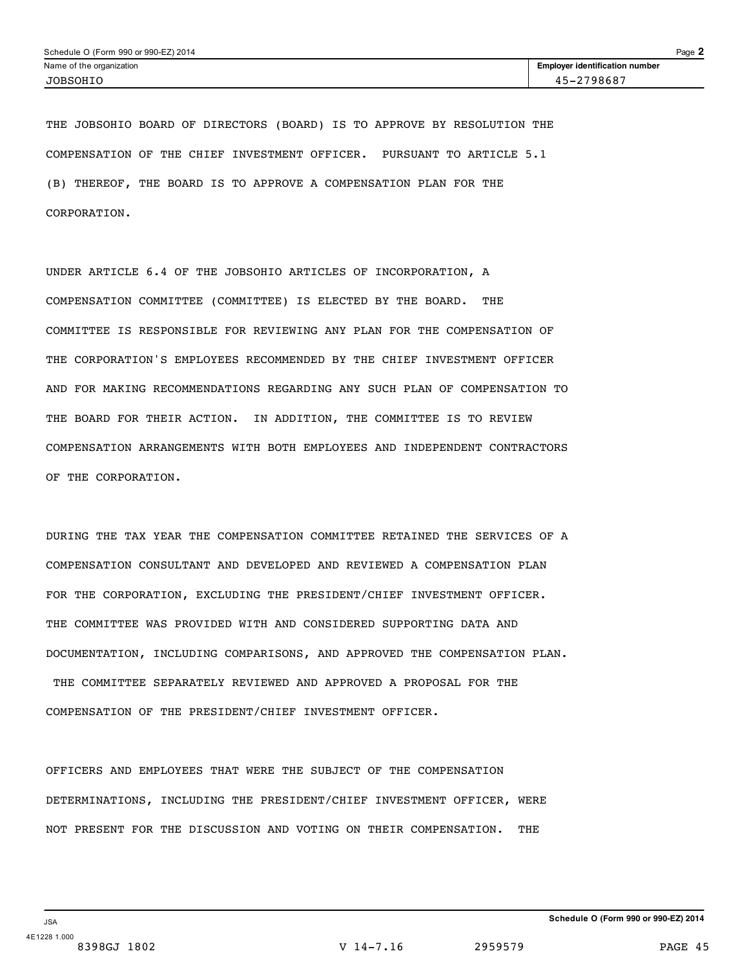THE JOBSOHIO BOARD OF DIRECTORS (BOARD) IS TO APPROVE BY RESOLUTION THE COMPENSATION OF THE CHIEF INVESTMENT OFFICER. PURSUANT TO ARTICLE 5.1 (B) THEREOF, THE BOARD IS TO APPROVE A COMPENSATION PLAN FOR THE CORPORATION.

UNDER ARTICLE 6.4 OF THE JOBSOHIO ARTICLES OF INCORPORATION, A COMPENSATION COMMITTEE (COMMITTEE) IS ELECTED BY THE BOARD. THE COMMITTEE IS RESPONSIBLE FOR REVIEWING ANY PLAN FOR THE COMPENSATION OF THE CORPORATION'S EMPLOYEES RECOMMENDED BY THE CHIEF INVESTMENT OFFICER AND FOR MAKING RECOMMENDATIONS REGARDING ANY SUCH PLAN OF COMPENSATION TO THE BOARD FOR THEIR ACTION. IN ADDITION, THE COMMITTEE IS TO REVIEW COMPENSATION ARRANGEMENTS WITH BOTH EMPLOYEES AND INDEPENDENT CONTRACTORS OF THE CORPORATION.

DURING THE TAX YEAR THE COMPENSATION COMMITTEE RETAINED THE SERVICES OF A COMPENSATION CONSULTANT AND DEVELOPED AND REVIEWED A COMPENSATION PLAN FOR THE CORPORATION, EXCLUDING THE PRESIDENT/CHIEF INVESTMENT OFFICER. THE COMMITTEE WAS PROVIDED WITH AND CONSIDERED SUPPORTING DATA AND DOCUMENTATION, INCLUDING COMPARISONS, AND APPROVED THE COMPENSATION PLAN. THE COMMITTEE SEPARATELY REVIEWED AND APPROVED A PROPOSAL FOR THE COMPENSATION OF THE PRESIDENT/CHIEF INVESTMENT OFFICER.

OFFICERS AND EMPLOYEES THAT WERE THE SUBJECT OF THE COMPENSATION DETERMINATIONS, INCLUDING THE PRESIDENT/CHIEF INVESTMENT OFFICER, WERE NOT PRESENT FOR THE DISCUSSION AND VOTING ON THEIR COMPENSATION. THE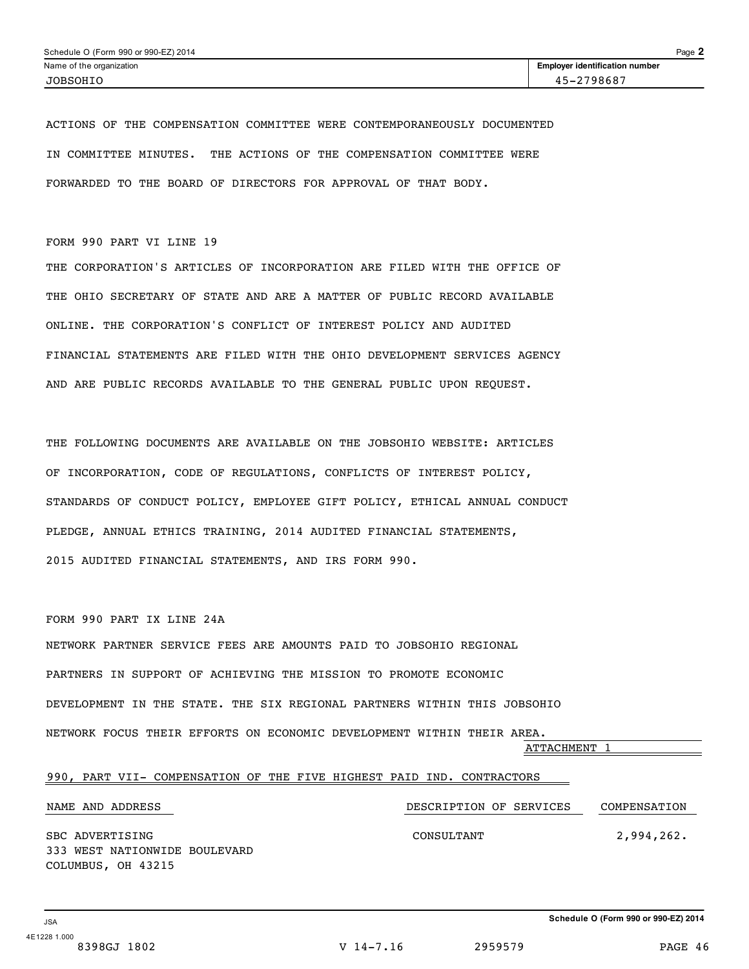ACTIONS OF THE COMPENSATION COMMITTEE WERE CONTEMPORANEOUSLY DOCUMENTED IN COMMITTEE MINUTES. THE ACTIONS OF THE COMPENSATION COMMITTEE WERE FORWARDED TO THE BOARD OF DIRECTORS FOR APPROVAL OF THAT BODY.

FORM 990 PART VI LINE 19

THE CORPORATION'S ARTICLES OF INCORPORATION ARE FILED WITH THE OFFICE OF THE OHIO SECRETARY OF STATE AND ARE A MATTER OF PUBLIC RECORD AVAILABLE ONLINE. THE CORPORATION'S CONFLICT OF INTEREST POLICY AND AUDITED FINANCIAL STATEMENTS ARE FILED WITH THE OHIO DEVELOPMENT SERVICES AGENCY AND ARE PUBLIC RECORDS AVAILABLE TO THE GENERAL PUBLIC UPON REQUEST.

THE FOLLOWING DOCUMENTS ARE AVAILABLE ON THE JOBSOHIO WEBSITE: ARTICLES OF INCORPORATION, CODE OF REGULATIONS, CONFLICTS OF INTEREST POLICY, STANDARDS OF CONDUCT POLICY, EMPLOYEE GIFT POLICY, ETHICAL ANNUAL CONDUCT PLEDGE, ANNUAL ETHICS TRAINING, 2014 AUDITED FINANCIAL STATEMENTS, 2015 AUDITED FINANCIAL STATEMENTS, AND IRS FORM 990.

FORM 990 PART IX LINE 24A

NETWORK PARTNER SERVICE FEES ARE AMOUNTS PAID TO JOBSOHIO REGIONAL PARTNERS IN SUPPORT OF ACHIEVING THE MISSION TO PROMOTE ECONOMIC DEVELOPMENT IN THE STATE. THE SIX REGIONAL PARTNERS WITHIN THIS JOBSOHIO NETWORK FOCUS THEIR EFFORTS ON ECONOMIC DEVELOPMENT WITHIN THEIR AREA.

ATTACHMENT 1

|  |                    |                               |  |  |            | 990, PART VII- COMPENSATION OF THE FIVE HIGHEST PAID IND. CONTRACTORS |              |
|--|--------------------|-------------------------------|--|--|------------|-----------------------------------------------------------------------|--------------|
|  |                    |                               |  |  |            |                                                                       |              |
|  | NAME AND ADDRESS   |                               |  |  |            | DESCRIPTION OF SERVICES                                               | COMPENSATION |
|  |                    |                               |  |  |            |                                                                       |              |
|  | SBC ADVERTISING    |                               |  |  | CONSULTANT |                                                                       | 2,994,262.   |
|  |                    | 333 WEST NATIONWIDE BOULEVARD |  |  |            |                                                                       |              |
|  | COLUMBUS, OH 43215 |                               |  |  |            |                                                                       |              |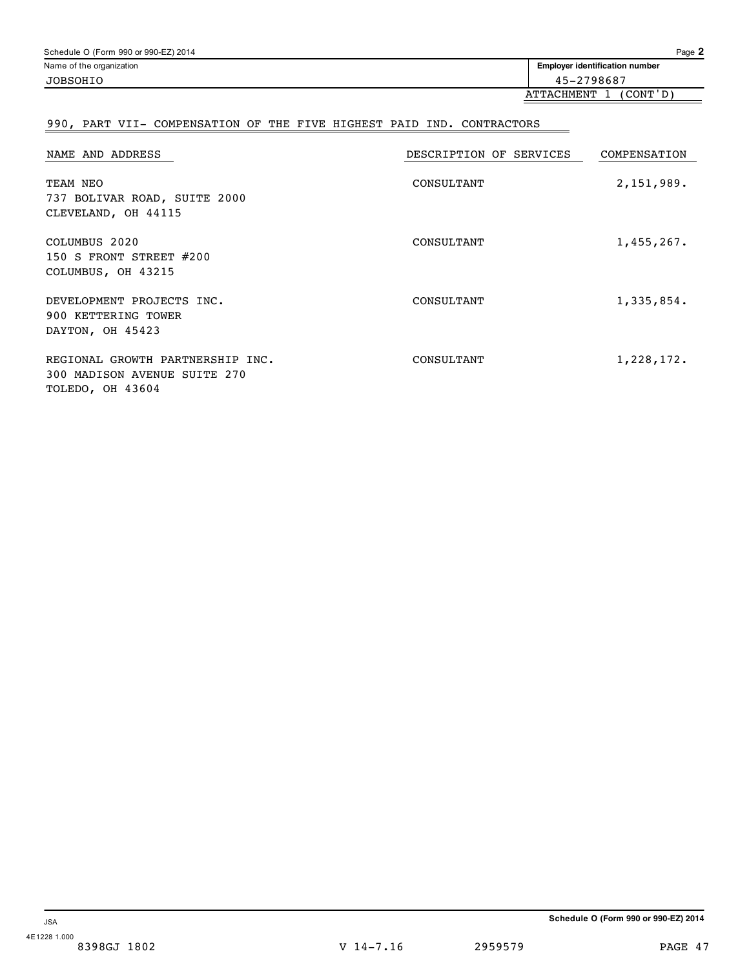| Schedule O (Form 990 or 990-EZ) 2014 |                                       | $P$ age $2$ |
|--------------------------------------|---------------------------------------|-------------|
| Name of the organization             | <b>Employer identification number</b> |             |
| <b>JOBSOHIO</b>                      | 45-2798687                            |             |
|                                      |                                       |             |

## ATTACHMENT 1 (CONT'D)

## 990, PART VII- COMPENSATION OF THE FIVE HIGHEST PAID IND. CONTRACTORS

| NAME AND ADDRESS                                                                     | DESCRIPTION OF SERVICES | COMPENSATION |
|--------------------------------------------------------------------------------------|-------------------------|--------------|
| TEAM NEO<br>737 BOLIVAR ROAD, SUITE 2000<br>CLEVELAND, OH 44115                      | CONSULTANT              | 2,151,989.   |
| COLUMBUS 2020<br>150 S FRONT STREET $#200$<br>COLUMBUS, OH 43215                     | CONSULTANT              | 1,455,267.   |
| DEVELOPMENT PROJECTS INC.<br>900 KETTERING TOWER<br>DAYTON, OH 45423                 | CONSULTANT              | 1,335,854.   |
| REGIONAL GROWTH PARTNERSHIP INC.<br>300 MADISON AVENUE SUITE 270<br>TOLEDO, OH 43604 | CONSULTANT              | 1,228,172.   |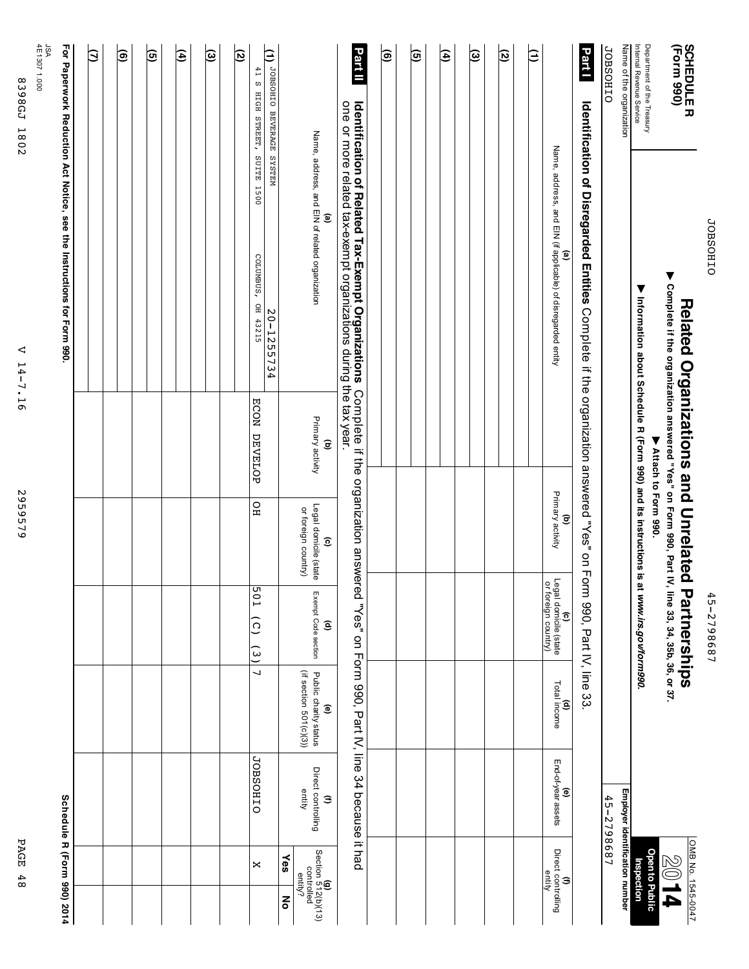|                                                              |                                                                                                                                    | <b>Related Organizations and Unrelated</b>                                               |                                                                        | <b>Partnerships</b>                                 |                                                                           |                                   | OMB No. 1545-0047                                      |
|--------------------------------------------------------------|------------------------------------------------------------------------------------------------------------------------------------|------------------------------------------------------------------------------------------|------------------------------------------------------------------------|-----------------------------------------------------|---------------------------------------------------------------------------|-----------------------------------|--------------------------------------------------------|
| <b>SCHEDULER</b><br>(Form 990)                               | ▶ Complete if the organization answered "Yes" on Form 990, Part IV,                                                                |                                                                                          |                                                                        | line 33, 34, 35b, 36, or 37.                        |                                                                           |                                   | <b>PIOS</b>                                            |
| Internal Revenue Service<br>Department of the Treasury       | Minion about Schedule R (Form 990) and its instructions is at                                                                      | ▶ Attach to Form 990.                                                                    |                                                                        | t www.irs.gov/form990.                              |                                                                           |                                   | Open to Public<br>Inspection                           |
| Name of the organization                                     |                                                                                                                                    |                                                                                          |                                                                        |                                                     |                                                                           |                                   | Employer identification number                         |
| <b>JOBSOHIO</b>                                              |                                                                                                                                    |                                                                                          |                                                                        |                                                     |                                                                           | 45-2798687                        |                                                        |
| Part I                                                       | Identification of Disregarded Entities Complete if the organization answered "Yes" on Form 990, Part IV, line 33                   |                                                                                          |                                                                        |                                                     |                                                                           |                                   |                                                        |
|                                                              | Name, address, and EIN (if applicable) of disregarded entity<br>ම                                                                  |                                                                                          | Primary activity<br>$\widehat{\mathbf{e}}$                             | (c)<br>Legal domicile (state<br>or foreign country) | Total income<br>ê                                                         | <b>(e)</b><br>End-of-year assets  | Direct controlling<br>entity<br>$\widehat{\mathbf{z}}$ |
| β                                                            |                                                                                                                                    |                                                                                          |                                                                        |                                                     |                                                                           |                                   |                                                        |
| ত                                                            |                                                                                                                                    |                                                                                          |                                                                        |                                                     |                                                                           |                                   |                                                        |
| ම                                                            |                                                                                                                                    |                                                                                          |                                                                        |                                                     |                                                                           |                                   |                                                        |
| E                                                            |                                                                                                                                    |                                                                                          |                                                                        |                                                     |                                                                           |                                   |                                                        |
| তি                                                           |                                                                                                                                    |                                                                                          |                                                                        |                                                     |                                                                           |                                   |                                                        |
| ම                                                            |                                                                                                                                    |                                                                                          |                                                                        |                                                     |                                                                           |                                   |                                                        |
| Part II                                                      | Identification of Related Tax-Exempt Organizations Complete i<br>one or more related tax-exempt organizations during the tax year. | Complete if the organization answered "Yes" on Form 990, Part IV, line 34 because it had |                                                                        |                                                     |                                                                           |                                   |                                                        |
|                                                              | Name, address, and EIN of related organization<br>ම                                                                                | Primary activity<br>$\widehat{\mathbf{c}}$                                               | Legal domicile (state<br>or foreign country)<br>$\widehat{\mathbf{e}}$ | Exempt Code section<br>ê                            | (if section 501(c)(3))<br>Public charity status<br>$\widehat{\mathbf{e}}$ | Direct controlling<br>entity<br>G | Yes<br>ξ                                               |
| MELSAS EDVERAGE OIHOSHOL (1)<br>41 S HIGH STREET, SUITE 1500 | COLUMBUS, OH 43215<br>20-1255734                                                                                                   | ECON DEVELOP                                                                             | $_{\rm HO}$                                                            | 109<br>$\widehat{c}$<br>$\frac{1}{2}$               | $\overline{a}$                                                            | <b>JOBSOHIO</b>                   | $\Join$                                                |
| ত                                                            |                                                                                                                                    |                                                                                          |                                                                        |                                                     |                                                                           |                                   |                                                        |
| ভি                                                           |                                                                                                                                    |                                                                                          |                                                                        |                                                     |                                                                           |                                   |                                                        |
| (⊕                                                           |                                                                                                                                    |                                                                                          |                                                                        |                                                     |                                                                           |                                   |                                                        |
| তি                                                           |                                                                                                                                    |                                                                                          |                                                                        |                                                     |                                                                           |                                   |                                                        |
| ම                                                            |                                                                                                                                    |                                                                                          |                                                                        |                                                     |                                                                           |                                   |                                                        |
| Э                                                            |                                                                                                                                    |                                                                                          |                                                                        |                                                     |                                                                           |                                   |                                                        |
|                                                              | For Paperwork Reduction Act Notice, see the Instructions for Form 990.                                                             |                                                                                          |                                                                        |                                                     |                                                                           |                                   | Schedule R (Form 990) 2014                             |
| JSA<br>4E1307 1.000                                          |                                                                                                                                    |                                                                                          |                                                                        |                                                     |                                                                           |                                   |                                                        |
| 8398GL<br>1802                                               | ◁<br>$14 - 7.16$                                                                                                                   |                                                                                          | 2959579                                                                |                                                     |                                                                           |                                   | PAGE<br>48                                             |

JOBSOHIO

**OIHOSHOL** 

45-2798687

45-2798687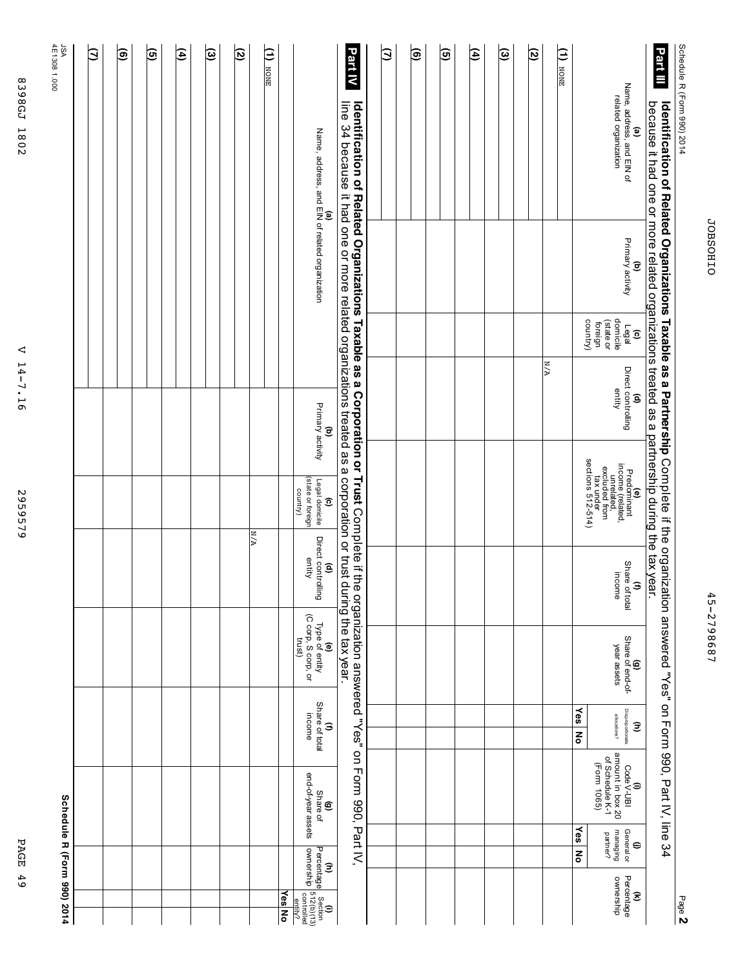| Schedule R (Form 990) 2014<br>Part III<br>Identification of Belated Organizations as a battrecthic Connect if the organizing<br>because it had on the care of a structured of as a partnerization as a partner of a primit of the common pecause it had |                  |            |                    |                                                      |                  | lation answered "Yes" on Torm 990, Part IV, line 34 |            |         |                 |
|---------------------------------------------------------------------------------------------------------------------------------------------------------------------------------------------------------------------------------------------------------|------------------|------------|--------------------|------------------------------------------------------|------------------|-----------------------------------------------------|------------|---------|-----------------|
| Name, address, and EIN of<br>ଢ                                                                                                                                                                                                                          | Primary activity | Legal<br>ನ | Direct controlling | pomo (reclator<br>Predominan'<br>$\widehat{\bullet}$ | Share<br>of tota | Share of end-of-   Disproportionar<br>ī             | Code V-UBI | General | $\mathbf{\tau}$ |

| β | ම | তি | E | હિ | তি |                 | $(1)$ NONE | <b>(a)</b><br>Name, address, and ElN of related organization                         | Part IV<br><b>Identification of Related Organizations Taxable as a Corporation or Trust Complete if the organization answered "Yes" on Form 990, Part IV,</b><br>line 34 because it had one or more related organizations treated as a corporation or trust during the tax year. | $\mathbf{\Im}$ | ම | © | Ð | $\circledcirc$ | ত | $\frac{1}{\sqrt{1}}$ |                                 | <b>(a)</b><br>Name, address, and EIN of<br>related organization                                                                                                                                                               |
|---|---|----|---|----|----|-----------------|------------|--------------------------------------------------------------------------------------|----------------------------------------------------------------------------------------------------------------------------------------------------------------------------------------------------------------------------------------------------------------------------------|----------------|---|---|---|----------------|---|----------------------|---------------------------------|-------------------------------------------------------------------------------------------------------------------------------------------------------------------------------------------------------------------------------|
|   |   |    |   |    |    |                 |            |                                                                                      |                                                                                                                                                                                                                                                                                  |                |   |   |   |                |   |                      |                                 | <b>(b)</b><br>Primary activity                                                                                                                                                                                                |
|   |   |    |   |    |    |                 |            |                                                                                      |                                                                                                                                                                                                                                                                                  |                |   |   |   |                |   |                      |                                 | domicile<br>country)<br>(state or<br>foreign<br>်<br>ဖြစ်ချ<br>( ၁                                                                                                                                                            |
|   |   |    |   |    |    |                 |            | Primary activity<br>$\widehat{\mathbf{c}}$                                           |                                                                                                                                                                                                                                                                                  |                |   |   |   |                |   | $\frac{1}{\sqrt{A}}$ |                                 | (d)<br>Direct controlling<br>entity                                                                                                                                                                                           |
|   |   |    |   |    |    |                 |            | (state or foreign<br>Legal domicile<br>country)<br>$\widehat{c}$                     |                                                                                                                                                                                                                                                                                  |                |   |   |   |                |   |                      |                                 | $\begin{array}{l} \mathsf{Predominant} \\ \mathsf{in Credom} \\ \mathsf{in Cated}, \\ \mathsf{in Cated from} \\ \mathsf{excluded from} \\ \mathsf{tax under} \\ \mathsf{tax under} \\ \mathsf{sections 512-514)} \end{array}$ |
|   |   |    |   |    |    | $\frac{M/A}{N}$ |            | Direct controlling<br>entity<br>ê                                                    |                                                                                                                                                                                                                                                                                  |                |   |   |   |                |   |                      |                                 | Share of total<br>income<br>$\widehat{\mathbf{z}}$                                                                                                                                                                            |
|   |   |    |   |    |    |                 |            | Type of entity<br>(C corp, S corp, or<br>trust)<br>$\widehat{\mathbf{e}}$            |                                                                                                                                                                                                                                                                                  |                |   |   |   |                |   |                      |                                 | (g)<br>Share of end-of-<br>year assets                                                                                                                                                                                        |
|   |   |    |   |    |    |                 |            | Share of total<br>income<br>Э                                                        |                                                                                                                                                                                                                                                                                  |                |   |   |   |                |   |                      | <b>Yes</b><br>$\mathbf{z}$      | Disproportionate<br>allocations?<br>Ê                                                                                                                                                                                         |
|   |   |    |   |    |    |                 |            | end-of-year assets<br>Share of<br>©                                                  |                                                                                                                                                                                                                                                                                  |                |   |   |   |                |   |                      |                                 | amount in box 20<br>of Schedule K-1<br>(Form 1065)<br>(i)<br>Code V-UBI                                                                                                                                                       |
|   |   |    |   |    |    |                 |            |                                                                                      |                                                                                                                                                                                                                                                                                  |                |   |   |   |                |   |                      | $\frac{1}{2}$<br>$\overline{z}$ | General or<br>pripenem<br>partner?<br>$\oplus$                                                                                                                                                                                |
|   |   |    |   |    |    |                 | Yes No     | (h)<br>Percentage Section<br>ownership s12(b)(13)<br>ownership controlled<br>entity? |                                                                                                                                                                                                                                                                                  |                |   |   |   |                |   |                      |                                 | Percentage<br>ownership<br>$\widehat{\mathcal{Z}}$                                                                                                                                                                            |

4E1308 JSA<br>4E1308 1.000

V 14-7.16 V 14-7.16 2959579

2959579

2014 **DE REGIOR BOOT 2014 DE REGIOR BOOT 2014** 

PAGE 49

**PAGE 49** 

**Schedule**

**R (Form**

**990)**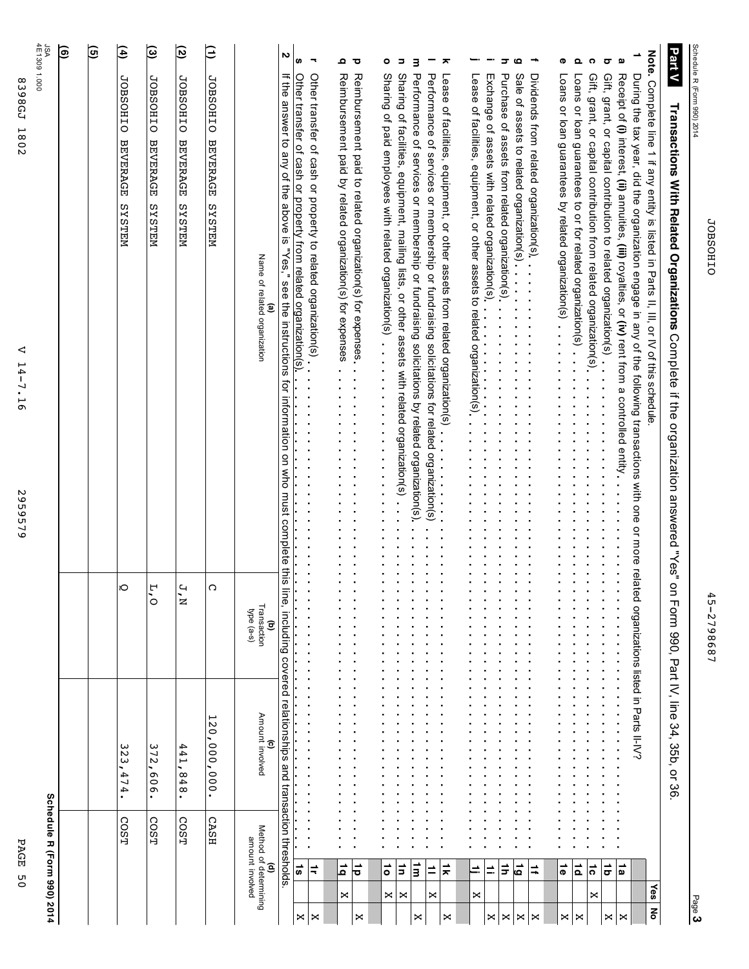|                                                      | JSA<br>4E1309 1.000        | (e) | ত্ত | E                                            | $\widehat{\bm{\omega}}$                      | তি                                           | Ξ                                            |                                                     | N                                                                                                              | S                                                                | $\overline{\phantom{a}}$                                                                                      | Ω                                                               | ਹ                                                                       | ۰                                                                                                                      | Ξ                                                                                             | З                                                                                              |                                                                                                | ㅈ                                                                            | —.                                                                         | -                                                                                                                           | ᢖ                                               | Q                                         | ÷                                       | Φ                                                   | Q                                                          | ດ                                                                                                                                     | $\sigma$<br>മ | ∸                                                                                                                                                                                                                                                       |                                                                                   | <b>Part V</b>                                                                       |                            |
|------------------------------------------------------|----------------------------|-----|-----|----------------------------------------------|----------------------------------------------|----------------------------------------------|----------------------------------------------|-----------------------------------------------------|----------------------------------------------------------------------------------------------------------------|------------------------------------------------------------------|---------------------------------------------------------------------------------------------------------------|-----------------------------------------------------------------|-------------------------------------------------------------------------|------------------------------------------------------------------------------------------------------------------------|-----------------------------------------------------------------------------------------------|------------------------------------------------------------------------------------------------|------------------------------------------------------------------------------------------------|------------------------------------------------------------------------------|----------------------------------------------------------------------------|-----------------------------------------------------------------------------------------------------------------------------|-------------------------------------------------|-------------------------------------------|-----------------------------------------|-----------------------------------------------------|------------------------------------------------------------|---------------------------------------------------------------------------------------------------------------------------------------|---------------|---------------------------------------------------------------------------------------------------------------------------------------------------------------------------------------------------------------------------------------------------------|-----------------------------------------------------------------------------------|-------------------------------------------------------------------------------------|----------------------------|
| 8398GJ<br>1802<br>⊲<br>۳<br>4-<br>$-7.16$<br>2959579 |                            |     |     | <b>JOBSOHIO</b><br><b>BEVERAGE</b><br>NELSAS | <b>JOBSOHIO</b><br><b>BEVERAGE</b><br>NELSIS | <b>JOBSOHIO</b><br><b>BEVERAGE</b><br>NELSIS | <b>JOBSOHIO</b><br><b>BEVERAGE</b><br>NELSIS | Name of related organization<br>$\mathbf{e}$        | in the answer to any of the above is "Yes," see the instructions for information on who must complete this lim | Other transfer of cash or property from related organization(s). | Other transfer of cash or property to related organization(s)<br>$\ddot{\cdot}$<br>$\ddot{\phantom{0}}$<br>j. | Reimbursement paid by related organization(s) for expenses<br>. | Reimbursement paid to related organization(s) for expenses.<br>i,<br>i, | Sharing of paid engineers with relation of the compart of the second of paid of paid of paid of paid of paid of $\sim$ | Sharing of facilities, equipment, mailing lists, or other assets with related organization(s) | Performance of services or membership or fundraising solicitations by related organization(s). | Performance of services or membership or fundraising solicitations for related organization(s) | Lease of facilities, equipment, or other assets from related organization(s) | Lease of facilities, equipment, or other assets to related organization(s) | Exchange of assets with related organization(s).<br>$\hat{\textbf{r}}$<br>$\frac{1}{2}$<br>$\bullet$<br>$\bar{\phantom{a}}$ | Purchase of assets from related organization(s) | Sale of assets to related organization(s) | Dividends from related organization(s). | Loans or loan guarantees by related organization(s) | Loans or loan guarantees to or for related organization(s) | Gift, grant, or capital contribution to related organization(s)<br>Gift, grant, or capital contribution from related organization(s). |               | During the tax year, did the organization engage in any of the following transactions with one or more related organizations listed in Parts II-IV?<br>Receipt of (i) interest, (ii) annuities, (iii) royalties, or (iv) rent from a controlled entity. | Note. Complete line 1 if any entity is listed in Parts II, or IV of this schedule | Transactions With Related Organizations Complete if the organization answered "Yes" | Schedule R (Form 990) 2014 |
|                                                      |                            |     |     | ю                                            | ٣<br>ò                                       | Ч<br>é                                       | C                                            | Transaction<br>type (a-s)<br>$\widehat{\mathbf{c}}$ | ٦é,                                                                                                            |                                                                  | i,<br>i,<br>j,                                                                                                |                                                                 |                                                                         |                                                                                                                        |                                                                                               |                                                                                                |                                                                                                |                                                                              |                                                                            |                                                                                                                             |                                                 |                                           |                                         |                                                     |                                                            |                                                                                                                                       |               |                                                                                                                                                                                                                                                         |                                                                                   | $\overline{Q}$                                                                      |                            |
|                                                      |                            |     |     | ω<br>Σ<br>474                                | ω<br>$\overline{2}$<br>909                   | 441<br>848                                   | 120<br>000<br>$\frac{00}{00}$                | Amount involved<br>Θ                                | including covered relationships and transaction thresholds                                                     |                                                                  |                                                                                                               |                                                                 |                                                                         |                                                                                                                        |                                                                                               |                                                                                                |                                                                                                |                                                                              |                                                                            |                                                                                                                             |                                                 |                                           |                                         |                                                     |                                                            |                                                                                                                                       |               |                                                                                                                                                                                                                                                         |                                                                                   | 1 Form 990, Part IV, line 34, 35b, or 36                                            |                            |
| PAGE                                                 | Schedule R (Form 990) 2014 |     |     | COST                                         | COST                                         | COST                                         | <b>CASH</b>                                  |                                                     |                                                                                                                |                                                                  |                                                                                                               |                                                                 |                                                                         |                                                                                                                        |                                                                                               |                                                                                                |                                                                                                |                                                                              |                                                                            |                                                                                                                             |                                                 |                                           |                                         |                                                     |                                                            |                                                                                                                                       |               |                                                                                                                                                                                                                                                         |                                                                                   |                                                                                     |                            |
| $\overline{0}$                                       |                            |     |     |                                              |                                              |                                              |                                              | (d)<br>Method of determining<br>amount involved     |                                                                                                                | $\overrightarrow{S}$                                             | ≑                                                                                                             | ≓ا<br>×                                                         | 능                                                                       | ō<br>×                                                                                                                 | $\vec{p}$<br>×                                                                                | E                                                                                              | ≐<br>×                                                                                         | $\vec{x}$                                                                    | $\equiv$<br>×                                                              | $\equiv$                                                                                                                    | $\vec{r}$                                       | ئ                                         | ⇉                                       | $\vec{\sigma}$                                      | ∣≂                                                         | $\vec{c}$<br>×                                                                                                                        | =             | 1a                                                                                                                                                                                                                                                      | Yes                                                                               |                                                                                     |                            |
|                                                      |                            |     |     |                                              |                                              |                                              |                                              |                                                     |                                                                                                                | X                                                                | $\Join$                                                                                                       |                                                                 | $\Join$                                                                 |                                                                                                                        |                                                                                               | ×                                                                                              |                                                                                                | ×                                                                            |                                                                            | ×                                                                                                                           | $\Join$                                         | $\Join$                                   | $\Join$                                 | ×                                                   | ×                                                          |                                                                                                                                       | ×             | $\bowtie$                                                                                                                                                                                                                                               | ᅙ                                                                                 |                                                                                     | Page 3                     |

45-2798687

45-2798687

**JOBSOHIO** JOBSOHIO

2959579 2959579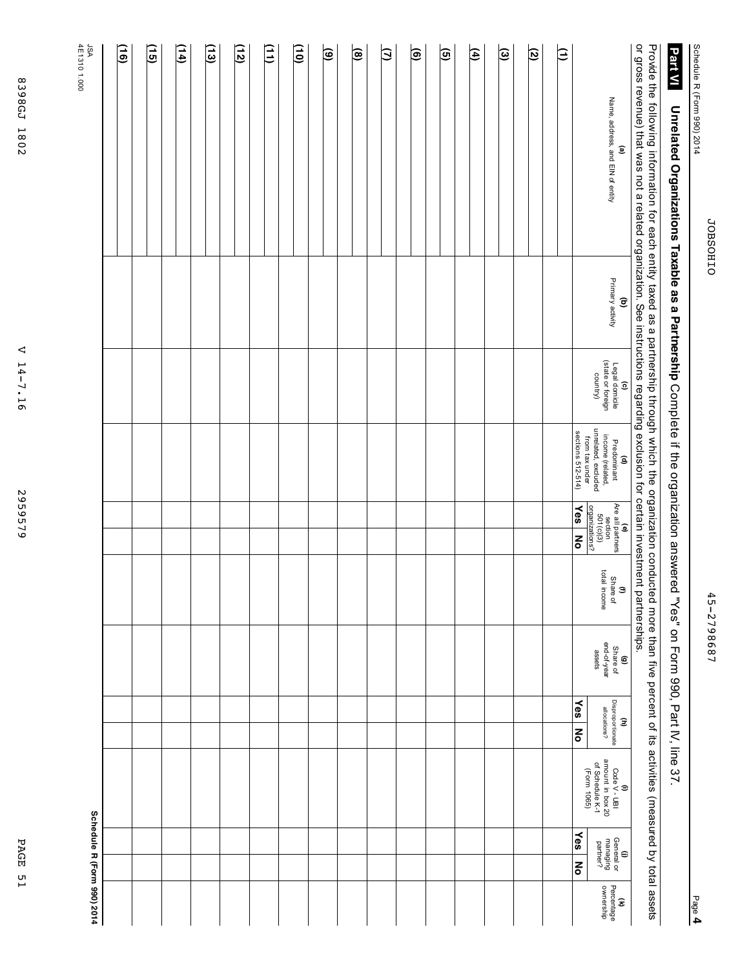Schedule

R (Form

990) 2014

# **Unrelated Organizations Taxable as a Partnership** Complete if the organization answered سمبر<br>∾ s Form 990, Part<br>H IV, line **ISTIVI** Universations Taxabia assa between the Parthership Complete if the organisation answered "Yes" on 590, Part N, iline 37.

Provide the following information for ea<br>S entity taxed as a partnership through ≫hich the organization conducted more than ا<br>آ< percent Չ ā activities (measured হ total assets  $\overline{Q}$ that was not a related အ<br>အ instructions exclusion for certain investment partnerships.

| or gross revenue) that was not a related organization. See instructions regarding exclusion for certain investment partnerships.<br>$\ddot{\phantom{0}}$ |                                            | $\ddot{a}$                                             | j                                                             | ٩                                                                             |                                       |                                          |                                                            |                                                                           |                                                  |                                                       |
|----------------------------------------------------------------------------------------------------------------------------------------------------------|--------------------------------------------|--------------------------------------------------------|---------------------------------------------------------------|-------------------------------------------------------------------------------|---------------------------------------|------------------------------------------|------------------------------------------------------------|---------------------------------------------------------------------------|--------------------------------------------------|-------------------------------------------------------|
| Name, address, and EIN of entity<br>$\widehat{\mathbf{e}}$                                                                                               | Primary activity<br>$\widehat{\mathbf{c}}$ | (c)<br>Legal domicile<br>(state or foreign<br>country) | (d)<br>Predominant<br>income (related,<br>unrelated, excluded | <b>(e)</b><br>Are all partners<br>section<br>crganizations?<br>organizations? | total income<br>Share of<br>$\hat{a}$ | end-of-year<br>(g)<br>Share of<br>assets | Disproportionate<br>allocations?<br>$\widehat{\mathbf{z}}$ | (i)<br>Code V - UBI<br>amount in box 20<br>of Schedule K-1<br>(Form 1065) | General or<br>managing<br>partner?<br>$\epsilon$ | Percentage<br>ownership<br>$\widehat{\boldsymbol{z}}$ |
|                                                                                                                                                          |                                            |                                                        | from tax under<br>sections 512-514)                           | $\frac{1}{\sqrt{eS}}$<br>ᅙ                                                    |                                       |                                          | ∕es<br>종                                                   |                                                                           | $\mathbf{Y}$ es<br>š                             |                                                       |
| Ε                                                                                                                                                        |                                            |                                                        |                                                               |                                                                               |                                       |                                          |                                                            |                                                                           |                                                  |                                                       |
|                                                                                                                                                          |                                            |                                                        |                                                               |                                                                               |                                       |                                          |                                                            |                                                                           |                                                  |                                                       |
| তি                                                                                                                                                       |                                            |                                                        |                                                               |                                                                               |                                       |                                          |                                                            |                                                                           |                                                  |                                                       |
| $\circledcirc$                                                                                                                                           |                                            |                                                        |                                                               |                                                                               |                                       |                                          |                                                            |                                                                           |                                                  |                                                       |
|                                                                                                                                                          |                                            |                                                        |                                                               |                                                                               |                                       |                                          |                                                            |                                                                           |                                                  |                                                       |
| $\overline{4}$                                                                                                                                           |                                            |                                                        |                                                               |                                                                               |                                       |                                          |                                                            |                                                                           |                                                  |                                                       |
|                                                                                                                                                          |                                            |                                                        |                                                               |                                                                               |                                       |                                          |                                                            |                                                                           |                                                  |                                                       |
| তি                                                                                                                                                       |                                            |                                                        |                                                               |                                                                               |                                       |                                          |                                                            |                                                                           |                                                  |                                                       |
| $\overline{\mathbf{e}}$                                                                                                                                  |                                            |                                                        |                                                               |                                                                               |                                       |                                          |                                                            |                                                                           |                                                  |                                                       |
| Э                                                                                                                                                        |                                            |                                                        |                                                               |                                                                               |                                       |                                          |                                                            |                                                                           |                                                  |                                                       |
| $\overline{a}$                                                                                                                                           |                                            |                                                        |                                                               |                                                                               |                                       |                                          |                                                            |                                                                           |                                                  |                                                       |
| ම                                                                                                                                                        |                                            |                                                        |                                                               |                                                                               |                                       |                                          |                                                            |                                                                           |                                                  |                                                       |
|                                                                                                                                                          |                                            |                                                        |                                                               |                                                                               |                                       |                                          |                                                            |                                                                           |                                                  |                                                       |
| $\widetilde{\Xi}$                                                                                                                                        |                                            |                                                        |                                                               |                                                                               |                                       |                                          |                                                            |                                                                           |                                                  |                                                       |
| $\Xi$                                                                                                                                                    |                                            |                                                        |                                                               |                                                                               |                                       |                                          |                                                            |                                                                           |                                                  |                                                       |
| (12)                                                                                                                                                     |                                            |                                                        |                                                               |                                                                               |                                       |                                          |                                                            |                                                                           |                                                  |                                                       |
|                                                                                                                                                          |                                            |                                                        |                                                               |                                                                               |                                       |                                          |                                                            |                                                                           |                                                  |                                                       |
| $\overline{13}$                                                                                                                                          |                                            |                                                        |                                                               |                                                                               |                                       |                                          |                                                            |                                                                           |                                                  |                                                       |
| $\frac{14}{1}$                                                                                                                                           |                                            |                                                        |                                                               |                                                                               |                                       |                                          |                                                            |                                                                           |                                                  |                                                       |
| $\overline{15}$                                                                                                                                          |                                            |                                                        |                                                               |                                                                               |                                       |                                          |                                                            |                                                                           |                                                  |                                                       |
| $\widetilde{5}$                                                                                                                                          |                                            |                                                        |                                                               |                                                                               |                                       |                                          |                                                            |                                                                           |                                                  |                                                       |
| JSA<br>4E1310 1.000                                                                                                                                      |                                            |                                                        |                                                               |                                                                               |                                       |                                          |                                                            |                                                                           | Schedule R (Form 990) 2014                       |                                                       |

8398GJ 1802 8398GJ 1802

V 14-7.16 V 14-7.16

2959579 2959579